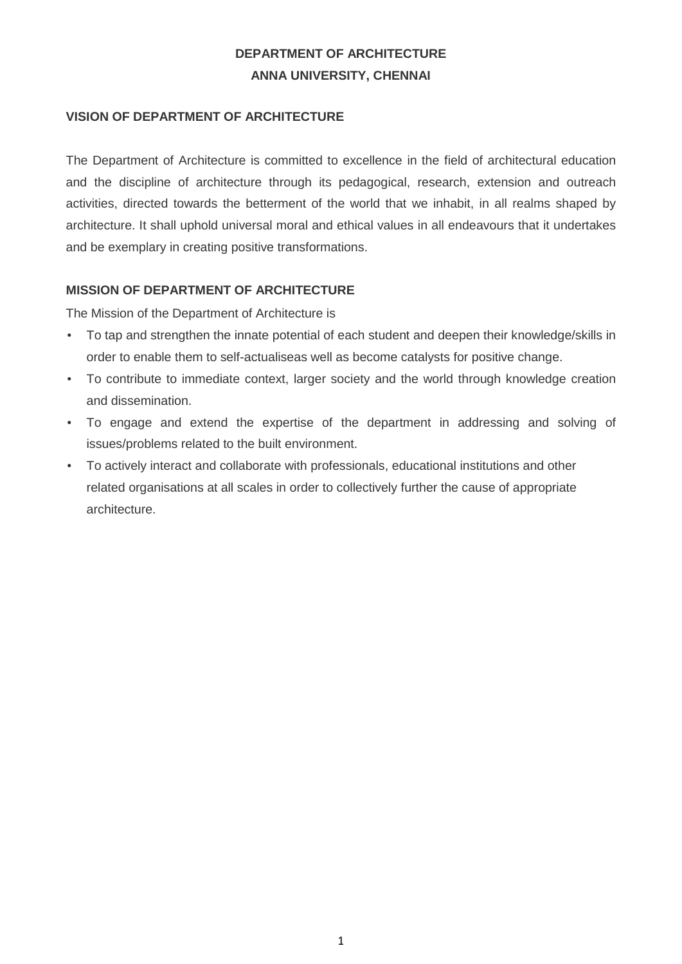# **DEPARTMENT OF ARCHITECTURE ANNA UNIVERSITY, CHENNAI**

#### **VISION OF DEPARTMENT OF ARCHITECTURE**

The Department of Architecture is committed to excellence in the field of architectural education and the discipline of architecture through its pedagogical, research, extension and outreach activities, directed towards the betterment of the world that we inhabit, in all realms shaped by architecture. It shall uphold universal moral and ethical values in all endeavours that it undertakes and be exemplary in creating positive transformations.

#### **MISSION OF DEPARTMENT OF ARCHITECTURE**

The Mission of the Department of Architecture is

- To tap and strengthen the innate potential of each student and deepen their knowledge/skills in order to enable them to self-actualiseas well as become catalysts for positive change.
- To contribute to immediate context, larger society and the world through knowledge creation and dissemination.
- To engage and extend the expertise of the department in addressing and solving of issues/problems related to the built environment.
- To actively interact and collaborate with professionals, educational institutions and other related organisations at all scales in order to collectively further the cause of appropriate architecture.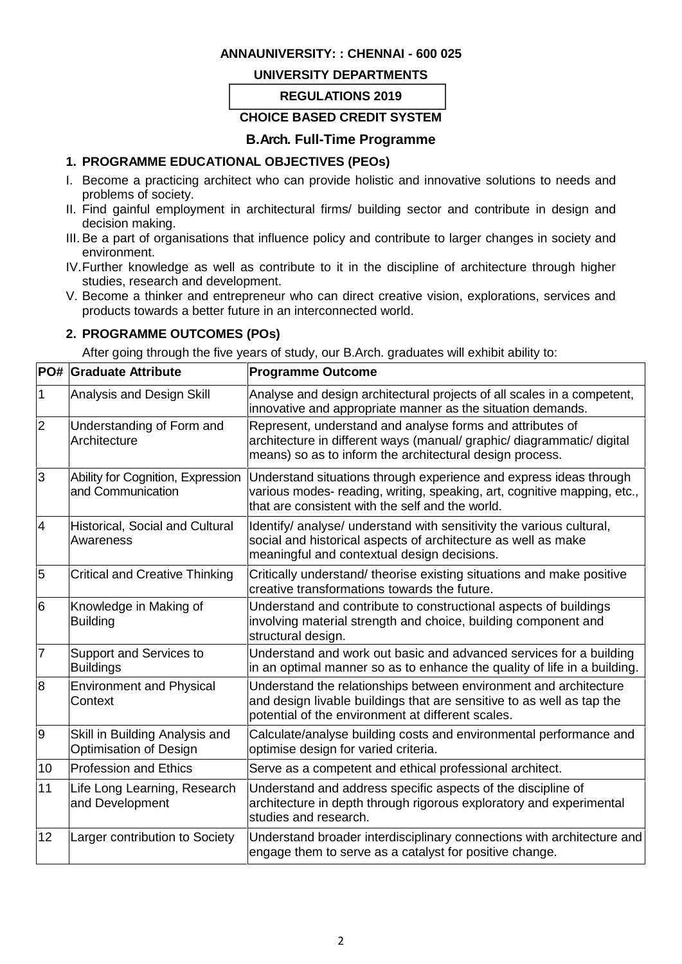#### **ANNAUNIVERSITY: : CHENNAI - 600 025**

#### **UNIVERSITY DEPARTMENTS**

#### **REGULATIONS 2019**

#### **CHOICE BASED CREDIT SYSTEM**

### **B.Arch. Full-Time Programme**

### **1. PROGRAMME EDUCATIONAL OBJECTIVES (PEOs)**

- I. Become a practicing architect who can provide holistic and innovative solutions to needs and problems of society.
- II. Find gainful employment in architectural firms/ building sector and contribute in design and decision making.
- III. Be a part of organisations that influence policy and contribute to larger changes in society and environment.
- IV.Further knowledge as well as contribute to it in the discipline of architecture through higher studies, research and development.
- V. Become a thinker and entrepreneur who can direct creative vision, explorations, services and products towards a better future in an interconnected world.

#### **2. PROGRAMME OUTCOMES (POs)**

After going through the five years of study, our B.Arch. graduates will exhibit ability to:

|                          | <b>PO# Graduate Attribute</b>                            | <b>Programme Outcome</b>                                                                                                                                                                           |
|--------------------------|----------------------------------------------------------|----------------------------------------------------------------------------------------------------------------------------------------------------------------------------------------------------|
| 1                        | Analysis and Design Skill                                | Analyse and design architectural projects of all scales in a competent,<br>innovative and appropriate manner as the situation demands.                                                             |
| $\overline{2}$           | Understanding of Form and<br>Architecture                | Represent, understand and analyse forms and attributes of<br>architecture in different ways (manual/ graphic/ diagrammatic/ digital<br>means) so as to inform the architectural design process.    |
| 3                        | Ability for Cognition, Expression<br>and Communication   | Understand situations through experience and express ideas through<br>various modes- reading, writing, speaking, art, cognitive mapping, etc.,<br>that are consistent with the self and the world. |
| $\overline{\mathcal{A}}$ | Historical, Social and Cultural<br>Awareness             | Identify/ analyse/ understand with sensitivity the various cultural,<br>social and historical aspects of architecture as well as make<br>meaningful and contextual design decisions.               |
| 5                        | <b>Critical and Creative Thinking</b>                    | Critically understand/ theorise existing situations and make positive<br>creative transformations towards the future.                                                                              |
| 6                        | Knowledge in Making of<br><b>Building</b>                | Understand and contribute to constructional aspects of buildings<br>involving material strength and choice, building component and<br>structural design.                                           |
| $\overline{7}$           | Support and Services to<br><b>Buildings</b>              | Understand and work out basic and advanced services for a building<br>in an optimal manner so as to enhance the quality of life in a building.                                                     |
| 8                        | <b>Environment and Physical</b><br>Context               | Understand the relationships between environment and architecture<br>and design livable buildings that are sensitive to as well as tap the<br>potential of the environment at different scales.    |
| 9                        | Skill in Building Analysis and<br>Optimisation of Design | Calculate/analyse building costs and environmental performance and<br>optimise design for varied criteria.                                                                                         |
| 10                       | <b>Profession and Ethics</b>                             | Serve as a competent and ethical professional architect.                                                                                                                                           |
| 11                       | Life Long Learning, Research<br>and Development          | Understand and address specific aspects of the discipline of<br>architecture in depth through rigorous exploratory and experimental<br>studies and research.                                       |
| 12                       | Larger contribution to Society                           | Understand broader interdisciplinary connections with architecture and<br>engage them to serve as a catalyst for positive change.                                                                  |
|                          |                                                          |                                                                                                                                                                                                    |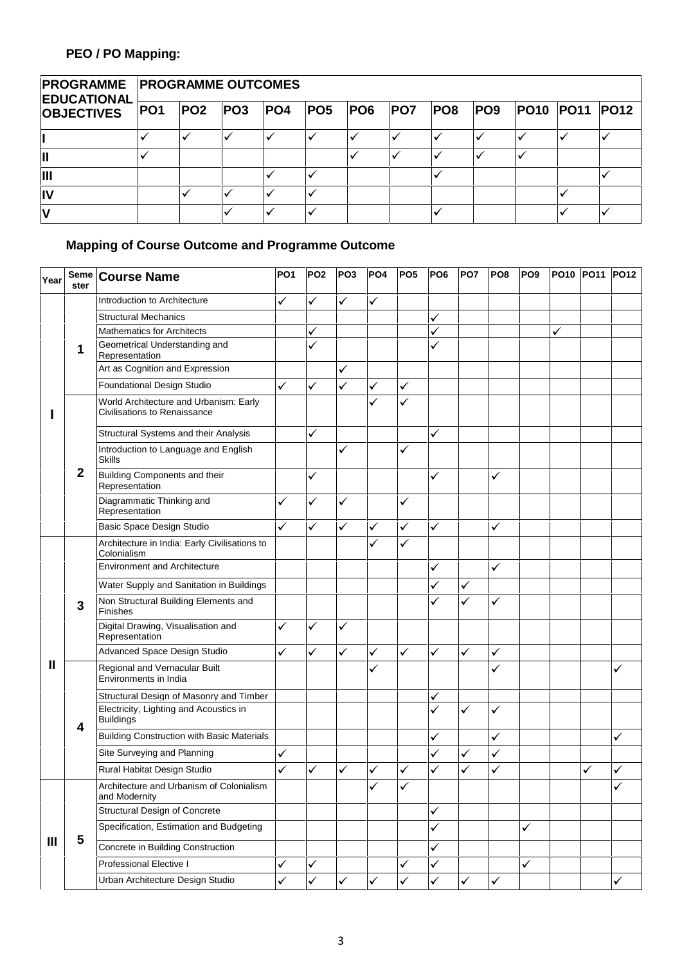| <b>EDUCATIONAL</b> | <b>PROGRAMME PROGRAMME OUTCOMES</b> |     |                 |     |  |                |            |            |     |                       |  |  |
|--------------------|-------------------------------------|-----|-----------------|-----|--|----------------|------------|------------|-----|-----------------------|--|--|
| <b>OBJECTIVES</b>  | PO1                                 | PO2 | PO <sub>3</sub> | PO4 |  | <b>PO5 PO6</b> | <b>PO7</b> | <b>PO8</b> | PO9 | <b>PO10 PO11 PO12</b> |  |  |
|                    |                                     |     |                 |     |  |                |            |            |     |                       |  |  |
|                    |                                     |     |                 |     |  |                |            |            |     |                       |  |  |
| Ш                  |                                     |     |                 |     |  |                |            |            |     |                       |  |  |
|                    |                                     |     |                 |     |  |                |            |            |     |                       |  |  |
|                    |                                     |     |                 |     |  |                |            |            |     |                       |  |  |

# **Mapping of Course Outcome and Programme Outcome**

| Year | Seme<br>ster | <b>Course Name</b>                                                     | PO <sub>1</sub> | PO <sub>2</sub> | PO <sub>3</sub> | PO <sub>4</sub> | PO <sub>5</sub> | PO <sub>6</sub> | <b>PO7</b>   | PO <sub>8</sub> | PO <sub>9</sub> |   | PO10 PO11 PO12 |              |
|------|--------------|------------------------------------------------------------------------|-----------------|-----------------|-----------------|-----------------|-----------------|-----------------|--------------|-----------------|-----------------|---|----------------|--------------|
|      |              | Introduction to Architecture                                           | $\checkmark$    | ✓               | $\checkmark$    | ✓               |                 |                 |              |                 |                 |   |                |              |
|      |              | <b>Structural Mechanics</b>                                            |                 |                 |                 |                 |                 | ✓               |              |                 |                 |   |                |              |
|      |              | <b>Mathematics for Architects</b>                                      |                 | ✓               |                 |                 |                 | ✓               |              |                 |                 | ✓ |                |              |
|      | 1            | Geometrical Understanding and<br>Representation                        |                 | $\checkmark$    |                 |                 |                 | ✓               |              |                 |                 |   |                |              |
|      |              | Art as Cognition and Expression                                        |                 |                 | ✓               |                 |                 |                 |              |                 |                 |   |                |              |
|      |              | Foundational Design Studio                                             | ✓               | ✓               | ✓               | ✓               | ✓               |                 |              |                 |                 |   |                |              |
|      |              | World Architecture and Urbanism: Early<br>Civilisations to Renaissance |                 |                 |                 | ✓               | ✓               |                 |              |                 |                 |   |                |              |
|      |              | Structural Systems and their Analysis                                  |                 | ✓               |                 |                 |                 | $\checkmark$    |              |                 |                 |   |                |              |
|      |              | Introduction to Language and English<br><b>Skills</b>                  |                 |                 | ✓               |                 | ✓               |                 |              |                 |                 |   |                |              |
|      | $\mathbf{2}$ | Building Components and their<br>Representation                        |                 | ✓               |                 |                 |                 | ✓               |              | ✓               |                 |   |                |              |
|      |              | Diagrammatic Thinking and<br>Representation                            | $\checkmark$    | ✓               | ✓               |                 | $\checkmark$    |                 |              |                 |                 |   |                |              |
|      |              | Basic Space Design Studio                                              | $\checkmark$    | ✓               | ✓               | $\checkmark$    | ✓               | $\checkmark$    |              | ✓               |                 |   |                |              |
|      |              | Architecture in India: Early Civilisations to<br>Colonialism           |                 |                 |                 | ✓               | ✓               |                 |              |                 |                 |   |                |              |
|      |              | <b>Environment and Architecture</b>                                    |                 |                 |                 |                 |                 | ✓               |              | $\checkmark$    |                 |   |                |              |
|      |              | Water Supply and Sanitation in Buildings                               |                 |                 |                 |                 |                 | ✓               | ✓            |                 |                 |   |                |              |
|      | 3            | Non Structural Building Elements and<br><b>Finishes</b>                |                 |                 |                 |                 |                 | ✓               | ✓            | ✓               |                 |   |                |              |
|      |              | Digital Drawing, Visualisation and<br>Representation                   | $\checkmark$    | ✓               | ✓               |                 |                 |                 |              |                 |                 |   |                |              |
|      |              | Advanced Space Design Studio                                           | $\checkmark$    | $\checkmark$    | $\checkmark$    | $\checkmark$    | $\checkmark$    | $\checkmark$    | $\checkmark$ | ✓               |                 |   |                |              |
| Ш    |              | Regional and Vernacular Built<br>Environments in India                 |                 |                 |                 | ✓               |                 |                 |              | ✓               |                 |   |                |              |
|      |              | Structural Design of Masonry and Timber                                |                 |                 |                 |                 |                 | ✓               |              |                 |                 |   |                |              |
|      | 4            | Electricity, Lighting and Acoustics in<br><b>Buildings</b>             |                 |                 |                 |                 |                 | ✓               | ✓            | ✓               |                 |   |                |              |
|      |              | <b>Building Construction with Basic Materials</b>                      |                 |                 |                 |                 |                 | ✓               |              | $\checkmark$    |                 |   |                | ✓            |
|      |              | Site Surveying and Planning                                            | $\checkmark$    |                 |                 |                 |                 | ✓               | ✓            | ✓               |                 |   |                |              |
|      |              | Rural Habitat Design Studio                                            | ✓               | ✓               | ✓               | ✓               | ✓               | $\checkmark$    | $\checkmark$ | ✓               |                 |   |                |              |
|      |              | Architecture and Urbanism of Colonialism<br>and Modernity              |                 |                 |                 | ✓               | ✓               |                 |              |                 |                 |   |                | ✓            |
|      |              | <b>Structural Design of Concrete</b>                                   |                 |                 |                 |                 |                 | $\checkmark$    |              |                 |                 |   |                |              |
|      |              | Specification, Estimation and Budgeting                                |                 |                 |                 |                 |                 | ✓               |              |                 | ✓               |   |                |              |
| Ш    | 5            | Concrete in Building Construction                                      |                 |                 |                 |                 |                 | ✓               |              |                 |                 |   |                |              |
|      |              | Professional Elective I                                                | $\checkmark$    | ✓               |                 |                 | ✓               | $\checkmark$    |              |                 | $\checkmark$    |   |                |              |
|      |              | Urban Architecture Design Studio                                       | $\checkmark$    | $\checkmark$    | ✓               | $\checkmark$    | ✓               | $\checkmark$    | $\checkmark$ | $\checkmark$    |                 |   |                | $\checkmark$ |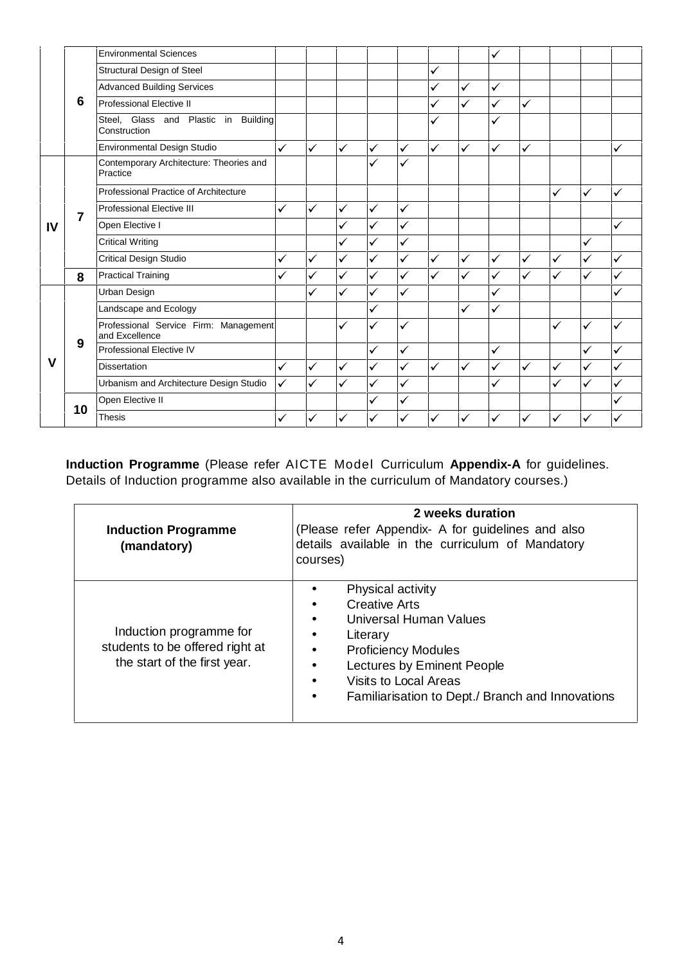|              | <b>Environmental Sciences</b>                           |              |              |              |              |              |              |              | ✓            |              |              |              |              |
|--------------|---------------------------------------------------------|--------------|--------------|--------------|--------------|--------------|--------------|--------------|--------------|--------------|--------------|--------------|--------------|
|              | Structural Design of Steel                              |              |              |              |              |              | $\checkmark$ |              |              |              |              |              |              |
|              | <b>Advanced Building Services</b>                       |              |              |              |              |              | ✓            | ✓            | ✓            |              |              |              |              |
| 6            | <b>Professional Elective II</b>                         |              |              |              |              |              |              | ✓            | $\checkmark$ | $\checkmark$ |              |              |              |
|              | Steel, Glass and Plastic in Building<br>Construction    |              |              |              |              |              | ✓            |              | $\checkmark$ |              |              |              |              |
|              | Environmental Design Studio                             | $\checkmark$ | $\checkmark$ | $\checkmark$ | $\checkmark$ | $\checkmark$ | $\checkmark$ | $\checkmark$ | $\checkmark$ | $\checkmark$ |              |              | ✓            |
|              | Contemporary Architecture: Theories and<br>Practice     |              |              |              | $\checkmark$ | ✓            |              |              |              |              |              |              |              |
|              | Professional Practice of Architecture                   |              |              |              |              |              |              |              |              |              | ✓            | $\checkmark$ | $\checkmark$ |
| 7            | <b>Professional Elective III</b>                        | $\checkmark$ | $\checkmark$ | $\checkmark$ | $\checkmark$ | $\checkmark$ |              |              |              |              |              |              |              |
| IV           | Open Elective I                                         |              |              | $\checkmark$ | $\checkmark$ | $\checkmark$ |              |              |              |              |              |              | ✓            |
|              | <b>Critical Writing</b>                                 |              |              | $\checkmark$ | $\checkmark$ | $\checkmark$ |              |              |              |              |              | $\checkmark$ |              |
|              | <b>Critical Design Studio</b>                           | $\checkmark$ | $\checkmark$ | ✓            | $\checkmark$ | $\checkmark$ | $\checkmark$ | ✓            | $\checkmark$ | $\checkmark$ | $\checkmark$ | $\checkmark$ | $\checkmark$ |
| 8            | <b>Practical Training</b>                               | $\checkmark$ | $\checkmark$ | ✓            | $\checkmark$ | $\checkmark$ | ✓            | $\checkmark$ | $\checkmark$ | ✓            | ✓            | $\checkmark$ | $\checkmark$ |
|              | Urban Design                                            |              | ✓            | $\checkmark$ | $\checkmark$ | $\checkmark$ |              |              | ✓            |              |              |              | $\checkmark$ |
|              | Landscape and Ecology                                   |              |              |              | $\checkmark$ |              |              | ✓            | ✓            |              |              |              |              |
|              | Professional Service Firm: Management<br>and Excellence |              |              | ✓            | $\checkmark$ | ✓            |              |              |              |              | ✓            | ✓            | $\checkmark$ |
| 9            | Professional Elective IV                                |              |              |              | $\checkmark$ | $\checkmark$ |              |              | ✓            |              |              | ✓            | $\checkmark$ |
| $\mathbf{V}$ | <b>Dissertation</b>                                     | $\checkmark$ | $\checkmark$ | $\checkmark$ | $\checkmark$ | $\checkmark$ | ✓            | ✓            | $\checkmark$ | $\checkmark$ | $\checkmark$ | $\checkmark$ | $\checkmark$ |
|              | Urbanism and Architecture Design Studio                 | $\checkmark$ | $\checkmark$ | $\checkmark$ | $\checkmark$ | $\checkmark$ |              |              | ✓            |              | $\checkmark$ | $\checkmark$ | $\checkmark$ |
| 10           | Open Elective II                                        |              |              |              | $\checkmark$ | ✓            |              |              |              |              |              |              | ✓            |
|              | <b>Thesis</b>                                           | ✓            | $\checkmark$ | ✓            | $\checkmark$ | $\checkmark$ | $\checkmark$ | ✓            | ✓            | ✓            | ✓            | ✓            | ✓            |

**Induction Programme** (Please refer AICTE Model Curriculum **Appendix-A** for guidelines. Details of Induction programme also available in the curriculum of Mandatory courses.)

| <b>Induction Programme</b><br>(mandatory)                                                  | 2 weeks duration<br>(Please refer Appendix- A for guidelines and also<br>details available in the curriculum of Mandatory<br>courses)                                                                                    |
|--------------------------------------------------------------------------------------------|--------------------------------------------------------------------------------------------------------------------------------------------------------------------------------------------------------------------------|
| Induction programme for<br>students to be offered right at<br>the start of the first year. | Physical activity<br><b>Creative Arts</b><br>Universal Human Values<br>Literary<br><b>Proficiency Modules</b><br>Lectures by Eminent People<br>Visits to Local Areas<br>Familiarisation to Dept./ Branch and Innovations |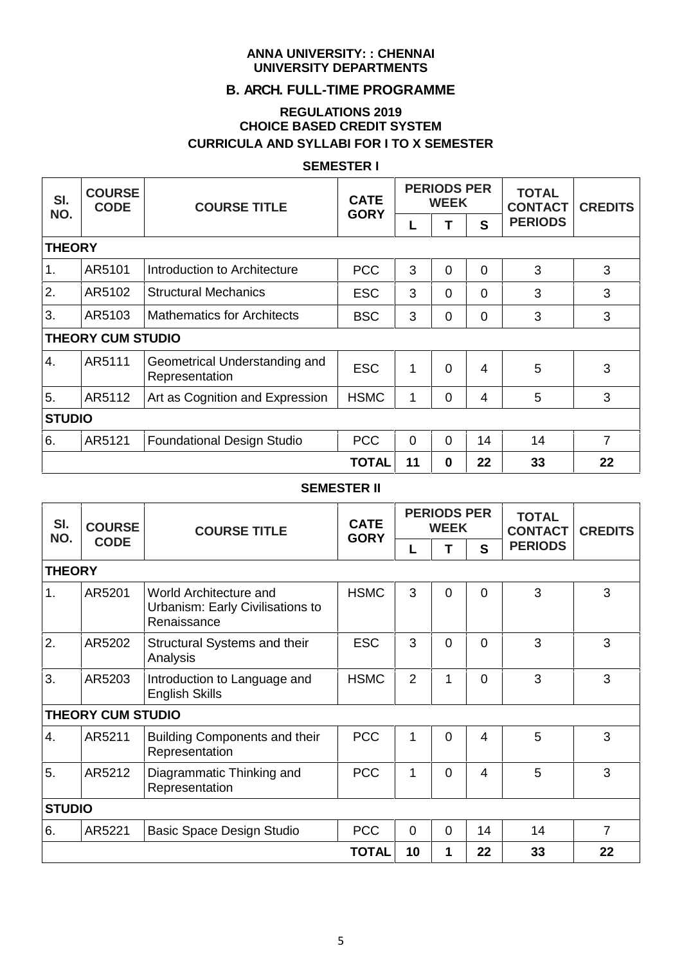#### **ANNA UNIVERSITY: : CHENNAI UNIVERSITY DEPARTMENTS**

# **B. ARCH. FULL-TIME PROGRAMME**

### **REGULATIONS 2019 CHOICE BASED CREDIT SYSTEM CURRICULA AND SYLLABI FOR I TO X SEMESTER**

#### **SEMESTER I**

| SI.<br>NO.    | <b>COURSE</b><br><b>CODE</b> | <b>COURSE TITLE</b>                             | <b>CATE</b><br><b>GORY</b> |          | <b>PERIODS PER</b><br><b>WEEK</b> |                | <b>TOTAL</b><br><b>CONTACT</b> | <b>CREDITS</b> |  |
|---------------|------------------------------|-------------------------------------------------|----------------------------|----------|-----------------------------------|----------------|--------------------------------|----------------|--|
|               |                              |                                                 |                            | L        |                                   | S              | <b>PERIODS</b>                 |                |  |
| <b>THEORY</b> |                              |                                                 |                            |          |                                   |                |                                |                |  |
| 1.            | AR5101                       | Introduction to Architecture                    | <b>PCC</b>                 | 3        | $\overline{0}$                    | $\overline{0}$ | 3                              | 3              |  |
| 2.            | AR5102                       | <b>Structural Mechanics</b>                     | <b>ESC</b>                 | 3        | $\Omega$                          | $\Omega$       | 3                              | 3              |  |
| 3.            | AR5103                       | <b>Mathematics for Architects</b>               | <b>BSC</b>                 | 3        | $\overline{0}$                    | $\overline{0}$ | 3                              | 3              |  |
|               | <b>THEORY CUM STUDIO</b>     |                                                 |                            |          |                                   |                |                                |                |  |
| 4.            | AR5111                       | Geometrical Understanding and<br>Representation | <b>ESC</b>                 | 1        | $\Omega$                          | $\overline{4}$ | 5                              | 3              |  |
| 5.            | AR5112                       | Art as Cognition and Expression                 | <b>HSMC</b>                | 1        | 0                                 | 4              | 5                              | 3              |  |
| <b>STUDIO</b> |                              |                                                 |                            |          |                                   |                |                                |                |  |
| 6.            | AR5121                       | <b>Foundational Design Studio</b>               | <b>PCC</b>                 | $\Omega$ | $\Omega$                          | 14             | 14                             | $\overline{7}$ |  |
|               |                              |                                                 | <b>TOTAL</b>               | 11       | $\bf{0}$                          | 22             | 33                             | 22             |  |

### **SEMESTER II**

| SI.<br>NO.    | <b>COURSE</b>            | <b>COURSE TITLE</b>                                                       | <b>CATE</b><br><b>GORY</b> |                | <b>PERIODS PER</b><br><b>WEEK</b> |                | <b>TOTAL</b><br><b>CONTACT</b> | <b>CREDITS</b> |  |
|---------------|--------------------------|---------------------------------------------------------------------------|----------------------------|----------------|-----------------------------------|----------------|--------------------------------|----------------|--|
|               | <b>CODE</b>              |                                                                           |                            | L              |                                   | S              | <b>PERIODS</b>                 |                |  |
| <b>THEORY</b> |                          |                                                                           |                            |                |                                   |                |                                |                |  |
| 1.            | AR5201                   | World Architecture and<br>Urbanism: Early Civilisations to<br>Renaissance | <b>HSMC</b>                | 3              | 0                                 | $\overline{0}$ | 3                              | 3              |  |
| 2.            | AR5202                   | Structural Systems and their<br>Analysis                                  | <b>ESC</b>                 | 3              | 0                                 | $\Omega$       | 3                              | 3              |  |
| 3.            | AR5203                   | Introduction to Language and<br><b>English Skills</b>                     | <b>HSMC</b>                | 2              | 1                                 | $\Omega$       | 3                              | 3              |  |
|               | <b>THEORY CUM STUDIO</b> |                                                                           |                            |                |                                   |                |                                |                |  |
| 4.            | AR5211                   | <b>Building Components and their</b><br>Representation                    | <b>PCC</b>                 | 1              | $\Omega$                          | $\overline{4}$ | 5                              | 3              |  |
| 5.            | AR5212                   | Diagrammatic Thinking and<br>Representation                               | <b>PCC</b>                 | 1              | 0                                 | 4              | 5                              | 3              |  |
| <b>STUDIO</b> |                          |                                                                           |                            |                |                                   |                |                                |                |  |
| 6.            | AR5221                   | Basic Space Design Studio                                                 | <b>PCC</b>                 | $\overline{0}$ | $\Omega$                          | 14             | 14                             | 7              |  |
|               |                          |                                                                           | <b>TOTAL</b>               | 10             | 1                                 | 22             | 33                             | 22             |  |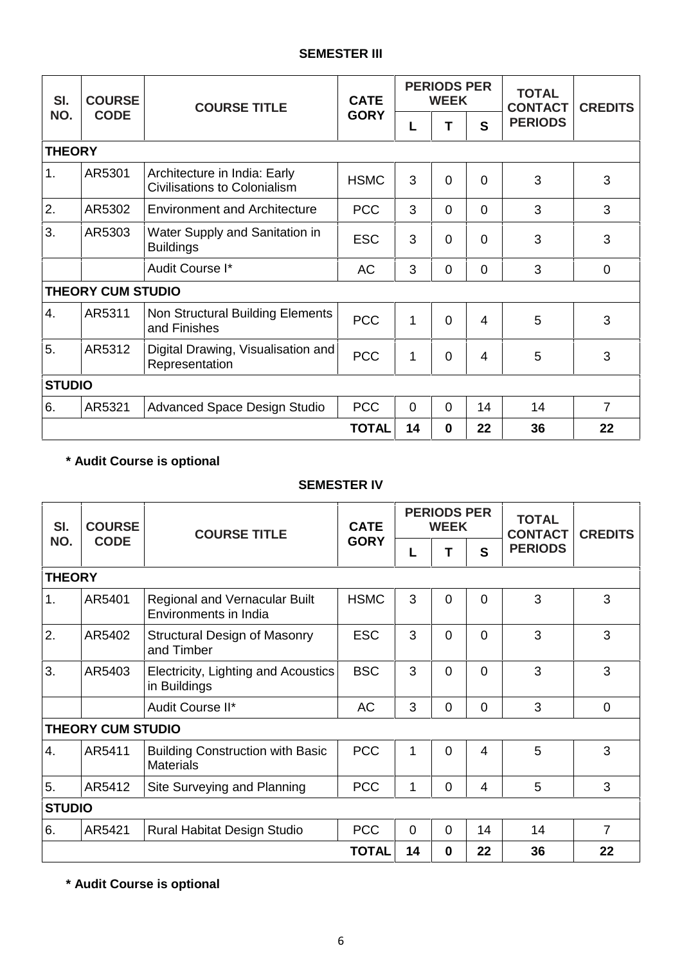#### **SEMESTER III**

| SI.<br>NO.    | <b>COURSE</b><br><b>CODE</b> | <b>COURSE TITLE</b>                                                 | <b>CATE</b>  |              | <b>PERIODS PER</b><br><b>WEEK</b> |                | <b>TOTAL</b><br><b>CONTACT</b> | <b>CREDITS</b> |  |
|---------------|------------------------------|---------------------------------------------------------------------|--------------|--------------|-----------------------------------|----------------|--------------------------------|----------------|--|
|               |                              |                                                                     | <b>GORY</b>  | L            | Т                                 | $\mathbf{s}$   | <b>PERIODS</b>                 |                |  |
| <b>THEORY</b> |                              |                                                                     |              |              |                                   |                |                                |                |  |
| 1.            | AR5301                       | Architecture in India: Early<br><b>Civilisations to Colonialism</b> | <b>HSMC</b>  | 3            | 0                                 | $\Omega$       | 3                              | 3              |  |
| 2.            | AR5302                       | <b>Environment and Architecture</b>                                 | <b>PCC</b>   | 3            | $\mathbf 0$                       | $\mathbf 0$    | 3                              | 3              |  |
| 3.            | AR5303                       | Water Supply and Sanitation in<br><b>Buildings</b>                  | <b>ESC</b>   | 3            | 0                                 | $\overline{0}$ | 3                              | 3              |  |
|               |                              | Audit Course I*                                                     | <b>AC</b>    | 3            | $\mathbf 0$                       | $\mathbf 0$    | 3                              | 0              |  |
|               | <b>THEORY CUM STUDIO</b>     |                                                                     |              |              |                                   |                |                                |                |  |
| 4.            | AR5311                       | Non Structural Building Elements<br>and Finishes                    | <b>PCC</b>   | $\mathbf{1}$ | $\Omega$                          | 4              | 5                              | 3              |  |
| 5.            | AR5312                       | Digital Drawing, Visualisation and<br>Representation                | <b>PCC</b>   | 1            | 0                                 | 4              | 5                              | 3              |  |
| <b>STUDIO</b> |                              |                                                                     |              |              |                                   |                |                                |                |  |
| 6.            | AR5321                       | <b>Advanced Space Design Studio</b>                                 | <b>PCC</b>   | $\mathbf 0$  | $\mathbf 0$                       | 14             | 14                             | $\overline{7}$ |  |
|               |                              |                                                                     | <b>TOTAL</b> | 14           | $\bf{0}$                          | 22             | 36                             | 22             |  |

# **\* Audit Course is optional**

# **SEMESTER IV**

| SI.<br>NO.    | <b>COURSE</b><br><b>CODE</b> | <b>COURSE TITLE</b>                                         | <b>CATE</b><br><b>GORY</b> |          | <b>PERIODS PER</b><br><b>WEEK</b> |                | <b>TOTAL</b><br><b>CONTACT</b> | <b>CREDITS</b> |
|---------------|------------------------------|-------------------------------------------------------------|----------------------------|----------|-----------------------------------|----------------|--------------------------------|----------------|
|               |                              |                                                             |                            | L        | Т                                 | S              | <b>PERIODS</b>                 |                |
| <b>THEORY</b> |                              |                                                             |                            |          |                                   |                |                                |                |
| 1.            | AR5401                       | Regional and Vernacular Built<br>Environments in India      | <b>HSMC</b>                | 3        | $\Omega$                          | $\Omega$       | 3                              | 3              |
| 2.            | AR5402                       | <b>Structural Design of Masonry</b><br>and Timber           | <b>ESC</b>                 | 3        | $\overline{0}$                    | $\Omega$       | 3                              | 3              |
| 3.            | AR5403                       | Electricity, Lighting and Acoustics<br>in Buildings         | <b>BSC</b>                 | 3        | $\Omega$                          | $\Omega$       | 3                              | 3              |
|               |                              | Audit Course II*                                            | <b>AC</b>                  | 3        | $\overline{0}$                    | $\overline{0}$ | 3                              | $\mathbf{0}$   |
|               | <b>THEORY CUM STUDIO</b>     |                                                             |                            |          |                                   |                |                                |                |
| 4.            | AR5411                       | <b>Building Construction with Basic</b><br><b>Materials</b> | <b>PCC</b>                 | 1        | $\Omega$                          | 4              | 5                              | 3              |
| 5.            | AR5412                       | Site Surveying and Planning                                 | <b>PCC</b>                 | 1        | $\Omega$                          | $\overline{4}$ | 5                              | 3              |
| <b>STUDIO</b> |                              |                                                             |                            |          |                                   |                |                                |                |
| 6.            | AR5421                       | <b>Rural Habitat Design Studio</b>                          | <b>PCC</b>                 | $\Omega$ | $\Omega$                          | 14             | 14                             | $\overline{7}$ |
|               |                              |                                                             | <b>TOTAL</b>               | 14       | $\bf{0}$                          | 22             | 36                             | 22             |

**\* Audit Course is optional**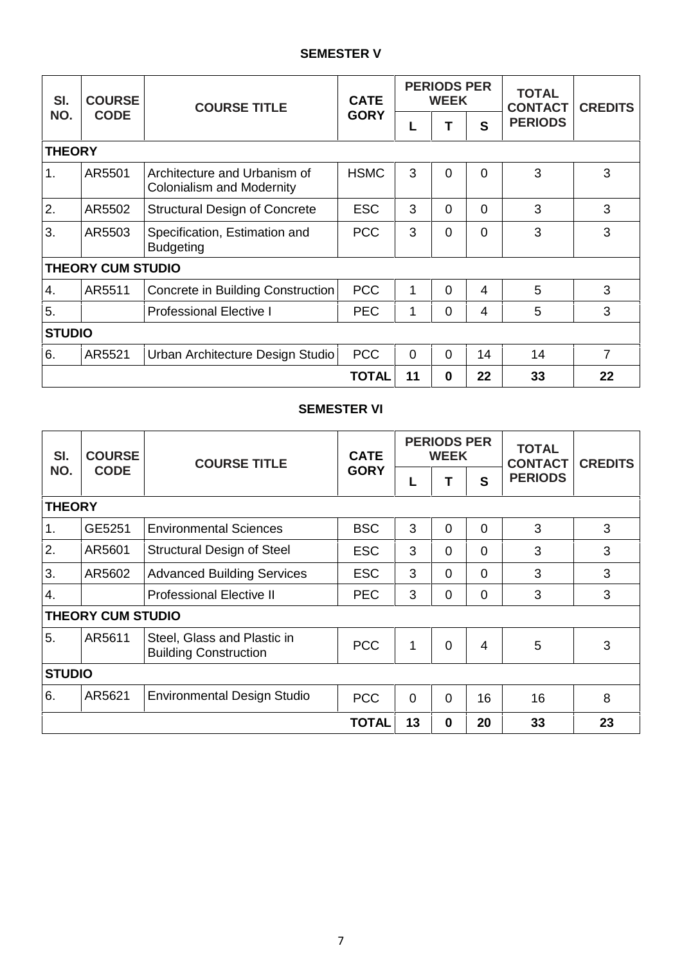### **SEMESTER V**

| SI.           | <b>COURSE</b>            | <b>COURSE TITLE</b>                                              | <b>CATE</b><br><b>GORY</b> |          | <b>PERIODS PER</b><br><b>WEEK</b> |              | <b>TOTAL</b><br><b>CONTACT</b> | <b>CREDITS</b> |
|---------------|--------------------------|------------------------------------------------------------------|----------------------------|----------|-----------------------------------|--------------|--------------------------------|----------------|
| NO.           | <b>CODE</b>              |                                                                  |                            | L        |                                   | $\mathbf{s}$ | <b>PERIODS</b>                 |                |
| <b>THEORY</b> |                          |                                                                  |                            |          |                                   |              |                                |                |
| 1.            | AR5501                   | Architecture and Urbanism of<br><b>Colonialism and Modernity</b> | <b>HSMC</b>                | 3        | $\Omega$                          | $\Omega$     | 3                              | 3              |
| 2.            | AR5502                   | <b>Structural Design of Concrete</b>                             | <b>ESC</b>                 | 3        | $\Omega$                          | $\Omega$     | 3                              | 3              |
| 3.            | AR5503                   | Specification, Estimation and<br><b>Budgeting</b>                | <b>PCC</b>                 | 3        | 0                                 | $\Omega$     | 3                              | 3              |
|               | <b>THEORY CUM STUDIO</b> |                                                                  |                            |          |                                   |              |                                |                |
| 4.            | AR5511                   | Concrete in Building Construction                                | <b>PCC</b>                 | 1        | $\Omega$                          | 4            | 5                              | 3              |
| 5.            |                          | <b>Professional Elective I</b>                                   | <b>PEC</b>                 | 1        | $\Omega$                          | 4            | 5                              | 3              |
| <b>STUDIO</b> |                          |                                                                  |                            |          |                                   |              |                                |                |
| 6.            | AR5521                   | Urban Architecture Design Studio                                 | <b>PCC</b>                 | $\Omega$ | $\Omega$                          | 14           | 14                             | 7              |
|               |                          |                                                                  | <b>TOTAL</b>               | 11       | 0                                 | 22           | 33                             | 22             |

# **SEMESTER VI**

| SI.<br>NO.    | <b>COURSE</b>            | <b>COURSE TITLE</b>                                         | <b>CATE</b><br><b>GORY</b> |                | <b>PERIODS PER</b><br><b>WEEK</b> |                | <b>TOTAL</b><br><b>CONTACT</b> | <b>CREDITS</b> |
|---------------|--------------------------|-------------------------------------------------------------|----------------------------|----------------|-----------------------------------|----------------|--------------------------------|----------------|
|               | <b>CODE</b>              |                                                             |                            | L              |                                   | $\mathbf{s}$   | <b>PERIODS</b>                 |                |
| <b>THEORY</b> |                          |                                                             |                            |                |                                   |                |                                |                |
| 1.            | GE5251                   | <b>Environmental Sciences</b>                               | <b>BSC</b>                 | 3              | $\Omega$                          | $\Omega$       | 3                              | 3              |
| 2.            | AR5601                   | <b>Structural Design of Steel</b>                           | <b>ESC</b>                 | 3              | 0                                 | $\Omega$       | 3                              | 3              |
| 3.            | AR5602                   | <b>Advanced Building Services</b>                           | <b>ESC</b>                 | 3              | 0                                 | $\Omega$       | 3                              | 3              |
| 4.            |                          | <b>Professional Elective II</b>                             | <b>PEC</b>                 | 3              | 0                                 | $\overline{0}$ | 3                              | 3              |
|               | <b>THEORY CUM STUDIO</b> |                                                             |                            |                |                                   |                |                                |                |
| 5.            | AR5611                   | Steel, Glass and Plastic in<br><b>Building Construction</b> | <b>PCC</b>                 | 1              | 0                                 | $\overline{4}$ | 5                              | 3              |
| <b>STUDIO</b> |                          |                                                             |                            |                |                                   |                |                                |                |
| 6.            | AR5621                   | Environmental Design Studio                                 | <b>PCC</b>                 | $\overline{0}$ | 0                                 | 16             | 16                             | 8              |
|               |                          |                                                             | <b>TOTAL</b>               | 13             | $\mathbf 0$                       | 20             | 33                             | 23             |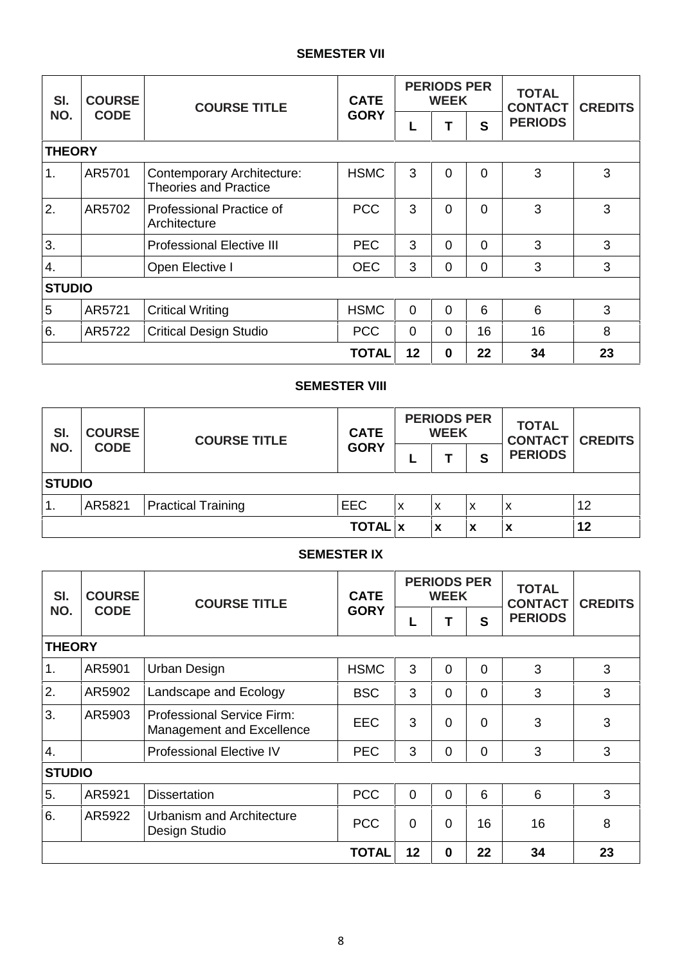#### **SEMESTER VII**

| SI.            | <b>COURSE</b> | <b>COURSE TITLE</b>                                        | <b>CATE</b><br><b>GORY</b> |             | <b>PERIODS PER</b><br><b>WEEK</b> |              | <b>TOTAL</b><br><b>CONTACT</b> | <b>CREDITS</b> |
|----------------|---------------|------------------------------------------------------------|----------------------------|-------------|-----------------------------------|--------------|--------------------------------|----------------|
| NO.            | <b>CODE</b>   |                                                            |                            | L           | т                                 | $\mathbf{s}$ | <b>PERIODS</b>                 |                |
| <b>THEORY</b>  |               |                                                            |                            |             |                                   |              |                                |                |
| 1.             | AR5701        | Contemporary Architecture:<br><b>Theories and Practice</b> | <b>HSMC</b>                | 3           | $\Omega$                          | $\Omega$     | 3                              | 3              |
| 2.             | AR5702        | Professional Practice of<br>Architecture                   | <b>PCC</b>                 | 3           | $\Omega$                          | $\Omega$     | 3                              | 3              |
| 3.             |               | <b>Professional Elective III</b>                           | <b>PEC</b>                 | 3           | $\Omega$                          | $\Omega$     | 3                              | 3              |
| 4.             |               | Open Elective I                                            | <b>OEC</b>                 | 3           | $\Omega$                          | 0            | 3                              | 3              |
| <b>STUDIO</b>  |               |                                                            |                            |             |                                   |              |                                |                |
| $\overline{5}$ | AR5721        | <b>Critical Writing</b>                                    | <b>HSMC</b>                | $\mathbf 0$ | $\Omega$                          | 6            | 6                              | 3              |
| 6.             | AR5722        | <b>Critical Design Studio</b>                              | <b>PCC</b>                 | $\Omega$    | $\Omega$                          | 16           | 16                             | 8              |
|                |               |                                                            | <b>TOTAL</b>               | 12          | $\bf{0}$                          | 22           | 34                             | 23             |

# **SEMESTER VIII**

| SI. | <b>COURSE</b><br><b>CODE</b> | <b>COURSE TITLE</b>       | <b>CATE</b>    | <b>PERIODS PER</b><br><b>WEEK</b> |   |   | <b>TOTAL</b><br><b>CONTACT CREDITS</b> |    |  |  |  |
|-----|------------------------------|---------------------------|----------------|-----------------------------------|---|---|----------------------------------------|----|--|--|--|
| NO. |                              |                           | <b>GORY</b>    | −                                 |   | S | <b>PERIODS</b>                         |    |  |  |  |
|     | <b>STUDIO</b>                |                           |                |                                   |   |   |                                        |    |  |  |  |
| ι.  | AR5821                       | <b>Practical Training</b> | <b>EEC</b>     | x                                 | x | X | x                                      | 12 |  |  |  |
|     |                              |                           | <b>TOTAL</b> x |                                   | x | X | х                                      | 12 |  |  |  |

#### **SEMESTER IX**

| SI.              | <b>COURSE</b> | <b>COURSE TITLE</b>                                            | <b>CATE</b>  |             | <b>PERIODS PER</b><br><b>WEEK</b> |          | <b>TOTAL</b><br><b>CONTACT</b> | <b>CREDITS</b> |
|------------------|---------------|----------------------------------------------------------------|--------------|-------------|-----------------------------------|----------|--------------------------------|----------------|
| NO.              | <b>CODE</b>   |                                                                | <b>GORY</b>  | L           |                                   | S        | <b>PERIODS</b>                 |                |
| <b>THEORY</b>    |               |                                                                |              |             |                                   |          |                                |                |
| 1.               | AR5901        | Urban Design                                                   | <b>HSMC</b>  | 3           | $\Omega$                          | 0        | 3                              | 3              |
| 2.               | AR5902        | Landscape and Ecology                                          | <b>BSC</b>   | 3           | $\Omega$                          | $\Omega$ | 3                              | 3              |
| 3.               | AR5903        | <b>Professional Service Firm:</b><br>Management and Excellence | <b>EEC</b>   | 3           | $\Omega$                          | 0        | 3                              | 3              |
| $\overline{4}$ . |               | <b>Professional Elective IV</b>                                | <b>PEC</b>   | 3           | $\overline{0}$                    | $\Omega$ | 3                              | 3              |
| <b>STUDIO</b>    |               |                                                                |              |             |                                   |          |                                |                |
| 5.               | AR5921        | <b>Dissertation</b>                                            | <b>PCC</b>   | $\mathbf 0$ | $\Omega$                          | 6        | 6                              | 3              |
| 6.               | AR5922        | Urbanism and Architecture<br>Design Studio                     |              | $\mathbf 0$ | $\overline{0}$                    | 16       | 16                             | 8              |
|                  |               |                                                                | <b>TOTAL</b> | 12          | $\mathbf 0$                       | 22       | 34                             | 23             |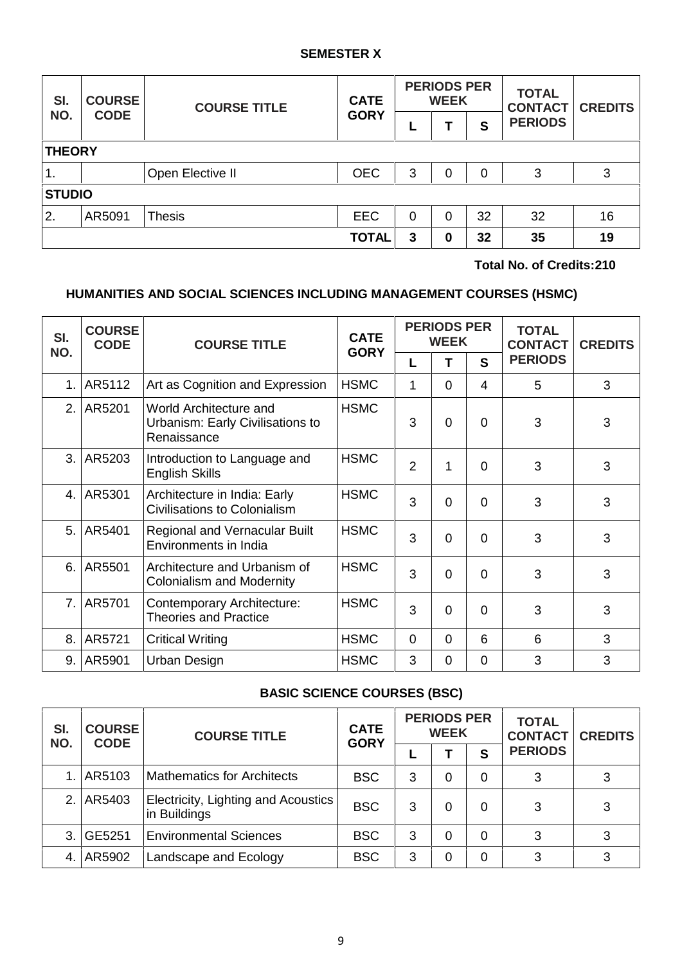#### **SEMESTER X**

| SI.             | <b>COURSE</b> | <b>COURSE TITLE</b> | <b>CATE</b>  | <b>PERIODS PER</b><br><b>WEEK</b> |   |    | <b>TOTAL</b><br><b>CONTACT</b> | <b>CREDITS</b> |  |
|-----------------|---------------|---------------------|--------------|-----------------------------------|---|----|--------------------------------|----------------|--|
| NO.             | <b>CODE</b>   |                     | <b>GORY</b>  | ╺                                 |   | S  | <b>PERIODS</b>                 |                |  |
|                 | <b>THEORY</b> |                     |              |                                   |   |    |                                |                |  |
| 1.              |               | Open Elective II    | <b>OEC</b>   | 3                                 | 0 | 0  | 3                              | 3              |  |
| <b>STUDIO</b>   |               |                     |              |                                   |   |    |                                |                |  |
| <sup>1</sup> 2. | AR5091        | <b>Thesis</b>       | <b>EEC</b>   | 0                                 | 0 | 32 | 32                             | 16             |  |
|                 |               |                     | <b>TOTAL</b> | 3                                 | 0 | 32 | 35                             | 19             |  |

**Total No. of Credits:210**

# **HUMANITIES AND SOCIAL SCIENCES INCLUDING MANAGEMENT COURSES (HSMC)**

| SI.<br>NO.     | <b>COURSE</b><br><b>CODE</b> | <b>COURSE TITLE</b>                                                       | <b>CATE</b> |                | <b>PERIODS PER</b><br><b>WEEK</b> |          | <b>TOTAL</b><br><b>CONTACT</b> | <b>CREDITS</b> |  |
|----------------|------------------------------|---------------------------------------------------------------------------|-------------|----------------|-----------------------------------|----------|--------------------------------|----------------|--|
|                |                              |                                                                           | <b>GORY</b> | L              | т                                 | S        | <b>PERIODS</b>                 |                |  |
| 1 <sub>1</sub> | AR5112                       | Art as Cognition and Expression                                           | <b>HSMC</b> | 1              | $\Omega$                          | 4        | 5                              | 3              |  |
| 2.             | AR5201                       | World Architecture and<br>Urbanism: Early Civilisations to<br>Renaissance | <b>HSMC</b> | 3              | $\Omega$                          | 0        | 3                              | 3              |  |
| 3.             | AR5203                       | Introduction to Language and<br><b>English Skills</b>                     | <b>HSMC</b> | $\overline{2}$ | 1                                 | $\Omega$ | 3                              | 3              |  |
| $\mathbf{4}$ . | AR5301                       | Architecture in India: Early<br><b>Civilisations to Colonialism</b>       | <b>HSMC</b> | 3              | $\Omega$                          | $\Omega$ | 3                              | 3              |  |
| 5.             | AR5401                       | Regional and Vernacular Built<br>Environments in India                    | <b>HSMC</b> | 3              | $\Omega$                          | $\Omega$ | 3                              | 3              |  |
| 6.             | AR5501                       | Architecture and Urbanism of<br><b>Colonialism and Modernity</b>          | <b>HSMC</b> | 3              | $\Omega$                          | $\Omega$ | 3                              | 3              |  |
| 7 <sub>1</sub> | AR5701                       | Contemporary Architecture:<br><b>Theories and Practice</b>                | <b>HSMC</b> | 3              | $\Omega$                          | $\Omega$ | 3                              | 3              |  |
| 8.             | AR5721                       | <b>Critical Writing</b>                                                   | <b>HSMC</b> | $\Omega$       | $\mathbf{0}$                      | 6        | 6                              | 3              |  |
| 9.             | AR5901                       | Urban Design                                                              | <b>HSMC</b> | 3              | 0                                 | $\Omega$ | 3                              | 3              |  |

# **BASIC SCIENCE COURSES (BSC)**

| SI.<br><b>COURSE</b><br>NO.<br><b>CODE</b> |        | <b>COURSE TITLE</b>                                 | <b>CATE</b><br><b>GORY</b> |   | <b>PERIODS PER</b><br><b>WEEK</b> |   | <b>TOTAL</b><br><b>CONTACT</b> | <b>CREDITS</b> |  |
|--------------------------------------------|--------|-----------------------------------------------------|----------------------------|---|-----------------------------------|---|--------------------------------|----------------|--|
|                                            |        |                                                     |                            |   |                                   | S | <b>PERIODS</b>                 |                |  |
|                                            | AR5103 | <b>Mathematics for Architects</b>                   | <b>BSC</b>                 | 3 | 0                                 | 0 | 3                              | 3              |  |
| 2.                                         | AR5403 | Electricity, Lighting and Acoustics<br>in Buildings | <b>BSC</b>                 | 3 | 0                                 | 0 | 3                              | 3              |  |
| $\mathcal{B}$                              | GE5251 | <b>Environmental Sciences</b>                       | <b>BSC</b>                 | 3 | 0                                 | 0 | 3                              | 3              |  |
| 4.                                         | AR5902 | Landscape and Ecology                               | <b>BSC</b>                 | 3 | 0                                 | 0 | 3                              | 3              |  |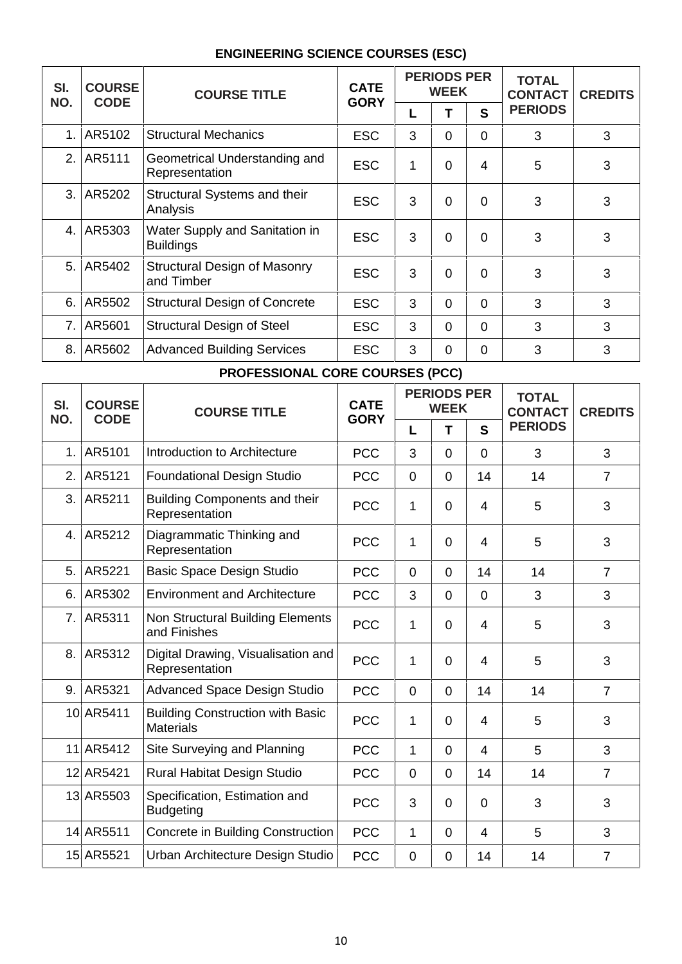# **ENGINEERING SCIENCE COURSES (ESC)**

| SI.<br>NO. | <b>COURSE</b><br><b>CODE</b> | <b>COURSE TITLE</b>                                | <b>CATE</b><br><b>GORY</b> |   | <b>PERIODS PER</b><br><b>WEEK</b> |          | <b>TOTAL</b><br><b>CONTACT</b> | <b>CREDITS</b> |  |
|------------|------------------------------|----------------------------------------------------|----------------------------|---|-----------------------------------|----------|--------------------------------|----------------|--|
|            |                              |                                                    |                            | L |                                   | S        | <b>PERIODS</b>                 |                |  |
| 1.1        | AR5102                       | <b>Structural Mechanics</b>                        | <b>ESC</b>                 | 3 | $\overline{0}$                    | $\Omega$ | 3                              | 3              |  |
|            | 2. AR5111                    | Geometrical Understanding and<br>Representation    | <b>ESC</b>                 | 1 | $\Omega$                          | 4        | 5                              | 3              |  |
|            | 3. AR5202                    | Structural Systems and their<br>Analysis           | <b>ESC</b>                 | 3 | $\Omega$                          | $\Omega$ | 3                              | 3              |  |
|            | 4. AR5303                    | Water Supply and Sanitation in<br><b>Buildings</b> | <b>ESC</b>                 | 3 | 0                                 | $\Omega$ | 3                              | 3              |  |
|            | 5. AR5402                    | <b>Structural Design of Masonry</b><br>and Timber  | <b>ESC</b>                 | 3 | $\Omega$                          | $\Omega$ | 3                              | 3              |  |
|            | 6. AR5502                    | <b>Structural Design of Concrete</b>               | <b>ESC</b>                 | 3 | $\Omega$                          | $\Omega$ | 3                              | 3              |  |
| 7.1        | AR5601                       | <b>Structural Design of Steel</b>                  | <b>ESC</b>                 | 3 | $\Omega$                          | $\Omega$ | 3                              | 3              |  |
| 8. I       | AR5602                       | <b>Advanced Building Services</b>                  | <b>ESC</b>                 | 3 | $\overline{0}$                    | 0        | 3                              | 3              |  |

# **PROFESSIONAL CORE COURSES (PCC)**

| SI.            | <b>COURSE</b> | <b>COURSE TITLE</b>                                         | <b>CATE</b> | <b>PERIODS PER</b><br><b>WEEK</b> |                |                | <b>TOTAL</b><br><b>CONTACT</b> | <b>CREDITS</b> |  |
|----------------|---------------|-------------------------------------------------------------|-------------|-----------------------------------|----------------|----------------|--------------------------------|----------------|--|
| NO.            | <b>CODE</b>   |                                                             | <b>GORY</b> | L                                 | Т              | S              | <b>PERIODS</b>                 |                |  |
| $\mathbf{1}$ . | AR5101        | Introduction to Architecture                                | <b>PCC</b>  | 3                                 | $\overline{0}$ | $\Omega$       | 3                              | 3              |  |
| 2.             | AR5121        | <b>Foundational Design Studio</b>                           | <b>PCC</b>  | $\mathbf 0$                       | $\mathbf 0$    | 14             | 14                             | $\overline{7}$ |  |
| 3.1            | AR5211        | <b>Building Components and their</b><br>Representation      | <b>PCC</b>  | 1                                 | $\Omega$       | 4              | 5                              | 3              |  |
|                | 4. AR5212     | Diagrammatic Thinking and<br>Representation                 | <b>PCC</b>  | 1                                 | $\overline{0}$ | $\overline{4}$ | 5                              | 3              |  |
| 5.             | AR5221        | <b>Basic Space Design Studio</b>                            | <b>PCC</b>  | $\overline{0}$                    | $\Omega$       | 14             | 14                             | $\overline{7}$ |  |
| 6.             | AR5302        | <b>Environment and Architecture</b>                         | <b>PCC</b>  | 3                                 | $\mathbf 0$    | $\overline{0}$ | 3                              | 3              |  |
| 7.1            | AR5311        | Non Structural Building Elements<br>and Finishes            | <b>PCC</b>  | 1                                 | $\Omega$       | 4              | 5                              | 3              |  |
| 8.             | AR5312        | Digital Drawing, Visualisation and<br>Representation        | <b>PCC</b>  | $\mathbf 1$                       | $\Omega$       | $\overline{4}$ | 5                              | 3              |  |
|                | 9. AR5321     | <b>Advanced Space Design Studio</b>                         | <b>PCC</b>  | $\overline{0}$                    | $\Omega$       | 14             | 14                             | $\overline{7}$ |  |
|                | 10 AR5411     | <b>Building Construction with Basic</b><br><b>Materials</b> | <b>PCC</b>  | $\mathbf 1$                       | $\Omega$       | 4              | 5                              | 3              |  |
|                | 11 AR5412     | Site Surveying and Planning                                 | <b>PCC</b>  | $\mathbf 1$                       | $\mathbf 0$    | $\overline{4}$ | 5                              | 3              |  |
|                | 12 AR5421     | Rural Habitat Design Studio                                 | <b>PCC</b>  | $\mathbf 0$                       | $\mathbf 0$    | 14             | 14                             | $\overline{7}$ |  |
|                | 13 AR5503     | Specification, Estimation and<br><b>Budgeting</b>           | <b>PCC</b>  | 3                                 | $\Omega$       | $\Omega$       | 3                              | 3              |  |
|                | 14 AR5511     | Concrete in Building Construction                           | <b>PCC</b>  | $\mathbf 1$                       | $\mathbf 0$    | $\overline{4}$ | 5                              | 3              |  |
|                | 15 AR5521     | Urban Architecture Design Studio                            | <b>PCC</b>  | 0                                 | 0              | 14             | 14                             | $\overline{7}$ |  |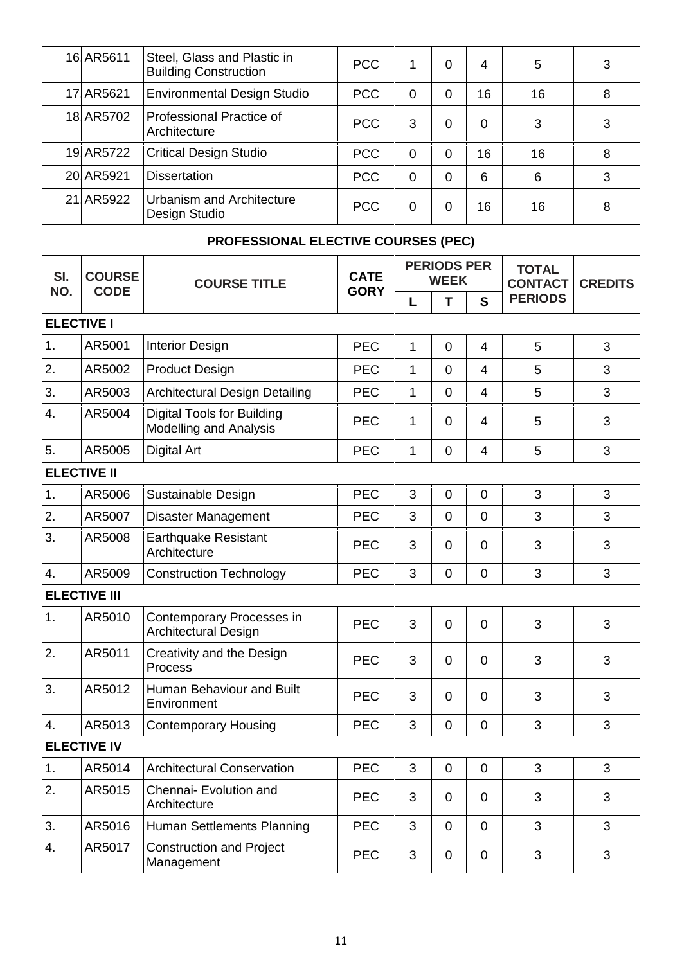| 16 AR5611 | Steel, Glass and Plastic in<br><b>Building Construction</b> | PCC        |          | 0 | 4        | 5  | 3 |
|-----------|-------------------------------------------------------------|------------|----------|---|----------|----|---|
| 17 AR5621 | <b>Environmental Design Studio</b>                          | PCC        | 0        | 0 | 16       | 16 | 8 |
| 18 AR5702 | Professional Practice of<br>Architecture                    | PCC        | 3        | 0 | $\Omega$ | 3  | 3 |
| 19 AR5722 | <b>Critical Design Studio</b>                               | <b>PCC</b> | $\Omega$ | 0 | 16       | 16 | 8 |
| 20 AR5921 | <b>Dissertation</b>                                         | <b>PCC</b> | 0        | 0 | 6        | 6  | 3 |
| 21 AR5922 | Urbanism and Architecture<br>Design Studio                  | PCC        | 0        | 0 | 16       | 16 | 8 |

# **PROFESSIONAL ELECTIVE COURSES (PEC)**

| SI.               | <b>COURSE</b>       | <b>COURSE TITLE</b>                                                | <b>CATE</b> | <b>PERIODS PER</b><br><b>WEEK</b> |                |                | <b>TOTAL</b><br><b>CONTACT</b> | <b>CREDITS</b> |  |
|-------------------|---------------------|--------------------------------------------------------------------|-------------|-----------------------------------|----------------|----------------|--------------------------------|----------------|--|
| NO.               | <b>CODE</b>         |                                                                    | <b>GORY</b> | L                                 | Т              | $\mathbf{s}$   | <b>PERIODS</b>                 |                |  |
| <b>ELECTIVE I</b> |                     |                                                                    |             |                                   |                |                |                                |                |  |
| 1.                | AR5001              | <b>Interior Design</b>                                             | <b>PEC</b>  | $\mathbf 1$                       | $\overline{0}$ | $\overline{4}$ | 5                              | 3              |  |
| 2.                | AR5002              | <b>Product Design</b>                                              | <b>PEC</b>  | $\mathbf 1$                       | $\mathbf 0$    | $\overline{4}$ | 5                              | 3              |  |
| 3.                | AR5003              | Architectural Design Detailing                                     | <b>PEC</b>  | 1                                 | $\mathbf 0$    | $\overline{4}$ | 5                              | 3              |  |
| 4.                | AR5004              | <b>Digital Tools for Building</b><br><b>Modelling and Analysis</b> | <b>PEC</b>  | 1                                 | $\overline{0}$ | 4              | 5                              | 3              |  |
| 5.                | AR5005              | <b>Digital Art</b>                                                 | <b>PEC</b>  | $\mathbf 1$                       | $\mathbf 0$    | $\overline{4}$ | 5                              | 3              |  |
|                   | <b>ELECTIVE II</b>  |                                                                    |             |                                   |                |                |                                |                |  |
| 1.                | AR5006              | Sustainable Design                                                 | <b>PEC</b>  | 3                                 | $\mathbf 0$    | $\mathbf 0$    | 3                              | 3              |  |
| 2.                | AR5007              | Disaster Management                                                | <b>PEC</b>  | 3                                 | $\mathbf 0$    | $\mathbf 0$    | 3                              | 3              |  |
| 3.                | AR5008              | <b>Earthquake Resistant</b><br>Architecture                        | <b>PEC</b>  | 3                                 | $\overline{0}$ | 0              | 3                              | 3              |  |
| 4.                | AR5009              | <b>Construction Technology</b>                                     | <b>PEC</b>  | 3                                 | $\mathbf 0$    | $\overline{0}$ | 3                              | 3              |  |
|                   | <b>ELECTIVE III</b> |                                                                    |             |                                   |                |                |                                |                |  |
| 1.                | AR5010              | Contemporary Processes in<br>Architectural Design                  | <b>PEC</b>  | 3                                 | $\overline{0}$ | $\overline{0}$ | 3                              | 3              |  |
| 2.                | AR5011              | Creativity and the Design<br>Process                               | <b>PEC</b>  | 3                                 | $\overline{0}$ | 0              | 3                              | 3              |  |
| 3.                | AR5012              | Human Behaviour and Built<br>Environment                           | <b>PEC</b>  | 3                                 | $\overline{0}$ | 0              | 3                              | 3              |  |
| 4.                | AR5013              | <b>Contemporary Housing</b>                                        | <b>PEC</b>  | 3                                 | $\mathbf 0$    | $\mathbf 0$    | 3                              | 3              |  |
|                   | <b>ELECTIVE IV</b>  |                                                                    |             |                                   |                |                |                                |                |  |
| 1.                | AR5014              | Architectural Conservation                                         | PEC         | 3                                 | $\mathbf 0$    | $\overline{0}$ | 3                              | 3              |  |
| 2.                | AR5015              | Chennai- Evolution and<br>Architecture                             | <b>PEC</b>  | 3                                 | $\mathbf 0$    | $\mathbf 0$    | 3                              | 3              |  |
| 3.                | AR5016              | Human Settlements Planning                                         | <b>PEC</b>  | 3                                 | $\mathbf 0$    | $\mathbf 0$    | 3                              | 3              |  |
| 4.                | AR5017              | <b>Construction and Project</b><br>Management                      | <b>PEC</b>  | 3                                 | $\mathbf 0$    | $\mathbf 0$    | 3                              | 3              |  |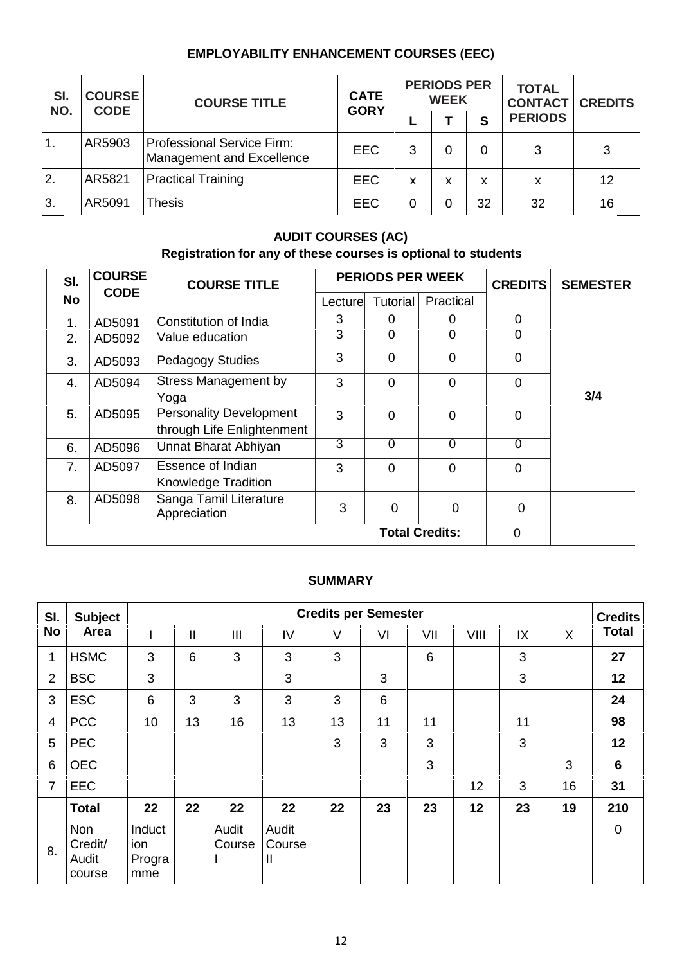# **EMPLOYABILITY ENHANCEMENT COURSES (EEC)**

| SI.<br>NO. | <b>COURSE</b><br><b>CODE</b> | <b>COURSE TITLE</b>                                     | <b>CATE</b><br><b>GORY</b> |   | <b>PERIODS PER</b><br><b>WEEK</b> |    | <b>TOTAL</b><br><b>CONTACT</b> | <b>CREDITS</b> |  |
|------------|------------------------------|---------------------------------------------------------|----------------------------|---|-----------------------------------|----|--------------------------------|----------------|--|
|            |                              |                                                         |                            |   |                                   | S  | <b>PERIODS</b>                 |                |  |
| 1.         | AR5903                       | Professional Service Firm:<br>Management and Excellence | <b>EEC</b>                 | 3 | 0                                 | 0  | 3                              | 3              |  |
| 2.         | AR5821                       | <b>Practical Training</b>                               | <b>EEC</b>                 | X | x                                 | x  | X                              | 12             |  |
| 3.         | AR5091                       | <b>Thesis</b>                                           | <b>EEC</b>                 | 0 | 0                                 | 32 | 32                             | 16             |  |

# **AUDIT COURSES (AC)**

# **Registration for any of these courses is optional to students**

| SI.       | <b>COURSE</b> | <b>COURSE TITLE</b>                                          |                | <b>PERIODS PER WEEK</b> | <b>CREDITS</b>        | <b>SEMESTER</b> |     |
|-----------|---------------|--------------------------------------------------------------|----------------|-------------------------|-----------------------|-----------------|-----|
| <b>No</b> | <b>CODE</b>   |                                                              | Lecture        | Tutorial                | Practical             |                 |     |
| 1.        | AD5091        | Constitution of India                                        | 3              | 0                       | 0                     | $\overline{0}$  |     |
| 2.        | AD5092        | Value education                                              | $\overline{3}$ | $\overline{0}$          | 0                     | $\overline{0}$  |     |
| 3.        | AD5093        | <b>Pedagogy Studies</b>                                      | $\overline{3}$ | $\overline{0}$          | 0                     | $\overline{0}$  |     |
| 4.        | AD5094        | <b>Stress Management by</b><br>Yoga                          | 3              | $\Omega$                | $\overline{0}$        | $\mathbf 0$     | 3/4 |
| 5.        | AD5095        | <b>Personality Development</b><br>through Life Enlightenment | 3              | $\Omega$                | $\overline{0}$        | $\overline{0}$  |     |
| 6.        | AD5096        | Unnat Bharat Abhiyan                                         | $\overline{3}$ | 0                       | 0                     | 0               |     |
| 7.        | AD5097        | Essence of Indian<br>Knowledge Tradition                     | 3              | $\Omega$                | $\overline{0}$        | 0               |     |
| 8.        | AD5098        | Sanga Tamil Literature<br>Appreciation                       | 3              | 0                       | $\Omega$              | $\overline{0}$  |     |
|           |               |                                                              |                |                         | <b>Total Credits:</b> | 0               |     |

#### **SUMMARY**

| SI.            | <b>Subject</b>                    |                                | <b>Credits per Semester</b> |                 |                      |        |    |     |      |    |    |              |
|----------------|-----------------------------------|--------------------------------|-----------------------------|-----------------|----------------------|--------|----|-----|------|----|----|--------------|
| <b>No</b>      | Area                              |                                | $\mathsf{II}$               | III             | IV                   | $\vee$ | VI | VII | VIII | IX | X  | <b>Total</b> |
| 1              | <b>HSMC</b>                       | 3                              | 6                           | 3               | 3                    | 3      |    | 6   |      | 3  |    | 27           |
| $\overline{2}$ | <b>BSC</b>                        | 3                              |                             |                 | 3                    |        | 3  |     |      | 3  |    | 12           |
| 3              | <b>ESC</b>                        | 6                              | 3                           | 3               | 3                    | 3      | 6  |     |      |    |    | 24           |
| 4              | <b>PCC</b>                        | 10 <sup>1</sup>                | 13                          | 16              | 13                   | 13     | 11 | 11  |      | 11 |    | 98           |
| 5              | <b>PEC</b>                        |                                |                             |                 |                      | 3      | 3  | 3   |      | 3  |    | 12           |
| 6              | <b>OEC</b>                        |                                |                             |                 |                      |        |    | 3   |      |    | 3  | 6            |
| 7              | EEC                               |                                |                             |                 |                      |        |    |     | 12   | 3  | 16 | 31           |
|                | <b>Total</b>                      | 22                             | 22                          | 22              | 22                   | 22     | 23 | 23  | 12   | 23 | 19 | 210          |
| 8.             | Non<br>Credit/<br>Audit<br>course | Induct<br>ion<br>Progra<br>mme |                             | Audit<br>Course | Audit<br>Course<br>Ш |        |    |     |      |    |    | $\mathbf 0$  |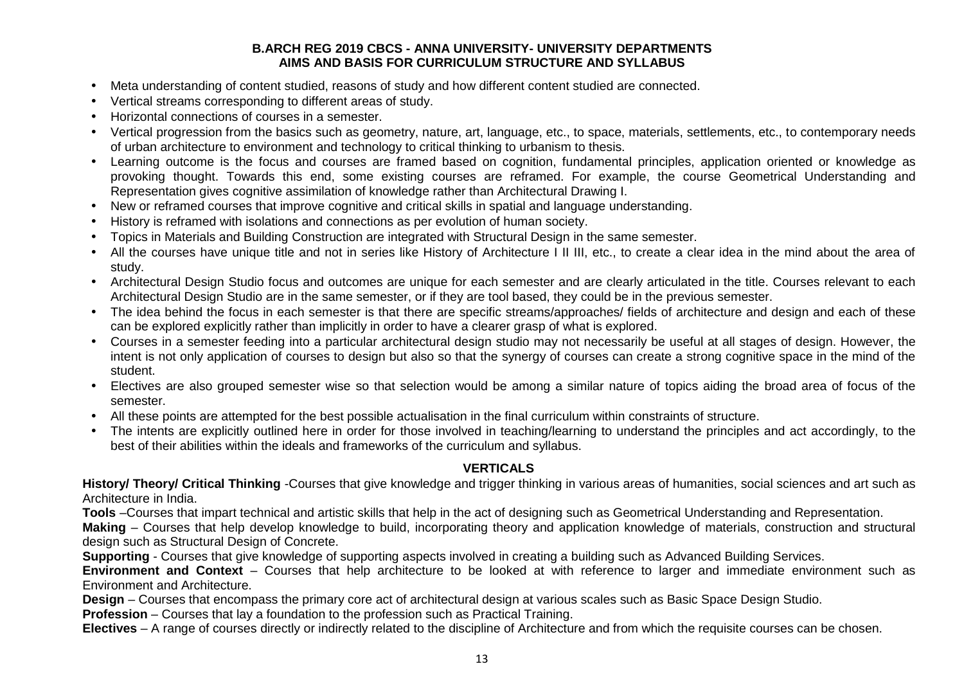#### **B.ARCH REG 2019 CBCS - ANNA UNIVERSITY- UNIVERSITY DEPARTMENTS AIMS AND BASIS FOR CURRICULUM STRUCTURE AND SYLLABUS**

- Meta understanding of content studied, reasons of study and how different content studied are connected.
- Vertical streams corresponding to different areas of study.
- Horizontal connections of courses in a semester.
- Vertical progression from the basics such as geometry, nature, art, language, etc., to space, materials, settlements, etc., to contemporary needs of urban architecture to environment and technology to critical thinking to urbanism to thesis.
- Learning outcome is the focus and courses are framed based on cognition, fundamental principles, application oriented or knowledge as provoking thought. Towards this end, some existing courses are reframed. For example, the course Geometrical Understanding and Representation gives cognitive assimilation of knowledge rather than Architectural Drawing I.
- New or reframed courses that improve cognitive and critical skills in spatial and language understanding.
- History is reframed with isolations and connections as per evolution of human society.
- Topics in Materials and Building Construction are integrated with Structural Design in the same semester.
- All the courses have unique title and not in series like History of Architecture I II III, etc., to create a clear idea in the mind about the area of study.
- Architectural Design Studio focus and outcomes are unique for each semester and are clearly articulated in the title. Courses relevant to each Architectural Design Studio are in the same semester, or if they are tool based, they could be in the previous semester.
- The idea behind the focus in each semester is that there are specific streams/approaches/ fields of architecture and design and each of these can be explored explicitly rather than implicitly in order to have a clearer grasp of what is explored.
- Courses in a semester feeding into a particular architectural design studio may not necessarily be useful at all stages of design. However, the intent is not only application of courses to design but also so that the synergy of courses can create a strong cognitive space in the mind of the student.
- Electives are also grouped semester wise so that selection would be among a similar nature of topics aiding the broad area of focus of the semester.
- All these points are attempted for the best possible actualisation in the final curriculum within constraints of structure.
- The intents are explicitly outlined here in order for those involved in teaching/learning to understand the principles and act accordingly, to the best of their abilities within the ideals and frameworks of the curriculum and syllabus.

#### **VERTICALS**

**History/ Theory/ Critical Thinking** -Courses that give knowledge and trigger thinking in various areas of humanities, social sciences and art such as Architecture in India.

**Tools** –Courses that impart technical and artistic skills that help in the act of designing such as Geometrical Understanding and Representation.

**Making** – Courses that help develop knowledge to build, incorporating theory and application knowledge of materials, construction and structural design such as Structural Design of Concrete.

**Supporting** - Courses that give knowledge of supporting aspects involved in creating a building such as Advanced Building Services.

**Environment and Context** – Courses that help architecture to be looked at with reference to larger and immediate environment such as Environment and Architecture.

**Design** – Courses that encompass the primary core act of architectural design at various scales such as Basic Space Design Studio.

**Profession** – Courses that lay a foundation to the profession such as Practical Training.

**Electives** – A range of courses directly or indirectly related to the discipline of Architecture and from which the requisite courses can be chosen.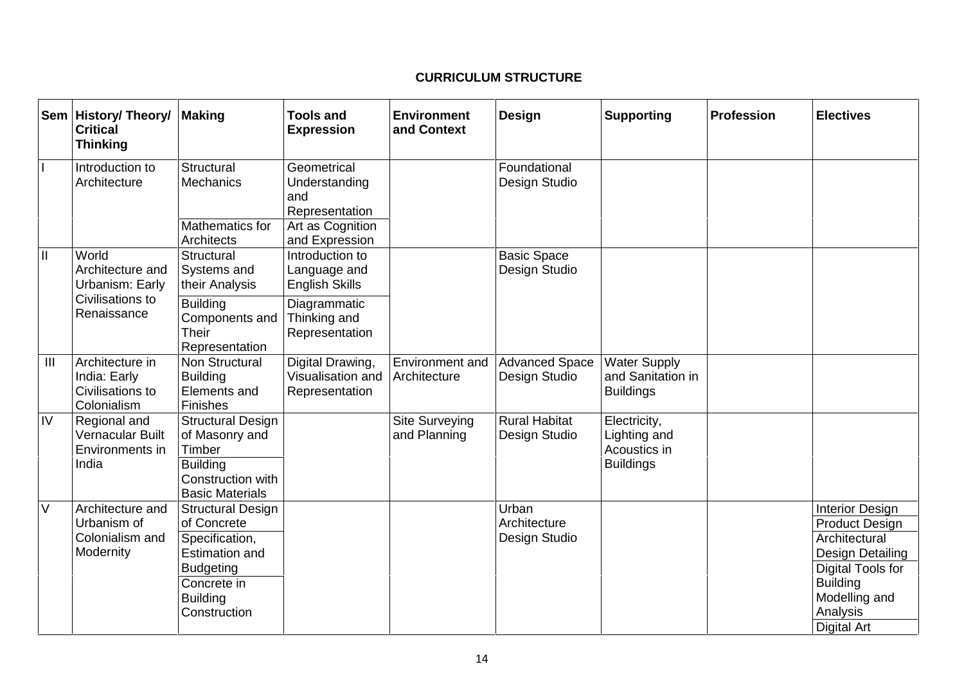# **CURRICULUM STRUCTURE**

|                                       | Sem   History/ Theory/<br><b>Critical</b><br><b>Thinking</b>                    | <b>Making</b>                                                                                                                                            | <b>Tools and</b><br><b>Expression</b>                    | <b>Environment</b><br>and Context | Design                                 | <b>Supporting</b>                                                | <b>Profession</b> | <b>Electives</b>                                                                                                                                                                |
|---------------------------------------|---------------------------------------------------------------------------------|----------------------------------------------------------------------------------------------------------------------------------------------------------|----------------------------------------------------------|-----------------------------------|----------------------------------------|------------------------------------------------------------------|-------------------|---------------------------------------------------------------------------------------------------------------------------------------------------------------------------------|
| $\mathbf{I}$                          | Introduction to<br>Architecture                                                 | Structural<br><b>Mechanics</b>                                                                                                                           | Geometrical<br>Understanding<br>and<br>Representation    |                                   | Foundational<br>Design Studio          |                                                                  |                   |                                                                                                                                                                                 |
|                                       |                                                                                 | Mathematics for<br>Architects                                                                                                                            | Art as Cognition<br>and Expression                       |                                   |                                        |                                                                  |                   |                                                                                                                                                                                 |
| $\begin{array}{c} \hline \end{array}$ | World<br>Architecture and<br>Urbanism: Early<br>Civilisations to<br>Renaissance | Structural<br>Systems and<br>their Analysis                                                                                                              | Introduction to<br>Language and<br><b>English Skills</b> |                                   | <b>Basic Space</b><br>Design Studio    |                                                                  |                   |                                                                                                                                                                                 |
|                                       |                                                                                 | <b>Building</b><br>Components and<br>Their<br>Representation                                                                                             | Diagrammatic<br>Thinking and<br>Representation           |                                   |                                        |                                                                  |                   |                                                                                                                                                                                 |
| III                                   | Architecture in<br>India: Early<br>Civilisations to<br>Colonialism              | Non Structural<br><b>Building</b><br>Elements and<br>Finishes                                                                                            | Digital Drawing,<br>Visualisation and<br>Representation  | Environment and<br>Architecture   | <b>Advanced Space</b><br>Design Studio | <b>Water Supply</b><br>and Sanitation in<br><b>Buildings</b>     |                   |                                                                                                                                                                                 |
| IV                                    | Regional and<br>Vernacular Built<br>Environments in<br>India                    | <b>Structural Design</b><br>of Masonry and<br>Timber<br><b>Building</b><br>Construction with<br><b>Basic Materials</b>                                   |                                                          | Site Surveying<br>and Planning    | <b>Rural Habitat</b><br>Design Studio  | Electricity,<br>Lighting and<br>Acoustics in<br><b>Buildings</b> |                   |                                                                                                                                                                                 |
| $\vee$                                | Architecture and<br>Urbanism of<br>Colonialism and<br>Modernity                 | <b>Structural Design</b><br>of Concrete<br>Specification,<br><b>Estimation and</b><br><b>Budgeting</b><br>Concrete in<br><b>Building</b><br>Construction |                                                          |                                   | Urban<br>Architecture<br>Design Studio |                                                                  |                   | <b>Interior Design</b><br><b>Product Design</b><br>Architectural<br>Design Detailing<br>Digital Tools for<br><b>Building</b><br>Modelling and<br>Analysis<br><b>Digital Art</b> |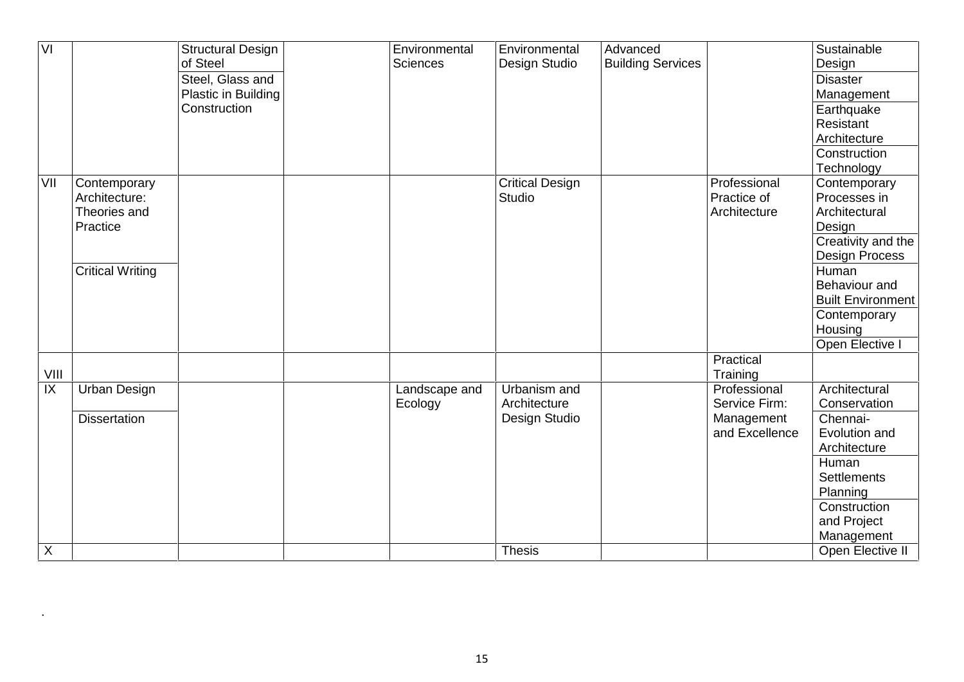| VI   |                         | <b>Structural Design</b><br>of Steel | <b>Sciences</b> | Environmental | Environmental<br>Design Studio | Advanced<br><b>Building Services</b> |                | Sustainable<br>Design    |
|------|-------------------------|--------------------------------------|-----------------|---------------|--------------------------------|--------------------------------------|----------------|--------------------------|
|      |                         | Steel, Glass and                     |                 |               |                                |                                      |                | <b>Disaster</b>          |
|      |                         | Plastic in Building                  |                 |               |                                |                                      |                | Management               |
|      |                         | Construction                         |                 |               |                                |                                      |                | Earthquake               |
|      |                         |                                      |                 |               |                                |                                      |                | Resistant                |
|      |                         |                                      |                 |               |                                |                                      |                | Architecture             |
|      |                         |                                      |                 |               |                                |                                      |                | Construction             |
|      |                         |                                      |                 |               |                                |                                      |                | Technology               |
| VII  | Contemporary            |                                      |                 |               | <b>Critical Design</b>         |                                      | Professional   | Contemporary             |
|      | Architecture:           |                                      |                 |               | Studio                         |                                      | Practice of    | Processes in             |
|      | Theories and            |                                      |                 |               |                                |                                      | Architecture   | Architectural            |
|      | Practice                |                                      |                 |               |                                |                                      |                | Design                   |
|      |                         |                                      |                 |               |                                |                                      |                | Creativity and the       |
|      |                         |                                      |                 |               |                                |                                      |                | <b>Design Process</b>    |
|      | <b>Critical Writing</b> |                                      |                 |               |                                |                                      |                | Human                    |
|      |                         |                                      |                 |               |                                |                                      |                | Behaviour and            |
|      |                         |                                      |                 |               |                                |                                      |                | <b>Built Environment</b> |
|      |                         |                                      |                 |               |                                |                                      |                | Contemporary             |
|      |                         |                                      |                 |               |                                |                                      |                | Housing                  |
|      |                         |                                      |                 |               |                                |                                      |                | Open Elective I          |
|      |                         |                                      |                 |               |                                |                                      | Practical      |                          |
| VIII |                         |                                      |                 |               |                                |                                      | Training       |                          |
| IX   | <b>Urban Design</b>     |                                      |                 | Landscape and | Urbanism and                   |                                      | Professional   | Architectural            |
|      |                         |                                      | Ecology         |               | Architecture                   |                                      | Service Firm:  | Conservation             |
|      | <b>Dissertation</b>     |                                      |                 |               | Design Studio                  |                                      | Management     | Chennai-                 |
|      |                         |                                      |                 |               |                                |                                      | and Excellence | Evolution and            |
|      |                         |                                      |                 |               |                                |                                      |                | Architecture             |
|      |                         |                                      |                 |               |                                |                                      |                | Human                    |
|      |                         |                                      |                 |               |                                |                                      |                | <b>Settlements</b>       |
|      |                         |                                      |                 |               |                                |                                      |                | Planning                 |
|      |                         |                                      |                 |               |                                |                                      |                | Construction             |
|      |                         |                                      |                 |               |                                |                                      |                | and Project              |
|      |                         |                                      |                 |               |                                |                                      |                | Management               |
| X    |                         |                                      |                 |               | <b>Thesis</b>                  |                                      |                | Open Elective II         |

.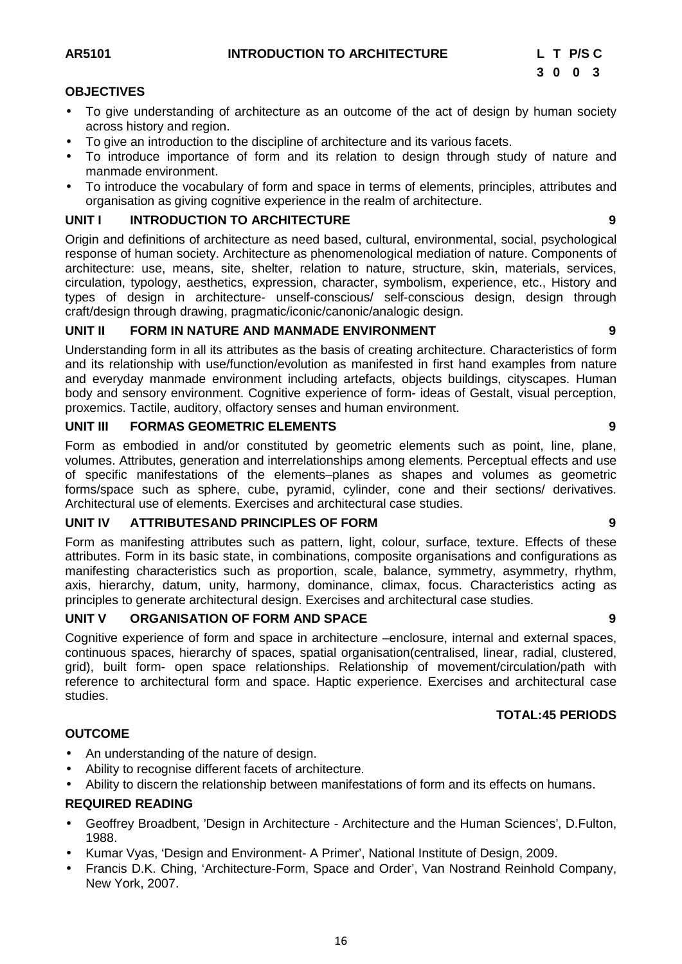#### **OBJECTIVES**

- To give understanding of architecture as an outcome of the act of design by human society across history and region.
- To give an introduction to the discipline of architecture and its various facets.
- To introduce importance of form and its relation to design through study of nature and manmade environment.
- To introduce the vocabulary of form and space in terms of elements, principles, attributes and organisation as giving cognitive experience in the realm of architecture.

#### **UNIT I INTRODUCTION TO ARCHITECTURE 9**

Origin and definitions of architecture as need based, cultural, environmental, social, psychological response of human society. Architecture as phenomenological mediation of nature. Components of architecture: use, means, site, shelter, relation to nature, structure, skin, materials, services, circulation, typology, aesthetics, expression, character, symbolism, experience, etc., History and types of design in architecture- unself-conscious/ self-conscious design, design through craft/design through drawing, pragmatic/iconic/canonic/analogic design.

#### **UNIT II FORM IN NATURE AND MANMADE ENVIRONMENT 9**

Understanding form in all its attributes as the basis of creating architecture. Characteristics of form and its relationship with use/function/evolution as manifested in first hand examples from nature and everyday manmade environment including artefacts, objects buildings, cityscapes. Human body and sensory environment. Cognitive experience of form- ideas of Gestalt, visual perception, proxemics. Tactile, auditory, olfactory senses and human environment.

#### **UNIT III FORMAS GEOMETRIC ELEMENTS 9**

Form as embodied in and/or constituted by geometric elements such as point, line, plane, volumes. Attributes, generation and interrelationships among elements. Perceptual effects and use of specific manifestations of the elements–planes as shapes and volumes as geometric forms/space such as sphere, cube, pyramid, cylinder, cone and their sections/ derivatives. Architectural use of elements. Exercises and architectural case studies.

#### **UNIT IV ATTRIBUTESAND PRINCIPLES OF FORM 9**

Form as manifesting attributes such as pattern, light, colour, surface, texture. Effects of these attributes. Form in its basic state, in combinations, composite organisations and configurations as manifesting characteristics such as proportion, scale, balance, symmetry, asymmetry, rhythm, axis, hierarchy, datum, unity, harmony, dominance, climax, focus. Characteristics acting as principles to generate architectural design. Exercises and architectural case studies.

#### **UNIT V ORGANISATION OF FORM AND SPACE 9**

Cognitive experience of form and space in architecture –enclosure, internal and external spaces, continuous spaces, hierarchy of spaces, spatial organisation(centralised, linear, radial, clustered, grid), built form- open space relationships. Relationship of movement/circulation/path with reference to architectural form and space. Haptic experience. Exercises and architectural case studies.

#### **TOTAL:45 PERIODS**

#### **OUTCOME**

- An understanding of the nature of design.
- Ability to recognise different facets of architecture.
- Ability to discern the relationship between manifestations of form and its effects on humans.

#### **REQUIRED READING**

- Geoffrey Broadbent, 'Design in Architecture Architecture and the Human Sciences', D.Fulton, 1988.
- Kumar Vyas, 'Design and Environment- A Primer', National Institute of Design, 2009.
- Francis D.K. Ching, 'Architecture-Form, Space and Order', Van Nostrand Reinhold Company, New York, 2007.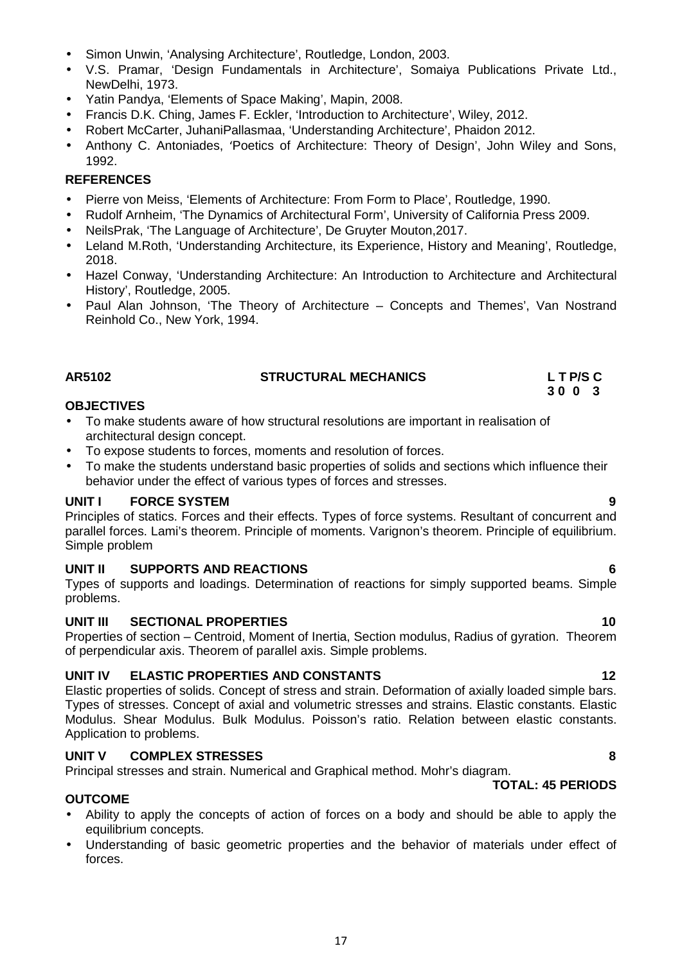- Simon Unwin, 'Analysing Architecture', Routledge, London, 2003.
- V.S. Pramar, 'Design Fundamentals in Architecture', Somaiya Publications Private Ltd., NewDelhi, 1973.
- Yatin Pandya, 'Elements of Space Making', Mapin, 2008.
- Francis D.K. Ching, James F. Eckler, 'Introduction to Architecture', Wiley, 2012.
- Robert McCarter, JuhaniPallasmaa, 'Understanding Architecture', Phaidon 2012.
- Anthony C. Antoniades, 'Poetics of Architecture: Theory of Design', John Wiley and Sons, 1992.

#### **REFERENCES**

- Pierre von Meiss, 'Elements of Architecture: From Form to Place', Routledge, 1990.
- Rudolf Arnheim, 'The Dynamics of Architectural Form', University of California Press 2009.
- NeilsPrak, 'The Language of Architecture', De Gruyter Mouton,2017.
- Leland M.Roth, 'Understanding Architecture, its Experience, History and Meaning', Routledge, 2018.
- Hazel Conway, 'Understanding Architecture: An Introduction to Architecture and Architectural History', Routledge, 2005.
- Paul Alan Johnson, 'The Theory of Architecture Concepts and Themes', Van Nostrand Reinhold Co., New York, 1994.

#### **OBJECTIVES**

- To make students aware of how structural resolutions are important in realisation of architectural design concept.
- To expose students to forces, moments and resolution of forces.
- To make the students understand basic properties of solids and sections which influence their behavior under the effect of various types of forces and stresses.

#### **UNIT I FORCE SYSTEM 9**

Principles of statics. Forces and their effects. Types of force systems. Resultant of concurrent and parallel forces. Lami's theorem. Principle of moments. Varignon's theorem. Principle of equilibrium. Simple problem

#### **UNIT II SUPPORTS AND REACTIONS 6**

Types of supports and loadings. Determination of reactions for simply supported beams. Simple problems.

#### **UNIT III SECTIONAL PROPERTIES 10**

Properties of section – Centroid, Moment of Inertia, Section modulus, Radius of gyration. Theorem of perpendicular axis. Theorem of parallel axis. Simple problems.

#### **UNIT IV ELASTIC PROPERTIES AND CONSTANTS 12**

Elastic properties of solids. Concept of stress and strain. Deformation of axially loaded simple bars. Types of stresses. Concept of axial and volumetric stresses and strains. Elastic constants. Elastic Modulus. Shear Modulus. Bulk Modulus. Poisson's ratio. Relation between elastic constants. Application to problems.

#### **UNIT V COMPLEX STRESSES 8**

Principal stresses and strain. Numerical and Graphical method. Mohr's diagram.

#### **OUTCOME**

- Ability to apply the concepts of action of forces on a body and should be able to apply the equilibrium concepts.
- Understanding of basic geometric properties and the behavior of materials under effect of forces.

17

# **AR5102 STRUCTURAL MECHANICS L T P/S C**

**TOTAL: 45 PERIODS**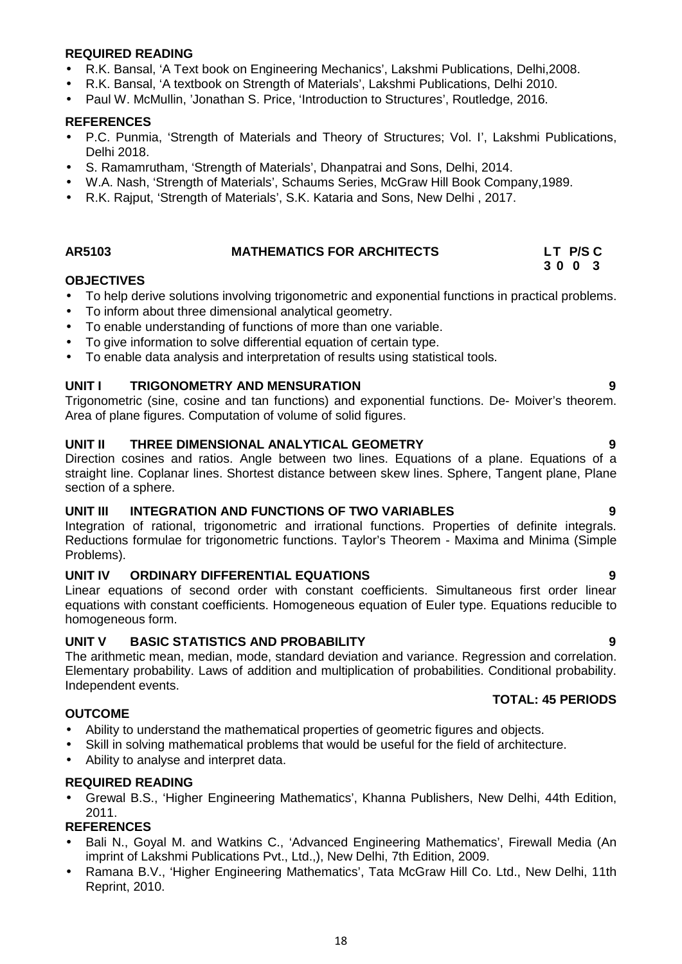#### **REQUIRED READING**

- R.K. Bansal, 'A Text book on Engineering Mechanics', Lakshmi Publications, Delhi,2008.
- R.K. Bansal, 'A textbook on Strength of Materials', Lakshmi Publications, Delhi 2010.
- Paul W. McMullin, 'Jonathan S. Price, 'Introduction to Structures', Routledge, 2016.

#### **REFERENCES**

- P.C. Punmia, 'Strength of Materials and Theory of Structures; Vol. I', Lakshmi Publications, Delhi 2018.
- S. Ramamrutham, 'Strength of Materials', Dhanpatrai and Sons, Delhi, 2014.
- W.A. Nash, 'Strength of Materials', Schaums Series, McGraw Hill Book Company,1989.
- R.K. Rajput, 'Strength of Materials', S.K. Kataria and Sons, New Delhi , 2017.

#### **AR5103 MATHEMATICS FOR ARCHITECTS LT P/S C**

#### **OBJECTIVES**

- To help derive solutions involving trigonometric and exponential functions in practical problems.
- To inform about three dimensional analytical geometry.
- To enable understanding of functions of more than one variable.
- To give information to solve differential equation of certain type.
- To enable data analysis and interpretation of results using statistical tools.

#### **UNIT I TRIGONOMETRY AND MENSURATION 9**

Trigonometric (sine, cosine and tan functions) and exponential functions. De- Moiver's theorem. Area of plane figures. Computation of volume of solid figures.

#### **UNIT II THREE DIMENSIONAL ANALYTICAL GEOMETRY 9**

Direction cosines and ratios. Angle between two lines. Equations of a plane. Equations of a straight line. Coplanar lines. Shortest distance between skew lines. Sphere, Tangent plane, Plane section of a sphere.

#### **UNIT III INTEGRATION AND FUNCTIONS OF TWO VARIABLES 9**

Integration of rational, trigonometric and irrational functions. Properties of definite integrals. Reductions formulae for trigonometric functions. Taylor's Theorem - Maxima and Minima (Simple Problems).

#### **UNIT IV ORDINARY DIFFERENTIAL EQUATIONS 9**

Linear equations of second order with constant coefficients. Simultaneous first order linear equations with constant coefficients. Homogeneous equation of Euler type. Equations reducible to homogeneous form.

#### **UNIT V BASIC STATISTICS AND PROBABILITY 9**

The arithmetic mean, median, mode, standard deviation and variance. Regression and correlation. Elementary probability. Laws of addition and multiplication of probabilities. Conditional probability. Independent events.

#### **OUTCOME**

- Ability to understand the mathematical properties of geometric figures and objects.
- Skill in solving mathematical problems that would be useful for the field of architecture.
- Ability to analyse and interpret data.

#### **REQUIRED READING**

 Grewal B.S., 'Higher Engineering Mathematics', Khanna Publishers, New Delhi, 44th Edition, 2011.

#### **REFERENCES**

- Bali N., Goyal M. and Watkins C., 'Advanced Engineering Mathematics', Firewall Media (An imprint of Lakshmi Publications Pvt., Ltd.,), New Delhi, 7th Edition, 2009.
- Ramana B.V., 'Higher Engineering Mathematics', Tata McGraw Hill Co. Ltd., New Delhi, 11th Reprint, 2010.

**TOTAL: 45 PERIODS**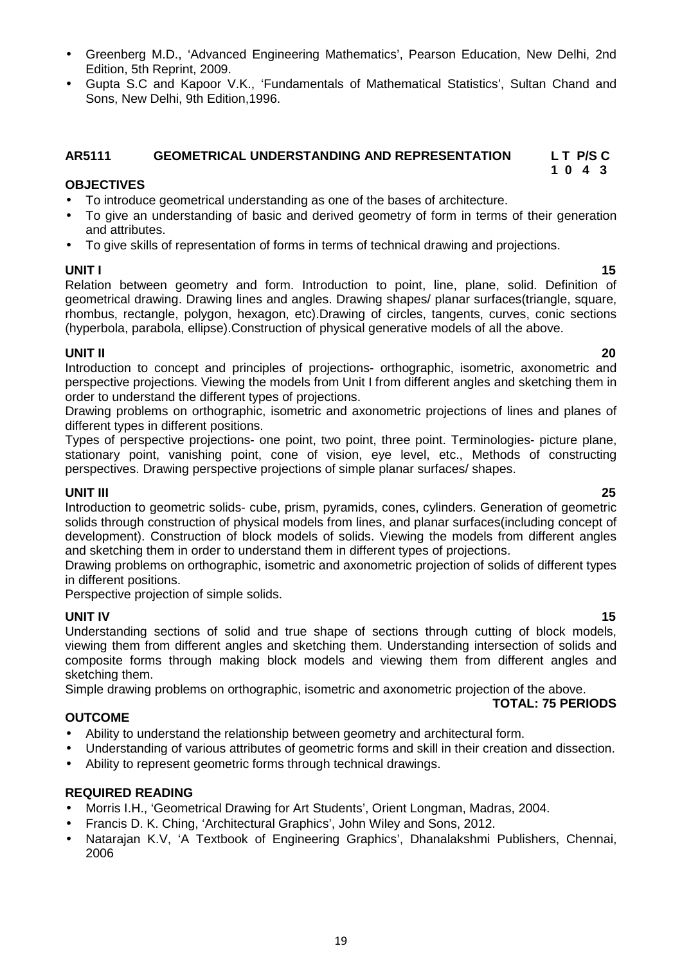- Greenberg M.D., 'Advanced Engineering Mathematics', Pearson Education, New Delhi, 2nd Edition, 5th Reprint, 2009.
- Gupta S.C and Kapoor V.K., 'Fundamentals of Mathematical Statistics', Sultan Chand and Sons, New Delhi, 9th Edition,1996.

#### **AR5111 GEOMETRICAL UNDERSTANDING AND REPRESENTATION L T P/S C 1 0 4 3**

#### **OBJECTIVES**

- To introduce geometrical understanding as one of the bases of architecture.
- To give an understanding of basic and derived geometry of form in terms of their generation and attributes.
- To give skills of representation of forms in terms of technical drawing and projections.

**UNIT I 15** Relation between geometry and form. Introduction to point, line, plane, solid. Definition of geometrical drawing. Drawing lines and angles. Drawing shapes/ planar surfaces(triangle, square, rhombus, rectangle, polygon, hexagon, etc).Drawing of circles, tangents, curves, conic sections (hyperbola, parabola, ellipse).Construction of physical generative models of all the above.

**UNIT II 20** Introduction to concept and principles of projections- orthographic, isometric, axonometric and perspective projections. Viewing the models from Unit I from different angles and sketching them in order to understand the different types of projections.

Drawing problems on orthographic, isometric and axonometric projections of lines and planes of different types in different positions.

Types of perspective projections- one point, two point, three point. Terminologies- picture plane, stationary point, vanishing point, cone of vision, eye level, etc., Methods of constructing perspectives. Drawing perspective projections of simple planar surfaces/ shapes.

**UNIT III 25** Introduction to geometric solids- cube, prism, pyramids, cones, cylinders. Generation of geometric solids through construction of physical models from lines, and planar surfaces(including concept of development). Construction of block models of solids. Viewing the models from different angles and sketching them in order to understand them in different types of projections.

Drawing problems on orthographic, isometric and axonometric projection of solids of different types in different positions.

Perspective projection of simple solids.

**UNIT IV 15** Understanding sections of solid and true shape of sections through cutting of block models, viewing them from different angles and sketching them. Understanding intersection of solids and composite forms through making block models and viewing them from different angles and sketching them.

Simple drawing problems on orthographic, isometric and axonometric projection of the above.

#### **OUTCOME**

- Ability to understand the relationship between geometry and architectural form.
- Understanding of various attributes of geometric forms and skill in their creation and dissection.
- Ability to represent geometric forms through technical drawings.

#### **REQUIRED READING**

- Morris I.H., 'Geometrical Drawing for Art Students', Orient Longman, Madras, 2004.
- Francis D. K. Ching, 'Architectural Graphics', John Wiley and Sons, 2012.
- Natarajan K.V, 'A Textbook of Engineering Graphics', Dhanalakshmi Publishers, Chennai, 2006

**TOTAL: 75 PERIODS**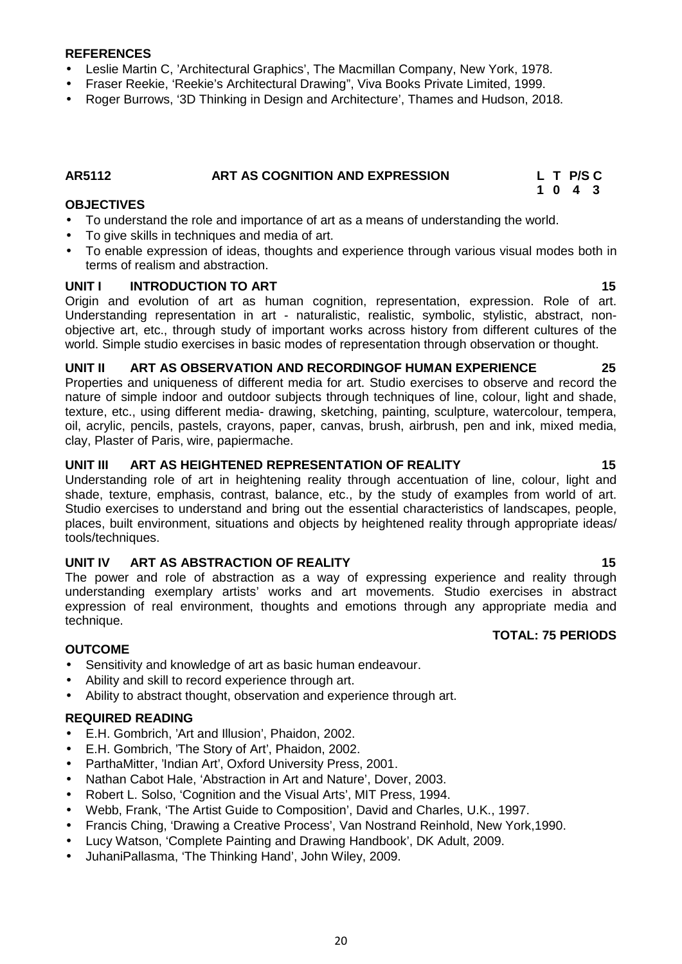#### **REFERENCES**

- Leslie Martin C, 'Architectural Graphics', The Macmillan Company, New York, 1978.
- Fraser Reekie, 'Reekie's Architectural Drawing", Viva Books Private Limited, 1999.
- Roger Burrows, '3D Thinking in Design and Architecture', Thames and Hudson, 2018.

### **AR5112 ART AS COGNITION AND EXPRESSION L T P/S C**

#### **OBJECTIVES**

- To understand the role and importance of art as a means of understanding the world.
- To give skills in techniques and media of art.
- To enable expression of ideas, thoughts and experience through various visual modes both in terms of realism and abstraction.

#### **UNIT I INTRODUCTION TO ART 15**

Origin and evolution of art as human cognition, representation, expression. Role of art. Understanding representation in art - naturalistic, realistic, symbolic, stylistic, abstract, non objective art, etc., through study of important works across history from different cultures of the world. Simple studio exercises in basic modes of representation through observation or thought.

#### **UNIT II ART AS OBSERVATION AND RECORDINGOF HUMAN EXPERIENCE 25**

Properties and uniqueness of different media for art. Studio exercises to observe and record the nature of simple indoor and outdoor subjects through techniques of line, colour, light and shade, texture, etc., using different media- drawing, sketching, painting, sculpture, watercolour, tempera, oil, acrylic, pencils, pastels, crayons, paper, canvas, brush, airbrush, pen and ink, mixed media, clay, Plaster of Paris, wire, papiermache.

#### **UNIT III ART AS HEIGHTENED REPRESENTATION OF REALITY 15**

Understanding role of art in heightening reality through accentuation of line, colour, light and shade, texture, emphasis, contrast, balance, etc., by the study of examples from world of art. Studio exercises to understand and bring out the essential characteristics of landscapes, people, places, built environment, situations and objects by heightened reality through appropriate ideas/ tools/techniques.

#### **UNIT IV ART AS ABSTRACTION OF REALITY 15**

The power and role of abstraction as a way of expressing experience and reality through understanding exemplary artists' works and art movements. Studio exercises in abstract expression of real environment, thoughts and emotions through any appropriate media and technique.

#### **OUTCOME**

- Sensitivity and knowledge of art as basic human endeavour.
- Ability and skill to record experience through art.
- Ability to abstract thought, observation and experience through art.

#### **REQUIRED READING**

- E.H. Gombrich, 'Art and Illusion', Phaidon, 2002.
- E.H. Gombrich, 'The Story of Art', Phaidon, 2002.
- ParthaMitter, 'Indian Art', Oxford University Press, 2001.
- Nathan Cabot Hale, 'Abstraction in Art and Nature', Dover, 2003.
- Robert L. Solso, 'Cognition and the Visual Arts', MIT Press, 1994.
- Webb, Frank, 'The Artist Guide to Composition', David and Charles, U.K., 1997.
- Francis Ching, 'Drawing a Creative Process', Van Nostrand Reinhold, New York,1990.
- Lucy Watson, 'Complete Painting and Drawing Handbook', DK Adult, 2009.
- JuhaniPallasma, 'The Thinking Hand', John Wiley, 2009.

20

**TOTAL: 75 PERIODS**

**1 0 4 3**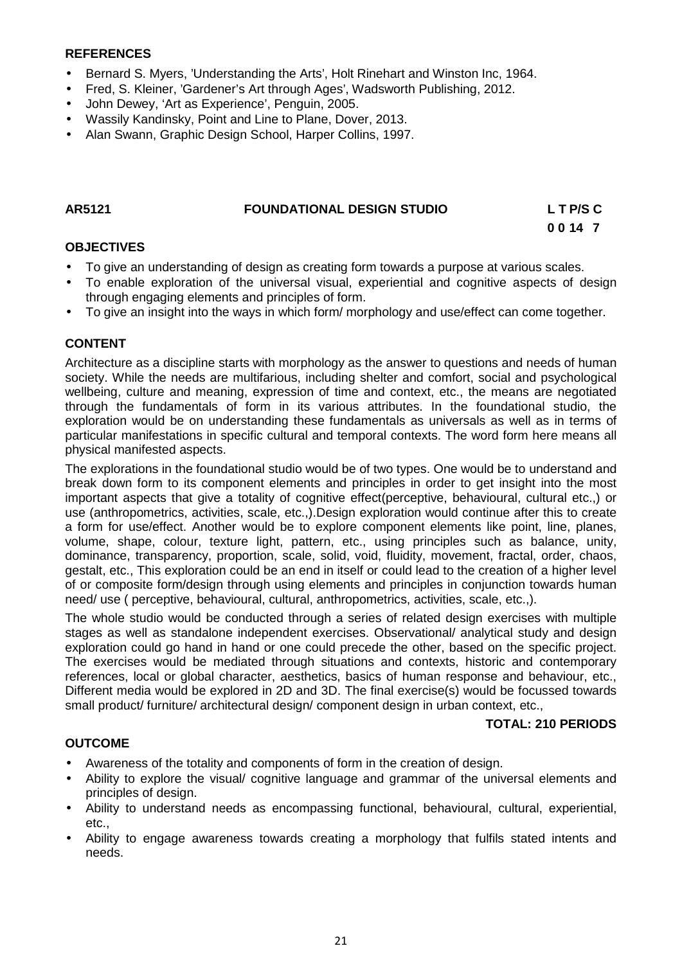#### **REFERENCES**

- Bernard S. Myers, 'Understanding the Arts', Holt Rinehart and Winston Inc, 1964.
- Fred, S. Kleiner, 'Gardener's Art through Ages', Wadsworth Publishing, 2012.
- John Dewey, 'Art as Experience', Penguin, 2005.
- Wassily Kandinsky, Point and Line to Plane, Dover, 2013.
- Alan Swann, Graphic Design School, Harper Collins, 1997.

#### **AR5121 FOUNDATIONAL DESIGN STUDIO L T P/S C**

**0 0 14 7**

#### **OBJECTIVES**

- To give an understanding of design as creating form towards a purpose at various scales.
- To enable exploration of the universal visual, experiential and cognitive aspects of design through engaging elements and principles of form.
- To give an insight into the ways in which form/ morphology and use/effect can come together.

#### **CONTENT**

Architecture as a discipline starts with morphology as the answer to questions and needs of human society. While the needs are multifarious, including shelter and comfort, social and psychological wellbeing, culture and meaning, expression of time and context, etc., the means are negotiated through the fundamentals of form in its various attributes. In the foundational studio, the exploration would be on understanding these fundamentals as universals as well as in terms of particular manifestations in specific cultural and temporal contexts. The word form here means all physical manifested aspects.

The explorations in the foundational studio would be of two types. One would be to understand and break down form to its component elements and principles in order to get insight into the most important aspects that give a totality of cognitive effect(perceptive, behavioural, cultural etc.,) or use (anthropometrics, activities, scale, etc.,).Design exploration would continue after this to create a form for use/effect. Another would be to explore component elements like point, line, planes, volume, shape, colour, texture light, pattern, etc., using principles such as balance, unity, dominance, transparency, proportion, scale, solid, void, fluidity, movement, fractal, order, chaos, gestalt, etc., This exploration could be an end in itself or could lead to the creation of a higher level of or composite form/design through using elements and principles in conjunction towards human need/ use ( perceptive, behavioural, cultural, anthropometrics, activities, scale, etc.,).

The whole studio would be conducted through a series of related design exercises with multiple stages as well as standalone independent exercises. Observational/ analytical study and design exploration could go hand in hand or one could precede the other, based on the specific project. The exercises would be mediated through situations and contexts, historic and contemporary references, local or global character, aesthetics, basics of human response and behaviour, etc., Different media would be explored in 2D and 3D. The final exercise(s) would be focussed towards small product/ furniture/ architectural design/ component design in urban context, etc.,

#### **TOTAL: 210 PERIODS**

#### **OUTCOME**

- Awareness of the totality and components of form in the creation of design.
- Ability to explore the visual/ cognitive language and grammar of the universal elements and principles of design.
- Ability to understand needs as encompassing functional, behavioural, cultural, experiential, etc.,
- Ability to engage awareness towards creating a morphology that fulfils stated intents and needs.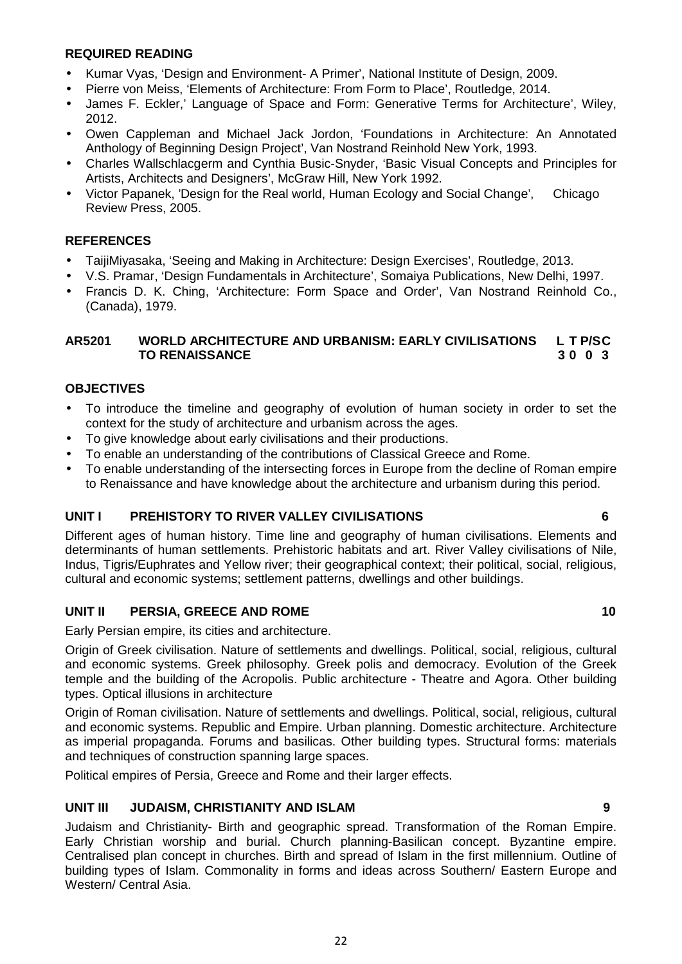#### **REQUIRED READING**

- Kumar Vyas, 'Design and Environment- A Primer', National Institute of Design, 2009.
- Pierre von Meiss, 'Elements of Architecture: From Form to Place', Routledge, 2014.
- James F. Eckler,' Language of Space and Form: Generative Terms for Architecture', Wiley, 2012.
- Owen Cappleman and Michael Jack Jordon, 'Foundations in Architecture: An Annotated Anthology of Beginning Design Project', Van Nostrand Reinhold New York, 1993.
- Charles Wallschlacgerm andCynthia Busic-Snyder, 'Basic Visual Concepts and Principles for Artists, Architects and Designers', McGraw Hill, New York 1992.
- Victor Papanek, 'Design for the Real world, Human Ecology and Social Change', Chicago Review Press, 2005.

#### **REFERENCES**

- TaijiMiyasaka, 'Seeing and Making in Architecture: Design Exercises', Routledge, 2013.
- V.S. Pramar, 'Design Fundamentals in Architecture', Somaiya Publications, New Delhi, 1997.
- Francis D. K. Ching, 'Architecture: Form Space and Order', Van Nostrand Reinhold Co., (Canada), 1979.

#### **AR5201 WORLD ARCHITECTURE AND URBANISM: EARLY CIVILISATIONS L T P/SC TO RENAISSANCE 3 0 0 3**

#### **OBJECTIVES**

- To introduce the timeline and geography of evolution of human society in order to set the context for the study of architecture and urbanism across the ages.
- To give knowledge about early civilisations and their productions.
- To enable an understanding of the contributions of Classical Greece and Rome.
- To enable understanding of the intersecting forces in Europe from the decline of Roman empire to Renaissance and have knowledge about the architecture and urbanism during this period.

#### **UNIT I PREHISTORY TO RIVER VALLEY CIVILISATIONS 6**

Different ages of human history. Time line and geography of human civilisations. Elements and determinants of human settlements. Prehistoric habitats and art. River Valley civilisations of Nile, Indus, Tigris/Euphrates and Yellow river; their geographical context; their political, social, religious, cultural and economic systems; settlement patterns, dwellings and other buildings.

#### **UNIT II PERSIA, GREECE AND ROME 10**

Early Persian empire, its cities and architecture.

Origin of Greek civilisation. Nature of settlements and dwellings. Political, social, religious, cultural and economic systems. Greek philosophy. Greek polis and democracy. Evolution of the Greek temple and the building of the Acropolis. Public architecture - Theatre and Agora. Other building types. Optical illusions in architecture

Origin of Roman civilisation. Nature of settlements and dwellings. Political, social, religious, cultural and economic systems. Republic and Empire. Urban planning. Domestic architecture. Architecture as imperial propaganda. Forums and basilicas. Other building types. Structural forms: materials and techniques of construction spanning large spaces.

Political empires of Persia, Greece and Rome and their larger effects.

#### **UNIT III JUDAISM, CHRISTIANITY AND ISLAM 9**

Judaism and Christianity- Birth and geographic spread. Transformation of the Roman Empire. Early Christian worship and burial. Church planning-Basilican concept. Byzantine empire. Centralised plan concept in churches. Birth and spread of Islam in the first millennium. Outline of building types of Islam. Commonality in forms and ideas across Southern/ Eastern Europe and Western/ Central Asia.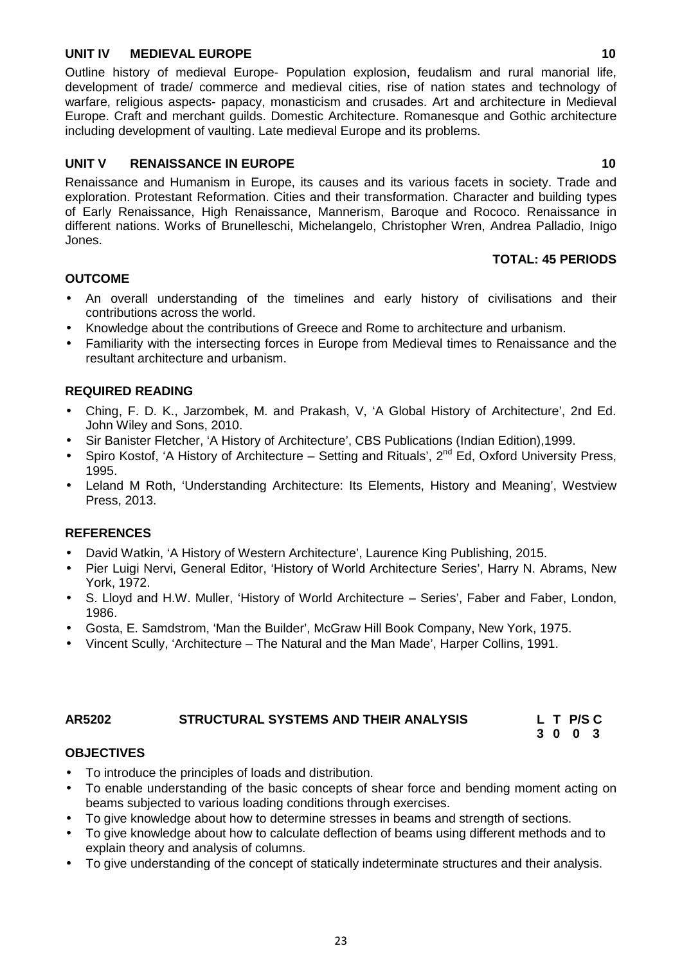#### **UNIT IV MEDIEVAL EUROPE 10**

Outline history of medieval Europe- Population explosion, feudalism and rural manorial life, development of trade/ commerce and medieval cities, rise of nation states and technology of warfare, religious aspects- papacy, monasticism and crusades. Art and architecture in Medieval Europe. Craft and merchant guilds. Domestic Architecture. Romanesque and Gothic architecture including development of vaulting. Late medieval Europe and its problems.

### **UNIT V RENAISSANCE IN EUROPE 10**

Renaissance and Humanism in Europe, its causes and its various facets in society. Trade and exploration. Protestant Reformation. Cities and their transformation. Character and building types of Early Renaissance, High Renaissance, Mannerism, Baroque and Rococo. Renaissance in different nations. Works of Brunelleschi, Michelangelo, Christopher Wren, Andrea Palladio, Inigo Jones.

#### **TOTAL: 45 PERIODS**

#### **OUTCOME**

- An overall understanding of the timelines and early history of civilisations and their contributions across the world.
- Knowledge about the contributions of Greece and Rome to architecture and urbanism.
- Familiarity with the intersecting forces in Europe from Medieval times to Renaissance and the resultant architecture and urbanism.

#### **REQUIRED READING**

- Ching, F. D. K., Jarzombek, M. and Prakash, V, 'A Global History of Architecture', 2nd Ed. John Wiley and Sons, 2010.
- Sir Banister Fletcher, 'A History of Architecture', CBS Publications (Indian Edition),1999.
- Spiro Kostof, 'A History of Architecture Setting and Rituals', 2<sup>nd</sup> Ed, Oxford University Press, 1995.
- Leland M Roth, 'Understanding Architecture: Its Elements, History and Meaning', Westview Press, 2013.

#### **REFERENCES**

- David Watkin, 'A History of Western Architecture', Laurence King Publishing, 2015.
- Pier Luigi Nervi, General Editor, 'History of World Architecture Series', Harry N. Abrams, New York, 1972.
- S. Lloyd and H.W. Muller, 'History of World Architecture Series', Faber and Faber, London, 1986.
- Gosta, E. Samdstrom, 'Man the Builder', McGraw Hill Book Company, New York, 1975.
- Vincent Scully, 'Architecture The Natural and the Man Made', Harper Collins, 1991.

### **AR5202 STRUCTURAL SYSTEMS AND THEIR ANALYSIS L T P/S C**

**3 0 0 3**

#### **OBJECTIVES**

- To introduce the principles of loads and distribution.
- To enable understanding of the basic concepts of shear force and bending moment acting on beams subjected to various loading conditions through exercises.
- To give knowledge about how to determine stresses in beams and strength of sections.
- To give knowledge about how to calculate deflection of beams using different methods and to explain theory and analysis of columns.
- To give understanding of the concept of statically indeterminate structures and their analysis.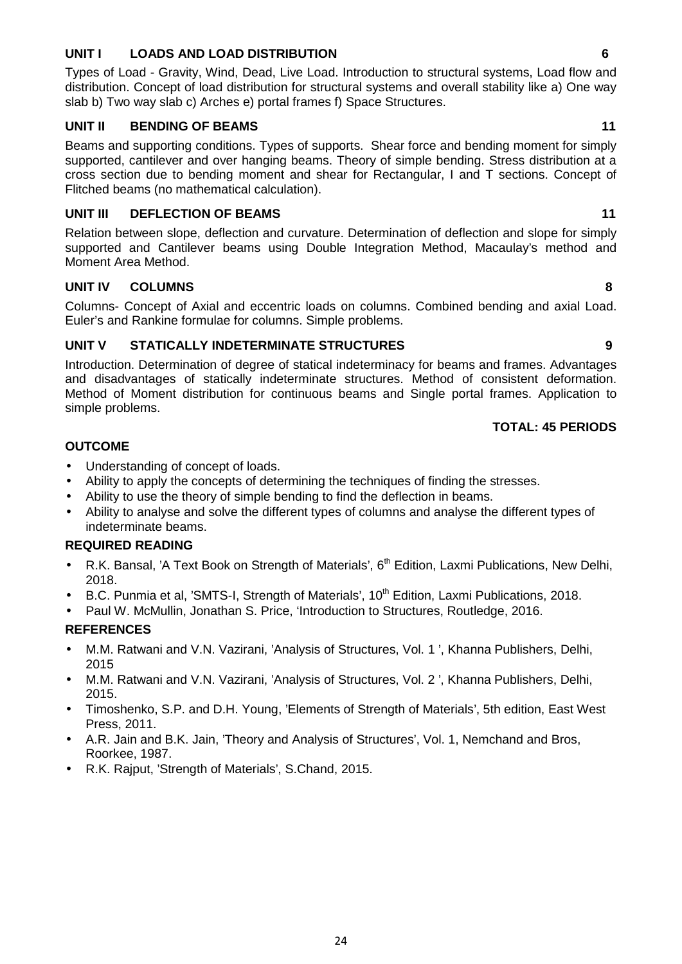#### **UNIT I LOADS AND LOAD DISTRIBUTION 6**

Types of Load - Gravity, Wind, Dead, Live Load. Introduction to structural systems, Load flow and distribution. Concept of load distribution for structural systems and overall stability like a) One way slab b) Two way slab c) Arches e) portal frames f) Space Structures.

#### **UNIT II BENDING OF BEAMS 11**

Beams and supporting conditions. Types of supports. Shear force and bending moment for simply supported, cantilever and over hanging beams. Theory of simple bending. Stress distribution at a cross section due to bending moment and shear for Rectangular, I and T sections. Concept of Flitched beams (no mathematical calculation).

#### **UNIT III DEFLECTION OF BEAMS 11**

Relation between slope, deflection and curvature. Determination of deflection and slope for simply supported and Cantilever beams using Double Integration Method, Macaulay's method and Moment Area Method.

### **UNIT IV COLUMNS 8**

Columns- Concept of Axial and eccentric loads on columns. Combined bending and axial Load. Euler's and Rankine formulae for columns. Simple problems.

#### **UNIT V STATICALLY INDETERMINATE STRUCTURES 9**

Introduction. Determination of degree of statical indeterminacy for beams and frames. Advantages and disadvantages of statically indeterminate structures. Method of consistent deformation. Method of Moment distribution for continuous beams and Single portal frames. Application to simple problems.

#### **TOTAL: 45 PERIODS**

#### **OUTCOME**

- Understanding of concept of loads.
- Ability to apply the concepts of determining the techniques of finding the stresses.
- Ability to use the theory of simple bending to find the deflection in beams.
- Ability to analyse and solve the different types of columns and analyse the different types of indeterminate beams.

#### **REQUIRED READING**

- R.K. Bansal, 'A Text Book on Strength of Materials', 6<sup>th</sup> Edition, Laxmi Publications, New Delhi, 2018.
- B.C. Punmia et al, 'SMTS-I, Strength of Materials', 10<sup>th</sup> Edition, Laxmi Publications, 2018.
- Paul W. McMullin, Jonathan S. Price, 'Introduction to Structures, Routledge, 2016.

#### **REFERENCES**

- M.M. Ratwani and V.N. Vazirani, 'Analysis of Structures, Vol. 1 ', Khanna Publishers, Delhi, 2015
- M.M. Ratwani and V.N. Vazirani, 'Analysis of Structures, Vol. 2 ', Khanna Publishers, Delhi, 2015.
- Timoshenko, S.P. and D.H. Young, 'Elements of Strength of Materials', 5th edition, East West Press, 2011.
- A.R. Jain and B.K. Jain, 'Theory and Analysis of Structures', Vol. 1, Nemchand and Bros, Roorkee, 1987.
- R.K. Rajput, 'Strength of Materials', S.Chand, 2015.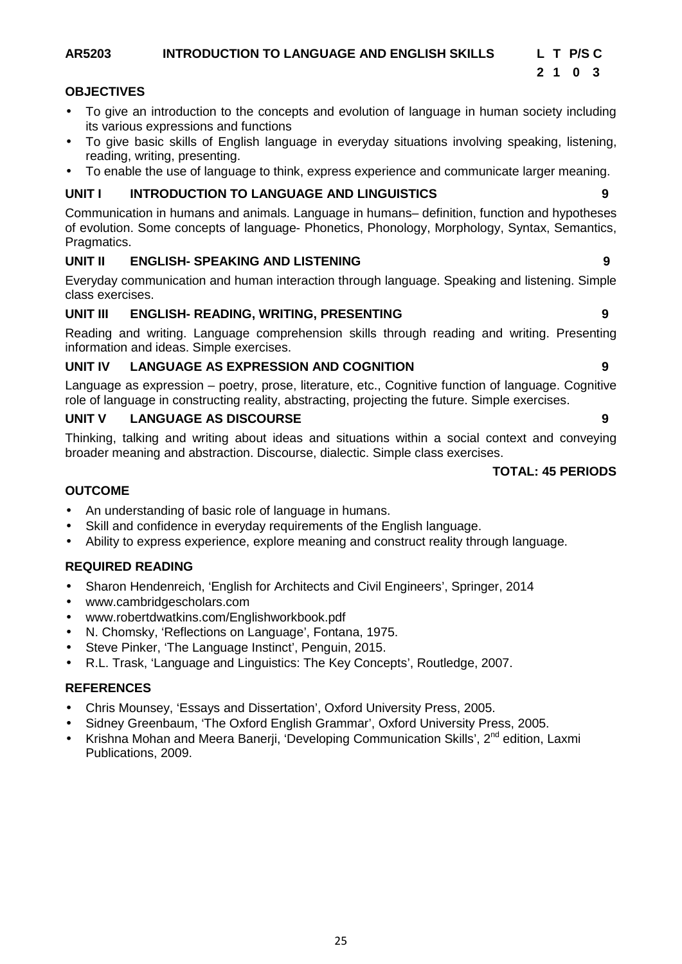#### **AR5203 INTRODUCTION TO LANGUAGE AND ENGLISH SKILLS L T P/S C**

#### **OBJECTIVES**

- To give an introduction to the concepts and evolution of language in human society including its various expressions and functions
- To give basic skills of English language in everyday situations involving speaking, listening, reading, writing, presenting.
- To enable the use of language to think, express experience and communicate larger meaning.

#### **UNIT I INTRODUCTION TO LANGUAGE AND LINGUISTICS 9**

Communication in humans and animals. Language in humans– definition, function and hypotheses of evolution. Some concepts of language- Phonetics, Phonology, Morphology, Syntax, Semantics, Pragmatics.

### **UNIT II ENGLISH- SPEAKING AND LISTENING 9**

Everyday communication and human interaction through language. Speaking and listening. Simple class exercises.

#### **UNIT III ENGLISH- READING, WRITING, PRESENTING 9**

Reading and writing. Language comprehension skills through reading and writing. Presenting information and ideas. Simple exercises.

#### **UNIT IV LANGUAGE AS EXPRESSION AND COGNITION 9**

Language as expression – poetry, prose, literature, etc., Cognitive function of language. Cognitive role of language in constructing reality, abstracting, projecting the future. Simple exercises.

#### **UNIT V LANGUAGE AS DISCOURSE 9**

Thinking, talking and writing about ideas and situations within a social context and conveying broader meaning and abstraction. Discourse, dialectic. Simple class exercises.

#### **TOTAL: 45 PERIODS**

### **OUTCOME**

- An understanding of basic role of language in humans.
- Skill and confidence in everyday requirements of the English language.
- Ability to express experience, explore meaning and construct reality through language.

### **REQUIRED READING**

- Sharon Hendenreich, 'English for Architects and Civil Engineers', Springer, 2014
- www.cambridgescholars.com
- www.robertdwatkins.com/Englishworkbook.pdf
- N. Chomsky, 'Reflections on Language', Fontana, 1975.
- Steve Pinker, 'The Language Instinct', Penguin, 2015.
- R.L. Trask, 'Language and Linguistics: The Key Concepts', Routledge, 2007.

#### **REFERENCES**

- Chris Mounsey, 'Essays and Dissertation', Oxford University Press, 2005.
- Sidney Greenbaum, 'The Oxford English Grammar', Oxford University Press, 2005.
- Krishna Mohan and Meera Banerji, 'Developing Communication Skills', 2<sup>nd</sup> edition, Laxmi Publications, 2009.

**2 1 0 3**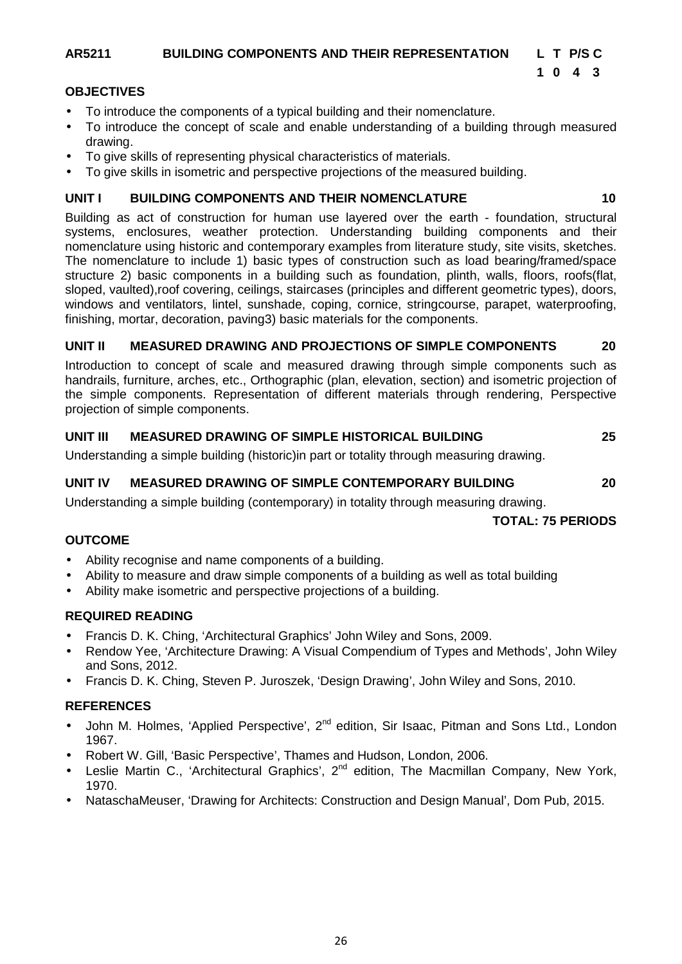### **AR5211 BUILDING COMPONENTS AND THEIR REPRESENTATION L T P/S C**

### **1 0 4 3**

#### **OBJECTIVES**

- To introduce the components of a typical building and their nomenclature.
- To introduce the concept of scale and enable understanding of a building through measured drawing.
- To give skills of representing physical characteristics of materials.
- To give skills in isometric and perspective projections of the measured building.

#### **UNIT I BUILDING COMPONENTS AND THEIR NOMENCLATURE 10**

Building as act of construction for human use layered over the earth - foundation, structural systems, enclosures, weather protection. Understanding building components and their nomenclature using historic and contemporary examples from literature study, site visits, sketches. The nomenclature to include 1) basic types of construction such as load bearing/framed/space structure 2) basic components in a building such as foundation, plinth, walls, floors, roofs(flat, sloped, vaulted),roof covering, ceilings, staircases (principles and different geometric types), doors, windows and ventilators, lintel, sunshade, coping, cornice, stringcourse, parapet, waterproofing, finishing, mortar, decoration, paving3) basic materials for the components.

### **UNIT II MEASURED DRAWING AND PROJECTIONS OF SIMPLE COMPONENTS 20**

Introduction to concept of scale and measured drawing through simple components such as handrails, furniture, arches, etc., Orthographic (plan, elevation, section) and isometric projection of the simple components. Representation of different materials through rendering, Perspective projection of simple components.

#### **UNIT III MEASURED DRAWING OF SIMPLE HISTORICAL BUILDING 25**

Understanding a simple building (historic)in part or totality through measuring drawing.

### **UNIT IV MEASURED DRAWING OF SIMPLE CONTEMPORARY BUILDING 20**

Understanding a simple building (contemporary) in totality through measuring drawing.

**TOTAL: 75 PERIODS**

### **OUTCOME**

- Ability recognise and name components of a building.
- Ability to measure and draw simple components of a building as well as total building
- Ability make isometric and perspective projections of a building.

### **REQUIRED READING**

- Francis D. K. Ching, 'Architectural Graphics' John Wiley and Sons, 2009.
- Rendow Yee, 'Architecture Drawing: A Visual Compendium of Types and Methods', John Wiley and Sons, 2012.
- Francis D. K. Ching, Steven P. Juroszek, 'Design Drawing', John Wiley and Sons, 2010.

### **REFERENCES**

- John M. Holmes, 'Applied Perspective', 2<sup>nd</sup> edition, Sir Isaac, Pitman and Sons Ltd., London 1967.
- Robert W. Gill, 'Basic Perspective', Thames and Hudson, London, 2006.
- Leslie Martin C., 'Architectural Graphics',  $2^{nd}$  edition, The Macmillan Company, New York, 1970.
- NataschaMeuser, 'Drawing for Architects: Construction and Design Manual', Dom Pub, 2015.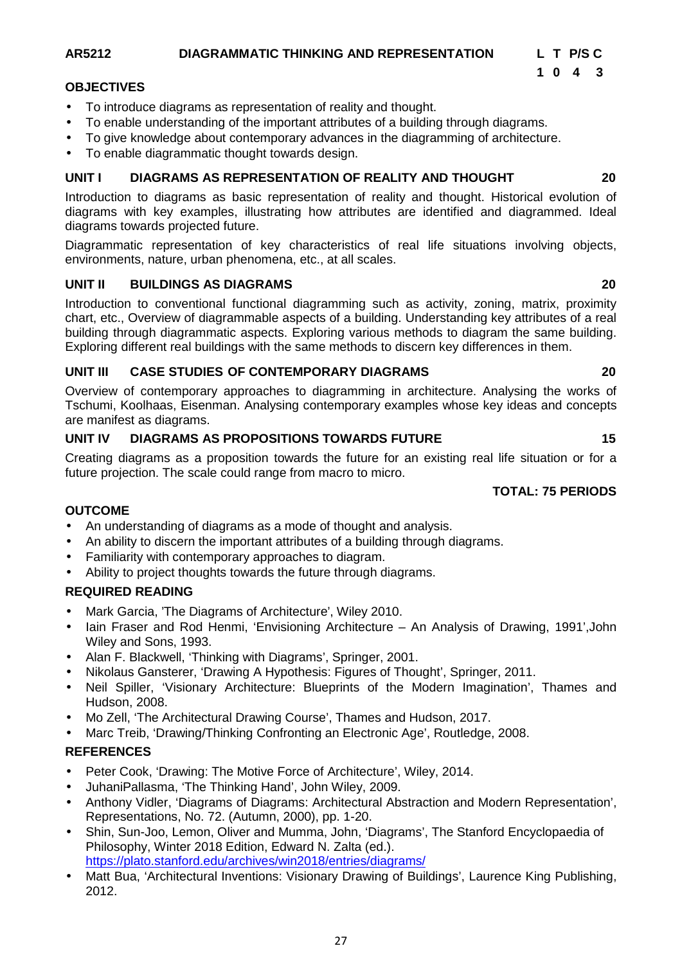#### **AR5212 DIAGRAMMATIC THINKING AND REPRESENTATION L T P/S C**

#### **OBJECTIVES**

- To introduce diagrams as representation of reality and thought.
- To enable understanding of the important attributes of a building through diagrams.
- To give knowledge about contemporary advances in the diagramming of architecture.
- To enable diagrammatic thought towards design.

#### **UNIT I DIAGRAMS AS REPRESENTATION OF REALITY AND THOUGHT 20**

Introduction to diagrams as basic representation of reality and thought. Historical evolution of diagrams with key examples, illustrating how attributes are identified and diagrammed. Ideal diagrams towards projected future.

Diagrammatic representation of key characteristics of real life situations involving objects, environments, nature, urban phenomena, etc., at all scales.

#### **UNIT II BUILDINGS AS DIAGRAMS 20**

Introduction to conventional functional diagramming such as activity, zoning, matrix, proximity chart, etc., Overview of diagrammable aspects of a building. Understanding key attributes of a real building through diagrammatic aspects. Exploring various methods to diagram the same building. Exploring different real buildings with the same methods to discern key differences in them.

#### **UNIT III CASE STUDIES OF CONTEMPORARY DIAGRAMS 20**

Overview of contemporary approaches to diagramming in architecture. Analysing the works of Tschumi, Koolhaas, Eisenman. Analysing contemporary examples whose key ideas and concepts are manifest as diagrams.

#### **UNIT IV DIAGRAMS AS PROPOSITIONS TOWARDS FUTURE 15**

Creating diagrams as a proposition towards the future for an existing real life situation or for a future projection. The scale could range from macro to micro.

#### **TOTAL: 75 PERIODS**

#### **OUTCOME**

- An understanding of diagrams as a mode of thought and analysis.
- An ability to discern the important attributes of a building through diagrams.
- Familiarity with contemporary approaches to diagram.
- Ability to project thoughts towards the future through diagrams.

#### **REQUIRED READING**

- Mark Garcia, 'The Diagrams of Architecture', Wiley 2010.
- Iain Fraser and Rod Henmi, 'Envisioning Architecture An Analysis of Drawing, 1991',John Wiley and Sons, 1993.
- Alan F. Blackwell, 'Thinking with Diagrams', Springer, 2001.
- Nikolaus Gansterer, 'Drawing A Hypothesis: Figures of Thought', Springer, 2011.
- Neil Spiller, 'Visionary Architecture: Blueprints of the Modern Imagination', Thames and Hudson, 2008.
- Mo Zell, 'The Architectural Drawing Course', Thames and Hudson, 2017.
- Marc Treib, 'Drawing/Thinking Confronting an Electronic Age', Routledge, 2008.

### **REFERENCES**

- Peter Cook, 'Drawing: The Motive Force of Architecture', Wiley, 2014.
- JuhaniPallasma, 'The Thinking Hand', John Wiley, 2009.
- Anthony Vidler, 'Diagrams of Diagrams: Architectural Abstraction and Modern Representation', Representations, No. 72. (Autumn, 2000), pp. 1-20.
- Shin, Sun-Joo, Lemon, Oliver and Mumma, John, 'Diagrams', The Stanford Encyclopaedia of Philosophy, Winter 2018 Edition, Edward N. Zalta (ed.). https://plato.stanford.edu/archives/win2018/entries/diagrams/
- Matt Bua, 'Architectural Inventions: Visionary Drawing of Buildings', Laurence King Publishing, 2012.

**1 0 4 3**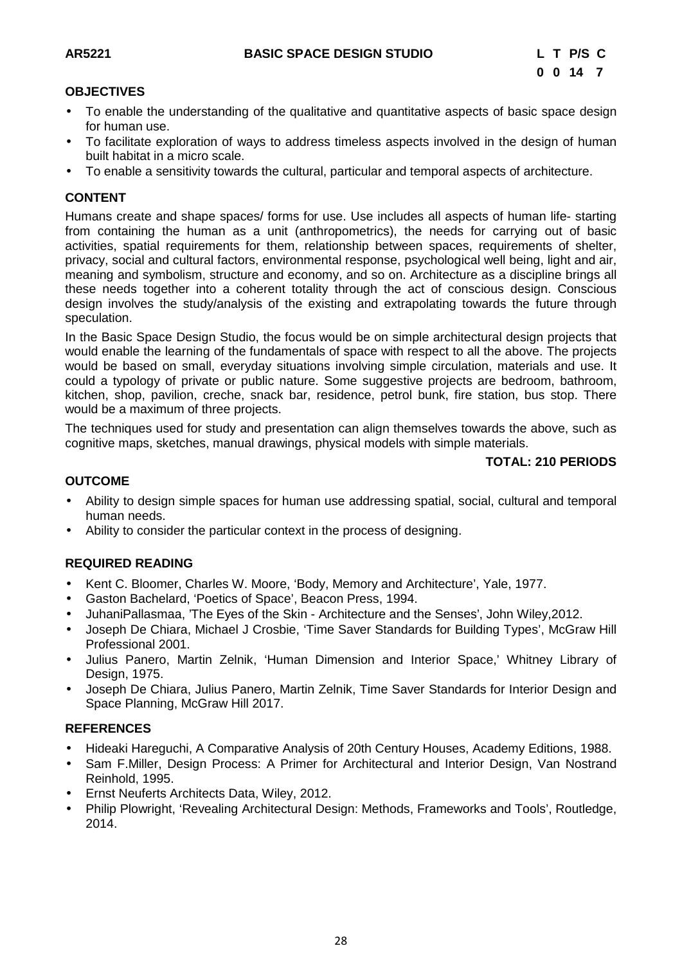#### **OBJECTIVES**

- To enable the understanding of the qualitative and quantitative aspects of basic space design for human use.
- To facilitate exploration of ways to address timeless aspects involved in the design of human built habitat in a micro scale.
- To enable a sensitivity towards the cultural, particular and temporal aspects of architecture.

#### **CONTENT**

Humans create and shape spaces/ forms for use. Use includes all aspects of human life- starting from containing the human as a unit (anthropometrics), the needs for carrying out of basic activities, spatial requirements for them, relationship between spaces, requirements of shelter, privacy, social and cultural factors, environmental response, psychological well being, light and air, meaning and symbolism, structure and economy, and so on. Architecture as a discipline brings all these needs together into a coherent totality through the act of conscious design. Conscious design involves the study/analysis of the existing and extrapolating towards the future through speculation.

In the Basic Space Design Studio, the focus would be on simple architectural design projects that would enable the learning of the fundamentals of space with respect to all the above. The projects would be based on small, everyday situations involving simple circulation, materials and use. It could a typology of private or public nature. Some suggestive projects are bedroom, bathroom, kitchen, shop, pavilion, creche, snack bar, residence, petrol bunk, fire station, bus stop. There would be a maximum of three projects.

The techniques used for study and presentation can align themselves towards the above, such as cognitive maps, sketches, manual drawings, physical models with simple materials.

#### **TOTAL: 210 PERIODS**

#### **OUTCOME**

- Ability to design simple spaces for human use addressing spatial, social, cultural and temporal human needs.
- Ability to consider the particular context in the process of designing.

#### **REQUIRED READING**

- Kent C. Bloomer, Charles W. Moore, 'Body, Memory and Architecture', Yale, 1977.
- Gaston Bachelard, 'Poetics of Space', Beacon Press, 1994.
- JuhaniPallasmaa, 'The Eyes of the Skin Architecture and the Senses', John Wiley,2012.
- Joseph De Chiara, Michael J Crosbie, 'Time Saver Standards for Building Types', McGraw Hill Professional 2001.
- Julius Panero, Martin Zelnik, 'Human Dimension and Interior Space,' Whitney Library of Design, 1975.
- Joseph De Chiara, Julius Panero, Martin Zelnik, Time Saver Standards for Interior Design and Space Planning, McGraw Hill 2017.

#### **REFERENCES**

- Hideaki Hareguchi, A Comparative Analysis of 20th Century Houses, Academy Editions, 1988.
- Sam F.Miller, Design Process: A Primer for Architectural and Interior Design, Van Nostrand Reinhold, 1995.
- Ernst Neuferts Architects Data, Wiley, 2012.
- Philip Plowright, 'Revealing Architectural Design: Methods, Frameworks and Tools', Routledge, 2014.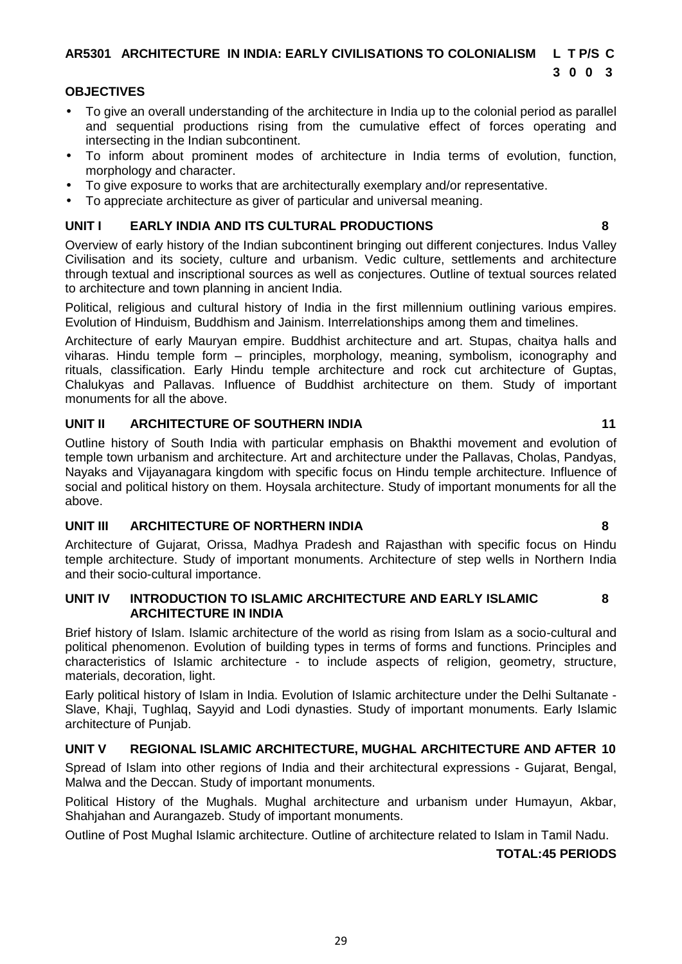**AR5301 ARCHITECTURE IN INDIA: EARLY CIVILISATIONS TO COLONIALISM L T P/S C**

#### **OBJECTIVES**

- To give an overall understanding of the architecture in India up to the colonial period as parallel and sequential productions rising from the cumulative effect of forces operating and intersecting in the Indian subcontinent.
- To inform about prominent modes of architecture in India terms of evolution, function, morphology and character.
- To give exposure to works that are architecturally exemplary and/or representative.
- To appreciate architecture as giver of particular and universal meaning.

#### **UNIT I EARLY INDIA AND ITS CULTURAL PRODUCTIONS 8**

Overview of early history of the Indian subcontinent bringing out different conjectures. Indus Valley Civilisation and its society, culture and urbanism. Vedic culture, settlements and architecture through textual and inscriptional sources as well as conjectures. Outline of textual sources related to architecture and town planning in ancient India.

Political, religious and cultural history of India in the first millennium outlining various empires. Evolution of Hinduism, Buddhism and Jainism. Interrelationships among them and timelines.

Architecture of early Mauryan empire. Buddhist architecture and art. Stupas, chaitya halls and viharas. Hindu temple form – principles, morphology, meaning, symbolism, iconography and rituals, classification. Early Hindu temple architecture and rock cut architecture of Guptas, Chalukyas and Pallavas. Influence of Buddhist architecture on them. Study of important monuments for all the above.

### **UNIT II ARCHITECTURE OF SOUTHERN INDIA 11**

Outline history of South India with particular emphasis on Bhakthi movement and evolution of temple town urbanism and architecture. Art and architecture under the Pallavas, Cholas, Pandyas, Nayaks and Vijayanagara kingdom with specific focus on Hindu temple architecture. Influence of social and political history on them. Hoysala architecture. Study of important monuments for all the above.

### **UNIT III ARCHITECTURE OF NORTHERN INDIA 8**

Architecture of Gujarat, Orissa, Madhya Pradesh and Rajasthan with specific focus on Hindu temple architecture. Study of important monuments. Architecture of step wells in Northern India and their socio-cultural importance.

#### **UNIT IV INTRODUCTION TO ISLAMIC ARCHITECTURE AND EARLY ISLAMIC 8 ARCHITECTURE IN INDIA**

Brief history of Islam. Islamic architecture of the world as rising from Islam as a socio-cultural and political phenomenon. Evolution of building types in terms of forms and functions. Principles and characteristics of Islamic architecture - to include aspects of religion, geometry, structure, materials, decoration, light.

Early political history of Islam in India. Evolution of Islamic architecture under the Delhi Sultanate - Slave, Khaji, Tughlaq, Sayyid and Lodi dynasties. Study of important monuments. Early Islamic architecture of Punjab.

### **UNIT V REGIONAL ISLAMIC ARCHITECTURE, MUGHAL ARCHITECTURE AND AFTER 10**

Spread of Islam into other regions of India and their architectural expressions - Gujarat, Bengal, Malwa and the Deccan. Study of important monuments.

Political History of the Mughals. Mughal architecture and urbanism under Humayun, Akbar, Shahjahan and Aurangazeb. Study of important monuments.

Outline of Post Mughal Islamic architecture. Outline of architecture related to Islam in Tamil Nadu.

### **TOTAL:45 PERIODS**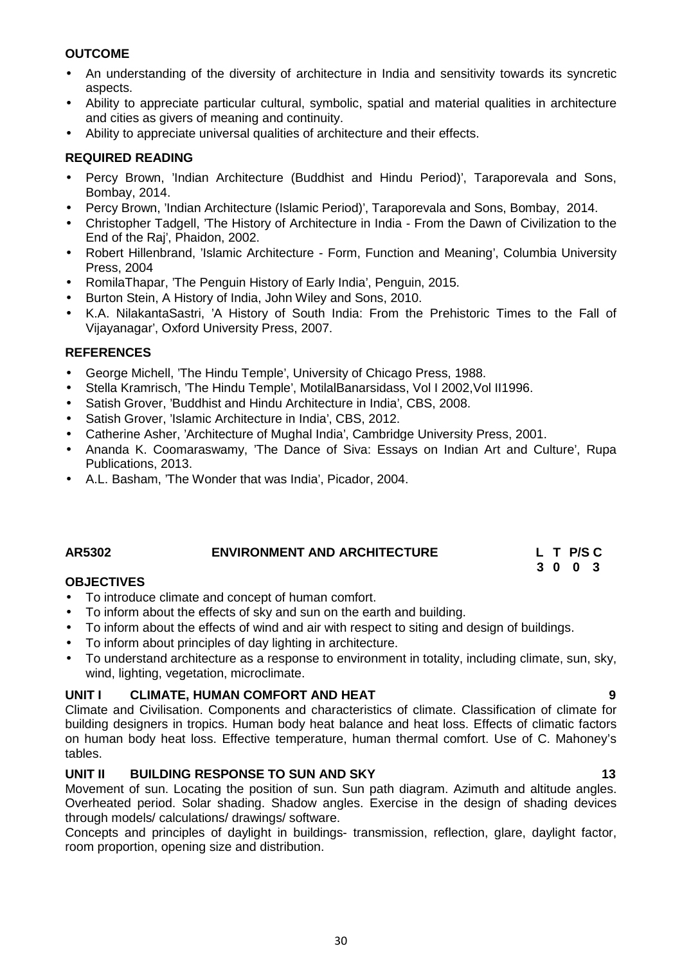#### **OUTCOME**

- An understanding of the diversity of architecture in India and sensitivity towards its syncretic aspects.
- Ability to appreciate particular cultural, symbolic, spatial and material qualities in architecture and cities as givers of meaning and continuity.
- Ability to appreciate universal qualities of architecture and their effects.

#### **REQUIRED READING**

- Percy Brown, 'Indian Architecture (Buddhist and Hindu Period)', Taraporevala and Sons, Bombay, 2014.
- Percy Brown, 'Indian Architecture (Islamic Period)', Taraporevala and Sons, Bombay, 2014.
- Christopher Tadgell, 'The History of Architecture in India From the Dawn of Civilization to the End of the Raj', Phaidon, 2002.
- Robert Hillenbrand, 'Islamic Architecture Form, Function and Meaning', Columbia University Press, 2004
- RomilaThapar, 'The Penguin History of Early India', Penguin, 2015.
- Burton Stein, A History of India, John Wiley and Sons, 2010.
- K.A. NilakantaSastri, 'A History of South India: From the Prehistoric Times to the Fall of Vijayanagar', Oxford University Press, 2007.

#### **REFERENCES**

- George Michell, 'The Hindu Temple', University of Chicago Press, 1988.
- Stella Kramrisch, 'The Hindu Temple', MotilalBanarsidass, Vol I 2002,Vol II1996.
- Satish Grover, 'Buddhist and Hindu Architecture in India', CBS, 2008.
- Satish Grover, 'Islamic Architecture in India', CBS, 2012.
- Catherine Asher, 'Architecture of Mughal India', Cambridge University Press, 2001.
- Ananda K. Coomaraswamy, 'The Dance of Siva: Essays on Indian Art and Culture', Rupa Publications, 2013.
- A.L. Basham, 'The Wonder that was India', Picador, 2004.

### **AR5302 ENVIRONMENT AND ARCHITECTURE L T P/S C**

#### **OBJECTIVES**

- To introduce climate and concept of human comfort.
- To inform about the effects of sky and sun on the earth and building.
- To inform about the effects of wind and air with respect to siting and design of buildings.
- To inform about principles of day lighting in architecture.
- To understand architecture as a response to environment in totality, including climate, sun, sky, wind, lighting, vegetation, microclimate.

#### **UNIT I CLIMATE, HUMAN COMFORT AND HEAT 9**

Climate and Civilisation. Components and characteristics of climate. Classification of climate for building designers in tropics. Human body heat balance and heat loss. Effects of climatic factors on human body heat loss. Effective temperature, human thermal comfort. Use of C. Mahoney's tables.

#### **UNIT II BUILDING RESPONSE TO SUN AND SKY 13**

Movement of sun. Locating the position of sun. Sun path diagram. Azimuth and altitude angles. Overheated period. Solar shading. Shadow angles. Exercise in the design of shading devices through models/ calculations/ drawings/ software.

Concepts and principles of daylight in buildings- transmission, reflection, glare, daylight factor, room proportion, opening size and distribution.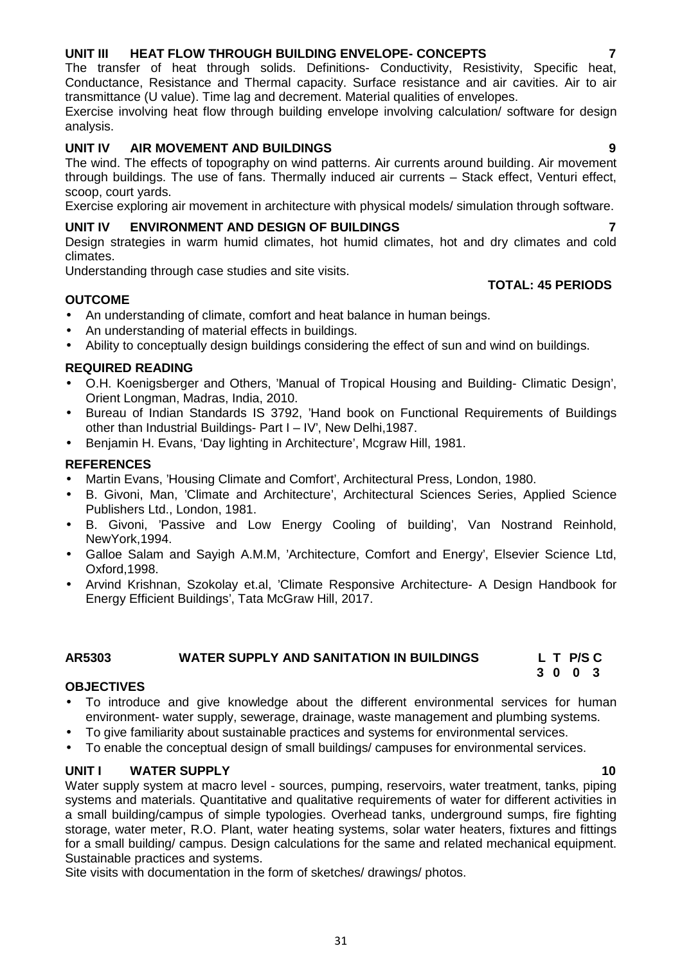# 31

# **UNIT III HEAT FLOW THROUGH BUILDING ENVELOPE- CONCEPTS 7**

The transfer of heat through solids. Definitions- Conductivity, Resistivity, Specific heat, Conductance, Resistance and Thermal capacity. Surface resistance and air cavities. Air to air transmittance (U value). Time lag and decrement. Material qualities of envelopes. Exercise involving heat flow through building envelope involving calculation/ software for design analysis.

# **UNIT IV AIR MOVEMENT AND BUILDINGS 9**

The wind. The effects of topography on wind patterns. Air currents around building. Air movement through buildings. The use of fans. Thermally induced air currents – Stack effect, Venturi effect, scoop, court yards.

Exercise exploring air movement in architecture with physical models/ simulation through software.

# **UNIT IV ENVIRONMENT AND DESIGN OF BUILDINGS 7**

Design strategies in warm humid climates, hot humid climates, hot and dry climates and cold climates.

Understanding through case studies and site visits.

# **OUTCOME**

- An understanding of climate, comfort and heat balance in human beings.
- An understanding of material effects in buildings.
- Ability to conceptually design buildings considering the effect of sun and wind on buildings.

# **REQUIRED READING**

- O.H. Koenigsberger and Others, 'Manual of Tropical Housing and Building- Climatic Design', Orient Longman, Madras, India, 2010.
- Bureau of Indian Standards IS 3792, 'Hand book on Functional Requirements of Buildings other than Industrial Buildings- Part I – IV', New Delhi,1987.
- Benjamin H. Evans, 'Day lighting in Architecture', Mcgraw Hill, 1981.

# **REFERENCES**

- Martin Evans, 'Housing Climate and Comfort', Architectural Press, London, 1980.
- B. Givoni, Man, 'Climate and Architecture', Architectural Sciences Series, Applied Science Publishers Ltd., London, 1981.
- B. Givoni, 'Passive and Low Energy Cooling of building', Van Nostrand Reinhold, NewYork,1994.
- Galloe Salam and Sayigh A.M.M, 'Architecture, Comfort and Energy', Elsevier Science Ltd, Oxford,1998.
- Arvind Krishnan, Szokolay et.al, 'Climate Responsive Architecture- A Design Handbook for Energy Efficient Buildings', Tata McGraw Hill, 2017.

# **AR5303 WATER SUPPLY AND SANITATION IN BUILDINGS L T P/S C**

# **OBJECTIVES**

- To introduce and give knowledge about the different environmental services for human environment- water supply, sewerage, drainage, waste management and plumbing systems.
- To give familiarity about sustainable practices and systems for environmental services.
- To enable the conceptual design of small buildings/ campuses for environmental services.

# **UNIT I WATER SUPPLY 10**

Water supply system at macro level - sources, pumping, reservoirs, water treatment, tanks, piping systems and materials. Quantitative and qualitative requirements of water for different activities in a small building/campus of simple typologies. Overhead tanks, underground sumps, fire fighting storage, water meter, R.O. Plant, water heating systems, solar water heaters, fixtures and fittings for a small building/ campus. Design calculations for the same and related mechanical equipment. Sustainable practices and systems.

Site visits with documentation in the form of sketches/ drawings/ photos.

**TOTAL: 45 PERIODS**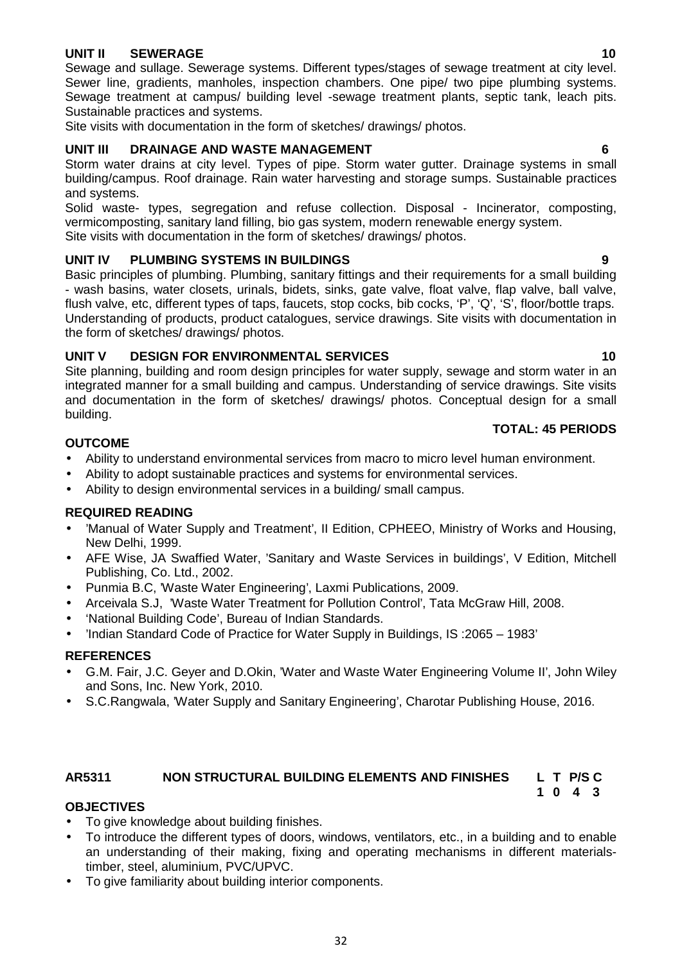#### **UNIT II SEWERAGE 10**

Sewage and sullage. Sewerage systems. Different types/stages of sewage treatment at city level. Sewer line, gradients, manholes, inspection chambers. One pipe/ two pipe plumbing systems. Sewage treatment at campus/ building level -sewage treatment plants, septic tank, leach pits. Sustainable practices and systems.

Site visits with documentation in the form of sketches/ drawings/ photos.

### **UNIT III DRAINAGE AND WASTE MANAGEMENT 6**

Storm water drains at city level. Types of pipe. Storm water gutter. Drainage systems in small building/campus. Roof drainage. Rain water harvesting and storage sumps. Sustainable practices and systems.

Solid waste- types, segregation and refuse collection. Disposal - Incinerator, composting, vermicomposting, sanitary land filling, bio gas system, modern renewable energy system. Site visits with documentation in the form of sketches/ drawings/ photos.

### **UNIT IV PLUMBING SYSTEMS IN BUILDINGS 9**

Basic principles of plumbing. Plumbing, sanitary fittings and their requirements for a small building - wash basins, water closets, urinals, bidets, sinks, gate valve, float valve, flap valve, ball valve, flush valve, etc, different types of taps, faucets, stop cocks, bib cocks, 'P', 'Q', 'S', floor/bottle traps. Understanding of products, product catalogues, service drawings. Site visits with documentation in the form of sketches/ drawings/ photos.

#### **UNIT V DESIGN FOR ENVIRONMENTAL SERVICES 10**

Site planning, building and room design principles for water supply, sewage and storm water in an integrated manner for a small building and campus. Understanding of service drawings. Site visits and documentation in the form of sketches/ drawings/ photos. Conceptual design for a small building.

#### **TOTAL: 45 PERIODS**

#### **OUTCOME**

- Ability to understand environmental services from macro to micro level human environment.
- Ability to adopt sustainable practices and systems for environmental services.
- Ability to design environmental services in a building/ small campus.

### **REQUIRED READING**

- 'Manual of Water Supply and Treatment', II Edition, CPHEEO, Ministry of Works and Housing, New Delhi, 1999.
- AFE Wise, JA Swaffied Water, 'Sanitary and Waste Services in buildings', V Edition, Mitchell Publishing, Co. Ltd., 2002.
- Punmia B.C, 'Waste Water Engineering', Laxmi Publications, 2009.
- Arceivala S.J, 'Waste Water Treatment for Pollution Control', Tata McGraw Hill, 2008.
- 'National Building Code', Bureau of Indian Standards.
- 'Indian Standard Code of Practice for Water Supply in Buildings, IS :2065 1983'

#### **REFERENCES**

- G.M. Fair, J.C. Geyer and D.Okin, 'Water and Waste Water Engineering Volume II', John Wiley and Sons, Inc. New York, 2010.
- S.C.Rangwala, 'Water Supply and Sanitary Engineering', Charotar Publishing House, 2016.

#### **AR5311 NON STRUCTURAL BUILDING ELEMENTS AND FINISHES L T P/S C 1 0 4 3**

### **OBJECTIVES**

- To give knowledge about building finishes.
- To introduce the different types of doors, windows, ventilators, etc., in a building and to enable an understanding of their making, fixing and operating mechanisms in different materialstimber, steel, aluminium, PVC/UPVC.
- To give familiarity about building interior components.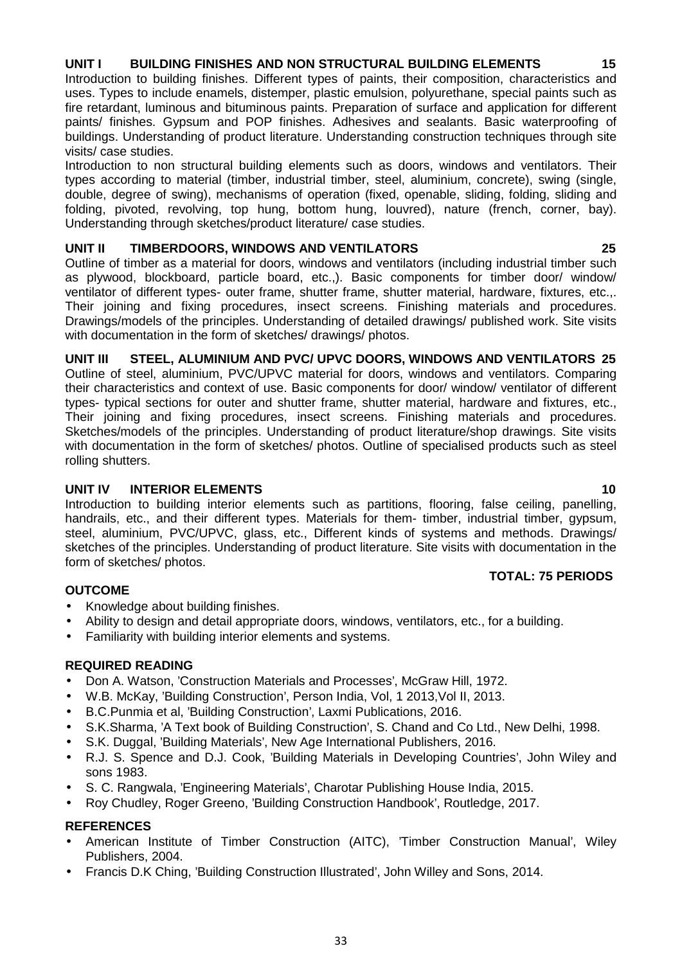## **UNIT I BUILDING FINISHES AND NON STRUCTURAL BUILDING ELEMENTS 15**

Introduction to building finishes. Different types of paints, their composition, characteristics and uses. Types to include enamels, distemper, plastic emulsion, polyurethane, special paints such as fire retardant, luminous and bituminous paints. Preparation of surface and application for different paints/ finishes. Gypsum and POP finishes. Adhesives and sealants. Basic waterproofing of buildings. Understanding of product literature. Understanding construction techniques through site visits/ case studies.

Introduction to non structural building elements such as doors, windows and ventilators. Their types according to material (timber, industrial timber, steel, aluminium, concrete), swing (single, double, degree of swing), mechanisms of operation (fixed, openable, sliding, folding, sliding and folding, pivoted, revolving, top hung, bottom hung, louvred), nature (french, corner, bay). Understanding through sketches/product literature/ case studies.

#### **UNIT II TIMBERDOORS, WINDOWS AND VENTILATORS 25**

Outline of timber as a material for doors, windows and ventilators (including industrial timber such as plywood, blockboard, particle board, etc.,). Basic components for timber door/ window/ ventilator of different types- outer frame, shutter frame, shutter material, hardware, fixtures, etc.,. Their joining and fixing procedures, insect screens. Finishing materials and procedures. Drawings/models of the principles. Understanding of detailed drawings/ published work. Site visits with documentation in the form of sketches/ drawings/ photos.

### **UNIT III STEEL, ALUMINIUM AND PVC/ UPVC DOORS, WINDOWS AND VENTILATORS 25**

Outline of steel, aluminium, PVC/UPVC material for doors, windows and ventilators. Comparing their characteristics and context of use. Basic components for door/ window/ ventilator of different types- typical sections for outer and shutter frame, shutter material, hardware and fixtures, etc., Their joining and fixing procedures, insect screens. Finishing materials and procedures. Sketches/models of the principles. Understanding of product literature/shop drawings. Site visits with documentation in the form of sketches/ photos. Outline of specialised products such as steel rolling shutters.

#### **UNIT IV INTERIOR ELEMENTS 10**

Introduction to building interior elements such as partitions, flooring, false ceiling, panelling, handrails, etc., and their different types. Materials for them- timber, industrial timber, gypsum, steel, aluminium, PVC/UPVC, glass, etc., Different kinds of systems and methods. Drawings/ sketches of the principles. Understanding of product literature. Site visits with documentation in the form of sketches/ photos. **TOTAL: 75 PERIODS**

### **OUTCOME**

- Knowledge about building finishes.
- Ability to design and detail appropriate doors, windows, ventilators, etc., for a building.
- Familiarity with building interior elements and systems.

#### **REQUIRED READING**

- Don A. Watson, 'Construction Materials and Processes', McGraw Hill, 1972.
- W.B. McKay, 'Building Construction', Person India, Vol. 1 2013, Vol II, 2013.
- B.C.Punmia et al, 'Building Construction', Laxmi Publications, 2016.
- S.K.Sharma, 'A Text book of Building Construction', S. Chand and Co Ltd., New Delhi, 1998.
- S.K. Duggal, 'Building Materials', New Age International Publishers, 2016.
- R.J. S. Spence and D.J. Cook, 'Building Materials in Developing Countries', John Wiley and sons 1983.
- S. C. Rangwala, 'Engineering Materials', Charotar Publishing House India, 2015.
- Roy Chudley, Roger Greeno, 'Building Construction Handbook', Routledge, 2017.

# **REFERENCES**

- American Institute of Timber Construction (AITC), 'Timber Construction Manual', Wiley Publishers, 2004.
- Francis D.K Ching, 'Building Construction Illustrated', John Willey and Sons, 2014.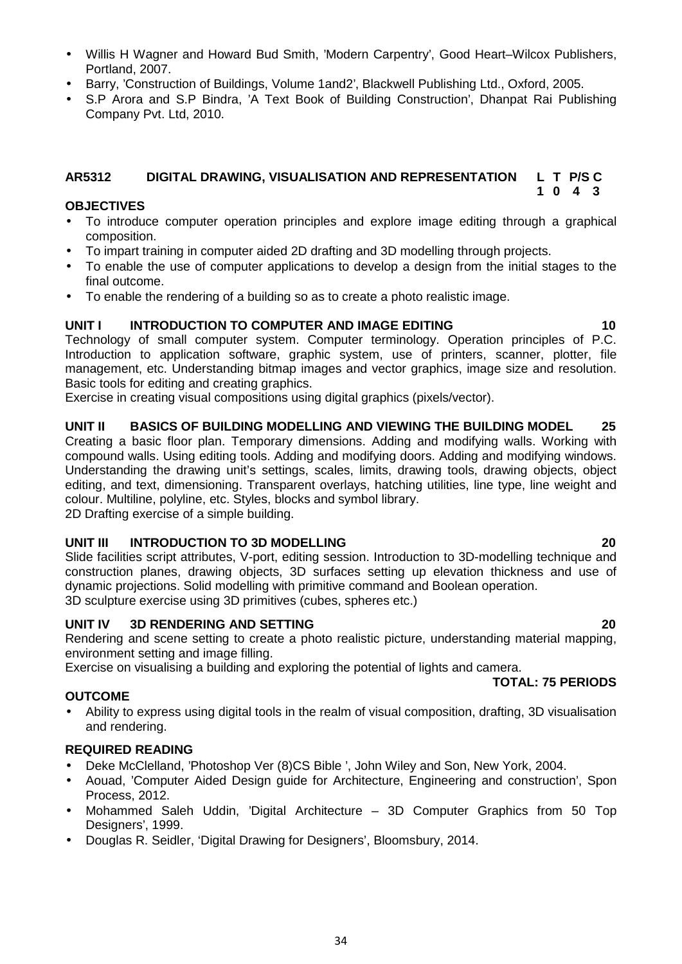- Willis H Wagner and Howard Bud Smith, 'Modern Carpentry', Good Heart–Wilcox Publishers, Portland, 2007.
- Barry, 'Construction of Buildings, Volume 1and2', Blackwell Publishing Ltd., Oxford, 2005.
- S.P Arora and S.P Bindra, 'A Text Book of Building Construction', Dhanpat Rai Publishing Company Pvt. Ltd, 2010.

#### **AR5312 DIGITAL DRAWING, VISUALISATION AND REPRESENTATION L T P/S C 1 0 4 3**

#### **OBJECTIVES**

- To introduce computer operation principles and explore image editing through a graphical composition.
- To impart training in computer aided 2D drafting and 3D modelling through projects.
- To enable the use of computer applications to develop a design from the initial stages to the final outcome.
- To enable the rendering of a building so as to create a photo realistic image.

### **UNIT I INTRODUCTION TO COMPUTER AND IMAGE EDITING 10**

Technology of small computer system. Computer terminology. Operation principles of P.C. Introduction to application software, graphic system, use of printers, scanner, plotter, file management, etc. Understanding bitmap images and vector graphics, image size and resolution. Basic tools for editing and creating graphics.

Exercise in creating visual compositions using digital graphics (pixels/vector).

#### **UNIT II BASICS OF BUILDING MODELLING AND VIEWING THE BUILDING MODEL 25**

Creating a basic floor plan. Temporary dimensions. Adding and modifying walls. Working with compound walls. Using editing tools. Adding and modifying doors. Adding and modifying windows. Understanding the drawing unit's settings, scales, limits, drawing tools, drawing objects, object editing, and text, dimensioning. Transparent overlays, hatching utilities, line type, line weight and colour. Multiline, polyline, etc. Styles, blocks and symbol library.

2D Drafting exercise of a simple building.

#### **UNIT III INTRODUCTION TO 3D MODELLING 20**

Slide facilities script attributes, V-port, editing session. Introduction to 3D-modelling technique and construction planes, drawing objects, 3D surfaces setting up elevation thickness and use of dynamic projections. Solid modelling with primitive command and Boolean operation. 3D sculpture exercise using 3D primitives (cubes, spheres etc.)

**UNIT IV 3D RENDERING AND SETTING 20**

Rendering and scene setting to create a photo realistic picture, understanding material mapping, environment setting and image filling.

Exercise on visualising a building and exploring the potential of lights and camera. **TOTAL: 75 PERIODS**

#### **OUTCOME**

 Ability to express using digital tools in the realm of visual composition, drafting, 3D visualisation and rendering.

#### **REQUIRED READING**

- Deke McClelland, 'Photoshop Ver (8)CS Bible ', John Wiley and Son, New York, 2004.
- Aouad, 'Computer Aided Design guide for Architecture, Engineering and construction', Spon Process, 2012.
- Mohammed Saleh Uddin, 'Digital Architecture 3D Computer Graphics from 50 Top Designers', 1999.
- Douglas R. Seidler, 'Digital Drawing for Designers', Bloomsbury, 2014.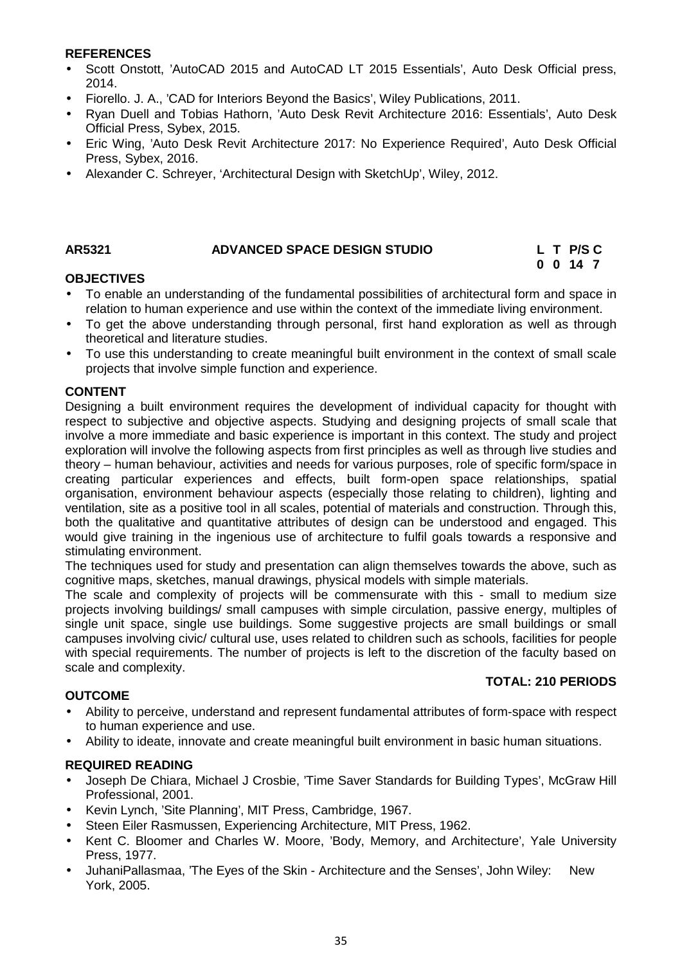#### **REFERENCES**

- Scott Onstott, 'AutoCAD 2015 and AutoCAD LT 2015 Essentials', Auto Desk Official press, 2014.
- Fiorello. J. A., 'CAD for Interiors Beyond the Basics', Wiley Publications, 2011.
- Ryan Duell and Tobias Hathorn, 'Auto Desk Revit Architecture 2016: Essentials', Auto Desk Official Press, Sybex, 2015.
- Eric Wing, 'Auto Desk Revit Architecture 2017: No Experience Required', Auto Desk Official Press, Sybex, 2016.
- Alexander C. Schreyer, 'Architectural Design with SketchUp', Wiley, 2012.

#### **AR5321 ADVANCED SPACE DESIGN STUDIO L T P/S C**

# **0 0 14 7**

#### **OBJECTIVES**

- To enable an understanding of the fundamental possibilities of architectural form and space in relation to human experience and use within the context of the immediate living environment.
- To get the above understanding through personal, first hand exploration as well as through theoretical and literature studies.
- To use this understanding to create meaningful built environment in the context of small scale projects that involve simple function and experience.

#### **CONTENT**

Designing a built environment requires the development of individual capacity for thought with respect to subjective and objective aspects. Studying and designing projects of small scale that involve a more immediate and basic experience is important in this context. The study and project exploration will involve the following aspects from first principles as well as through live studies and theory – human behaviour, activities and needs for various purposes, role of specific form/space in creating particular experiences and effects, built form-open space relationships, spatial organisation, environment behaviour aspects (especially those relating to children), lighting and ventilation, site as a positive tool in all scales, potential of materials and construction. Through this, both the qualitative and quantitative attributes of design can be understood and engaged. This would give training in the ingenious use of architecture to fulfil goals towards a responsive and stimulating environment.

The techniques used for study and presentation can align themselves towards the above, such as cognitive maps, sketches, manual drawings, physical models with simple materials.

The scale and complexity of projects will be commensurate with this - small to medium size projects involving buildings/ small campuses with simple circulation, passive energy, multiples of single unit space, single use buildings. Some suggestive projects are small buildings or small campuses involving civic/ cultural use, uses related to children such as schools, facilities for people with special requirements. The number of projects is left to the discretion of the faculty based on scale and complexity. **TOTAL: 210 PERIODS**

#### **OUTCOME**

- Ability to perceive, understand and represent fundamental attributes of form-space with respect to human experience and use.
- Ability to ideate, innovate and create meaningful built environment in basic human situations.

#### **REQUIRED READING**

- Joseph De Chiara, Michael J Crosbie, 'Time Saver Standards for Building Types', McGraw Hill Professional, 2001.
- Kevin Lynch, 'Site Planning', MIT Press, Cambridge, 1967.
- Steen Eiler Rasmussen, Experiencing Architecture, MIT Press, 1962.
- Kent C. Bloomer and Charles W. Moore, 'Body, Memory, and Architecture', Yale University Press, 1977.
- JuhaniPallasmaa, 'The Eyes of the Skin Architecture and the Senses', John Wiley: New York, 2005.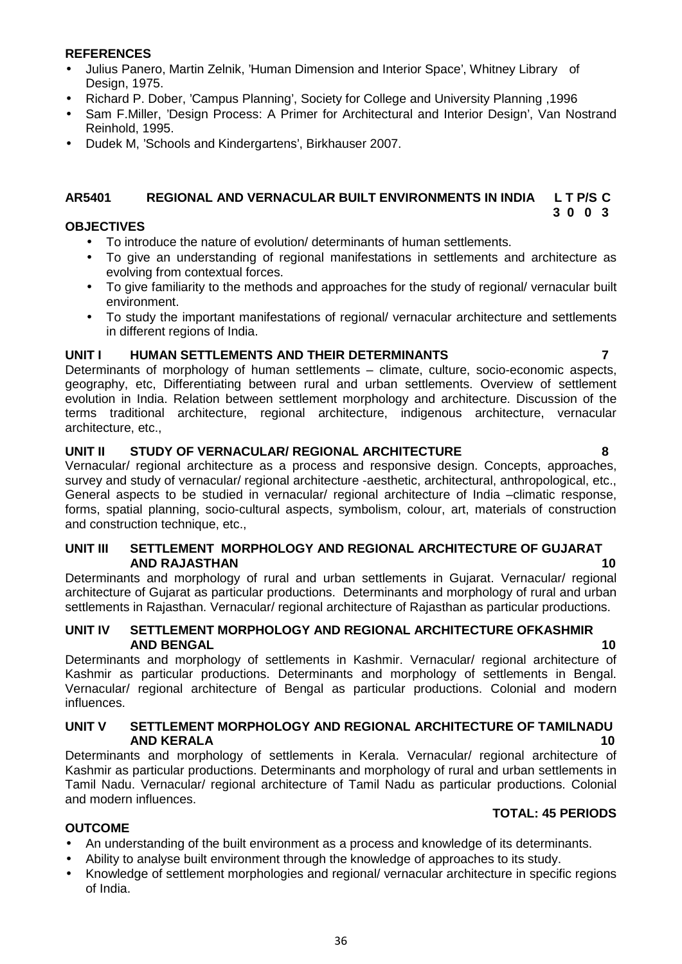#### **REFERENCES**

- Julius Panero, Martin Zelnik, 'Human Dimension and Interior Space', Whitney Library of Design, 1975.
- Richard P. Dober, 'Campus Planning', Society for College and University Planning ,1996
- Sam F.Miller, 'Design Process: A Primer for Architectural and Interior Design', Van Nostrand Reinhold, 1995.
- Dudek M, 'Schools and Kindergartens', Birkhauser 2007.

#### **AR5401 REGIONAL AND VERNACULAR BUILT ENVIRONMENTS IN INDIA L T P/S C 3 0 0 3**

#### **OBJECTIVES**

- To introduce the nature of evolution/ determinants of human settlements.
- To give an understanding of regional manifestations in settlements and architecture as evolving from contextual forces.
- To give familiarity to the methods and approaches for the study of regional/ vernacular built environment.
- To study the important manifestations of regional/ vernacular architecture and settlements in different regions of India.

#### **UNIT I HUMAN SETTLEMENTS AND THEIR DETERMINANTS 7**

Determinants of morphology of human settlements – climate, culture, socio-economic aspects, geography, etc, Differentiating between rural and urban settlements. Overview of settlement evolution in India. Relation between settlement morphology and architecture. Discussion of the terms traditional architecture, regional architecture, indigenous architecture, vernacular architecture, etc.,

#### **UNIT II STUDY OF VERNACULAR/ REGIONAL ARCHITECTURE 8**

Vernacular/ regional architecture as a process and responsive design. Concepts, approaches, survey and study of vernacular/ regional architecture -aesthetic, architectural, anthropological, etc., General aspects to be studied in vernacular/ regional architecture of India –climatic response, forms, spatial planning, socio-cultural aspects, symbolism, colour, art, materials of construction and construction technique, etc.,

#### **UNIT III SETTLEMENT MORPHOLOGY AND REGIONAL ARCHITECTURE OF GUJARAT AND RAJASTHAN 10**

Determinants and morphology of rural and urban settlements in Gujarat. Vernacular/ regional architecture of Gujarat as particular productions. Determinants and morphology of rural and urban settlements in Rajasthan. Vernacular/ regional architecture of Rajasthan as particular productions.

#### **UNIT IV SETTLEMENT MORPHOLOGY AND REGIONAL ARCHITECTURE OFKASHMIR AND BENGAL 10**

Determinants and morphology of settlements in Kashmir. Vernacular/ regional architecture of Kashmir as particular productions. Determinants and morphology of settlements in Bengal. Vernacular/ regional architecture of Bengal as particular productions. Colonial and modern influences.

#### **UNIT V SETTLEMENT MORPHOLOGY AND REGIONAL ARCHITECTURE OF TAMILNADU AND KERALA 10**

Determinants and morphology of settlements in Kerala. Vernacular/ regional architecture of Kashmir as particular productions. Determinants and morphology of rural and urban settlements in Tamil Nadu. Vernacular/ regional architecture of Tamil Nadu as particular productions. Colonial and modern influences.

#### **TOTAL: 45 PERIODS**

#### **OUTCOME**

- An understanding of the built environment as a process and knowledge of its determinants.
- Ability to analyse built environment through the knowledge of approaches to its study.
- Knowledge of settlement morphologies and regional/ vernacular architecture in specific regions of India.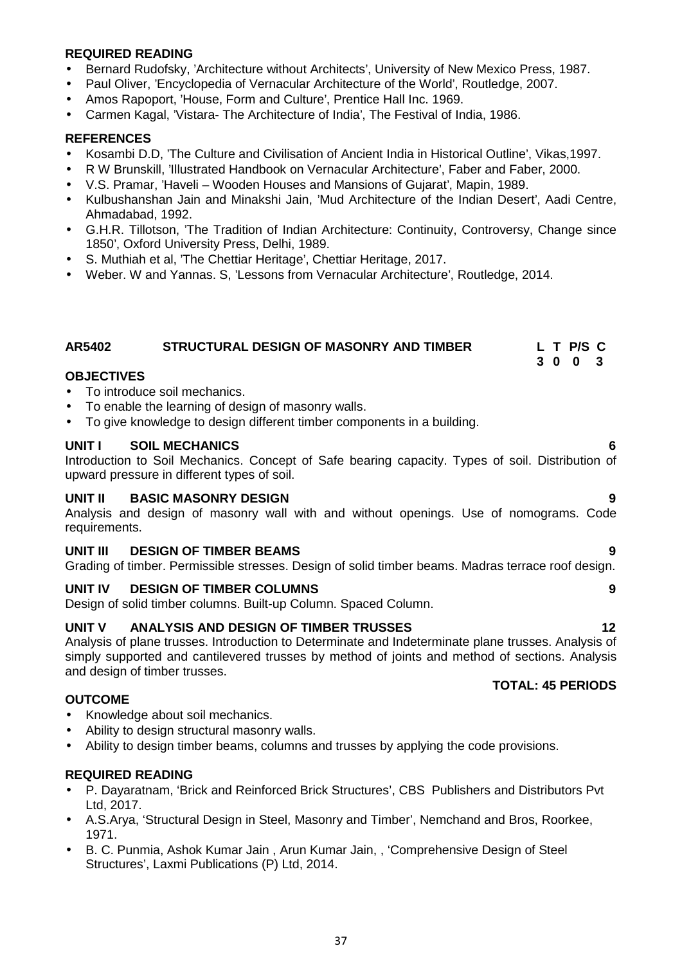## **REQUIRED READING**

- Bernard Rudofsky, 'Architecture without Architects', University of New Mexico Press, 1987.
- Paul Oliver, 'Encyclopedia of Vernacular Architecture of the World', Routledge, 2007.
- Amos Rapoport, 'House, Form and Culture', Prentice Hall Inc. 1969.
- Carmen Kagal, 'Vistara- The Architecture of India', The Festival of India, 1986.

#### **REFERENCES**

- Kosambi D.D, 'The Culture and Civilisation of Ancient India in Historical Outline', Vikas,1997.
- R W Brunskill, 'Illustrated Handbook on Vernacular Architecture', Faber and Faber, 2000.
- V.S. Pramar, 'Haveli Wooden Houses and Mansions of Gujarat', Mapin, 1989.
- Kulbushanshan Jain and Minakshi Jain, 'Mud Architecture of the Indian Desert', Aadi Centre, Ahmadabad, 1992.
- G.H.R. Tillotson, 'The Tradition of Indian Architecture: Continuity, Controversy, Change since 1850', Oxford University Press, Delhi, 1989.
- S. Muthiah et al, 'The Chettiar Heritage', Chettiar Heritage, 2017.
- Weber. W and Yannas. S, 'Lessons from Vernacular Architecture', Routledge, 2014.

## **AR5402 STRUCTURAL DESIGN OF MASONRY AND TIMBER L T P/S C**

#### **OBJECTIVES**

- To introduce soil mechanics.
- To enable the learning of design of masonry walls.
- To give knowledge to design different timber components in a building.

#### **UNIT I SOIL MECHANICS 6**

Introduction to Soil Mechanics. Concept of Safe bearing capacity. Types of soil. Distribution of upward pressure in different types of soil.

#### **UNIT II BASIC MASONRY DESIGN 9**

Analysis and design of masonry wall with and without openings. Use of nomograms. Code requirements.

#### **UNIT III DESIGN OF TIMBER BEAMS 9**

Grading of timber. Permissible stresses. Design of solid timber beams. Madras terrace roof design.

## **UNIT IV DESIGN OF TIMBER COLUMNS 9**

Design of solid timber columns. Built-up Column. Spaced Column.

## **UNIT V ANALYSIS AND DESIGN OF TIMBER TRUSSES 12**

Analysis of plane trusses. Introduction to Determinate and Indeterminate plane trusses. Analysis of simply supported and cantilevered trusses by method of joints and method of sections. Analysis and design of timber trusses.

#### **OUTCOME**

- Knowledge about soil mechanics.
- Ability to design structural masonry walls.
- Ability to design timber beams, columns and trusses by applying the code provisions.

## **REQUIRED READING**

- P. Dayaratnam, 'Brick and Reinforced Brick Structures', CBS Publishers and Distributors Pvt Ltd, 2017.
- A.S.Arya, 'Structural Design in Steel, Masonry and Timber', Nemchand and Bros, Roorkee, 1971.
- B. C. Punmia, Ashok Kumar Jain , Arun Kumar Jain, , 'Comprehensive Design of Steel Structures', Laxmi Publications (P) Ltd, 2014.

## **TOTAL: 45 PERIODS**

**3 0 0 3**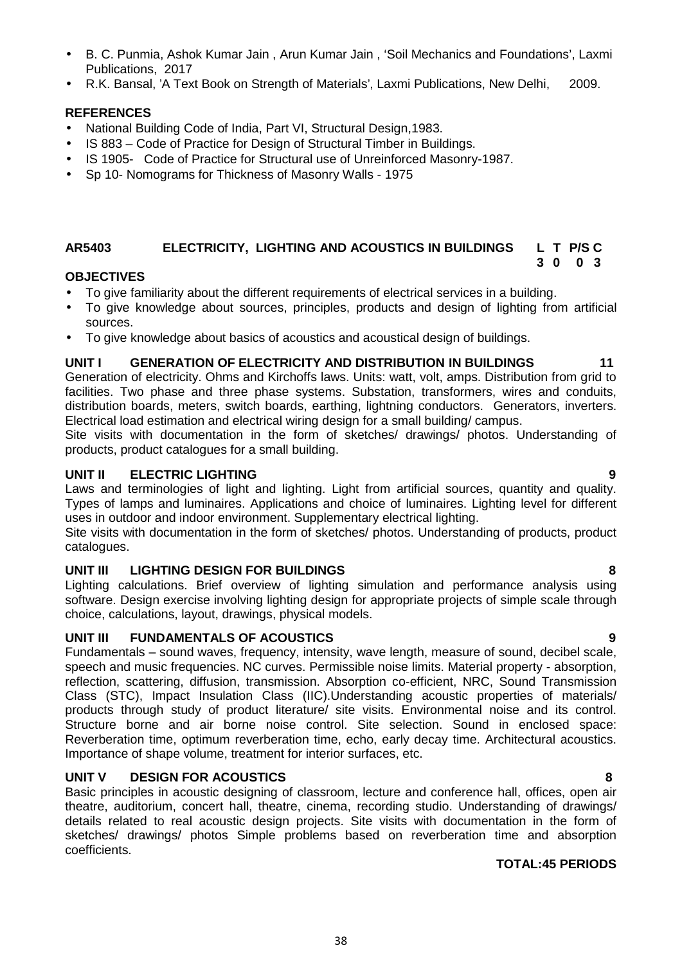38

- B. C. Punmia, Ashok Kumar Jain , Arun Kumar Jain , 'Soil Mechanics and Foundations', Laxmi Publications, 2017
- R.K. Bansal, 'A Text Book on Strength of Materials', Laxmi Publications, New Delhi, 2009.

## **REFERENCES**

- National Building Code of India, Part VI, Structural Design,1983.
- IS 883 Code of Practice for Design of Structural Timber in Buildings.
- IS 1905- Code of Practice for Structural use of Unreinforced Masonry-1987.
- Sp 10- Nomograms for Thickness of Masonry Walls 1975

#### **AR5403 ELECTRICITY, LIGHTING AND ACOUSTICS IN BUILDINGS L T P/S C 3 0 0 3**

## **OBJECTIVES**

- To give familiarity about the different requirements of electrical services in a building.
- To give knowledge about sources, principles, products and design of lighting from artificial sources.
- To give knowledge about basics of acoustics and acoustical design of buildings.

## **UNIT I GENERATION OF ELECTRICITY AND DISTRIBUTION IN BUILDINGS 11**

Generation of electricity. Ohms and Kirchoffs laws. Units: watt, volt, amps. Distribution from grid to facilities. Two phase and three phase systems. Substation, transformers, wires and conduits, distribution boards, meters, switch boards, earthing, lightning conductors. Generators, inverters. Electrical load estimation and electrical wiring design for a small building/ campus.

Site visits with documentation in the form of sketches/ drawings/ photos. Understanding of products, product catalogues for a small building.

## **UNIT II ELECTRIC LIGHTING 9**

Laws and terminologies of light and lighting. Light from artificial sources, quantity and quality. Types of lamps and luminaires. Applications and choice of luminaires. Lighting level for different uses in outdoor and indoor environment. Supplementary electrical lighting.

Site visits with documentation in the form of sketches/ photos. Understanding of products, product catalogues.

## **UNIT III LIGHTING DESIGN FOR BUILDINGS 8**

Lighting calculations. Brief overview of lighting simulation and performance analysis using software. Design exercise involving lighting design for appropriate projects of simple scale through choice, calculations, layout, drawings, physical models.

## **UNIT III FUNDAMENTALS OF ACOUSTICS 9**

Fundamentals – sound waves, frequency, intensity, wave length, measure of sound, decibel scale, speech and music frequencies. NC curves. Permissible noise limits. Material property - absorption, reflection, scattering, diffusion, transmission. Absorption co-efficient, NRC, Sound Transmission Class (STC), Impact Insulation Class (IIC).Understanding acoustic properties of materials/ products through study of product literature/ site visits. Environmental noise and its control. Structure borne and air borne noise control. Site selection. Sound in enclosed space: Reverberation time, optimum reverberation time, echo, early decay time. Architectural acoustics. Importance of shape volume, treatment for interior surfaces, etc.

## **UNIT V DESIGN FOR ACOUSTICS 8**

Basic principles in acoustic designing of classroom, lecture and conference hall, offices, open air theatre, auditorium, concert hall, theatre, cinema, recording studio. Understanding of drawings/ details related to real acoustic design projects. Site visits with documentation in the form of sketches/ drawings/ photos Simple problems based on reverberation time and absorption coefficients.

#### **TOTAL:45 PERIODS**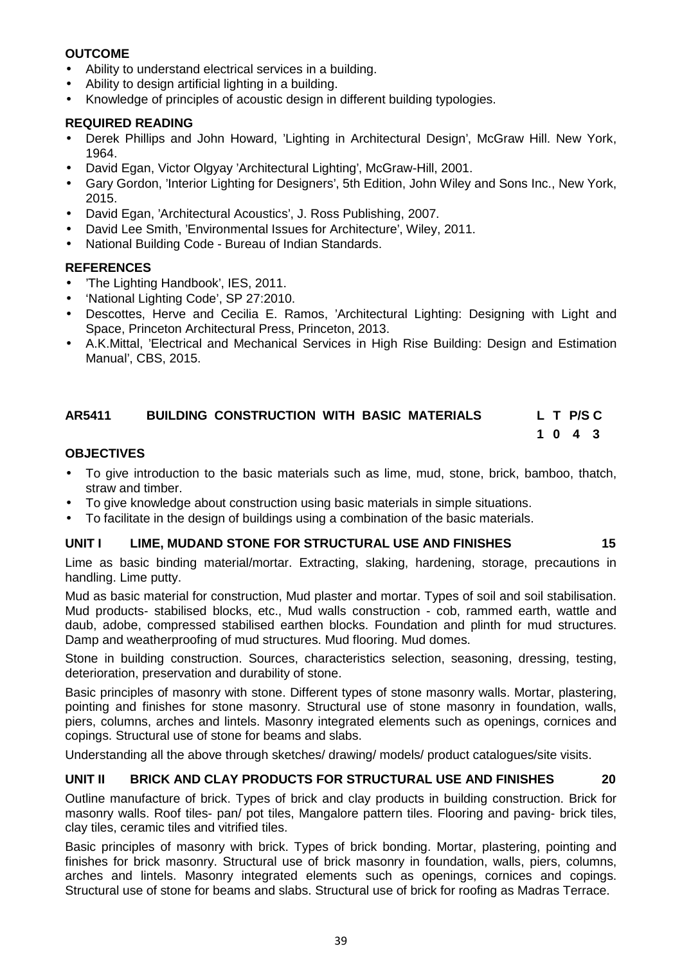## **OUTCOME**

- Ability to understand electrical services in a building.
- Ability to design artificial lighting in a building.
- Knowledge of principles of acoustic design in different building typologies.

## **REQUIRED READING**

- Derek Phillips and John Howard, 'Lighting in Architectural Design', McGraw Hill. New York, 1964.
- David Egan, Victor Olgyay 'Architectural Lighting', McGraw-Hill, 2001.
- Gary Gordon, 'Interior Lighting for Designers', 5th Edition, John Wiley and Sons Inc., New York, 2015.
- David Egan, 'Architectural Acoustics', J. Ross Publishing, 2007.
- David Lee Smith, 'Environmental Issues for Architecture', Wiley, 2011.
- National Building Code Bureau of Indian Standards.

## **REFERENCES**

- The Lighting Handbook', IES, 2011.
- 'National Lighting Code', SP 27:2010.
- Descottes, Herve and Cecilia E. Ramos, 'Architectural Lighting: Designing with Light and Space, Princeton Architectural Press, Princeton, 2013.
- A.K.Mittal, 'Electrical and Mechanical Services in High Rise Building: Design and Estimation Manual', CBS, 2015.

## **AR5411 BUILDING CONSTRUCTION WITH BASIC MATERIALS L T P/S C**

# **1 0 4 3**

## **OBJECTIVES**

- To give introduction to the basic materials such as lime, mud, stone, brick, bamboo, thatch, straw and timber.
- To give knowledge about construction using basic materials in simple situations.
- To facilitate in the design of buildings using a combination of the basic materials.

## **UNIT I LIME, MUDAND STONE FOR STRUCTURAL USE AND FINISHES 15**

Lime as basic binding material/mortar. Extracting, slaking, hardening, storage, precautions in handling. Lime putty.

Mud as basic material for construction, Mud plaster and mortar. Types of soil and soil stabilisation. Mud products- stabilised blocks, etc., Mud walls construction - cob, rammed earth, wattle and daub, adobe, compressed stabilised earthen blocks. Foundation and plinth for mud structures. Damp and weatherproofing of mud structures. Mud flooring. Mud domes.

Stone in building construction. Sources, characteristics selection, seasoning, dressing, testing, deterioration, preservation and durability of stone.

Basic principles of masonry with stone. Different types of stone masonry walls. Mortar, plastering, pointing and finishes for stone masonry. Structural use of stone masonry in foundation, walls, piers, columns, arches and lintels. Masonry integrated elements such as openings, cornices and copings. Structural use of stone for beams and slabs.

Understanding all the above through sketches/ drawing/ models/ product catalogues/site visits.

## **UNIT II BRICK AND CLAY PRODUCTS FOR STRUCTURAL USE AND FINISHES 20**

Outline manufacture of brick. Types of brick and clay products in building construction. Brick for masonry walls. Roof tiles- pan/ pot tiles, Mangalore pattern tiles. Flooring and paving- brick tiles, clay tiles, ceramic tiles and vitrified tiles.

Basic principles of masonry with brick. Types of brick bonding. Mortar, plastering, pointing and finishes for brick masonry. Structural use of brick masonry in foundation, walls, piers, columns, arches and lintels. Masonry integrated elements such as openings, cornices and copings. Structural use of stone for beams and slabs. Structural use of brick for roofing as Madras Terrace.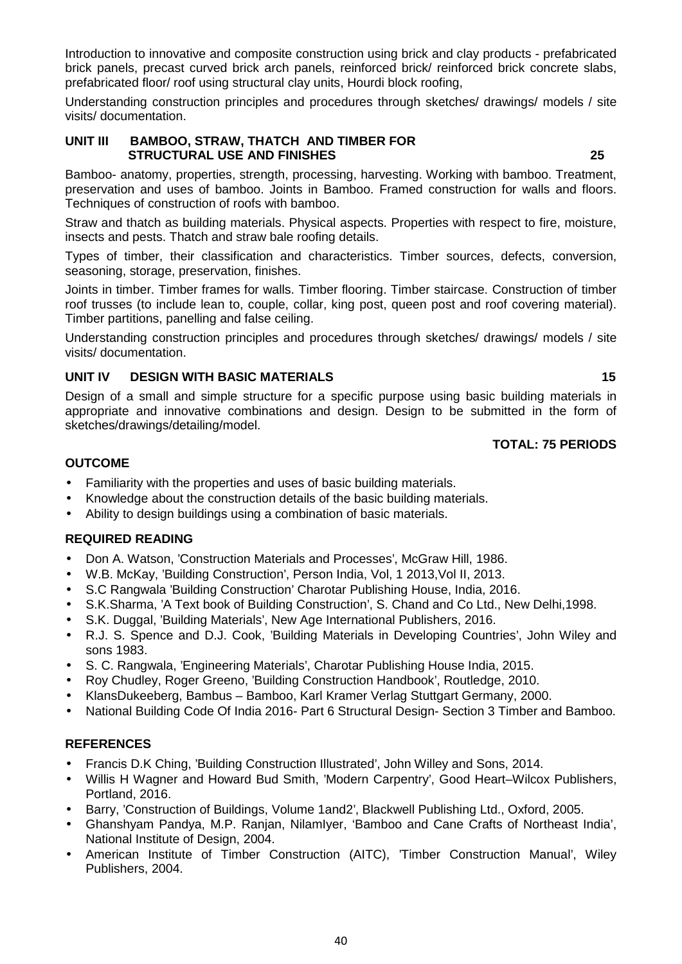Introduction to innovative and composite construction using brick and clay products - prefabricated brick panels, precast curved brick arch panels, reinforced brick/ reinforced brick concrete slabs, prefabricated floor/ roof using structural clay units, Hourdi block roofing,

Understanding construction principles and procedures through sketches/ drawings/ models / site visits/ documentation.

#### **UNIT III BAMBOO, STRAW, THATCH AND TIMBER FOR STRUCTURAL USE AND FINISHES 25**

Bamboo- anatomy, properties, strength, processing, harvesting. Working with bamboo. Treatment, preservation and uses of bamboo. Joints in Bamboo. Framed construction for walls and floors. Techniques of construction of roofs with bamboo.

Straw and thatch as building materials. Physical aspects. Properties with respect to fire, moisture, insects and pests. Thatch and straw bale roofing details.

Types of timber, their classification and characteristics. Timber sources, defects, conversion, seasoning, storage, preservation, finishes.

Joints in timber. Timber frames for walls. Timber flooring. Timber staircase. Construction of timber roof trusses (to include lean to, couple, collar, king post, queen post and roof covering material). Timber partitions, panelling and false ceiling.

Understanding construction principles and procedures through sketches/ drawings/ models / site visits/ documentation.

## **UNIT IV DESIGN WITH BASIC MATERIALS 15**

Design of a small and simple structure for a specific purpose using basic building materials in appropriate and innovative combinations and design. Design to be submitted in the form of sketches/drawings/detailing/model.

## **TOTAL: 75 PERIODS**

## **OUTCOME**

- Familiarity with the properties and uses of basic building materials.
- Knowledge about the construction details of the basic building materials.
- Ability to design buildings using a combination of basic materials.

## **REQUIRED READING**

- Don A. Watson, 'Construction Materials and Processes', McGraw Hill, 1986.
- W.B. McKay, 'Building Construction', Person India, Vol, 1 2013,Vol II, 2013.
- S.C Rangwala 'Building Construction' Charotar Publishing House, India, 2016.
- S.K.Sharma, 'A Text book of Building Construction', S. Chand and Co Ltd., New Delhi,1998.
- S.K. Duggal, 'Building Materials', New Age International Publishers, 2016.
- R.J. S. Spence and D.J. Cook, 'Building Materials in Developing Countries', John Wiley and sons 1983.
- S. C. Rangwala, 'Engineering Materials', Charotar Publishing House India, 2015.
- Roy Chudley, Roger Greeno, 'Building Construction Handbook', Routledge, 2010.
- KlansDukeeberg, Bambus Bamboo, Karl Kramer Verlag Stuttgart Germany, 2000.
- National Building Code Of India 2016- Part 6 Structural Design- Section 3 Timber and Bamboo.

## **REFERENCES**

- Francis D.K Ching, 'Building Construction Illustrated', John Willey and Sons, 2014.
- Willis H Wagner and Howard Bud Smith, 'Modern Carpentry', Good Heart–Wilcox Publishers, Portland, 2016.
- Barry, 'Construction of Buildings, Volume 1and2', Blackwell Publishing Ltd., Oxford, 2005.
- Ghanshyam Pandya, M.P. Ranjan, NilamIyer, 'Bamboo and Cane Crafts of Northeast India', National Institute of Design, 2004.
- American Institute of Timber Construction (AITC), 'Timber Construction Manual', Wiley Publishers, 2004.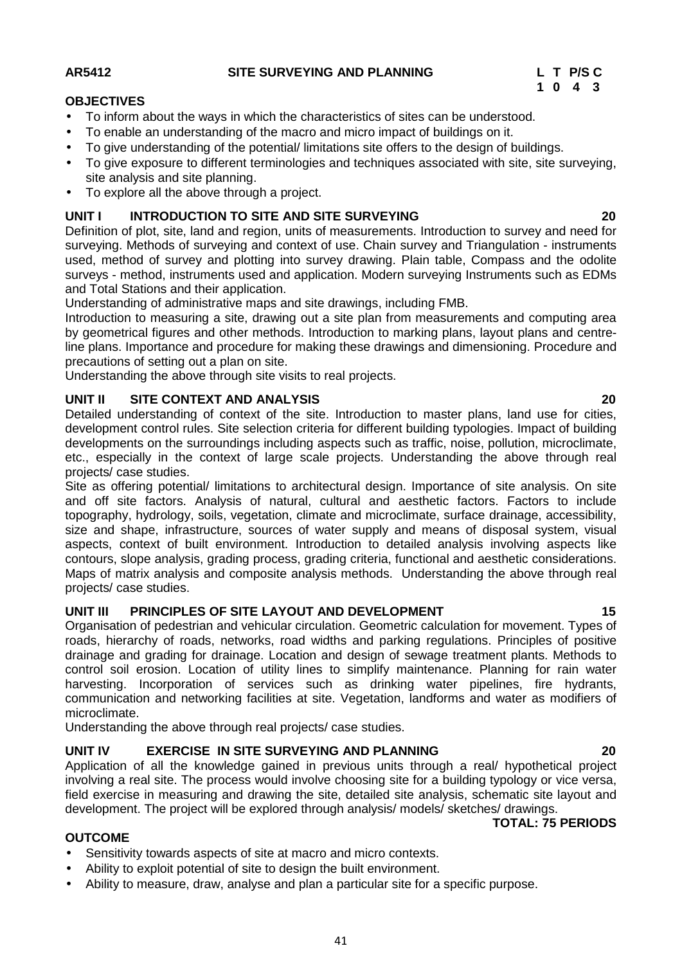## **AR5412 SITE SURVEYING AND PLANNING L T P/S C**

## **OBJECTIVES**

- To inform about the ways in which the characteristics of sites can be understood.
- To enable an understanding of the macro and micro impact of buildings on it.
- To give understanding of the potential/ limitations site offers to the design of buildings.
- To give exposure to different terminologies and techniques associated with site, site surveying, site analysis and site planning.
- To explore all the above through a project.

## **UNIT I INTRODUCTION TO SITE AND SITE SURVEYING 20**

Definition of plot, site, land and region, units of measurements. Introduction to survey and need for surveying. Methods of surveying and context of use. Chain survey and Triangulation - instruments used, method of survey and plotting into survey drawing. Plain table, Compass and the odolite surveys - method, instruments used and application. Modern surveying Instruments such as EDMs and Total Stations and their application.

Understanding of administrative maps and site drawings, including FMB.

Introduction to measuring a site, drawing out a site plan from measurements and computing area by geometrical figures and other methods. Introduction to marking plans, layout plans and centreline plans. Importance and procedure for making these drawings and dimensioning. Procedure and precautions of setting out a plan on site.

Understanding the above through site visits to real projects.

## **UNIT II SITE CONTEXT AND ANALYSIS 20**

Detailed understanding of context of the site. Introduction to master plans, land use for cities, development control rules. Site selection criteria for different building typologies. Impact of building developments on the surroundings including aspects such as traffic, noise, pollution, microclimate, etc., especially in the context of large scale projects. Understanding the above through real projects/ case studies.

Site as offering potential/ limitations to architectural design. Importance of site analysis. On site and off site factors. Analysis of natural, cultural and aesthetic factors. Factors to include topography, hydrology, soils, vegetation, climate and microclimate, surface drainage, accessibility, size and shape, infrastructure, sources of water supply and means of disposal system, visual aspects, context of built environment. Introduction to detailed analysis involving aspects like contours, slope analysis, grading process, grading criteria, functional and aesthetic considerations. Maps of matrix analysis and composite analysis methods. Understanding the above through real projects/ case studies.

## **UNIT III PRINCIPLES OF SITE LAYOUT AND DEVELOPMENT 15**

Organisation of pedestrian and vehicular circulation. Geometric calculation for movement. Types of roads, hierarchy of roads, networks, road widths and parking regulations. Principles of positive drainage and grading for drainage. Location and design of sewage treatment plants. Methods to control soil erosion. Location of utility lines to simplify maintenance. Planning for rain water harvesting. Incorporation of services such as drinking water pipelines, fire hydrants, communication and networking facilities at site. Vegetation, landforms and water as modifiers of microclimate.

Understanding the above through real projects/ case studies.

## **UNIT IV EXERCISE IN SITE SURVEYING AND PLANNING 20**

Application of all the knowledge gained in previous units through a real/ hypothetical project involving a real site. The process would involve choosing site for a building typology or vice versa, field exercise in measuring and drawing the site, detailed site analysis, schematic site layout and development. The project will be explored through analysis/ models/ sketches/ drawings.

**TOTAL: 75 PERIODS**

## **OUTCOME**

- Sensitivity towards aspects of site at macro and micro contexts.
- Ability to exploit potential of site to design the built environment.
- Ability to measure, draw, analyse and plan a particular site for a specific purpose.

**1 0 4 3**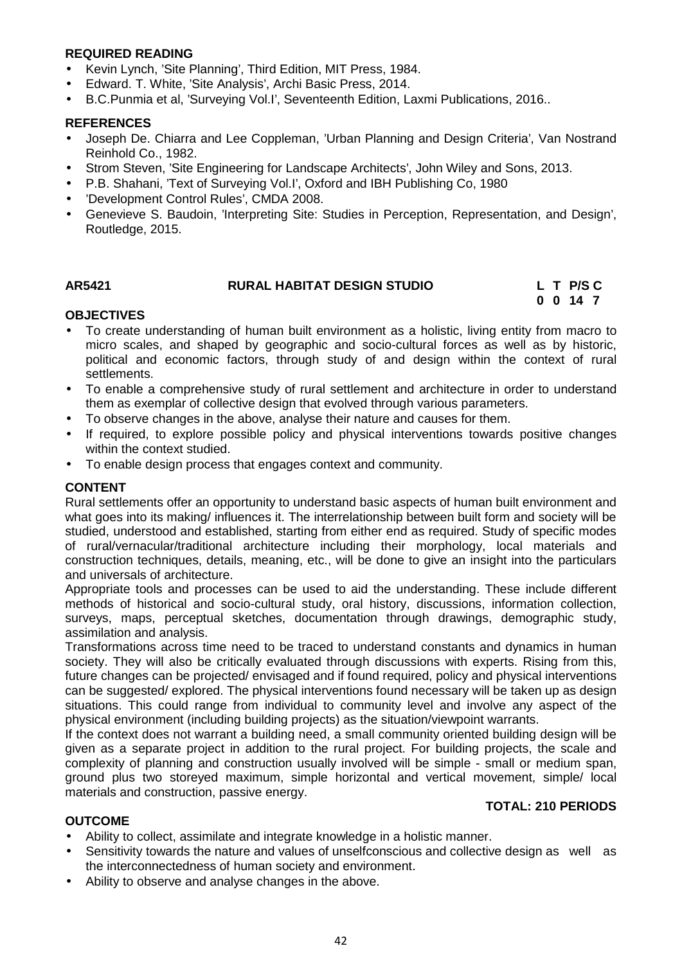## **REQUIRED READING**

- Kevin Lynch, 'Site Planning', Third Edition, MIT Press, 1984.
- Edward. T. White, 'Site Analysis', Archi Basic Press, 2014.
- B.C.Punmia et al, 'Surveying Vol.I', Seventeenth Edition, Laxmi Publications, 2016..

#### **REFERENCES**

- Joseph De. Chiarra and Lee Coppleman, 'Urban Planning and Design Criteria', Van Nostrand Reinhold Co., 1982.
- Strom Steven, 'Site Engineering for Landscape Architects', John Wiley and Sons, 2013.
- P.B. Shahani, 'Text of Surveying Vol.I', Oxford and IBH Publishing Co, 1980
- 'Development Control Rules', CMDA 2008.
- Genevieve S. Baudoin, 'Interpreting Site: Studies in Perception, Representation, and Design', Routledge, 2015.

## **AR5421 RURAL HABITAT DESIGN STUDIO L T P/S C**

**0 0 14 7**

**TOTAL: 210 PERIODS**

## **OBJECTIVES**

- To create understanding of human built environment as a holistic, living entity from macro to micro scales, and shaped by geographic and socio-cultural forces as well as by historic, political and economic factors, through study of and design within the context of rural settlements.
- To enable a comprehensive study of rural settlement and architecture in order to understand them as exemplar of collective design that evolved through various parameters.
- To observe changes in the above, analyse their nature and causes for them.
- If required, to explore possible policy and physical interventions towards positive changes within the context studied.
- To enable design process that engages context and community.

## **CONTENT**

Rural settlements offer an opportunity to understand basic aspects of human built environment and what goes into its making/ influences it. The interrelationship between built form and society will be studied, understood and established, starting from either end as required. Study of specific modes of rural/vernacular/traditional architecture including their morphology, local materials and construction techniques, details, meaning, etc., will be done to give an insight into the particulars and universals of architecture.

Appropriate tools and processes can be used to aid the understanding. These include different methods of historical and socio-cultural study, oral history, discussions, information collection, surveys, maps, perceptual sketches, documentation through drawings, demographic study, assimilation and analysis.

Transformations across time need to be traced to understand constants and dynamics in human society. They will also be critically evaluated through discussions with experts. Rising from this, future changes can be projected/ envisaged and if found required, policy and physical interventions can be suggested/ explored. The physical interventions found necessary will be taken up as design situations. This could range from individual to community level and involve any aspect of the physical environment (including building projects) as the situation/viewpoint warrants.

If the context does not warrant a building need, a small community oriented building design will be given as a separate project in addition to the rural project. For building projects, the scale and complexity of planning and construction usually involved will be simple - small or medium span, ground plus two storeyed maximum, simple horizontal and vertical movement, simple/ local materials and construction, passive energy.

#### **OUTCOME**

- Ability to collect, assimilate and integrate knowledge in a holistic manner.
- Sensitivity towards the nature and values of unselfconscious and collective design as well as the interconnectedness of human society and environment.
- Ability to observe and analyse changes in the above.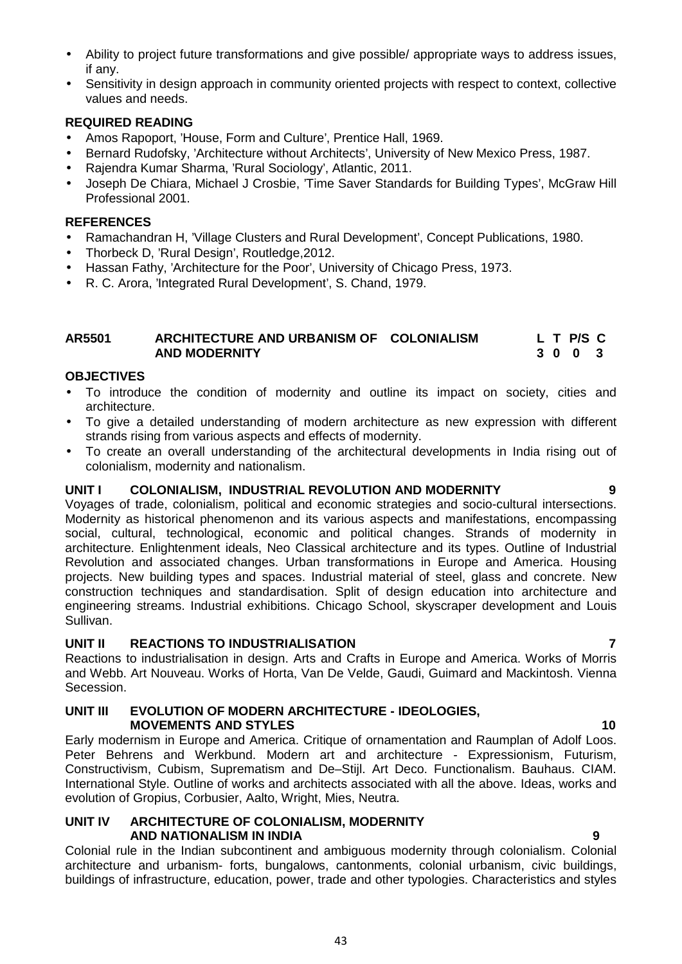- Ability to project future transformations and give possible/ appropriate ways to address issues, if any.
- Sensitivity in design approach in community oriented projects with respect to context, collective values and needs.

## **REQUIRED READING**

- Amos Rapoport, 'House, Form and Culture', Prentice Hall, 1969.
- Bernard Rudofsky, 'Architecture without Architects', University of New Mexico Press, 1987.
- Rajendra Kumar Sharma, 'Rural Sociology', Atlantic, 2011.
- Joseph De Chiara, Michael J Crosbie, 'Time Saver Standards for Building Types', McGraw Hill Professional 2001.

## **REFERENCES**

- Ramachandran H, 'Village Clusters and Rural Development', Concept Publications, 1980.
- Thorbeck D, 'Rural Design', Routledge, 2012.
- Hassan Fathy, 'Architecture for the Poor', University of Chicago Press, 1973.
- R. C. Arora, 'Integrated Rural Development', S. Chand, 1979.

#### **AR5501 ARCHITECTURE AND URBANISM OF COLONIALISM L T P/S C AND MODERNITY 3 0 0 3**

## **OBJECTIVES**

- To introduce the condition of modernity and outline its impact on society, cities and architecture.
- To give a detailed understanding of modern architecture as new expression with different strands rising from various aspects and effects of modernity.
- To create an overall understanding of the architectural developments in India rising out of colonialism, modernity and nationalism.

## **UNIT I COLONIALISM, INDUSTRIAL REVOLUTION AND MODERNITY 9**

Voyages of trade, colonialism, political and economic strategies and socio-cultural intersections. Modernity as historical phenomenon and its various aspects and manifestations, encompassing social, cultural, technological, economic and political changes. Strands of modernity in architecture. Enlightenment ideals, Neo Classical architecture and its types. Outline of Industrial Revolution and associated changes. Urban transformations in Europe and America. Housing projects. New building types and spaces. Industrial material of steel, glass and concrete. New construction techniques and standardisation. Split of design education into architecture and engineering streams. Industrial exhibitions. Chicago School, skyscraper development and Louis Sullivan.

## **UNIT II REACTIONS TO INDUSTRIALISATION 7**

Reactions to industrialisation in design. Arts and Crafts in Europe and America. Works of Morris and Webb. Art Nouveau. Works of Horta, Van De Velde, Gaudi, Guimard and Mackintosh. Vienna Secession.

#### **UNIT III EVOLUTION OF MODERN ARCHITECTURE - IDEOLOGIES, MOVEMENTS AND STYLES 10**

Early modernism in Europe and America. Critique of ornamentation and Raumplan of Adolf Loos. Peter Behrens and Werkbund. Modern art and architecture - Expressionism, Futurism, Constructivism, Cubism, Suprematism and De–Stijl. Art Deco. Functionalism. Bauhaus. CIAM. International Style. Outline of works and architects associated with all the above. Ideas, works and evolution of Gropius, Corbusier, Aalto, Wright, Mies, Neutra.

#### **UNIT IV ARCHITECTURE OF COLONIALISM, MODERNITY AND NATIONALISM IN INDIA 9**

Colonial rule in the Indian subcontinent and ambiguous modernity through colonialism. Colonial architecture and urbanism- forts, bungalows, cantonments, colonial urbanism, civic buildings, buildings of infrastructure, education, power, trade and other typologies. Characteristics and styles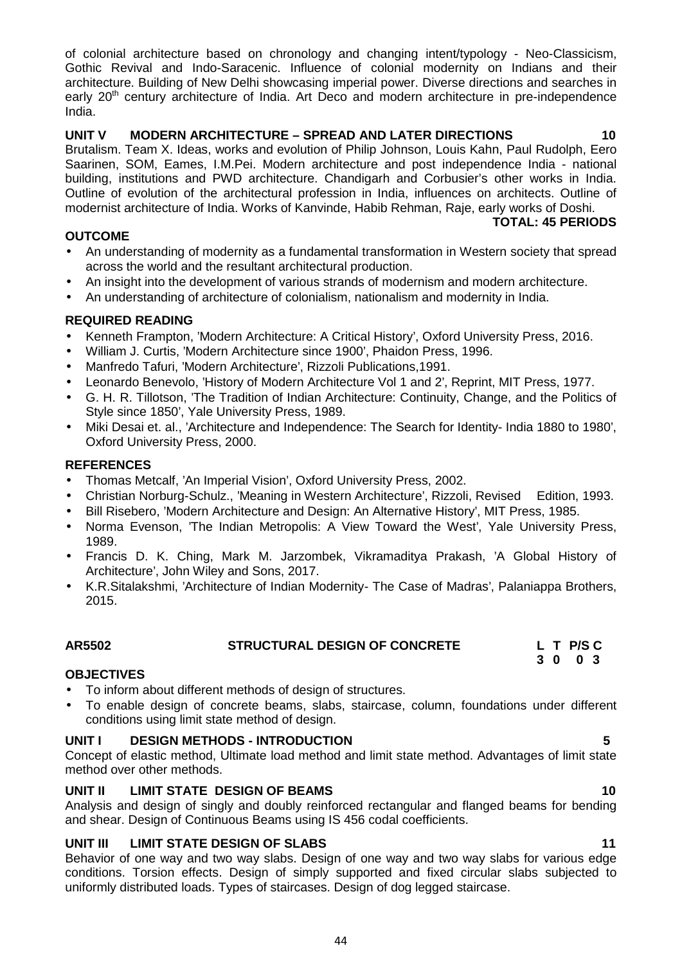of colonial architecture based on chronology and changing intent/typology - Neo-Classicism, Gothic Revival and Indo-Saracenic. Influence of colonial modernity on Indians and their architecture. Building of New Delhi showcasing imperial power. Diverse directions and searches in early 20<sup>th</sup> century architecture of India. Art Deco and modern architecture in pre-independence India.

## **UNIT V MODERN ARCHITECTURE – SPREAD AND LATER DIRECTIONS 10**

Brutalism. Team X. Ideas, works and evolution of Philip Johnson, Louis Kahn, Paul Rudolph, Eero Saarinen, SOM, Eames, I.M.Pei. Modern architecture and post independence India - national building, institutions and PWD architecture. Chandigarh and Corbusier's other works in India. Outline of evolution of the architectural profession in India, influences on architects. Outline of modernist architecture of India. Works of Kanvinde, Habib Rehman, Raje, early works of Doshi.

## **OUTCOME**

- An understanding of modernity as a fundamental transformation in Western society that spread across the world and the resultant architectural production.
- An insight into the development of various strands of modernism and modern architecture.
- An understanding of architecture of colonialism, nationalism and modernity in India.

## **REQUIRED READING**

- Kenneth Frampton, 'Modern Architecture: A Critical History', Oxford University Press, 2016.
- William J. Curtis, 'Modern Architecture since 1900', Phaidon Press, 1996.<br>• Manfredo Tafuri. 'Modern Architecture'. Rizzoli Publications 1991.
- Manfredo Tafuri, 'Modern Architecture', Rizzoli Publications,1991.
- Leonardo Benevolo, 'History of Modern Architecture Vol 1 and 2', Reprint, MIT Press, 1977.
- G. H. R. Tillotson, 'The Tradition of Indian Architecture: Continuity, Change, and the Politics of Style since 1850', Yale University Press, 1989.
- Miki Desai et. al., 'Architecture and Independence: The Search for Identity- India 1880 to 1980', Oxford University Press, 2000.

## **REFERENCES**

- Thomas Metcalf, 'An Imperial Vision', Oxford University Press, 2002.
- Christian Norburg-Schulz., 'Meaning in Western Architecture', Rizzoli, Revised Edition, 1993.
- Bill Risebero, 'Modern Architecture and Design: An Alternative History', MIT Press, 1985.
- Norma Evenson, 'The Indian Metropolis: A View Toward the West', Yale University Press, 1989.
- Francis D. K. Ching, Mark M. Jarzombek, Vikramaditya Prakash, 'A Global History of Architecture', John Wiley and Sons, 2017.
- K.R.Sitalakshmi, 'Architecture of Indian Modernity- The Case of Madras', Palaniappa Brothers, 2015.

**AR5502 STRUCTURAL DESIGN OF CONCRETE L T P/S C**

- **OBJECTIVES**
- To inform about different methods of design of structures.
- To enable design of concrete beams, slabs, staircase, column, foundations under different conditions using limit state method of design.

## **UNIT I DESIGN METHODS - INTRODUCTION 5**

Concept of elastic method, Ultimate load method and limit state method. Advantages of limit state method over other methods.

## **UNIT II LIMIT STATE DESIGN OF BEAMS 10**

Analysis and design of singly and doubly reinforced rectangular and flanged beams for bending and shear. Design of Continuous Beams using IS 456 codal coefficients.

## **UNIT III LIMIT STATE DESIGN OF SLABS 11**

Behavior of one way and two way slabs. Design of one way and two way slabs for various edge conditions. Torsion effects. Design of simply supported and fixed circular slabs subjected to uniformly distributed loads. Types of staircases. Design of dog legged staircase.

44

**3 0 0 3**

**TOTAL: 45 PERIODS**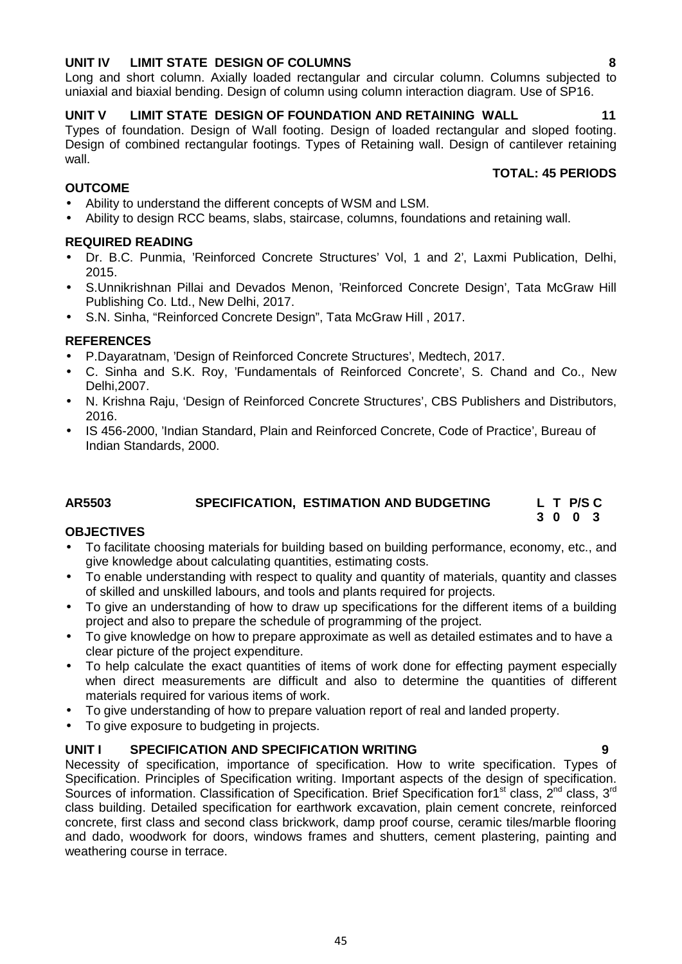## **UNIT IV LIMIT STATE DESIGN OF COLUMNS 8**

Long and short column. Axially loaded rectangular and circular column. Columns subjected to uniaxial and biaxial bending. Design of column using column interaction diagram. Use of SP16.

## **UNIT V LIMIT STATE DESIGN OF FOUNDATION AND RETAINING WALL 11**

Types of foundation. Design of Wall footing. Design of loaded rectangular and sloped footing. Design of combined rectangular footings. Types of Retaining wall. Design of cantilever retaining wall

## **OUTCOME**

- Ability to understand the different concepts of WSM and LSM.
- Ability to design RCC beams, slabs, staircase, columns, foundations and retaining wall.

## **REQUIRED READING**

- Dr. B.C. Punmia, 'Reinforced Concrete Structures' Vol, 1 and 2', Laxmi Publication, Delhi, 2015.
- S.Unnikrishnan Pillai and Devados Menon, 'Reinforced Concrete Design', Tata McGraw Hill Publishing Co. Ltd., New Delhi, 2017.
- S.N. Sinha, "Reinforced Concrete Design", Tata McGraw Hill , 2017.

## **REFERENCES**

- P.Dayaratnam, 'Design of Reinforced Concrete Structures', Medtech, 2017.
- C. Sinha and S.K. Roy, 'Fundamentals of Reinforced Concrete', S. Chand and Co., New Delhi,2007.
- N. Krishna Raju, 'Design of Reinforced Concrete Structures', CBS Publishers and Distributors, 2016.
- IS 456-2000, 'Indian Standard, Plain and Reinforced Concrete, Code of Practice', Bureau of Indian Standards, 2000.

## **AR5503 SPECIFICATION, ESTIMATION AND BUDGETING L T P/S C**

## **OBJECTIVES**

- To facilitate choosing materials for building based on building performance, economy, etc., and give knowledge about calculating quantities, estimating costs.
- To enable understanding with respect to quality and quantity of materials, quantity and classes of skilled and unskilled labours, and tools and plants required for projects.
- To give an understanding of how to draw up specifications for the different items of a building project and also to prepare the schedule of programming of the project.
- To give knowledge on how to prepare approximate as well as detailed estimates and to have a clear picture of the project expenditure.
- To help calculate the exact quantities of items of work done for effecting payment especially when direct measurements are difficult and also to determine the quantities of different materials required for various items of work.
- To give understanding of how to prepare valuation report of real and landed property.
- To give exposure to budgeting in projects.

## **UNIT I SPECIFICATION AND SPECIFICATION WRITING 9**

Necessity of specification, importance of specification. How to write specification. Types of Specification. Principles of Specification writing. Important aspects of the design of specification. Sources of information. Classification of Specification. Brief Specification for1<sup>st</sup> class, 2<sup>nd</sup> class, 3<sup>rd</sup> class building. Detailed specification for earthwork excavation, plain cement concrete, reinforced concrete, first class and second class brickwork, damp proof course, ceramic tiles/marble flooring and dado, woodwork for doors, windows frames and shutters, cement plastering, painting and weathering course in terrace.

## **TOTAL: 45 PERIODS**

**3 0 0 3**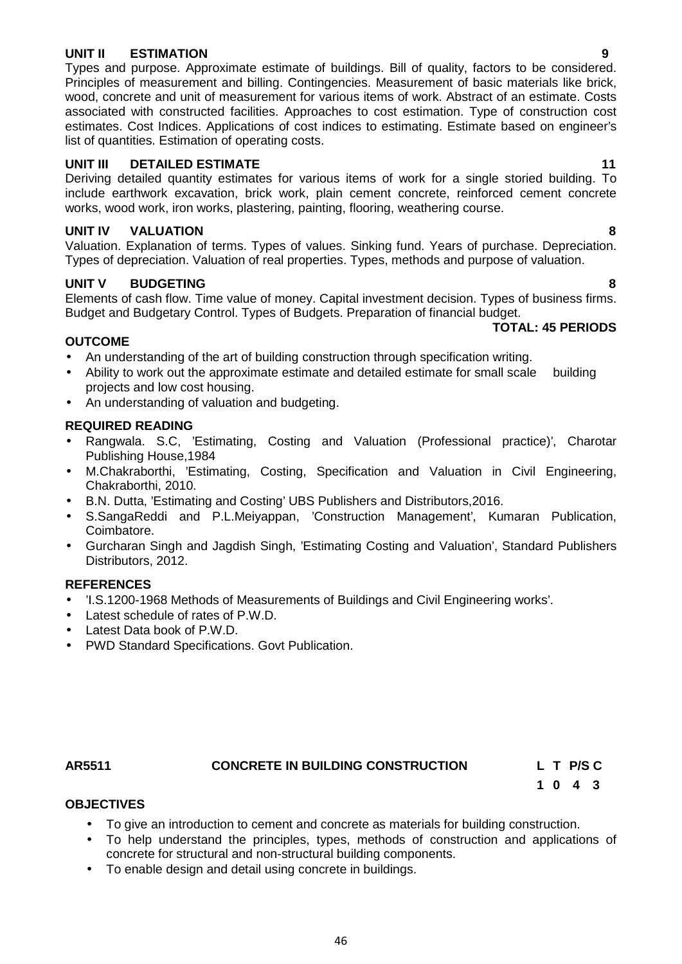#### **UNIT II ESTIMATION 9**

Types and purpose. Approximate estimate of buildings. Bill of quality, factors to be considered. Principles of measurement and billing. Contingencies. Measurement of basic materials like brick, wood, concrete and unit of measurement for various items of work. Abstract of an estimate. Costs associated with constructed facilities. Approaches to cost estimation. Type of construction cost estimates. Cost Indices. Applications of cost indices to estimating. Estimate based on engineer's list of quantities. Estimation of operating costs.

#### **UNIT III DETAILED ESTIMATE 11**

Deriving detailed quantity estimates for various items of work for a single storied building. To include earthwork excavation, brick work, plain cement concrete, reinforced cement concrete works, wood work, iron works, plastering, painting, flooring, weathering course.

## **UNIT IV VALUATION 8**

Valuation. Explanation of terms. Types of values. Sinking fund. Years of purchase. Depreciation. Types of depreciation. Valuation of real properties. Types, methods and purpose of valuation.

## **UNIT V BUDGETING 8**

Elements of cash flow. Time value of money. Capital investment decision. Types of business firms. Budget and Budgetary Control. Types of Budgets. Preparation of financial budget.

#### **OUTCOME**

- An understanding of the art of building construction through specification writing.
- Ability to work out the approximate estimate and detailed estimate for small scale building projects and low cost housing.
- An understanding of valuation and budgeting.

#### **REQUIRED READING**

- Rangwala. S.C, 'Estimating, Costing and Valuation (Professional practice)', Charotar Publishing House,1984
- M.Chakraborthi, 'Estimating, Costing, Specification and Valuation in Civil Engineering, Chakraborthi, 2010.
- B.N. Dutta, 'Estimating and Costing' UBS Publishers and Distributors,2016.
- S.SangaReddi and P.L.Meiyappan, 'Construction Management', Kumaran Publication, Coimbatore.
- Gurcharan Singh and Jagdish Singh, 'Estimating Costing and Valuation', Standard Publishers Distributors, 2012.

#### **REFERENCES**

- 'I.S.1200-1968 Methods of Measurements of Buildings and Civil Engineering works'.
- Latest schedule of rates of P.W.D.
- Latest Data book of P.W.D.
- PWD Standard Specifications. Govt Publication.

## **AR5511 CONCRETE IN BUILDING CONSTRUCTION L T P/S C**

**1 0 4 3**

## **OBJECTIVES**

- To give an introduction to cement and concrete as materials for building construction.
- To help understand the principles, types, methods of construction and applications of concrete for structural and non-structural building components.
- To enable design and detail using concrete in buildings.

**TOTAL: 45 PERIODS**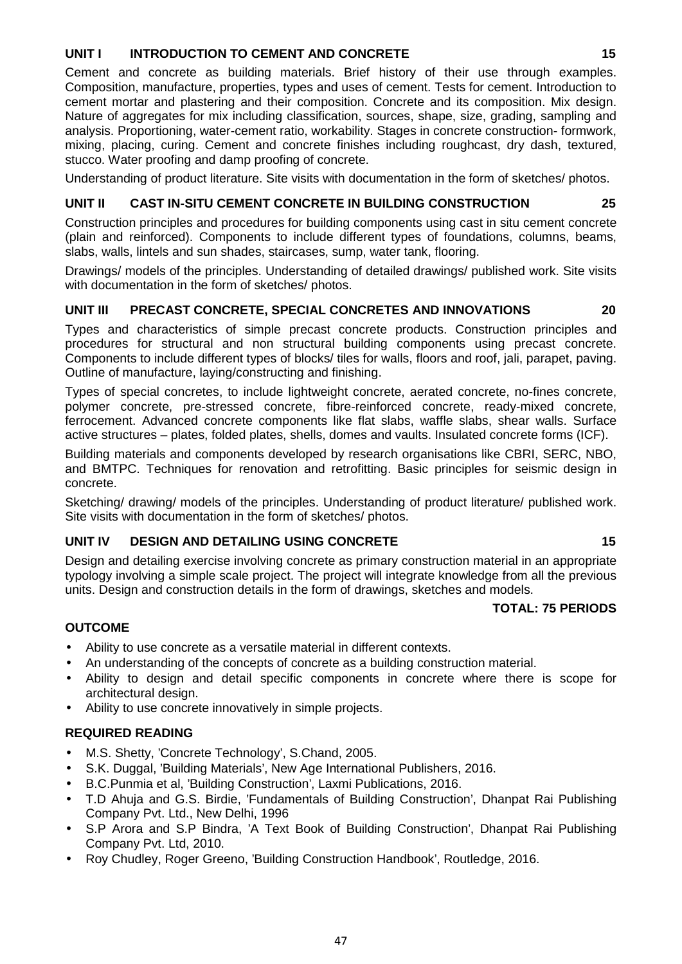## **UNIT I INTRODUCTION TO CEMENT AND CONCRETE 15**

Cement and concrete as building materials. Brief history of their use through examples. Composition, manufacture, properties, types and uses of cement. Tests for cement. Introduction to cement mortar and plastering and their composition. Concrete and its composition. Mix design. Nature of aggregates for mix including classification, sources, shape, size, grading, sampling and analysis. Proportioning, water-cement ratio, workability. Stages in concrete construction- formwork, mixing, placing, curing. Cement and concrete finishes including roughcast, dry dash, textured, stucco. Water proofing and damp proofing of concrete.

Understanding of product literature. Site visits with documentation in the form of sketches/ photos.

## **UNIT II CAST IN-SITU CEMENT CONCRETE IN BUILDING CONSTRUCTION 25**

Construction principles and procedures for building components using cast in situ cement concrete (plain and reinforced). Components to include different types of foundations, columns, beams, slabs, walls, lintels and sun shades, staircases, sump, water tank, flooring.

Drawings/ models of the principles. Understanding of detailed drawings/ published work. Site visits with documentation in the form of sketches/ photos.

## **UNIT III PRECAST CONCRETE, SPECIAL CONCRETES AND INNOVATIONS 20**

Types and characteristics of simple precast concrete products. Construction principles and procedures for structural and non structural building components using precast concrete. Components to include different types of blocks/ tiles for walls, floors and roof, jali, parapet, paving. Outline of manufacture, laying/constructing and finishing.

Types of special concretes, to include lightweight concrete, aerated concrete, no-fines concrete, polymer concrete, pre-stressed concrete, fibre-reinforced concrete, ready-mixed concrete, ferrocement. Advanced concrete components like flat slabs, waffle slabs, shear walls. Surface active structures – plates, folded plates, shells, domes and vaults. Insulated concrete forms (ICF).

Building materials and components developed by research organisations like CBRI, SERC, NBO, and BMTPC. Techniques for renovation and retrofitting. Basic principles for seismic design in concrete.

Sketching/ drawing/ models of the principles. Understanding of product literature/ published work. Site visits with documentation in the form of sketches/ photos.

## **UNIT IV DESIGN AND DETAILING USING CONCRETE 15**

Design and detailing exercise involving concrete as primary construction material in an appropriate typology involving a simple scale project. The project will integrate knowledge from all the previous units. Design and construction details in the form of drawings, sketches and models.

## **TOTAL: 75 PERIODS**

## **OUTCOME**

- Ability to use concrete as a versatile material in different contexts.
- An understanding of the concepts of concrete as a building construction material.
- Ability to design and detail specific components in concrete where there is scope for architectural design.
- Ability to use concrete innovatively in simple projects.

## **REQUIRED READING**

- M.S. Shetty, 'Concrete Technology', S.Chand, 2005.
- S.K. Duggal, 'Building Materials', New Age International Publishers, 2016.
- B.C.Punmia et al, 'Building Construction', Laxmi Publications, 2016.
- T.D Ahuja and G.S. Birdie, 'Fundamentals of Building Construction', Dhanpat Rai Publishing Company Pvt. Ltd., New Delhi, 1996
- S.P Arora and S.P Bindra, 'A Text Book of Building Construction', Dhanpat Rai Publishing Company Pvt. Ltd, 2010.
- Roy Chudley, Roger Greeno, 'Building Construction Handbook', Routledge, 2016.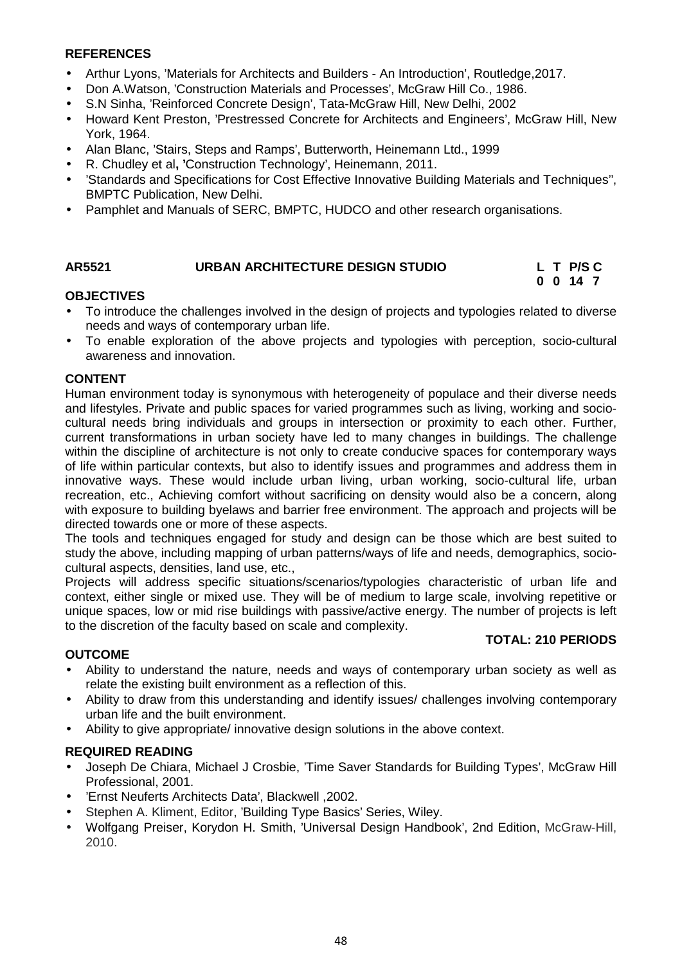## **REFERENCES**

- Arthur Lyons, 'Materials for Architects and Builders An Introduction', Routledge,2017.
- Don A.Watson, 'Construction Materials and Processes', McGraw Hill Co., 1986.
- S.N Sinha, 'Reinforced Concrete Design', Tata-McGraw Hill, New Delhi, 2002
- Howard Kent Preston, 'Prestressed Concrete for Architects and Engineers', McGraw Hill, New York, 1964.
- Alan Blanc, 'Stairs, Steps and Ramps', Butterworth, Heinemann Ltd., 1999
- R. Chudley et al**, '**Construction Technology', Heinemann, 2011.
- 'Standards and Specifications for Cost Effective Innovative Building Materials and Techniques'', BMPTC Publication, New Delhi.
- Pamphlet and Manuals of SERC, BMPTC, HUDCO and other research organisations.

## **AR5521 URBAN ARCHITECTURE DESIGN STUDIO L T P/S C**

## **OBJECTIVES**

- To introduce the challenges involved in the design of projects and typologies related to diverse needs and ways of contemporary urban life.
- To enable exploration of the above projects and typologies with perception, socio-cultural awareness and innovation.

## **CONTENT**

Human environment today is synonymous with heterogeneity of populace and their diverse needs and lifestyles. Private and public spaces for varied programmes such as living, working and socio cultural needs bring individuals and groups in intersection or proximity to each other. Further, current transformations in urban society have led to many changes in buildings. The challenge within the discipline of architecture is not only to create conducive spaces for contemporary ways of life within particular contexts, but also to identify issues and programmes and address them in innovative ways. These would include urban living, urban working, socio-cultural life, urban recreation, etc., Achieving comfort without sacrificing on density would also be a concern, along with exposure to building byelaws and barrier free environment. The approach and projects will be directed towards one or more of these aspects.

The tools and techniques engaged for study and design can be those which are best suited to study the above, including mapping of urban patterns/ways of life and needs, demographics, socio cultural aspects, densities, land use, etc.,

Projects will address specific situations/scenarios/typologies characteristic of urban life and context, either single or mixed use. They will be of medium to large scale, involving repetitive or unique spaces, low or mid rise buildings with passive/active energy. The number of projects is left to the discretion of the faculty based on scale and complexity.

## **OUTCOME**

## **TOTAL: 210 PERIODS**

**0 0 14 7**

- Ability to understand the nature, needs and ways of contemporary urban society as well as relate the existing built environment as a reflection of this.
- Ability to draw from this understanding and identify issues/ challenges involving contemporary urban life and the built environment.
- Ability to give appropriate/ innovative design solutions in the above context.

## **REQUIRED READING**

- Joseph De Chiara, Michael J Crosbie, 'Time Saver Standards for Building Types', McGraw Hill Professional, 2001.
- 'Ernst Neuferts Architects Data', Blackwell ,2002.
- Stephen A. Kliment, Editor, 'Building Type Basics' Series, Wiley.
- Wolfgang Preiser, Korydon H. Smith, 'Universal Design Handbook', 2nd Edition, McGraw-Hill, 2010.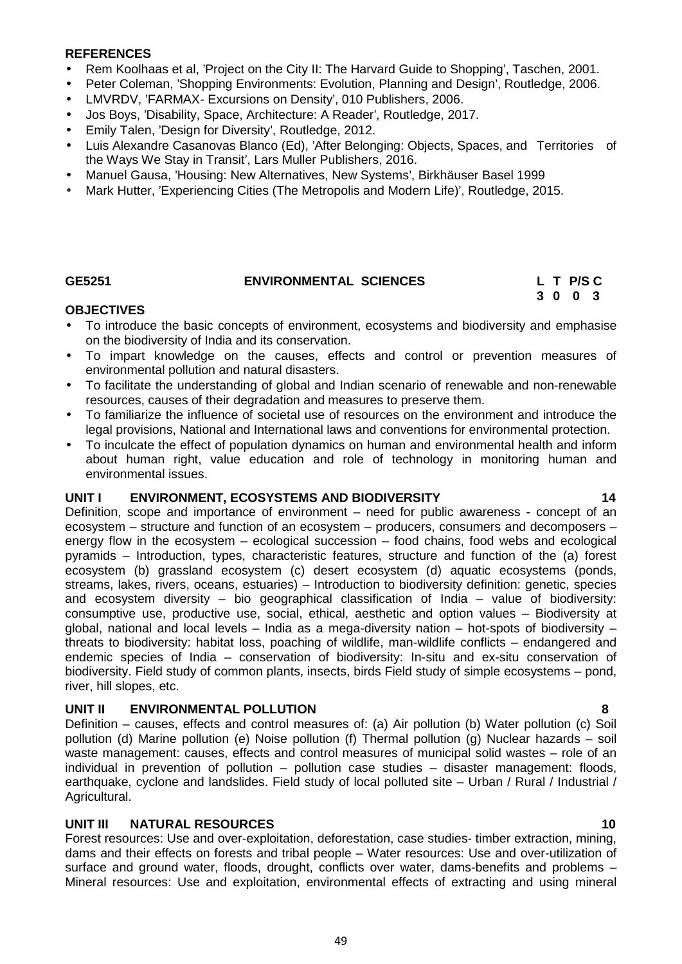#### **REFERENCES**

- Rem Koolhaas et al, 'Project on the City II: The Harvard Guide to Shopping', Taschen, 2001.
- Peter Coleman, 'Shopping Environments: Evolution, Planning and Design', Routledge, 2006.
- LMVRDV, 'FARMAX- Excursions on Density', 010 Publishers, 2006.
- Jos Boys, 'Disability, Space, Architecture: A Reader', Routledge, 2017.
- Emily Talen, 'Design for Diversity', Routledge, 2012.
- Luis Alexandre Casanovas Blanco (Ed), 'After Belonging: Objects, Spaces, and Territories of the Ways We Stay in Transit', Lars Muller Publishers, 2016.
- Manuel Gausa, 'Housing: New Alternatives, New Systems', Birkhäuser Basel 1999
- Mark Hutter, 'Experiencing Cities (The Metropolis and Modern Life)', Routledge, 2015.

## **GE5251 ENVIRONMENTAL SCIENCES L T P/S C**

# **3 0 0 3**

## **OBJECTIVES**

- To introduce the basic concepts of environment, ecosystems and biodiversity and emphasise on the biodiversity of India and its conservation.
- To impart knowledge on the causes, effects and control or prevention measures of environmental pollution and natural disasters.
- To facilitate the understanding of global and Indian scenario of renewable and non-renewable resources, causes of their degradation and measures to preserve them.
- To familiarize the influence of societal use of resources on the environment and introduce the legal provisions, National and International laws and conventions for environmental protection.
- To inculcate the effect of population dynamics on human and environmental health and inform about human right, value education and role of technology in monitoring human and environmental issues.

#### **UNIT I ENVIRONMENT, ECOSYSTEMS AND BIODIVERSITY 14**

Definition, scope and importance of environment – need for public awareness - concept of an ecosystem – structure and function of an ecosystem – producers, consumers and decomposers – energy flow in the ecosystem – ecological succession – food chains, food webs and ecological pyramids – Introduction, types, characteristic features, structure and function of the (a) forest ecosystem (b) grassland ecosystem (c) desert ecosystem (d) aquatic ecosystems (ponds, streams, lakes, rivers, oceans, estuaries) – Introduction to biodiversity definition: genetic, species and ecosystem diversity – bio geographical classification of India – value of biodiversity: consumptive use, productive use, social, ethical, aesthetic and option values – Biodiversity at global, national and local levels – India as a mega-diversity nation – hot-spots of biodiversity – threats to biodiversity: habitat loss, poaching of wildlife, man-wildlife conflicts – endangered and endemic species of India – conservation of biodiversity: In-situ and ex-situ conservation of biodiversity. Field study of common plants, insects, birds Field study of simple ecosystems – pond, river, hill slopes, etc.

## **UNIT II ENVIRONMENTAL POLLUTION 8**

Definition – causes, effects and control measures of: (a) Air pollution (b) Water pollution (c) Soil pollution (d) Marine pollution (e) Noise pollution (f) Thermal pollution (g) Nuclear hazards – soil waste management: causes, effects and control measures of municipal solid wastes – role of an individual in prevention of pollution – pollution case studies – disaster management: floods, earthquake, cyclone and landslides. Field study of local polluted site – Urban / Rural / Industrial / Agricultural.

## **UNIT III NATURAL RESOURCES 10**

Forest resources: Use and over-exploitation, deforestation, case studies- timber extraction, mining, dams and their effects on forests and tribal people – Water resources: Use and over-utilization of surface and ground water, floods, drought, conflicts over water, dams-benefits and problems – Mineral resources: Use and exploitation, environmental effects of extracting and using mineral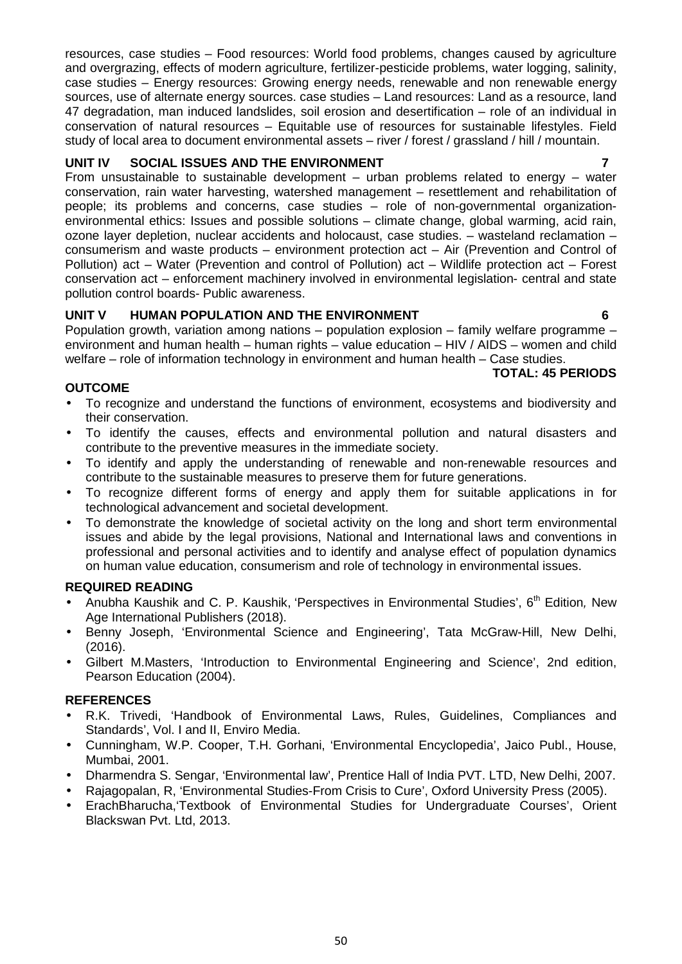resources, case studies – Food resources: World food problems, changes caused by agriculture and overgrazing, effects of modern agriculture, fertilizer-pesticide problems, water logging, salinity, case studies – Energy resources: Growing energy needs, renewable and non renewable energy sources, use of alternate energy sources. case studies – Land resources: Land as a resource, land 47 degradation, man induced landslides, soil erosion and desertification – role of an individual in conservation of natural resources – Equitable use of resources for sustainable lifestyles. Field study of local area to document environmental assets – river / forest / grassland / hill / mountain.

## **UNIT IV SOCIAL ISSUES AND THE ENVIRONMENT 7**

From unsustainable to sustainable development – urban problems related to energy – water conservation, rain water harvesting, watershed management – resettlement and rehabilitation of people; its problems and concerns, case studies – role of non-governmental organization environmental ethics: Issues and possible solutions – climate change, global warming, acid rain, ozone layer depletion, nuclear accidents and holocaust, case studies. – wasteland reclamation – consumerism and waste products – environment protection act – Air (Prevention and Control of Pollution) act – Water (Prevention and control of Pollution) act – Wildlife protection act – Forest conservation act – enforcement machinery involved in environmental legislation- central and state pollution control boards- Public awareness.

## **UNIT V HUMAN POPULATION AND THE ENVIRONMENT 6**

Population growth, variation among nations – population explosion – family welfare programme – environment and human health – human rights – value education – HIV / AIDS – women and child welfare – role of information technology in environment and human health – Case studies.

## **TOTAL: 45 PERIODS**

## **OUTCOME**

- To recognize and understand the functions of environment, ecosystems and biodiversity and their conservation.
- To identify the causes, effects and environmental pollution and natural disasters and contribute to the preventive measures in the immediate society.
- To identify and apply the understanding of renewable and non-renewable resources and contribute to the sustainable measures to preserve them for future generations.
- To recognize different forms of energy and apply them for suitable applications in for technological advancement and societal development.
- To demonstrate the knowledge of societal activity on the long and short term environmental issues and abide by the legal provisions, National and International laws and conventions in professional and personal activities and to identify and analyse effect of population dynamics on human value education, consumerism and role of technology in environmental issues.

## **REQUIRED READING**

- Anubha Kaushik and C. P. Kaushik, 'Perspectives in Environmental Studies', 6<sup>th</sup> Edition, New Age International Publishers (2018).
- Benny Joseph, 'Environmental Science and Engineering', Tata McGraw-Hill, New Delhi, (2016).
- Gilbert M.Masters, 'Introduction to Environmental Engineering and Science', 2nd edition, Pearson Education (2004).

## **REFERENCES**

- R.K. Trivedi, 'Handbook of Environmental Laws, Rules, Guidelines, Compliances and Standards', Vol. I and II, Enviro Media.
- Cunningham, W.P. Cooper, T.H. Gorhani, 'Environmental Encyclopedia', Jaico Publ., House, Mumbai, 2001.
- Dharmendra S. Sengar, 'Environmental law', Prentice Hall of India PVT. LTD, New Delhi, 2007.
- Rajagopalan, R, 'Environmental Studies-From Crisis to Cure', Oxford University Press (2005).
- ErachBharucha,'Textbook of Environmental Studies for Undergraduate Courses', Orient Blackswan Pvt. Ltd, 2013.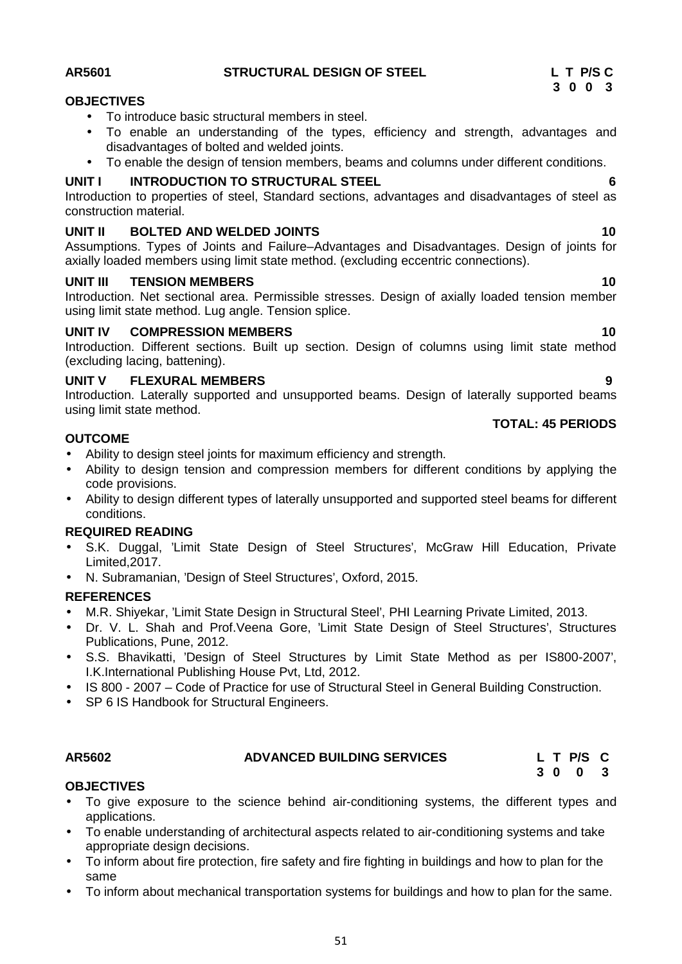## **AR5601 STRUCTURAL DESIGN OF STEEL L T P/S C**

## **OBJECTIVES**

- To introduce basic structural members in steel.
- To enable an understanding of the types, efficiency and strength, advantages and disadvantages of bolted and welded joints.
- To enable the design of tension members, beams and columns under different conditions.

## **UNIT I INTRODUCTION TO STRUCTURAL STEEL 6**

Introduction to properties of steel, Standard sections, advantages and disadvantages of steel as construction material.

## **UNIT II BOLTED AND WELDED JOINTS 10**

Assumptions. Types of Joints and Failure–Advantages and Disadvantages. Design of joints for axially loaded members using limit state method. (excluding eccentric connections).

## **UNIT III TENSION MEMBERS 10**

Introduction. Net sectional area. Permissible stresses. Design of axially loaded tension member using limit state method. Lug angle. Tension splice.

## **UNIT IV COMPRESSION MEMBERS 10**

Introduction. Different sections. Built up section. Design of columns using limit state method (excluding lacing, battening).

## **UNIT V FLEXURAL MEMBERS 9**

Introduction. Laterally supported and unsupported beams. Design of laterally supported beams using limit state method. **TOTAL: 45 PERIODS**

## **OUTCOME**

- Ability to design steel joints for maximum efficiency and strength.
- Ability to design tension and compression members for different conditions by applying the code provisions.
- Ability to design different types of laterally unsupported and supported steel beams for different conditions.

## **REQUIRED READING**

- S.K. Duggal, 'Limit State Design of Steel Structures', McGraw Hill Education, Private Limited,2017.
- N. Subramanian, 'Design of Steel Structures', Oxford, 2015.

## **REFERENCES**

- M.R. Shiyekar, 'Limit State Design in Structural Steel', PHI Learning Private Limited, 2013.
- Dr. V. L. Shah and Prof.Veena Gore, 'Limit State Design of Steel Structures', Structures Publications, Pune, 2012.
- S.S. Bhavikatti, 'Design of Steel Structures by Limit State Method as per IS800-2007', I.K.International Publishing House Pvt, Ltd, 2012.
- IS 800 2007 Code of Practice for use of Structural Steel in General Building Construction.
- SP 6 IS Handbook for Structural Engineers.

## **AR5602 ADVANCED BUILDING SERVICES L T P/S C**

**OBJECTIVES** To give exposure to the science behind air-conditioning systems, the different types and applications.

- To enable understanding of architectural aspects related to air-conditioning systems and take appropriate design decisions.
- To inform about fire protection, fire safety and fire fighting in buildings and how to plan for the same
- To inform about mechanical transportation systems for buildings and how to plan for the same.

**3 0 0 3**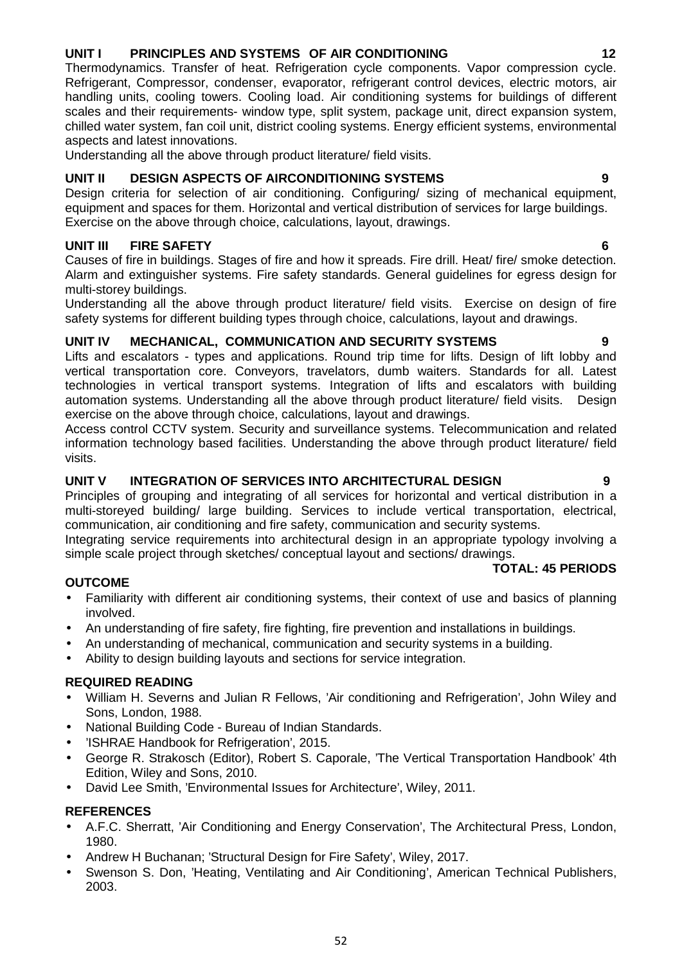## 52

## **UNIT I PRINCIPLES AND SYSTEMS OF AIR CONDITIONING 12**

Thermodynamics. Transfer of heat. Refrigeration cycle components. Vapor compression cycle. Refrigerant, Compressor, condenser, evaporator, refrigerant control devices, electric motors, air handling units, cooling towers. Cooling load. Air conditioning systems for buildings of different scales and their requirements- window type, split system, package unit, direct expansion system, chilled water system, fan coil unit, district cooling systems. Energy efficient systems, environmental aspects and latest innovations.

Understanding all the above through product literature/ field visits.

## **UNIT II DESIGN ASPECTS OF AIRCONDITIONING SYSTEMS 9**

Design criteria for selection of air conditioning. Configuring/ sizing of mechanical equipment, equipment and spaces for them. Horizontal and vertical distribution of services for large buildings. Exercise on the above through choice, calculations, layout, drawings.

## **UNIT III FIRE SAFETY 6**

Causes of fire in buildings. Stages of fire and how it spreads. Fire drill. Heat/ fire/ smoke detection. Alarm and extinguisher systems. Fire safety standards. General guidelines for egress design for multi-storey buildings.

Understanding all the above through product literature/ field visits. Exercise on design of fire safety systems for different building types through choice, calculations, layout and drawings.

## **UNIT IV MECHANICAL, COMMUNICATION AND SECURITY SYSTEMS 9**

Lifts and escalators - types and applications. Round trip time for lifts. Design of lift lobby and vertical transportation core. Conveyors, travelators, dumb waiters. Standards for all. Latest technologies in vertical transport systems. Integration of lifts and escalators with building automation systems. Understanding all the above through product literature/ field visits. Design exercise on the above through choice, calculations, layout and drawings.

Access control CCTV system. Security and surveillance systems. Telecommunication and related information technology based facilities. Understanding the above through product literature/ field visits.

## **UNIT V INTEGRATION OF SERVICES INTO ARCHITECTURAL DESIGN 9**

Principles of grouping and integrating of all services for horizontal and vertical distribution in a multi-storeyed building/ large building. Services to include vertical transportation, electrical, communication, air conditioning and fire safety, communication and security systems.

Integrating service requirements into architectural design in an appropriate typology involving a simple scale project through sketches/ conceptual layout and sections/ drawings.

## **OUTCOME**

- Familiarity with different air conditioning systems, their context of use and basics of planning involved.
- An understanding of fire safety, fire fighting, fire prevention and installations in buildings.
- An understanding of mechanical, communication and security systems in a building.
- Ability to design building layouts and sections for service integration.

## **REQUIRED READING**

- William H. Severns and Julian R Fellows, 'Air conditioning and Refrigeration', John Wiley and Sons, London, 1988.
- National Building Code Bureau of Indian Standards.
- 'ISHRAE Handbook for Refrigeration', 2015.
- George R. Strakosch (Editor), Robert S. Caporale, 'The Vertical Transportation Handbook' 4th Edition, Wiley and Sons, 2010.
- David Lee Smith, 'Environmental Issues for Architecture', Wiley, 2011.

## **REFERENCES**

- A.F.C. Sherratt, 'Air Conditioning and Energy Conservation', The Architectural Press, London, 1980.
- Andrew H Buchanan; 'Structural Design for Fire Safety', Wiley, 2017.
- Swenson S. Don, 'Heating, Ventilating and Air Conditioning', American Technical Publishers, 2003.

**TOTAL: 45 PERIODS**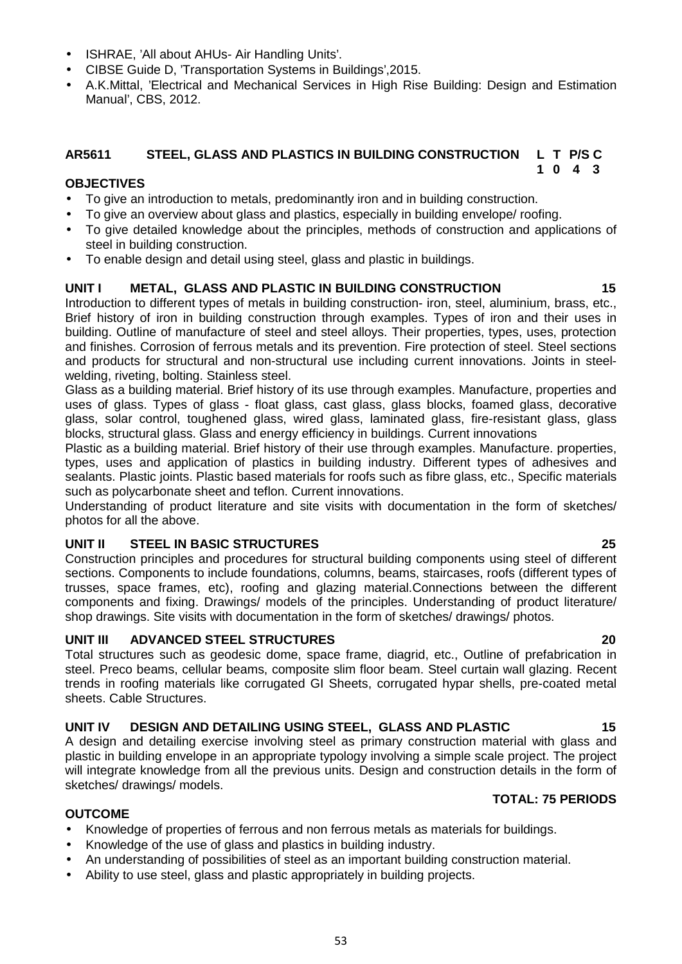- ISHRAE, 'All about AHUs- Air Handling Units'.
- CIBSE Guide D, 'Transportation Systems in Buildings',2015.
- A.K.Mittal, 'Electrical and Mechanical Services in High Rise Building: Design and Estimation Manual', CBS, 2012.

#### **AR5611 STEEL, GLASS AND PLASTICS IN BUILDING CONSTRUCTION L T P/S C 1 0 4 3**

## **OBJECTIVES**

- To give an introduction to metals, predominantly iron and in building construction.
- To give an overview about glass and plastics, especially in building envelope/ roofing.
- To give detailed knowledge about the principles, methods of construction and applications of steel in building construction.
- To enable design and detail using steel, glass and plastic in buildings.

## **UNIT I METAL, GLASS AND PLASTIC IN BUILDING CONSTRUCTION 15**

Introduction to different types of metals in building construction- iron, steel, aluminium, brass, etc., Brief history of iron in building construction through examples. Types of iron and their uses in building. Outline of manufacture of steel and steel alloys. Their properties, types, uses, protection and finishes. Corrosion of ferrous metals and its prevention. Fire protection of steel. Steel sections and products for structural and non-structural use including current innovations. Joints in steel welding, riveting, bolting. Stainless steel.

Glass as a building material. Brief history of its use through examples. Manufacture, properties and uses of glass. Types of glass - float glass, cast glass, glass blocks, foamed glass, decorative glass, solar control, toughened glass, wired glass, laminated glass, fire-resistant glass, glass blocks, structural glass. Glass and energy efficiency in buildings. Current innovations

Plastic as a building material. Brief history of their use through examples. Manufacture. properties, types, uses and application of plastics in building industry. Different types of adhesives and sealants. Plastic joints. Plastic based materials for roofs such as fibre glass, etc., Specific materials such as polycarbonate sheet and teflon. Current innovations.

Understanding of product literature and site visits with documentation in the form of sketches/ photos for all the above.

## **UNIT II STEEL IN BASIC STRUCTURES 25**

Construction principles and procedures for structural building components using steel of different sections. Components to include foundations, columns, beams, staircases, roofs (different types of trusses, space frames, etc), roofing and glazing material.Connections between the different components and fixing. Drawings/ models of the principles. Understanding of product literature/ shop drawings. Site visits with documentation in the form of sketches/ drawings/ photos.

## **UNIT III ADVANCED STEEL STRUCTURES 20**

Total structures such as geodesic dome, space frame, diagrid, etc., Outline of prefabrication in steel. Preco beams, cellular beams, composite slim floor beam. Steel curtain wall glazing. Recent trends in roofing materials like corrugated GI Sheets, corrugated hypar shells, pre-coated metal sheets. Cable Structures.

## **UNIT IV DESIGN AND DETAILING USING STEEL, GLASS AND PLASTIC 15**

A design and detailing exercise involving steel as primary construction material with glass and plastic in building envelope in an appropriate typology involving a simple scale project. The project will integrate knowledge from all the previous units. Design and construction details in the form of sketches/ drawings/ models.

## **OUTCOME**

- Knowledge of properties of ferrous and non ferrous metals as materials for buildings.
- Knowledge of the use of glass and plastics in building industry.
- An understanding of possibilities of steel as an important building construction material.
- Ability to use steel, glass and plastic appropriately in building projects.

## **TOTAL: 75 PERIODS**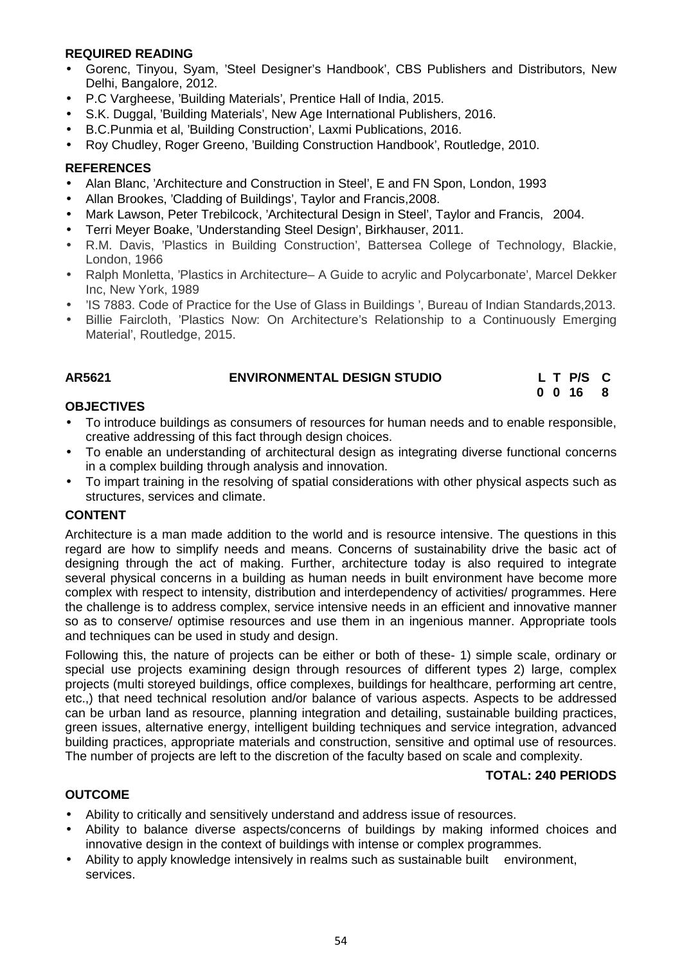## **REQUIRED READING**

- Gorenc, Tinyou, Syam, 'Steel Designer's Handbook', CBS Publishers and Distributors, New Delhi, Bangalore, 2012.
- P.C Vargheese, 'Building Materials', Prentice Hall of India, 2015.
- S.K. Duggal, 'Building Materials', New Age International Publishers, 2016.
- B.C.Punmia et al, 'Building Construction', Laxmi Publications, 2016.
- Roy Chudley, Roger Greeno, 'Building Construction Handbook', Routledge, 2010.

## **REFERENCES**

- Alan Blanc, 'Architecture and Construction in Steel', E and FN Spon, London, 1993
- Allan Brookes, 'Cladding of Buildings', Taylor and Francis,2008.
- Mark Lawson, Peter Trebilcock, 'Architectural Design in Steel', Taylor and Francis, 2004.
- Terri Meyer Boake, 'Understanding Steel Design', Birkhauser, 2011.
- R.M. Davis, 'Plastics in Building Construction', Battersea College of Technology, Blackie, London, 1966
- Ralph Monletta, 'Plastics in Architecture– A Guide to acrylic and Polycarbonate', Marcel Dekker Inc, New York, 1989
- 'IS 7883. Code of Practice for the Use of Glass in Buildings ', Bureau of Indian Standards,2013.
- Billie Faircloth, 'Plastics Now: On Architecture's Relationship to a Continuously Emerging Material', Routledge, 2015.

## **AR5621 ENVIRONMENTAL DESIGN STUDIO L T P/S C**

**0 0 16 8**

## **OBJECTIVES**

- To introduce buildings as consumers of resources for human needs and to enable responsible, creative addressing of this fact through design choices.
- To enable an understanding of architectural design as integrating diverse functional concerns in a complex building through analysis and innovation.
- To impart training in the resolving of spatial considerations with other physical aspects such as structures, services and climate.

## **CONTENT**

Architecture is a man made addition to the world and is resource intensive. The questions in this regard are how to simplify needs and means. Concerns of sustainability drive the basic act of designing through the act of making. Further, architecture today is also required to integrate several physical concerns in a building as human needs in built environment have become more complex with respect to intensity, distribution and interdependency of activities/ programmes. Here the challenge is to address complex, service intensive needs in an efficient and innovative manner so as to conserve/ optimise resources and use them in an ingenious manner. Appropriate tools and techniques can be used in study and design.

Following this, the nature of projects can be either or both of these- 1) simple scale, ordinary or special use projects examining design through resources of different types 2) large, complex projects (multi storeyed buildings, office complexes, buildings for healthcare, performing art centre, etc.,) that need technical resolution and/or balance of various aspects. Aspects to be addressed can be urban land as resource, planning integration and detailing, sustainable building practices, green issues, alternative energy, intelligent building techniques and service integration, advanced building practices, appropriate materials and construction, sensitive and optimal use of resources. The number of projects are left to the discretion of the faculty based on scale and complexity.

## **TOTAL: 240 PERIODS**

## **OUTCOME**

- Ability to critically and sensitively understand and address issue of resources.
- Ability to balance diverse aspects/concerns of buildings by making informed choices and innovative design in the context of buildings with intense or complex programmes.
- Ability to apply knowledge intensively in realms such as sustainable built environment, services.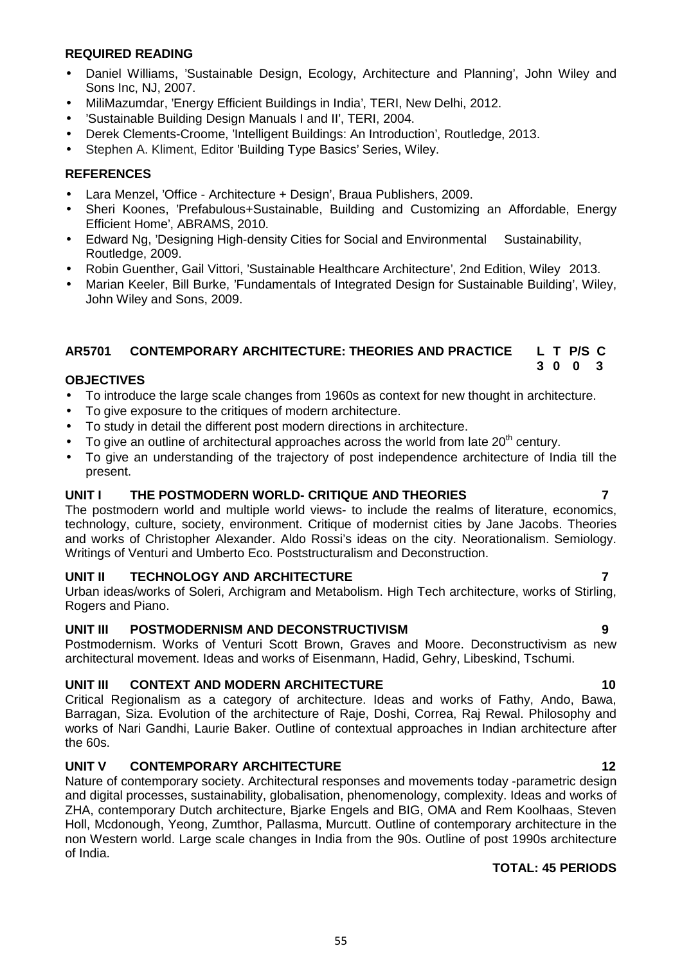## **REQUIRED READING**

- Daniel Williams, 'Sustainable Design, Ecology, Architecture and Planning', John Wiley and Sons Inc, NJ, 2007.
- MiliMazumdar, 'Energy Efficient Buildings in India', TERI, New Delhi, 2012.
- 'Sustainable Building Design Manuals I and II', TERI, 2004.
- Derek Clements-Croome, 'Intelligent Buildings: An Introduction', Routledge, 2013.
- Stephen A. Kliment, Editor 'Building Type Basics' Series, Wiley.

## **REFERENCES**

- Lara Menzel, 'Office Architecture + Design', Braua Publishers, 2009.
- Sheri Koones, 'Prefabulous+Sustainable, Building and Customizing an Affordable, Energy Efficient Home', ABRAMS, 2010.
- Edward Ng, 'Designing High-density Cities for Social and Environmental Sustainability, Routledge, 2009.
- Robin Guenther, Gail Vittori, 'Sustainable Healthcare Architecture', 2nd Edition, Wiley 2013.
- Marian Keeler, Bill Burke, 'Fundamentals of Integrated Design for Sustainable Building', Wiley, John Wiley and Sons, 2009.

#### **AR5701 CONTEMPORARY ARCHITECTURE: THEORIES AND PRACTICE L T P/S C 3 0 0 3**

## **OBJECTIVES**

- To introduce the large scale changes from 1960s as context for new thought in architecture.
- To give exposure to the critiques of modern architecture.
- To study in detail the different post modern directions in architecture.
- $\bullet$  To give an outline of architectural approaches across the world from late 20<sup>th</sup> century.
- To give an understanding of the trajectory of post independence architecture of India till the present.

## **UNIT I THE POSTMODERN WORLD- CRITIQUE AND THEORIES 7**

The postmodern world and multiple world views- to include the realms of literature, economics, technology, culture, society, environment. Critique of modernist cities by Jane Jacobs. Theories and works of Christopher Alexander. Aldo Rossi's ideas on the city. Neorationalism. Semiology. Writings of Venturi and Umberto Eco. Poststructuralism and Deconstruction.

## **UNIT II TECHNOLOGY AND ARCHITECTURE 7**

Urban ideas/works of Soleri, Archigram and Metabolism. High Tech architecture, works of Stirling, Rogers and Piano.

## **UNIT III POSTMODERNISM AND DECONSTRUCTIVISM 9**

Postmodernism. Works of Venturi Scott Brown, Graves and Moore. Deconstructivism as new architectural movement. Ideas and works of Eisenmann, Hadid, Gehry, Libeskind, Tschumi.

## **UNIT III CONTEXT AND MODERN ARCHITECTURE 10**

Critical Regionalism as a category of architecture. Ideas and works of Fathy, Ando, Bawa, Barragan, Siza. Evolution of the architecture of Raje, Doshi, Correa, Raj Rewal. Philosophy and works of Nari Gandhi, Laurie Baker. Outline of contextual approaches in Indian architecture after the 60s.

## **UNIT V CONTEMPORARY ARCHITECTURE 12**

Nature of contemporary society. Architectural responses and movements today -parametric design and digital processes, sustainability, globalisation, phenomenology, complexity. Ideas and works of ZHA, contemporary Dutch architecture, Bjarke Engels and BIG, OMA and Rem Koolhaas, Steven Holl, Mcdonough, Yeong, Zumthor, Pallasma, Murcutt. Outline of contemporary architecture in the non Western world. Large scale changes in India from the 90s. Outline of post 1990s architecture of India.

## **TOTAL: 45 PERIODS**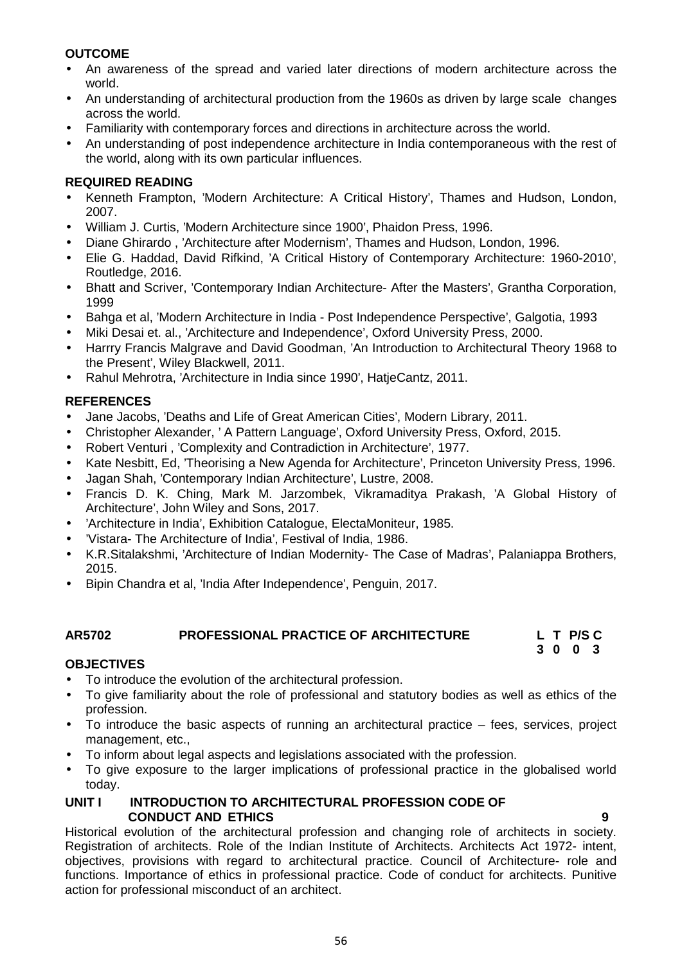## **OUTCOME**

- An awareness of the spread and varied later directions of modern architecture across the world.
- An understanding of architectural production from the 1960s as driven by large scale changes across the world.
- Familiarity with contemporary forces and directions in architecture across the world.
- An understanding of post independence architecture in India contemporaneous with the rest of the world, along with its own particular influences.

## **REQUIRED READING**

- Kenneth Frampton, 'Modern Architecture: A Critical History', Thames and Hudson, London, 2007.
- William J. Curtis, 'Modern Architecture since 1900', Phaidon Press, 1996.
- Diane Ghirardo , 'Architecture after Modernism', Thames and Hudson, London, 1996.
- Elie G. Haddad, David Rifkind, 'A Critical History of Contemporary Architecture: 1960-2010', Routledge, 2016.
- Bhatt and Scriver, 'Contemporary Indian Architecture- After the Masters', Grantha Corporation, 1999
- Bahga et al, 'Modern Architecture in India Post Independence Perspective', Galgotia, 1993
- Miki Desai et. al., 'Architecture and Independence', Oxford University Press, 2000.
- Harrry Francis Malgrave and David Goodman, 'An Introduction to Architectural Theory 1968 to the Present', Wiley Blackwell, 2011.
- Rahul Mehrotra, 'Architecture in India since 1990', HatjeCantz, 2011.

## **REFERENCES**

- Jane Jacobs, 'Deaths and Life of Great American Cities', Modern Library, 2011.
- Christopher Alexander, ' A Pattern Language', Oxford University Press, Oxford, 2015.
- Robert Venturi , 'Complexity and Contradiction in Architecture', 1977.
- Kate Nesbitt, Ed, 'Theorising a New Agenda for Architecture', Princeton University Press, 1996.
- Jagan Shah, 'Contemporary Indian Architecture', Lustre, 2008.
- Francis D. K. Ching, Mark M. Jarzombek, Vikramaditya Prakash, 'A Global History of Architecture', John Wiley and Sons, 2017.
- 'Architecture in India', Exhibition Catalogue, ElectaMoniteur, 1985.
- 'Vistara- The Architecture of India', Festival of India, 1986.
- K.R.Sitalakshmi, 'Architecture of Indian Modernity- The Case of Madras', Palaniappa Brothers, 2015.
- Bipin Chandra et al. 'India After Independence', Penguin, 2017.

#### **AR5702 PROFESSIONAL PRACTICE OF ARCHITECTURE L T P/S C 3 0 0 3**

## **OBJECTIVES**

- To introduce the evolution of the architectural profession.
- To give familiarity about the role of professional and statutory bodies as well as ethics of the profession.
- To introduce the basic aspects of running an architectural practice fees, services, project management, etc.,
- To inform about legal aspects and legislations associated with the profession.
- To give exposure to the larger implications of professional practice in the globalised world today.

#### **UNIT I INTRODUCTION TO ARCHITECTURAL PROFESSION CODE OF CONDUCT AND ETHICS 9**

Historical evolution of the architectural profession and changing role of architects in society. Registration of architects. Role of the Indian Institute of Architects. Architects Act 1972- intent, objectives, provisions with regard to architectural practice. Council of Architecture- role and functions. Importance of ethics in professional practice. Code of conduct for architects. Punitive action for professional misconduct of an architect.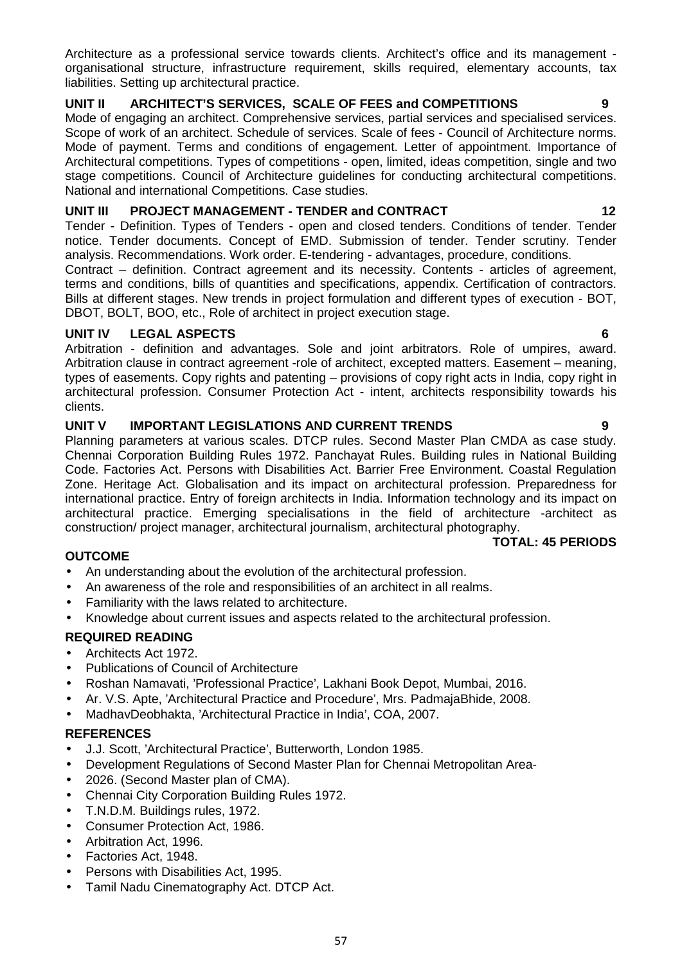Architecture as a professional service towards clients. Architect's office and its management organisational structure, infrastructure requirement, skills required, elementary accounts, tax liabilities. Setting up architectural practice.

## **UNIT II ARCHITECT'S SERVICES, SCALE OF FEES and COMPETITIONS 9**

Mode of engaging an architect. Comprehensive services, partial services and specialised services. Scope of work of an architect. Schedule of services. Scale of fees - Council of Architecture norms. Mode of payment. Terms and conditions of engagement. Letter of appointment. Importance of Architectural competitions. Types of competitions - open, limited, ideas competition, single and two stage competitions. Council of Architecture guidelines for conducting architectural competitions. National and international Competitions. Case studies.

## **UNIT III PROJECT MANAGEMENT - TENDER and CONTRACT 12**

Tender - Definition. Types of Tenders - open and closed tenders. Conditions of tender. Tender notice. Tender documents. Concept of EMD. Submission of tender. Tender scrutiny. Tender analysis. Recommendations. Work order. E-tendering - advantages, procedure, conditions.

Contract – definition. Contract agreement and its necessity. Contents - articles of agreement, terms and conditions, bills of quantities and specifications, appendix. Certification of contractors. Bills at different stages. New trends in project formulation and different types of execution - BOT, DBOT, BOLT, BOO, etc., Role of architect in project execution stage.

## **UNIT IV LEGAL ASPECTS 6**

Arbitration - definition and advantages. Sole and joint arbitrators. Role of umpires, award. Arbitration clause in contract agreement -role of architect, excepted matters. Easement – meaning, types of easements. Copy rights and patenting – provisions of copy right acts in India, copy right in architectural profession. Consumer Protection Act - intent, architects responsibility towards his clients.

## **UNIT V IMPORTANT LEGISLATIONS AND CURRENT TRENDS 9**

Planning parameters at various scales. DTCP rules. Second Master Plan CMDA as case study. Chennai Corporation Building Rules 1972. Panchayat Rules. Building rules in National Building Code. Factories Act. Persons with Disabilities Act. Barrier Free Environment. Coastal Regulation Zone. Heritage Act. Globalisation and its impact on architectural profession. Preparedness for international practice. Entry of foreign architects in India. Information technology and its impact on architectural practice. Emerging specialisations in the field of architecture -architect as construction/ project manager, architectural journalism, architectural photography.

## **OUTCOME**

- An understanding about the evolution of the architectural profession.
- An awareness of the role and responsibilities of an architect in all realms.
- Familiarity with the laws related to architecture.
- Knowledge about current issues and aspects related to the architectural profession.

## **REQUIRED READING**

- Architects Act 1972.
- Publications of Council of Architecture
- Roshan Namavati, 'Professional Practice', Lakhani Book Depot, Mumbai, 2016.
- Ar. V.S. Apte, 'Architectural Practice and Procedure', Mrs. PadmajaBhide, 2008.
- MadhavDeobhakta, 'Architectural Practice in India', COA, 2007.

## **REFERENCES**

- J.J. Scott, 'Architectural Practice', Butterworth, London 1985.
- Development Regulations of Second Master Plan for Chennai Metropolitan Area-
- 2026. (Second Master plan of CMA).
- Chennai City Corporation Building Rules 1972.
- T.N.D.M. Buildings rules, 1972.
- Consumer Protection Act, 1986.
- Arbitration Act, 1996.
- Factories Act, 1948.
- Persons with Disabilities Act, 1995.
- Tamil Nadu Cinematography Act. DTCP Act.

**TOTAL: 45 PERIODS**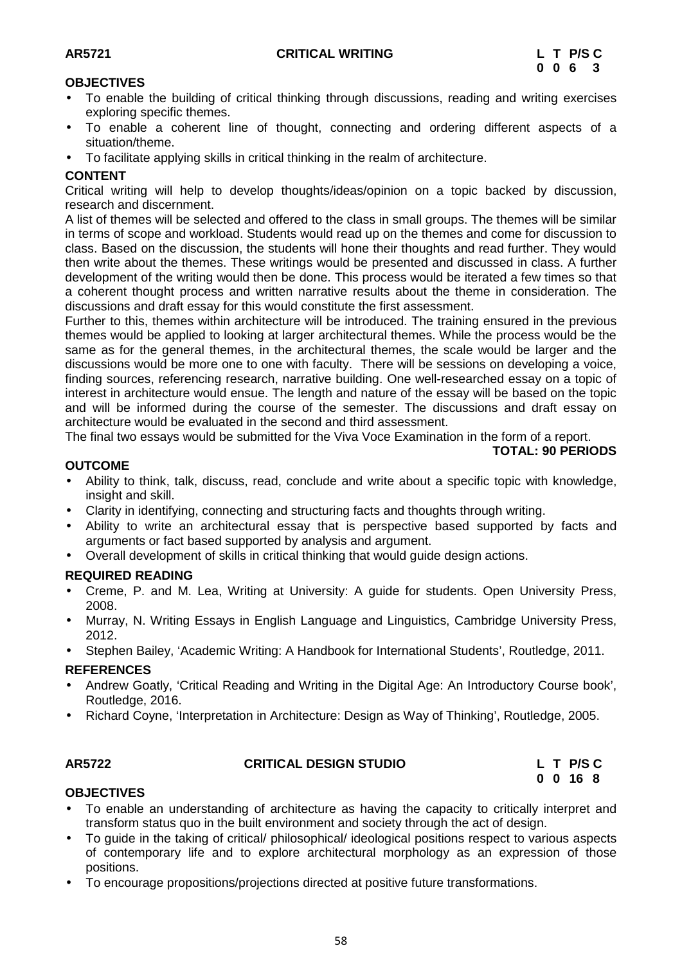## **OBJECTIVES**

- To enable the building of critical thinking through discussions, reading and writing exercises exploring specific themes.
- To enable a coherent line of thought, connecting and ordering different aspects of a situation/theme.
- To facilitate applying skills in critical thinking in the realm of architecture.

## **CONTENT**

Critical writing will help to develop thoughts/ideas/opinion on a topic backed by discussion, research and discernment.

A list of themes will be selected and offered to the class in small groups. The themes will be similar in terms of scope and workload. Students would read up on the themes and come for discussion to class. Based on the discussion, the students will hone their thoughts and read further. They would then write about the themes. These writings would be presented and discussed in class. A further development of the writing would then be done. This process would be iterated a few times so that a coherent thought process and written narrative results about the theme in consideration. The discussions and draft essay for this would constitute the first assessment.

Further to this, themes within architecture will be introduced. The training ensured in the previous themes would be applied to looking at larger architectural themes. While the process would be the same as for the general themes, in the architectural themes, the scale would be larger and the discussions would be more one to one with faculty. There will be sessions on developing a voice, finding sources, referencing research, narrative building. One well-researched essay on a topic of interest in architecture would ensue. The length and nature of the essay will be based on the topic and will be informed during the course of the semester. The discussions and draft essay on architecture would be evaluated in the second and third assessment.

The final two essays would be submitted for the Viva Voce Examination in the form of a report.

#### **TOTAL: 90 PERIODS**

## **OUTCOME**

- Ability to think, talk, discuss, read, conclude and write about a specific topic with knowledge, insight and skill.
- Clarity in identifying, connecting and structuring facts and thoughts through writing.
- Ability to write an architectural essay that is perspective based supported by facts and arguments or fact based supported by analysis and argument.
- Overall development of skills in critical thinking that would guide design actions.

## **REQUIRED READING**

- Creme, P. and M. Lea, Writing at University: A guide for students. Open University Press, 2008.
- Murray, N. Writing Essays in English Language and Linguistics, Cambridge University Press, 2012.
- Stephen Bailey, 'Academic Writing: A Handbook for International Students', Routledge, 2011.

## **REFERENCES**

- Andrew Goatly, 'Critical Reading and Writing in the Digital Age: An Introductory Course book', Routledge, 2016.
- Richard Coyne, 'Interpretation in Architecture: Design as Way of Thinking', Routledge, 2005.

## **AR5722 CRITICAL DESIGN STUDIO L T P/S C**

**0 0 16 8**

## **OBJECTIVES**

- To enable an understanding of architecture as having the capacity to critically interpret and transform status quo in the built environment and society through the act of design.
- To guide in the taking of critical/ philosophical/ ideological positions respect to various aspects of contemporary life and to explore architectural morphology as an expression of those positions.
- To encourage propositions/projections directed at positive future transformations.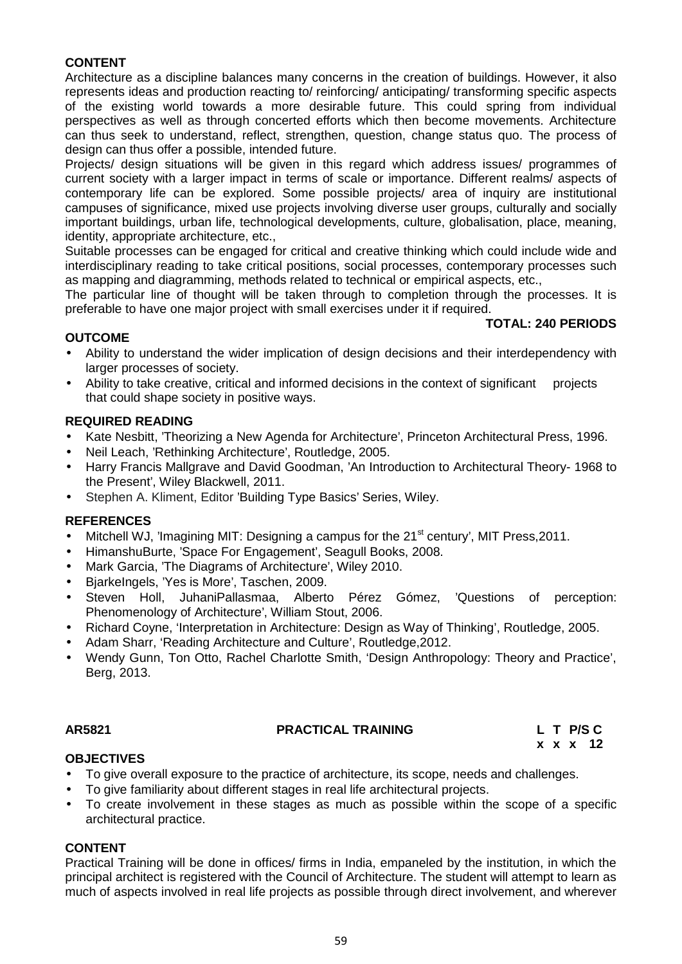## **CONTENT**

Architecture as a discipline balances many concerns in the creation of buildings. However, it also represents ideas and production reacting to/ reinforcing/ anticipating/ transforming specific aspects of the existing world towards a more desirable future. This could spring from individual perspectives as well as through concerted efforts which then become movements. Architecture can thus seek to understand, reflect, strengthen, question, change status quo. The process of design can thus offer a possible, intended future.

Projects/ design situations will be given in this regard which address issues/ programmes of current society with a larger impact in terms of scale or importance. Different realms/ aspects of contemporary life can be explored. Some possible projects/ area of inquiry are institutional campuses of significance, mixed use projects involving diverse user groups, culturally and socially important buildings, urban life, technological developments, culture, globalisation, place, meaning, identity, appropriate architecture, etc.,

Suitable processes can be engaged for critical and creative thinking which could include wide and interdisciplinary reading to take critical positions, social processes, contemporary processes such as mapping and diagramming, methods related to technical or empirical aspects, etc.,

The particular line of thought will be taken through to completion through the processes. It is preferable to have one major project with small exercises under it if required.

#### **TOTAL: 240 PERIODS**

## **OUTCOME**

- Ability to understand the wider implication of design decisions and their interdependency with larger processes of society.
- Ability to take creative, critical and informed decisions in the context of significant projects that could shape society in positive ways.

## **REQUIRED READING**

- Kate Nesbitt, 'Theorizing a New Agenda for Architecture', Princeton Architectural Press, 1996.
- Neil Leach, 'Rethinking Architecture', Routledge, 2005.
- Harry Francis Mallgrave and David Goodman, 'An Introduction to Architectural Theory- 1968 to the Present', Wiley Blackwell, 2011.
- Stephen A. Kliment, Editor 'Building Type Basics' Series, Wiley.

#### **REFERENCES**

- Mitchell WJ, 'Imagining MIT: Designing a campus for the 21<sup>st</sup> century', MIT Press, 2011.
- HimanshuBurte, 'Space For Engagement', Seagull Books, 2008.
- Mark Garcia, 'The Diagrams of Architecture', Wiley 2010.
- BjarkeIngels, 'Yes is More', Taschen, 2009.
- Steven Holl, JuhaniPallasmaa, Alberto Pérez Gómez, 'Questions of perception: Phenomenology of Architecture', William Stout, 2006.
- Richard Coyne, 'Interpretation in Architecture: Design as Way of Thinking', Routledge, 2005.
- Adam Sharr, 'Reading Architecture and Culture', Routledge,2012.
- Wendy Gunn, Ton Otto, Rachel Charlotte Smith, 'Design Anthropology: Theory and Practice', Berg, 2013.

#### **AR5821 PRACTICAL TRAINING L T P/S C**

**x x x 12**

## **OBJECTIVES**

- To give overall exposure to the practice of architecture, its scope, needs and challenges.
- To give familiarity about different stages in real life architectural projects.
- To create involvement in these stages as much as possible within the scope of a specific architectural practice.

#### **CONTENT**

Practical Training will be done in offices/ firms in India, empaneled by the institution, in which the principal architect is registered with the Council of Architecture. The student will attempt to learn as much of aspects involved in real life projects as possible through direct involvement, and wherever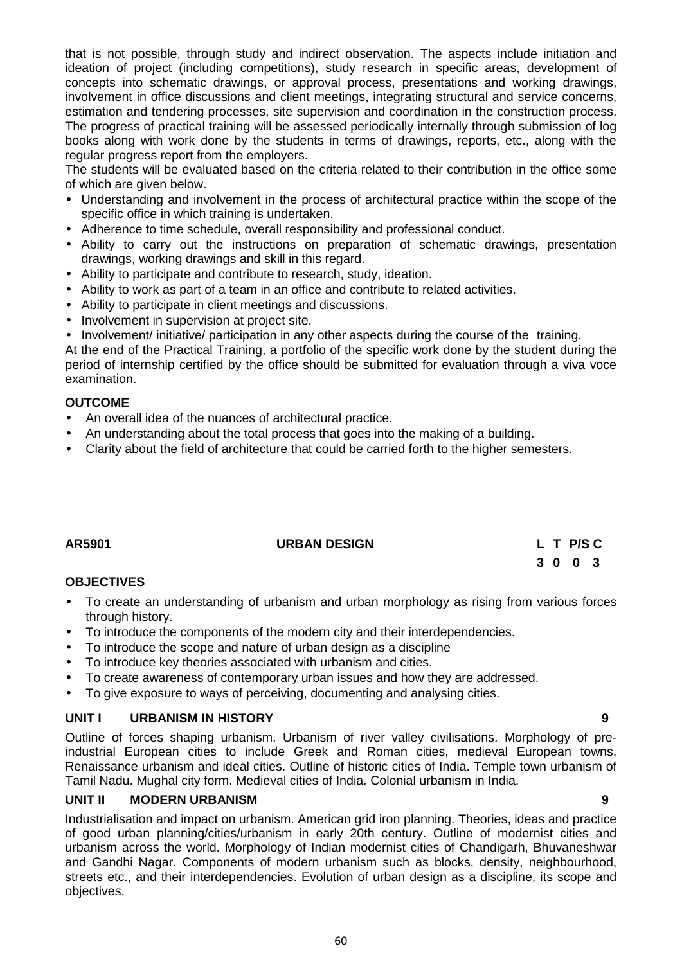that is not possible, through study and indirect observation. The aspects include initiation and ideation of project (including competitions), study research in specific areas, development of concepts into schematic drawings, or approval process, presentations and working drawings, involvement in office discussions and client meetings, integrating structural and service concerns, estimation and tendering processes, site supervision and coordination in the construction process. The progress of practical training will be assessed periodically internally through submission of log books along with work done by the students in terms of drawings, reports, etc., along with the regular progress report from the employers.

The students will be evaluated based on the criteria related to their contribution in the office some of which are given below.

- Understanding and involvement in the process of architectural practice within the scope of the specific office in which training is undertaken.
- Adherence to time schedule, overall responsibility and professional conduct.
- Ability to carry out the instructions on preparation of schematic drawings, presentation drawings, working drawings and skill in this regard.
- Ability to participate and contribute to research, study, ideation.
- Ability to work as part of a team in an office and contribute to related activities.
- Ability to participate in client meetings and discussions.
- Involvement in supervision at project site.
- Involvement/ initiative/ participation in any other aspects during the course of the training.

At the end of the Practical Training, a portfolio of the specific work done by the student during the period of internship certified by the office should be submitted for evaluation through a viva voce examination.

## **OUTCOME**

- An overall idea of the nuances of architectural practice.
- An understanding about the total process that goes into the making of a building.
- Clarity about the field of architecture that could be carried forth to the higher semesters.

## **AR5901 URBAN DESIGN L T P/S C**

# **3 0 0 3**

## **OBJECTIVES**

- To create an understanding of urbanism and urban morphology as rising from various forces through history.
- To introduce the components of the modern city and their interdependencies.
- To introduce the scope and nature of urban design as a discipline
- To introduce key theories associated with urbanism and cities.
- To create awareness of contemporary urban issues and how they are addressed.
- To give exposure to ways of perceiving, documenting and analysing cities.

## **UNIT I URBANISM IN HISTORY 9**

Outline of forces shaping urbanism. Urbanism of river valley civilisations. Morphology of preindustrial European cities to include Greek and Roman cities, medieval European towns, Renaissance urbanism and ideal cities. Outline of historic cities of India. Temple town urbanism of Tamil Nadu. Mughal city form. Medieval cities of India. Colonial urbanism in India.

## **UNIT II MODERN URBANISM 9**

Industrialisation and impact on urbanism. American grid iron planning. Theories, ideas and practice of good urban planning/cities/urbanism in early 20th century. Outline of modernist cities and urbanism across the world. Morphology of Indian modernist cities of Chandigarh, Bhuvaneshwar and Gandhi Nagar. Components of modern urbanism such as blocks, density, neighbourhood, streets etc., and their interdependencies. Evolution of urban design as a discipline, its scope and objectives.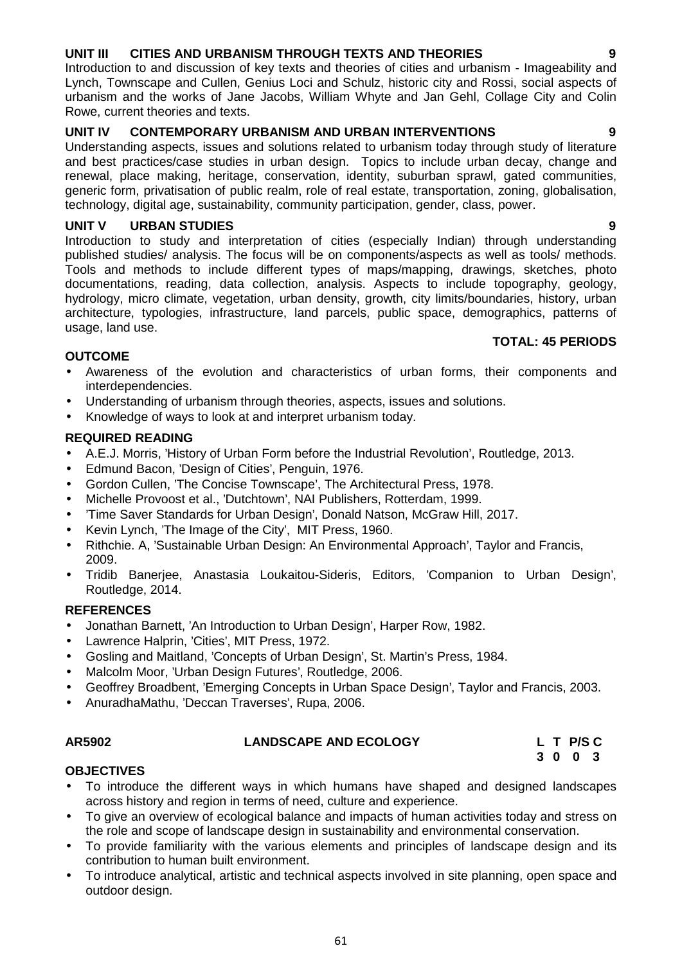## **UNIT III CITIES AND URBANISM THROUGH TEXTS AND THEORIES 9**

Introduction to and discussion of key texts and theories of cities and urbanism - Imageability and Lynch, Townscape and Cullen, Genius Loci and Schulz, historic city and Rossi, social aspects of urbanism and the works of Jane Jacobs, William Whyte and Jan Gehl, Collage City and Colin Rowe, current theories and texts.

## **UNIT IV CONTEMPORARY URBANISM AND URBAN INTERVENTIONS 9**

Understanding aspects, issues and solutions related to urbanism today through study of literature and best practices/case studies in urban design. Topics to include urban decay, change and renewal, place making, heritage, conservation, identity, suburban sprawl, gated communities, generic form, privatisation of public realm, role of real estate, transportation, zoning, globalisation, technology, digital age, sustainability, community participation, gender, class, power.

## **UNIT V URBAN STUDIES 9**

Introduction to study and interpretation of cities (especially Indian) through understanding published studies/ analysis. The focus will be on components/aspects as well as tools/ methods. Tools and methods to include different types of maps/mapping, drawings, sketches, photo documentations, reading, data collection, analysis. Aspects to include topography, geology, hydrology, micro climate, vegetation, urban density, growth, city limits/boundaries, history, urban architecture, typologies, infrastructure, land parcels, public space, demographics, patterns of usage, land use.

## **TOTAL: 45 PERIODS**

## **OUTCOME**

- Awareness of the evolution and characteristics of urban forms, their components and interdependencies.
- Understanding of urbanism through theories, aspects, issues and solutions.
- Knowledge of ways to look at and interpret urbanism today.

## **REQUIRED READING**

- A.E.J. Morris, 'History of Urban Form before the Industrial Revolution', Routledge, 2013.
- Edmund Bacon, 'Design of Cities', Penguin, 1976.
- Gordon Cullen, 'The Concise Townscape', The Architectural Press, 1978.
- Michelle Provoost et al., 'Dutchtown', NAI Publishers, Rotterdam, 1999.
- 'Time Saver Standards for Urban Design', Donald Natson, McGraw Hill, 2017.
- Kevin Lynch, 'The Image of the City', MIT Press, 1960.
- Rithchie. A. 'Sustainable Urban Design: An Environmental Approach', Taylor and Francis, 2009.
- Tridib Banerjee, Anastasia Loukaitou-Sideris, Editors, 'Companion to Urban Design', Routledge, 2014.

## **REFERENCES**

- Jonathan Barnett, 'An Introduction to Urban Design', Harper Row, 1982.
- Lawrence Halprin, 'Cities', MIT Press, 1972.
- Gosling and Maitland, 'Concepts of Urban Design', St. Martin's Press, 1984.
- Malcolm Moor, 'Urban Design Futures', Routledge, 2006.
- Geoffrey Broadbent, 'Emerging Concepts in Urban Space Design', Taylor and Francis, 2003.
- AnuradhaMathu, 'Deccan Traverses', Rupa, 2006.

## **LANDSCAPE AND ECOLOGY**

|  | L T P/S C |  |  |
|--|-----------|--|--|
|  | 3 0 0 3   |  |  |

## **OBJECTIVES**

- To introduce the different ways in which humans have shaped and designed landscapes across history and region in terms of need, culture and experience.
- To give an overview of ecological balance and impacts of human activities today and stress on the role and scope of landscape design in sustainability and environmental conservation.
- To provide familiarity with the various elements and principles of landscape design and its contribution to human built environment.
- To introduce analytical, artistic and technical aspects involved in site planning, open space and outdoor design.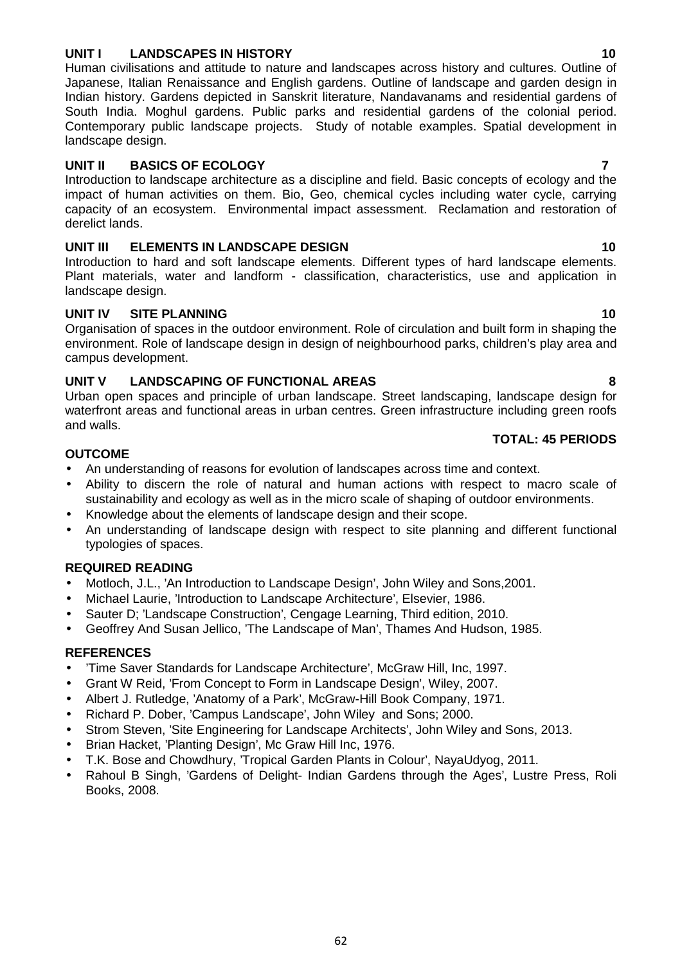## **UNIT I LANDSCAPES IN HISTORY 10**

Human civilisations and attitude to nature and landscapes across history and cultures. Outline of Japanese, Italian Renaissance and English gardens. Outline of landscape and garden design in Indian history. Gardens depicted in Sanskrit literature, Nandavanams and residential gardens of South India. Moghul gardens. Public parks and residential gardens of the colonial period. Contemporary public landscape projects. Study of notable examples. Spatial development in landscape design.

## **UNIT II BASICS OF ECOLOGY 7**

Introduction to landscape architecture as a discipline and field. Basic concepts of ecology and the impact of human activities on them. Bio, Geo, chemical cycles including water cycle, carrying capacity of an ecosystem. Environmental impact assessment. Reclamation and restoration of derelict lands.

## **UNIT III ELEMENTS IN LANDSCAPE DESIGN 10**

Introduction to hard and soft landscape elements. Different types of hard landscape elements. Plant materials, water and landform - classification, characteristics, use and application in landscape design.

## **UNIT IV SITE PLANNING 10**

Organisation of spaces in the outdoor environment. Role of circulation and built form in shaping the environment. Role of landscape design in design of neighbourhood parks, children's play area and campus development.

## **UNIT V LANDSCAPING OF FUNCTIONAL AREAS 8**

Urban open spaces and principle of urban landscape. Street landscaping, landscape design for waterfront areas and functional areas in urban centres. Green infrastructure including green roofs and walls.

#### **OUTCOME**

- An understanding of reasons for evolution of landscapes across time and context.
- Ability to discern the role of natural and human actions with respect to macro scale of sustainability and ecology as well as in the micro scale of shaping of outdoor environments.
- Knowledge about the elements of landscape design and their scope.
- An understanding of landscape design with respect to site planning and different functional typologies of spaces.

## **REQUIRED READING**

- Motloch, J.L., 'An Introduction to Landscape Design', John Wiley and Sons,2001.
- Michael Laurie, 'Introduction to Landscape Architecture', Elsevier, 1986.
- Sauter D; 'Landscape Construction', Cengage Learning, Third edition, 2010.
- Geoffrey And Susan Jellico, 'The Landscape of Man', Thames And Hudson, 1985.

## **REFERENCES**

- 'Time Saver Standards for Landscape Architecture', McGraw Hill, Inc, 1997.
- Grant W Reid, 'From Concept to Form in Landscape Design', Wiley, 2007.
- Albert J. Rutledge, 'Anatomy of a Park', McGraw-Hill Book Company, 1971.
- Richard P. Dober, 'Campus Landscape', John Wiley and Sons; 2000.
- Strom Steven, 'Site Engineering for Landscape Architects', John Wiley and Sons, 2013.
- Brian Hacket, 'Planting Design', Mc Graw Hill Inc, 1976.
- T.K. Bose and Chowdhury, 'Tropical Garden Plants in Colour', NayaUdyog, 2011.
- Rahoul B Singh, 'Gardens of Delight- Indian Gardens through the Ages', Lustre Press, Roli Books, 2008.

## **TOTAL: 45 PERIODS**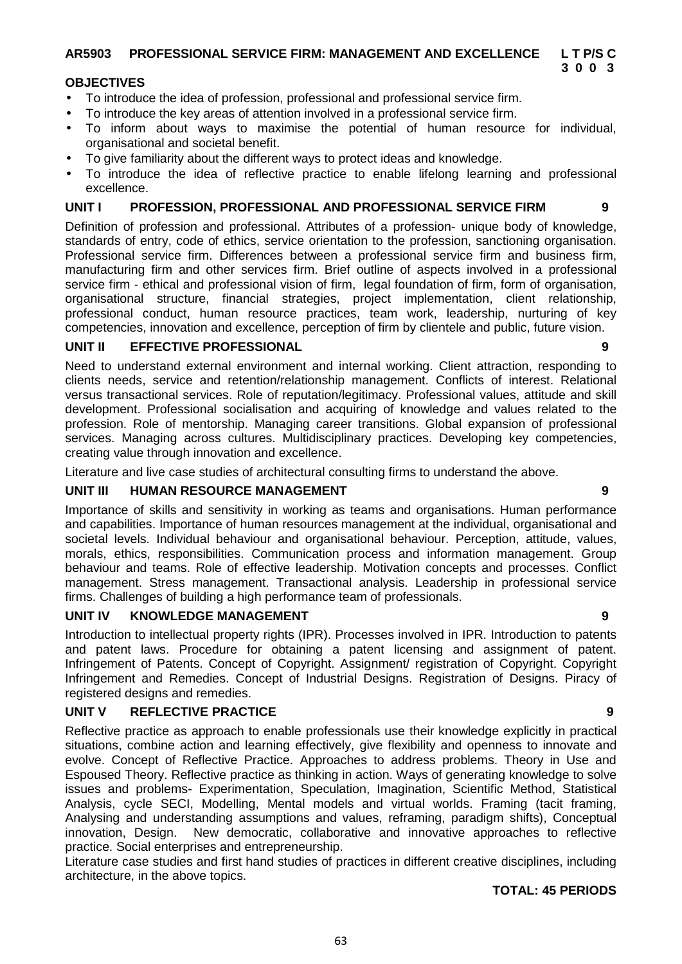#### **AR5903 PROFESSIONAL SERVICE FIRM: MANAGEMENT AND EXCELLENCE L T P/S C 3 0 0 3**

## **OBJECTIVES**

- To introduce the idea of profession, professional and professional service firm.
- To introduce the key areas of attention involved in a professional service firm.
- To inform about ways to maximise the potential of human resource for individual, organisational and societal benefit.
- To give familiarity about the different ways to protect ideas and knowledge.
- To introduce the idea of reflective practice to enable lifelong learning and professional excellence.

## **UNIT I PROFESSION, PROFESSIONAL AND PROFESSIONAL SERVICE FIRM 9**

Definition of profession and professional. Attributes of a profession- unique body of knowledge, standards of entry, code of ethics, service orientation to the profession, sanctioning organisation. Professional service firm. Differences between a professional service firm and business firm, manufacturing firm and other services firm. Brief outline of aspects involved in a professional service firm - ethical and professional vision of firm, legal foundation of firm, form of organisation, organisational structure, financial strategies, project implementation, client relationship, professional conduct, human resource practices, team work, leadership, nurturing of key competencies, innovation and excellence, perception of firm by clientele and public, future vision.

## **UNIT II EFFECTIVE PROFESSIONAL 9**

Need to understand external environment and internal working. Client attraction, responding to clients needs, service and retention/relationship management. Conflicts of interest. Relational versus transactional services. Role of reputation/legitimacy. Professional values, attitude and skill development. Professional socialisation and acquiring of knowledge and values related to the profession. Role of mentorship. Managing career transitions. Global expansion of professional services. Managing across cultures. Multidisciplinary practices. Developing key competencies, creating value through innovation and excellence.

Literature and live case studies of architectural consulting firms to understand the above.

## **UNIT III HUMAN RESOURCE MANAGEMENT 9**

Importance of skills and sensitivity in working as teams and organisations. Human performance and capabilities. Importance of human resources management at the individual, organisational and societal levels. Individual behaviour and organisational behaviour. Perception, attitude, values, morals, ethics, responsibilities. Communication process and information management. Group behaviour and teams. Role of effective leadership. Motivation concepts and processes. Conflict management. Stress management. Transactional analysis. Leadership in professional service firms. Challenges of building a high performance team of professionals.

## **UNIT IV KNOWLEDGE MANAGEMENT 9**

Introduction to intellectual property rights (IPR). Processes involved in IPR. Introduction to patents and patent laws. Procedure for obtaining a patent licensing and assignment of patent. Infringement of Patents. Concept of Copyright. Assignment/ registration of Copyright. Copyright Infringement and Remedies. Concept of Industrial Designs. Registration of Designs. Piracy of registered designs and remedies.

## **UNIT V REFLECTIVE PRACTICE 9**

Reflective practice as approach to enable professionals use their knowledge explicitly in practical situations, combine action and learning effectively, give flexibility and openness to innovate and evolve. Concept of Reflective Practice. Approaches to address problems. Theory in Use and Espoused Theory. Reflective practice as thinking in action. Ways of generating knowledge to solve issues and problems- Experimentation, Speculation, Imagination, Scientific Method, Statistical Analysis, cycle SECI, Modelling, Mental models and virtual worlds. Framing (tacit framing, Analysing and understanding assumptions and values, reframing, paradigm shifts), Conceptual innovation, Design. New democratic, collaborative and innovative approaches to reflective practice. Social enterprises and entrepreneurship.

Literature case studies and first hand studies of practices in different creative disciplines, including architecture, in the above topics.

## **TOTAL: 45 PERIODS**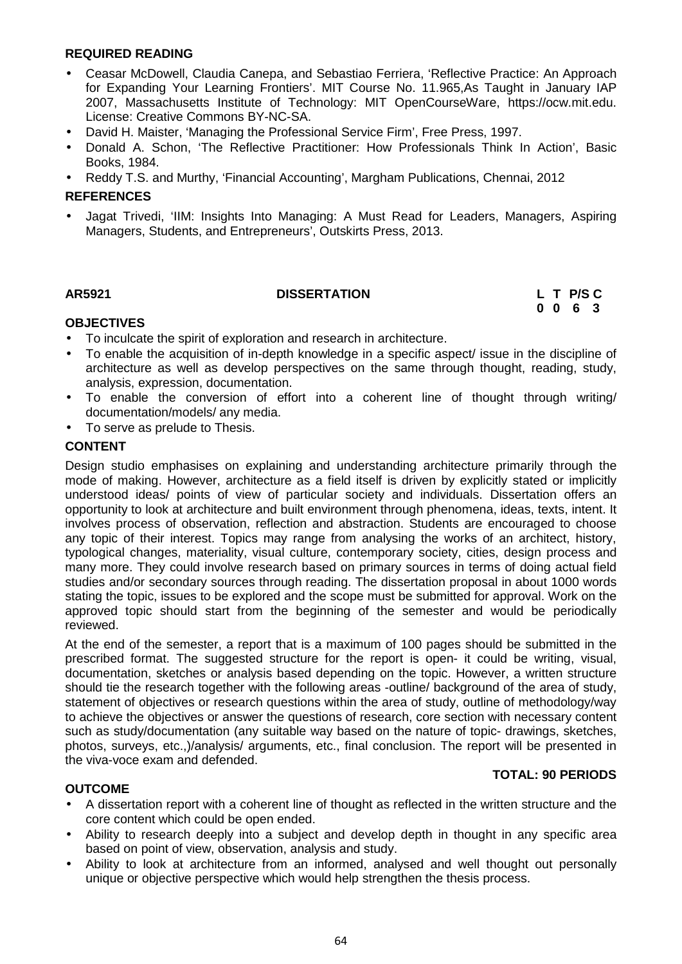## **REQUIRED READING**

- Ceasar McDowell, Claudia Canepa, and Sebastiao Ferriera, 'Reflective Practice: An Approach for Expanding Your Learning Frontiers'. MIT Course No. 11.965,As Taught in January IAP 2007, Massachusetts Institute of Technology: MIT OpenCourseWare, https://ocw.mit.edu. License: Creative Commons BY-NC-SA.
- David H. Maister, 'Managing the Professional Service Firm', Free Press, 1997.
- Donald A. Schon, 'The Reflective Practitioner: How Professionals Think In Action', Basic Books, 1984.
- Reddy T.S. and Murthy, 'Financial Accounting', Margham Publications, Chennai, 2012

#### **REFERENCES**

 Jagat Trivedi, 'IIM: Insights Into Managing: A Must Read for Leaders, Managers, Aspiring Managers, Students, and Entrepreneurs', Outskirts Press, 2013.

## **AR5921 DISSERTATION L T P/S C**

# **0 0 6 3**

## **OBJECTIVES**

- To inculcate the spirit of exploration and research in architecture.
- To enable the acquisition of in-depth knowledge in a specific aspect/ issue in the discipline of architecture as well as develop perspectives on the same through thought, reading, study, analysis, expression, documentation.
- To enable the conversion of effort into a coherent line of thought through writing/ documentation/models/ any media.
- To serve as prelude to Thesis.

## **CONTENT**

Design studio emphasises on explaining and understanding architecture primarily through the mode of making. However, architecture as a field itself is driven by explicitly stated or implicitly understood ideas/ points of view of particular society and individuals. Dissertation offers an opportunity to look at architecture and built environment through phenomena, ideas, texts, intent. It involves process of observation, reflection and abstraction. Students are encouraged to choose any topic of their interest. Topics may range from analysing the works of an architect, history, typological changes, materiality, visual culture, contemporary society, cities, design process and many more. They could involve research based on primary sources in terms of doing actual field studies and/or secondary sources through reading. The dissertation proposal in about 1000 words stating the topic, issues to be explored and the scope must be submitted for approval. Work on the approved topic should start from the beginning of the semester and would be periodically reviewed.

At the end of the semester, a report that is a maximum of 100 pages should be submitted in the prescribed format. The suggested structure for the report is open- it could be writing, visual, documentation, sketches or analysis based depending on the topic. However, a written structure should tie the research together with the following areas -outline/ background of the area of study, statement of objectives or research questions within the area of study, outline of methodology/way to achieve the objectives or answer the questions of research, core section with necessary content such as study/documentation (any suitable way based on the nature of topic- drawings, sketches, photos, surveys, etc.,)/analysis/ arguments, etc., final conclusion. The report will be presented in the viva-voce exam and defended.

#### **TOTAL: 90 PERIODS**

## **OUTCOME**

- A dissertation report with a coherent line of thought as reflected in the written structure and the core content which could be open ended.
- Ability to research deeply into a subject and develop depth in thought in any specific area based on point of view, observation, analysis and study.
- Ability to look at architecture from an informed, analysed and well thought out personally unique or objective perspective which would help strengthen the thesis process.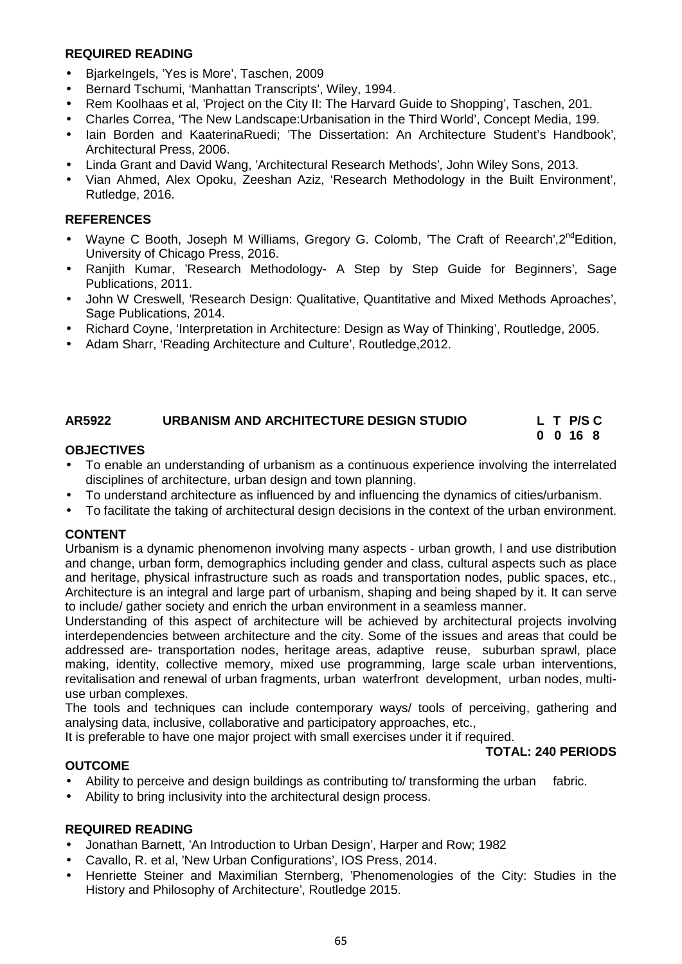## **REQUIRED READING**

- BjarkeIngels, 'Yes is More', Taschen, 2009
- Bernard Tschumi, 'Manhattan Transcripts', Wiley, 1994.
- Rem Koolhaas et al, 'Project on the City II: The Harvard Guide to Shopping', Taschen, 201.
- Charles Correa, 'The New Landscape:Urbanisation in the Third World', Concept Media, 199.
- Iain Borden and KaaterinaRuedi; 'The Dissertation: An Architecture Student's Handbook', Architectural Press, 2006.
- Linda Grant and David Wang, 'Architectural Research Methods', John Wiley Sons, 2013.
- Vian Ahmed, Alex Opoku, Zeeshan Aziz, 'Research Methodology in the Built Environment', Rutledge, 2016.

## **REFERENCES**

- Wayne C Booth, Joseph M Williams, Gregory G. Colomb, 'The Craft of Reearch',  $2^{nd}$  Edition, University of Chicago Press, 2016.
- Ranjith Kumar, 'Research Methodology- A Step by Step Guide for Beginners', Sage Publications, 2011.
- John W Creswell, 'Research Design: Qualitative, Quantitative and Mixed Methods Aproaches', Sage Publications, 2014.
- Richard Coyne, 'Interpretation in Architecture: Design as Way of Thinking', Routledge, 2005.
- Adam Sharr, 'Reading Architecture and Culture', Routledge, 2012.

#### **AR5922 URBANISM AND ARCHITECTURE DESIGN STUDIO L T P/S C 0 0 16 8**

## **OBJECTIVES**

- To enable an understanding of urbanism as a continuous experience involving the interrelated disciplines of architecture, urban design and town planning.
- To understand architecture as influenced by and influencing the dynamics of cities/urbanism.
- To facilitate the taking of architectural design decisions in the context of the urban environment.

## **CONTENT**

Urbanism is a dynamic phenomenon involving many aspects - urban growth, l and use distribution and change, urban form, demographics including gender and class, cultural aspects such as place and heritage, physical infrastructure such as roads and transportation nodes, public spaces, etc., Architecture is an integral and large part of urbanism, shaping and being shaped by it. It can serve to include/ gather society and enrich the urban environment in a seamless manner.

Understanding of this aspect of architecture will be achieved by architectural projects involving interdependencies between architecture and the city. Some of the issues and areas that could be addressed are- transportation nodes, heritage areas, adaptive reuse, suburban sprawl, place making, identity, collective memory, mixed use programming, large scale urban interventions, revitalisation and renewal of urban fragments, urban waterfront development, urban nodes, multi use urban complexes.

The tools and techniques can include contemporary ways/ tools of perceiving, gathering and analysing data, inclusive, collaborative and participatory approaches, etc.,

It is preferable to have one major project with small exercises under it if required.

#### **TOTAL: 240 PERIODS**

## **OUTCOME**

- Ability to perceive and design buildings as contributing to/ transforming the urban fabric.
- Ability to bring inclusivity into the architectural design process.

## **REQUIRED READING**

- Jonathan Barnett, 'An Introduction to Urban Design', Harper and Row; 1982
- Cavallo, R. et al, 'New Urban Configurations', IOS Press, 2014.
- Henriette Steiner and Maximilian Sternberg, 'Phenomenologies of the City: Studies in the History and Philosophy of Architecture', Routledge 2015.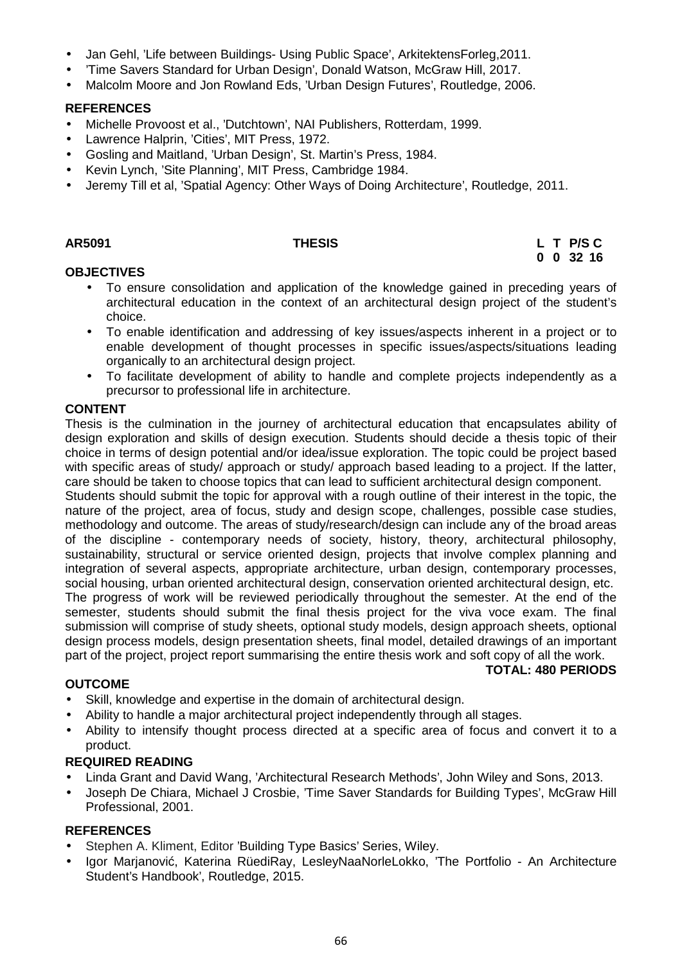- Jan Gehl, 'Life between Buildings- Using Public Space', ArkitektensForleg,2011.
- 'Time Savers Standard for Urban Design', Donald Watson, McGraw Hill, 2017.
- Malcolm Moore and Jon Rowland Eds, 'Urban Design Futures', Routledge, 2006.

## **REFERENCES**

- Michelle Provoost et al., 'Dutchtown', NAI Publishers, Rotterdam, 1999.
- Lawrence Halprin, 'Cities', MIT Press, 1972.
- Gosling and Maitland, 'Urban Design', St. Martin's Press, 1984.
- Kevin Lynch, 'Site Planning', MIT Press, Cambridge 1984.
- Jeremy Till et al, 'Spatial Agency: Other Ways of Doing Architecture', Routledge, 2011.

#### **AR5091 THESIS L T P/S C 0 0 32 16**

## **OBJECTIVES**

- To ensure consolidation and application of the knowledge gained in preceding years of architectural education in the context of an architectural design project of the student's choice.
- To enable identification and addressing of key issues/aspects inherent in a project or to enable development of thought processes in specific issues/aspects/situations leading organically to an architectural design project.
- To facilitate development of ability to handle and complete projects independently as a precursor to professional life in architecture.

## **CONTENT**

Thesis is the culmination in the journey of architectural education that encapsulates ability of design exploration and skills of design execution. Students should decide a thesis topic of their choice in terms of design potential and/or idea/issue exploration. The topic could be project based with specific areas of study/ approach or study/ approach based leading to a project. If the latter, care should be taken to choose topics that can lead to sufficient architectural design component.

Students should submit the topic for approval with a rough outline of their interest in the topic, the nature of the project, area of focus, study and design scope, challenges, possible case studies, methodology and outcome. The areas of study/research/design can include any of the broad areas of the discipline - contemporary needs of society, history, theory, architectural philosophy, sustainability, structural or service oriented design, projects that involve complex planning and integration of several aspects, appropriate architecture, urban design, contemporary processes, social housing, urban oriented architectural design, conservation oriented architectural design, etc. The progress of work will be reviewed periodically throughout the semester. At the end of the semester, students should submit the final thesis project for the viva voce exam. The final submission will comprise of study sheets, optional study models, design approach sheets, optional design process models, design presentation sheets, final model, detailed drawings of an important part of the project, project report summarising the entire thesis work and soft copy of all the work.

## **TOTAL: 480 PERIODS**

## **OUTCOME**

- Skill, knowledge and expertise in the domain of architectural design.
- Ability to handle a major architectural project independently through all stages.
- Ability to intensify thought process directed at a specific area of focus and convert it to a product.

## **REQUIRED READING**

- Linda Grant and David Wang, 'Architectural Research Methods', John Wiley and Sons, 2013.
- Joseph De Chiara, Michael J Crosbie, 'Time Saver Standards for Building Types', McGraw Hill Professional, 2001.

## **REFERENCES**

- Stephen A. Kliment, Editor 'Building Type Basics' Series, Wiley.
- Igor Marjanovi, Katerina RüediRay, LesleyNaaNorleLokko, 'The Portfolio An Architecture Student's Handbook', Routledge, 2015.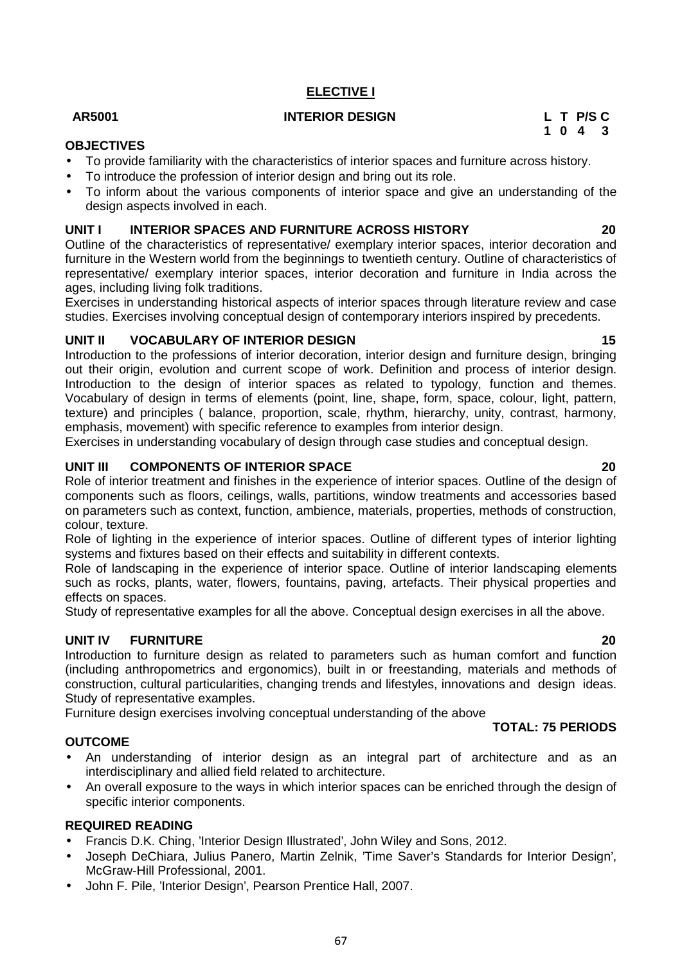## **ELECTIVE I**

## **AR5001 INTERIOR DESIGN L T P/S C**

# **1 0 4 3**

## **OBJECTIVES**

- To provide familiarity with the characteristics of interior spaces and furniture across history.
- To introduce the profession of interior design and bring out its role.
- To inform about the various components of interior space and give an understanding of the design aspects involved in each.

## **UNIT I INTERIOR SPACES AND FURNITURE ACROSS HISTORY 20**

Outline of the characteristics of representative/ exemplary interior spaces, interior decoration and furniture in the Western world from the beginnings to twentieth century. Outline of characteristics of representative/ exemplary interior spaces, interior decoration and furniture in India across the ages, including living folk traditions.

Exercises in understanding historical aspects of interior spaces through literature review and case studies. Exercises involving conceptual design of contemporary interiors inspired by precedents.

## **UNIT II VOCABULARY OF INTERIOR DESIGN 15**

Introduction to the professions of interior decoration, interior design and furniture design, bringing out their origin, evolution and current scope of work. Definition and process of interior design. Introduction to the design of interior spaces as related to typology, function and themes. Vocabulary of design in terms of elements (point, line, shape, form, space, colour, light, pattern, texture) and principles ( balance, proportion, scale, rhythm, hierarchy, unity, contrast, harmony, emphasis, movement) with specific reference to examples from interior design.

Exercises in understanding vocabulary of design through case studies and conceptual design.

## **UNIT III COMPONENTS OF INTERIOR SPACE 20**

Role of interior treatment and finishes in the experience of interior spaces. Outline of the design of components such as floors, ceilings, walls, partitions, window treatments and accessories based on parameters such as context, function, ambience, materials, properties, methods of construction, colour, texture.

Role of lighting in the experience of interior spaces. Outline of different types of interior lighting systems and fixtures based on their effects and suitability in different contexts.

Role of landscaping in the experience of interior space. Outline of interior landscaping elements such as rocks, plants, water, flowers, fountains, paving, artefacts. Their physical properties and effects on spaces.

Study of representative examples for all the above. Conceptual design exercises in all the above.

## **UNIT IV FURNITURE 20**

Introduction to furniture design as related to parameters such as human comfort and function (including anthropometrics and ergonomics), built in or freestanding, materials and methods of construction, cultural particularities, changing trends and lifestyles, innovations and design ideas. Study of representative examples.

Furniture design exercises involving conceptual understanding of the above

## **OUTCOME**

- An understanding of interior design as an integral part of architecture and as an interdisciplinary and allied field related to architecture.
- An overall exposure to the ways in which interior spaces can be enriched through the design of specific interior components.

## **REQUIRED READING**

- Francis D.K. Ching, 'Interior Design Illustrated', John Wiley and Sons, 2012.
- Joseph DeChiara, Julius Panero, Martin Zelnik, 'Time Saver's Standards for Interior Design', McGraw-Hill Professional, 2001.
- John F. Pile, 'Interior Design', Pearson Prentice Hall, 2007.

**TOTAL: 75 PERIODS**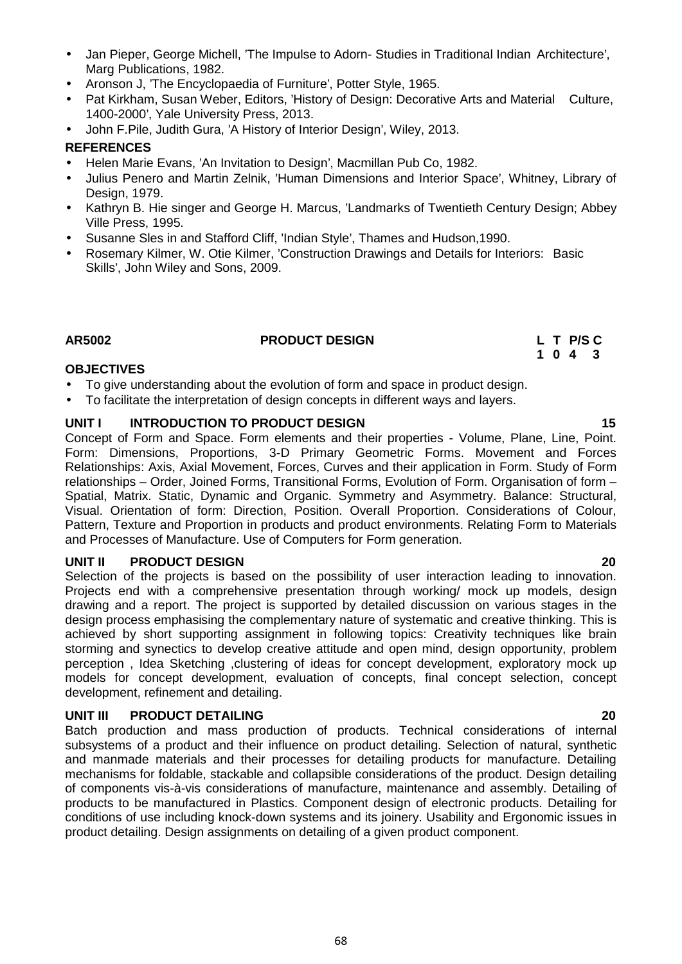**1 0 4 3 OBJECTIVES** To give understanding about the evolution of form and space in product design. **UNIT I INTRODUCTION TO PRODUCT DESIGN 15** Concept of Form and Space. Form elements and their properties - Volume, Plane, Line, Point.

Selection of the projects is based on the possibility of user interaction leading to innovation. Projects end with a comprehensive presentation through working/ mock up models, design drawing and a report. The project is supported by detailed discussion on various stages in the design process emphasising the complementary nature of systematic and creative thinking. This is achieved by short supporting assignment in following topics: Creativity techniques like brain storming and synectics to develop creative attitude and open mind, design opportunity, problem perception , Idea Sketching ,clustering of ideas for concept development, exploratory mock up models for concept development, evaluation of concepts, final concept selection, concept development, refinement and detailing.

## **UNIT III PRODUCT DETAILING 20**

Batch production and mass production of products. Technical considerations of internal subsystems of a product and their influence on product detailing. Selection of natural, synthetic and manmade materials and their processes for detailing products for manufacture. Detailing mechanisms for foldable, stackable and collapsible considerations of the product. Design detailing of components vis-à-vis considerations of manufacture, maintenance and assembly. Detailing of products to be manufactured in Plastics. Component design of electronic products. Detailing for conditions of use including knock-down systems and its joinery. Usability and Ergonomic issues in product detailing. Design assignments on detailing of a given product component.

#### Jan Pieper, George Michell, 'The Impulse to Adorn- Studies in Traditional Indian Architecture', Marg Publications, 1982.

- Aronson J, 'The Encyclopaedia of Furniture', Potter Style, 1965.
- Pat Kirkham, Susan Weber, Editors, 'History of Design: Decorative Arts and Material Culture, 1400-2000', Yale University Press, 2013.
- John F.Pile, Judith Gura, 'A History of Interior Design', Wiley, 2013.

## **REFERENCES**

- Helen Marie Evans, 'An Invitation to Design', Macmillan Pub Co, 1982.
- Julius Penero and Martin Zelnik, 'Human Dimensions and Interior Space', Whitney, Library of Design, 1979.
- Kathryn B. Hie singer and George H. Marcus, 'Landmarks of Twentieth Century Design: Abbey Ville Press, 1995.
- Susanne Sles in and Stafford Cliff, 'Indian Style', Thames and Hudson,1990.
- Rosemary Kilmer, W. Otie Kilmer, 'Construction Drawings and Details for Interiors: Basic Skills', John Wiley and Sons, 2009.

## **AR5002 PRODUCT DESIGN L T P/S C**

To facilitate the interpretation of design concepts in different ways and layers.

Form: Dimensions, Proportions, 3-D Primary Geometric Forms. Movement and Forces Relationships: Axis, Axial Movement, Forces, Curves and their application in Form. Study of Form relationships – Order, Joined Forms, Transitional Forms, Evolution of Form. Organisation of form – Spatial, Matrix. Static, Dynamic and Organic. Symmetry and Asymmetry. Balance: Structural, Visual. Orientation of form: Direction, Position. Overall Proportion. Considerations of Colour, Pattern, Texture and Proportion in products and product environments. Relating Form to Materials and Processes of Manufacture. Use of Computers for Form generation.

## **UNIT II PRODUCT DESIGN 20**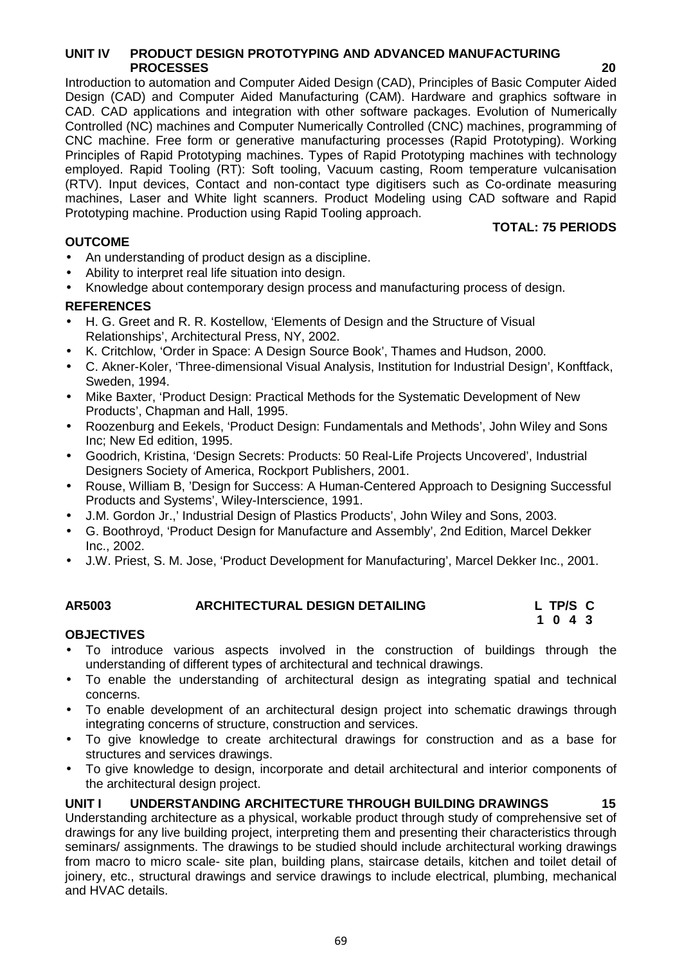#### **UNIT IV PRODUCT DESIGN PROTOTYPING AND ADVANCED MANUFACTURING PROCESSES 20**

Introduction to automation and Computer Aided Design (CAD), Principles of Basic Computer Aided Design (CAD) and Computer Aided Manufacturing (CAM). Hardware and graphics software in CAD. CAD applications and integration with other software packages. Evolution of Numerically Controlled (NC) machines and Computer Numerically Controlled (CNC) machines, programming of CNC machine. Free form or generative manufacturing processes (Rapid Prototyping). Working Principles of Rapid Prototyping machines. Types of Rapid Prototyping machines with technology employed. Rapid Tooling (RT): Soft tooling, Vacuum casting, Room temperature vulcanisation (RTV). Input devices, Contact and non-contact type digitisers such as Co-ordinate measuring machines, Laser and White light scanners. Product Modeling using CAD software and Rapid Prototyping machine. Production using Rapid Tooling approach.

## **OUTCOME**

**TOTAL: 75 PERIODS**

- An understanding of product design as a discipline.
- Ability to interpret real life situation into design.
- Knowledge about contemporary design process and manufacturing process of design.

## **REFERENCES**

- H. G. Greet and R. R. Kostellow, 'Elements of Design and the Structure of Visual Relationships', Architectural Press, NY, 2002.
- K. Critchlow, 'Order in Space: A Design Source Book', Thames and Hudson, 2000.
- C. Akner-Koler, 'Three-dimensional Visual Analysis, Institution for Industrial Design', Konftfack, Sweden, 1994.
- Mike Baxter, 'Product Design: Practical Methods for the Systematic Development of New Products', Chapman and Hall, 1995.
- Roozenburg and Eekels, 'Product Design: Fundamentals and Methods', John Wiley and Sons Inc; New Ed edition, 1995.
- Goodrich, Kristina, 'Design Secrets: Products: 50 Real-Life Projects Uncovered', Industrial Designers Society of America, Rockport Publishers, 2001.
- Rouse, William B, 'Design for Success: A Human-Centered Approach to Designing Successful Products and Systems', Wiley-Interscience, 1991.
- J.M. Gordon Jr.,' Industrial Design of Plastics Products', John Wiley and Sons, 2003.
- G. Boothroyd, 'Product Design for Manufacture and Assembly', 2nd Edition, Marcel Dekker Inc., 2002.
- J.W. Priest, S. M. Jose, 'Product Development for Manufacturing', Marcel Dekker Inc., 2001.

| AR5003 | ARCHITECTURAL DESIGN DETAILING | L TP/S C |
|--------|--------------------------------|----------|
|        |                                | 1 0 4 3  |

## **OBJECTIVES**

- To introduce various aspects involved in the construction of buildings through the understanding of different types of architectural and technical drawings.
- To enable the understanding of architectural design as integrating spatial and technical concerns.
- To enable development of an architectural design project into schematic drawings through integrating concerns of structure, construction and services.
- To give knowledge to create architectural drawings for construction and as a base for structures and services drawings.
- To give knowledge to design, incorporate and detail architectural and interior components of the architectural design project.

## **UNIT I UNDERSTANDING ARCHITECTURE THROUGH BUILDING DRAWINGS 15**

Understanding architecture as a physical, workable product through study of comprehensive set of drawings for any live building project, interpreting them and presenting their characteristics through seminars/ assignments. The drawings to be studied should include architectural working drawings from macro to micro scale- site plan, building plans, staircase details, kitchen and toilet detail of joinery, etc., structural drawings and service drawings to include electrical, plumbing, mechanical and HVAC details.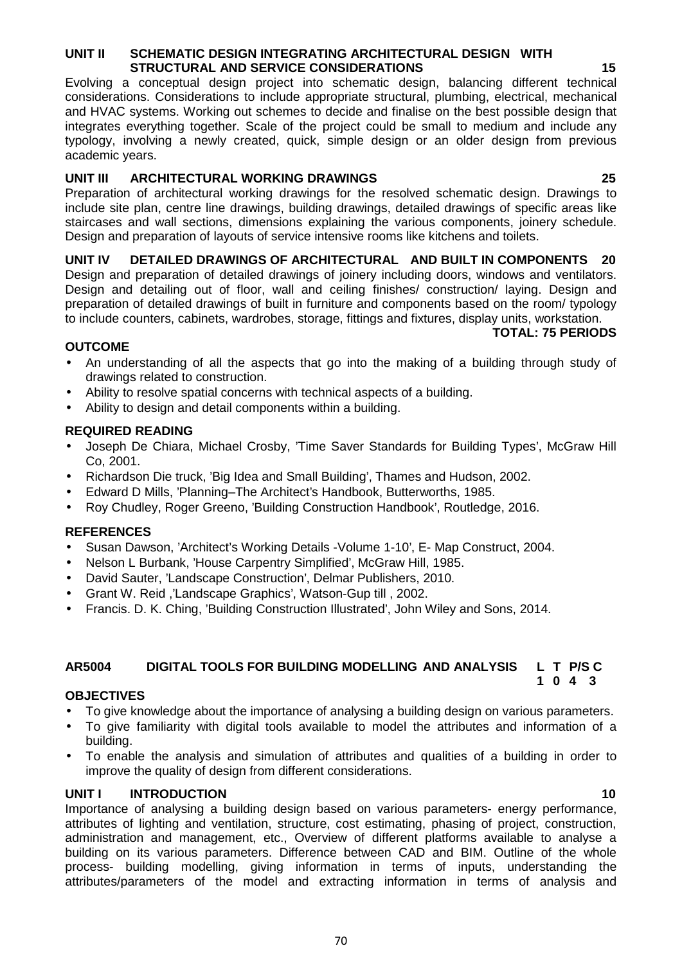#### **UNIT II SCHEMATIC DESIGN INTEGRATING ARCHITECTURAL DESIGN WITH STRUCTURAL AND SERVICE CONSIDERATIONS**

Evolving a conceptual design project into schematic design, balancing different technical considerations. Considerations to include appropriate structural, plumbing, electrical, mechanical and HVAC systems. Working out schemes to decide and finalise on the best possible design that integrates everything together. Scale of the project could be small to medium and include any typology, involving a newly created, quick, simple design or an older design from previous academic years.

## **UNIT III ARCHITECTURAL WORKING DRAWINGS 25**

Preparation of architectural working drawings for the resolved schematic design. Drawings to include site plan, centre line drawings, building drawings, detailed drawings of specific areas like staircases and wall sections, dimensions explaining the various components, joinery schedule. Design and preparation of layouts of service intensive rooms like kitchens and toilets.

**UNIT IV DETAILED DRAWINGS OF ARCHITECTURAL AND BUILT IN COMPONENTS 20** Design and preparation of detailed drawings of joinery including doors, windows and ventilators. Design and detailing out of floor, wall and ceiling finishes/ construction/ laying. Design and preparation of detailed drawings of built in furniture and components based on the room/ typology to include counters, cabinets, wardrobes, storage, fittings and fixtures, display units, workstation.

#### **TOTAL: 75 PERIODS**

**1 0 4 3**

## **OUTCOME**

- An understanding of all the aspects that go into the making of a building through study of drawings related to construction.
- Ability to resolve spatial concerns with technical aspects of a building.
- Ability to design and detail components within a building.

## **REQUIRED READING**

- Joseph De Chiara, Michael Crosby, 'Time Saver Standards for Building Types', McGraw Hill Co, 2001.
- Richardson Die truck, 'Big Idea and Small Building', Thames and Hudson, 2002.
- Edward D Mills, 'Planning–The Architect's Handbook, Butterworths, 1985.
- Roy Chudley, Roger Greeno, 'Building Construction Handbook', Routledge, 2016.

## **REFERENCES**

- Susan Dawson, 'Architect's Working Details -Volume 1-10', E- Map Construct, 2004.
- Nelson L Burbank, 'House Carpentry Simplified', McGraw Hill, 1985.
- David Sauter, 'Landscape Construction', Delmar Publishers, 2010.
- Grant W. Reid ,'Landscape Graphics', Watson-Gup till , 2002.
- Francis. D. K. Ching, 'Building Construction Illustrated', John Wiley and Sons, 2014.

## **AR5004 DIGITAL TOOLS FOR BUILDING MODELLING AND ANALYSIS L T P/S C**

#### **OBJECTIVES**

- To give knowledge about the importance of analysing a building design on various parameters.
- To give familiarity with digital tools available to model the attributes and information of a building.
- To enable the analysis and simulation of attributes and qualities of a building in order to improve the quality of design from different considerations.

## **UNIT I INTRODUCTION 10**

Importance of analysing a building design based on various parameters- energy performance, attributes of lighting and ventilation, structure, cost estimating, phasing of project, construction, administration and management, etc., Overview of different platforms available to analyse a building on its various parameters. Difference between CAD and BIM. Outline of the whole process- building modelling, giving information in terms of inputs, understanding the attributes/parameters of the model and extracting information in terms of analysis and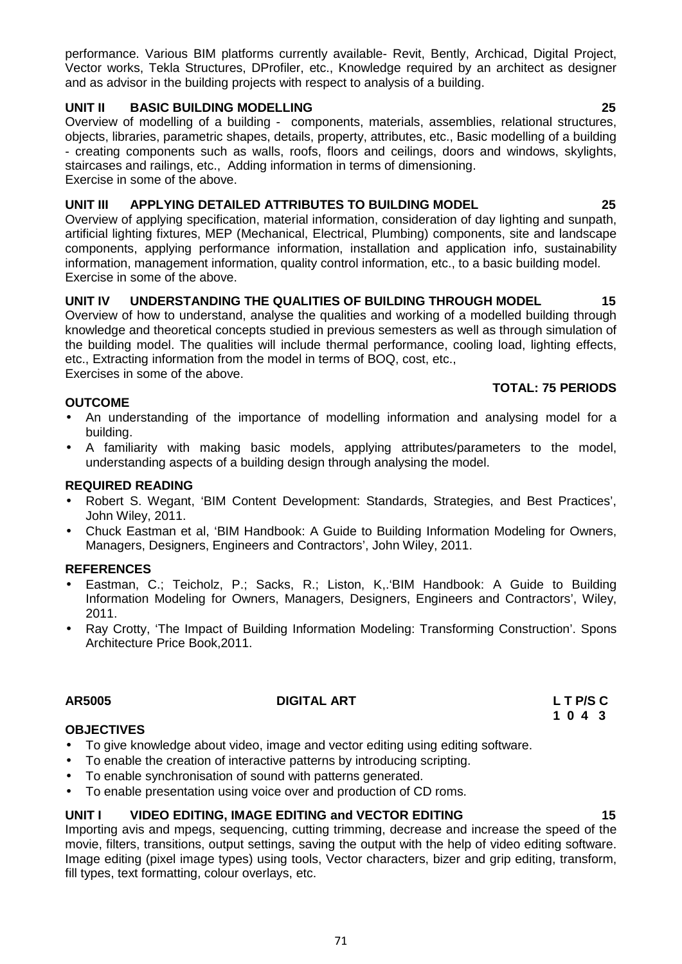performance. Various BIM platforms currently available- Revit, Bently, Archicad, Digital Project, Vector works, Tekla Structures, DProfiler, etc., Knowledge required by an architect as designer and as advisor in the building projects with respect to analysis of a building.

## **UNIT II BASIC BUILDING MODELLING 25**

Overview of modelling of a building - components, materials, assemblies, relational structures, objects, libraries, parametric shapes, details, property, attributes, etc., Basic modelling of a building - creating components such as walls, roofs, floors and ceilings, doors and windows, skylights, staircases and railings, etc., Adding information in terms of dimensioning. Exercise in some of the above.

## **UNIT III APPLYING DETAILED ATTRIBUTES TO BUILDING MODEL 25**

Overview of applying specification, material information, consideration of day lighting and sunpath, artificial lighting fixtures, MEP (Mechanical, Electrical, Plumbing) components, site and landscape components, applying performance information, installation and application info, sustainability information, management information, quality control information, etc., to a basic building model. Exercise in some of the above.

## **UNIT IV UNDERSTANDING THE QUALITIES OF BUILDING THROUGH MODEL 15**

Overview of how to understand, analyse the qualities and working of a modelled building through knowledge and theoretical concepts studied in previous semesters as well as through simulation of the building model. The qualities will include thermal performance, cooling load, lighting effects, etc., Extracting information from the model in terms of BOQ, cost, etc.,

Exercises in some of the above.

## **TOTAL: 75 PERIODS**

- **OUTCOME**
- An understanding of the importance of modelling information and analysing model for a building.
- A familiarity with making basic models, applying attributes/parameters to the model, understanding aspects of a building design through analysing the model.

## **REQUIRED READING**

- Robert S. Wegant, 'BIM Content Development: Standards, Strategies, and Best Practices', John Wiley, 2011.
- Chuck Eastman et al, 'BIM Handbook: A Guide to Building Information Modeling for Owners, Managers, Designers, Engineers and Contractors', John Wiley, 2011.

## **REFERENCES**

- Eastman, C.; Teicholz, P.; Sacks, R.; Liston, K,.'BIM Handbook: A Guide to Building Information Modeling for Owners, Managers, Designers, Engineers and Contractors', Wiley, 2011.
- Ray Crotty, 'The Impact of Building Information Modeling: Transforming Construction'. Spons Architecture Price Book,2011.

## **AR5005 DIGITAL ART L T P/S C**

# **1 0 4 3**

## **OBJECTIVES**

- To give knowledge about video, image and vector editing using editing software.
- To enable the creation of interactive patterns by introducing scripting.
- To enable synchronisation of sound with patterns generated.
- To enable presentation using voice over and production of CD roms.

#### **UNIT I VIDEO EDITING, IMAGE EDITING and VECTOR EDITING 15**

Importing avis and mpegs, sequencing, cutting trimming, decrease and increase the speed of the movie, filters, transitions, output settings, saving the output with the help of video editing software. Image editing (pixel image types) using tools, Vector characters, bizer and grip editing, transform, fill types, text formatting, colour overlays, etc.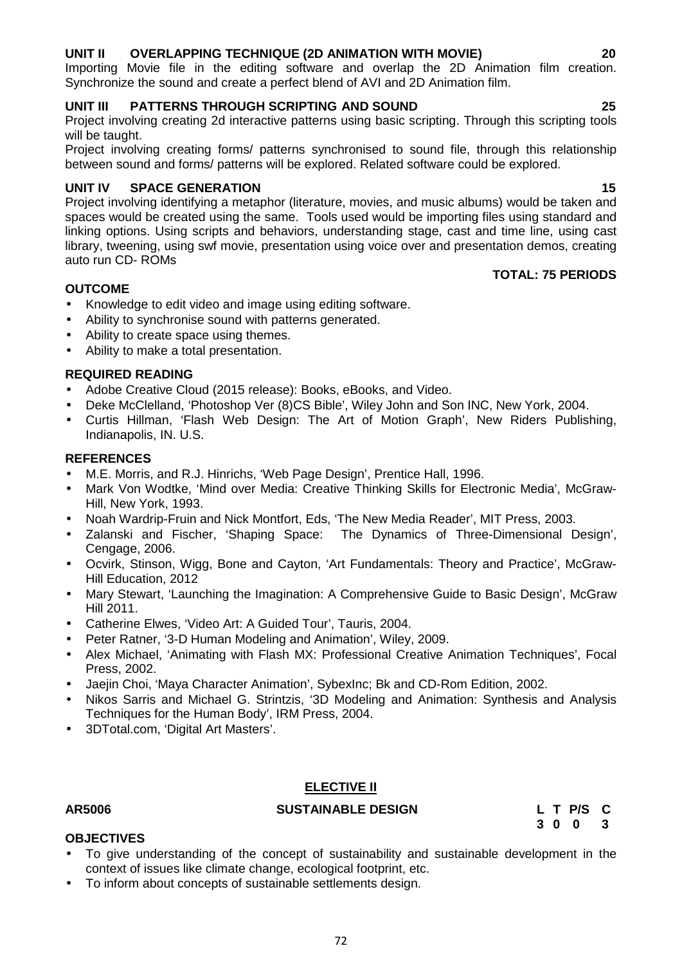## **UNIT II OVERLAPPING TECHNIQUE (2D ANIMATION WITH MOVIE) 20**

Importing Movie file in the editing software and overlap the 2D Animation film creation. Synchronize the sound and create a perfect blend of AVI and 2D Animation film.

## **UNIT III PATTERNS THROUGH SCRIPTING AND SOUND 25**

Project involving creating 2d interactive patterns using basic scripting. Through this scripting tools will be taught.

Project involving creating forms/ patterns synchronised to sound file, through this relationship between sound and forms/ patterns will be explored. Related software could be explored.

## **UNIT IV SPACE GENERATION 15**

Project involving identifying a metaphor (literature, movies, and music albums) would be taken and spaces would be created using the same. Tools used would be importing files using standard and linking options. Using scripts and behaviors, understanding stage, cast and time line, using cast library, tweening, using swf movie, presentation using voice over and presentation demos, creating auto run CD- ROMs

## **OUTCOME**

- Knowledge to edit video and image using editing software.
- Ability to synchronise sound with patterns generated.
- Ability to create space using themes.
- Ability to make a total presentation.

## **REQUIRED READING**

- Adobe Creative Cloud (2015 release): Books, eBooks, and Video.
- Deke McClelland, 'Photoshop Ver (8)CS Bible', Wiley John and Son INC, New York, 2004.
- Curtis Hillman, 'Flash Web Design: The Art of Motion Graph', New Riders Publishing, Indianapolis, IN. U.S.

## **REFERENCES**

- M.E. Morris, and R.J. Hinrichs, 'Web Page Design', Prentice Hall, 1996.
- Mark Von Wodtke, 'Mind over Media: Creative Thinking Skills for Electronic Media', McGraw- Hill, New York, 1993.
- Noah Wardrip-Fruin and Nick Montfort, Eds, 'The New Media Reader', MIT Press, 2003.
- Zalanski and Fischer, 'Shaping Space: The Dynamics of Three-Dimensional Design', Cengage, 2006.
- Ocvirk, Stinson, Wigg, Bone and Cayton, 'Art Fundamentals: Theory and Practice', McGraw- Hill Education, 2012
- Mary Stewart, 'Launching the Imagination: A Comprehensive Guide to Basic Design', McGraw Hill 2011.
- Catherine Elwes, 'Video Art: A Guided Tour', Tauris, 2004.
- Peter Ratner, '3-D Human Modeling and Animation', Wiley, 2009.
- Alex Michael, 'Animating with Flash MX: Professional Creative Animation Techniques', Focal Press, 2002.
- Jaejin Choi, 'Maya Character Animation', SybexInc; Bk and CD-Rom Edition, 2002.
- Nikos Sarris and Michael G. Strintzis, '3D Modeling and Animation: Synthesis and Analysis Techniques for the Human Body', IRM Press, 2004.
- 3DTotal.com, 'Digital Art Masters'.

## **ELECTIVE II**

## **AR5006 SUSTAINABLE DESIGN L T P/S C**

**3 0 0 3**

## **OBJECTIVES**

- To give understanding of the concept of sustainability and sustainable development in the context of issues like climate change, ecological footprint, etc.
- To inform about concepts of sustainable settlements design.

**TOTAL: 75 PERIODS**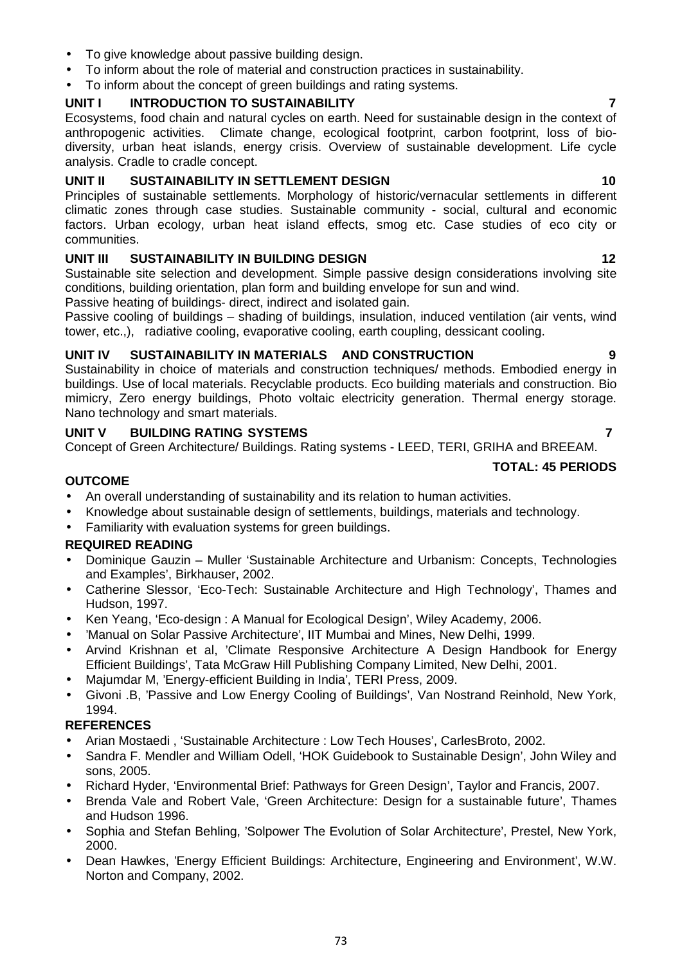- To give knowledge about passive building design.
- To inform about the role of material and construction practices in sustainability.
- To inform about the concept of green buildings and rating systems.

# **UNIT I INTRODUCTION TO SUSTAINABILITY 7**

Ecosystems, food chain and natural cycles on earth. Need for sustainable design in the context of anthropogenic activities. Climate change, ecological footprint, carbon footprint, loss of bio diversity, urban heat islands, energy crisis. Overview of sustainable development. Life cycle analysis. Cradle to cradle concept.

# **UNIT II SUSTAINABILITY IN SETTLEMENT DESIGN 10**

Principles of sustainable settlements. Morphology of historic/vernacular settlements in different climatic zones through case studies. Sustainable community - social, cultural and economic factors. Urban ecology, urban heat island effects, smog etc. Case studies of eco city or communities.

# **UNIT III SUSTAINABILITY IN BUILDING DESIGN 12**

Sustainable site selection and development. Simple passive design considerations involving site conditions, building orientation, plan form and building envelope for sun and wind.

Passive heating of buildings- direct, indirect and isolated gain.

Passive cooling of buildings – shading of buildings, insulation, induced ventilation (air vents, wind tower, etc.,), radiative cooling, evaporative cooling, earth coupling, dessicant cooling.

# **UNIT IV SUSTAINABILITY IN MATERIALS AND CONSTRUCTION 9**

Sustainability in choice of materials and construction techniques/ methods. Embodied energy in buildings. Use of local materials. Recyclable products. Eco building materials and construction. Bio mimicry, Zero energy buildings, Photo voltaic electricity generation. Thermal energy storage. Nano technology and smart materials.

# **UNIT V BUILDING RATING SYSTEMS 7**

Concept of Green Architecture/ Buildings. Rating systems - LEED, TERI, GRIHA and BREEAM.

# **TOTAL: 45 PERIODS**

# **OUTCOME**

- An overall understanding of sustainability and its relation to human activities.
- Knowledge about sustainable design of settlements, buildings, materials and technology.
- Familiarity with evaluation systems for green buildings.

# **REQUIRED READING**

- Dominique Gauzin Muller 'Sustainable Architecture and Urbanism: Concepts, Technologies and Examples', Birkhauser, 2002.
- Catherine Slessor, 'Eco-Tech: Sustainable Architecture and High Technology', Thames and Hudson, 1997.
- Ken Yeang, 'Eco-design : A Manual for Ecological Design', Wiley Academy, 2006.
- 'Manual on Solar Passive Architecture', IIT Mumbai and Mines, New Delhi, 1999.
- Arvind Krishnan et al, 'Climate Responsive Architecture A Design Handbook for Energy Efficient Buildings', Tata McGraw Hill Publishing Company Limited, New Delhi, 2001.
- Majumdar M, 'Energy-efficient Building in India', TERI Press, 2009.
- Givoni .B, 'Passive and Low Energy Cooling of Buildings', Van Nostrand Reinhold, New York, 1994.

# **REFERENCES**

- Arian Mostaedi , 'Sustainable Architecture : Low Tech Houses', CarlesBroto, 2002.
- Sandra F. Mendler and William Odell, 'HOK Guidebook to Sustainable Design', John Wiley and sons, 2005.
- Richard Hyder, 'Environmental Brief: Pathways for Green Design', Taylor and Francis, 2007.
- Brenda Vale and Robert Vale, 'Green Architecture: Design for a sustainable future', Thames and Hudson 1996.
- Sophia and Stefan Behling, 'Solpower The Evolution of Solar Architecture', Prestel, New York, 2000.
- Dean Hawkes, 'Energy Efficient Buildings: Architecture, Engineering and Environment', W.W. Norton and Company, 2002.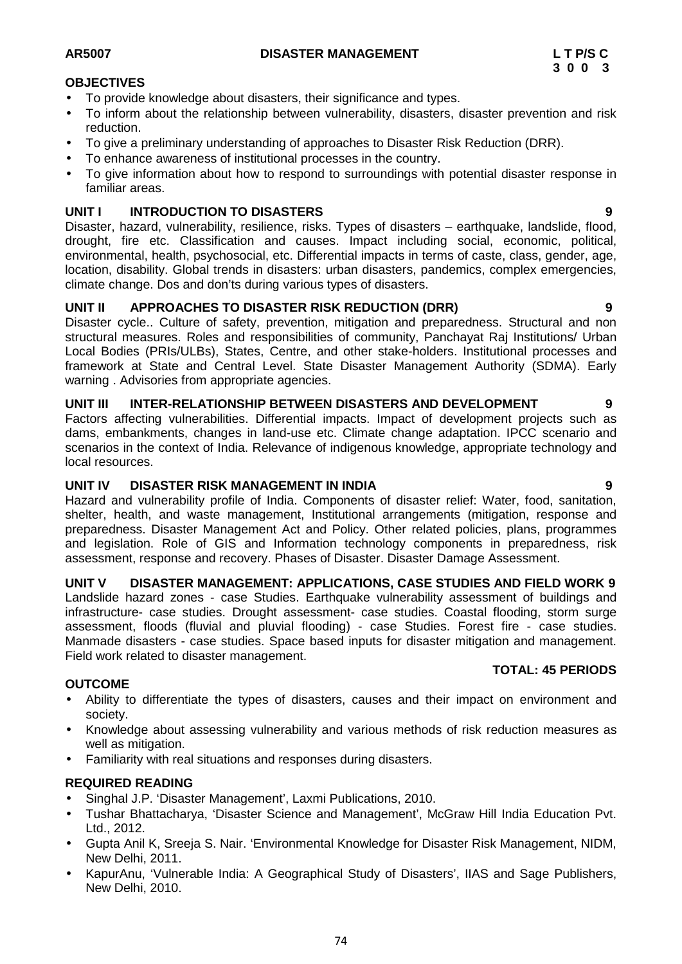**TOTAL: 45 PERIODS**

# **OBJECTIVES**

- To provide knowledge about disasters, their significance and types.
- To inform about the relationship between vulnerability, disasters, disaster prevention and risk reduction.
- To give a preliminary understanding of approaches to Disaster Risk Reduction (DRR).
- To enhance awareness of institutional processes in the country.
- To give information about how to respond to surroundings with potential disaster response in familiar areas.

# **UNIT I INTRODUCTION TO DISASTERS 9**

Disaster, hazard, vulnerability, resilience, risks. Types of disasters – earthquake, landslide, flood, drought, fire etc. Classification and causes. Impact including social, economic, political, environmental, health, psychosocial, etc. Differential impacts in terms of caste, class, gender, age, location, disability. Global trends in disasters: urban disasters, pandemics, complex emergencies, climate change. Dos and don'ts during various types of disasters.

# **UNIT II APPROACHES TO DISASTER RISK REDUCTION (DRR) 9**

Disaster cycle.. Culture of safety, prevention, mitigation and preparedness. Structural and non structural measures. Roles and responsibilities of community, Panchayat Raj Institutions/ Urban Local Bodies (PRIs/ULBs), States, Centre, and other stake-holders. Institutional processes and framework at State and Central Level. State Disaster Management Authority (SDMA). Early warning . Advisories from appropriate agencies.

### **UNIT III INTER-RELATIONSHIP BETWEEN DISASTERS AND DEVELOPMENT 9**

Factors affecting vulnerabilities. Differential impacts. Impact of development projects such as dams, embankments, changes in land-use etc. Climate change adaptation. IPCC scenario and scenarios in the context of India. Relevance of indigenous knowledge, appropriate technology and local resources.

# **UNIT IV DISASTER RISK MANAGEMENT IN INDIA 9**

Hazard and vulnerability profile of India. Components of disaster relief: Water, food, sanitation, shelter, health, and waste management, Institutional arrangements (mitigation, response and preparedness. Disaster Management Act and Policy. Other related policies, plans, programmes and legislation. Role of GIS and Information technology components in preparedness, risk assessment, response and recovery. Phases of Disaster. Disaster Damage Assessment.

# **UNIT V DISASTER MANAGEMENT: APPLICATIONS, CASE STUDIES AND FIELD WORK 9**

Landslide hazard zones - case Studies. Earthquake vulnerability assessment of buildings and infrastructure- case studies. Drought assessment- case studies. Coastal flooding, storm surge assessment, floods (fluvial and pluvial flooding) - case Studies. Forest fire - case studies. Manmade disasters - case studies. Space based inputs for disaster mitigation and management. Field work related to disaster management.

### **OUTCOME**

- Ability to differentiate the types of disasters, causes and their impact on environment and society.
- Knowledge about assessing vulnerability and various methods of risk reduction measures as well as mitigation.
- Familiarity with real situations and responses during disasters.

### **REQUIRED READING**

- Singhal J.P. 'Disaster Management', Laxmi Publications, 2010.
- Tushar Bhattacharya, 'Disaster Science and Management', McGraw Hill India Education Pvt. Ltd., 2012.
- Gupta Anil K, Sreeja S. Nair. 'Environmental Knowledge for Disaster Risk Management, NIDM, New Delhi, 2011.
- KapurAnu, 'Vulnerable India: A Geographical Study of Disasters', IIAS and Sage Publishers, New Delhi, 2010.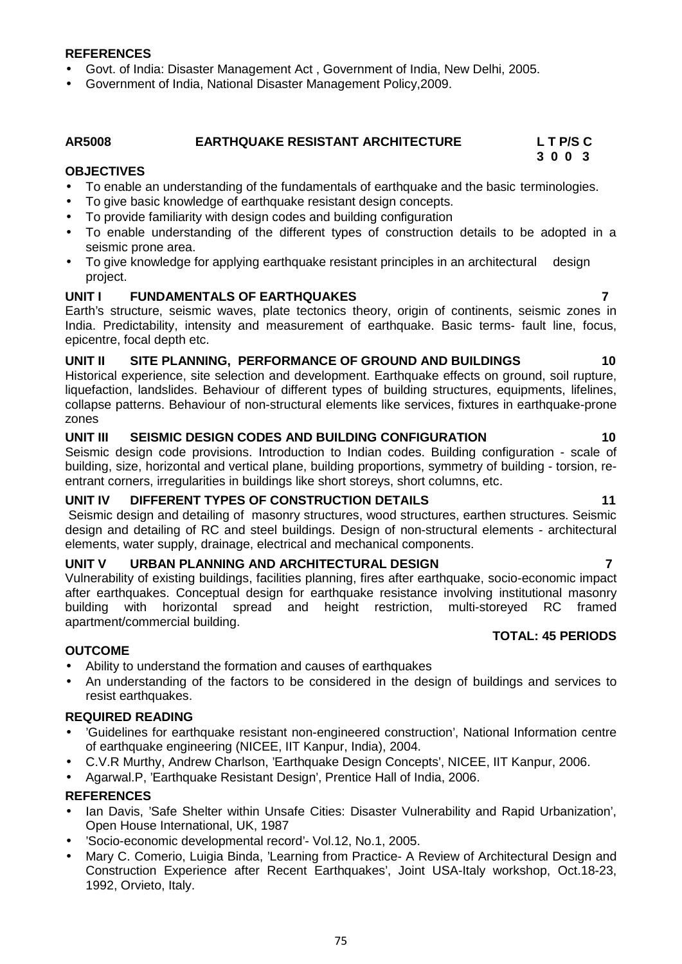**REFERENCES**

- Govt. of India: Disaster Management Act , Government of India, New Delhi, 2005.
- Government of India, National Disaster Management Policy,2009.

#### **AR5008 EARTHQUAKE RESISTANT ARCHITECTURE L T P/S C 3 0 0 3**

### **OBJECTIVES**

- To enable an understanding of the fundamentals of earthquake and the basic terminologies.
- To give basic knowledge of earthquake resistant design concepts.
- To provide familiarity with design codes and building configuration
- To enable understanding of the different types of construction details to be adopted in a seismic prone area.
- To give knowledge for applying earthquake resistant principles in an architectural design project.

# **UNIT I FUNDAMENTALS OF EARTHQUAKES 7**

Earth's structure, seismic waves, plate tectonics theory, origin of continents, seismic zones in India. Predictability, intensity and measurement of earthquake. Basic terms- fault line, focus, epicentre, focal depth etc.

# **UNIT II SITE PLANNING, PERFORMANCE OF GROUND AND BUILDINGS 10**

Historical experience, site selection and development. Earthquake effects on ground, soil rupture, liquefaction, landslides. Behaviour of different types of building structures, equipments, lifelines, collapse patterns. Behaviour of non-structural elements like services, fixtures in earthquake-prone zones

# **UNIT III SEISMIC DESIGN CODES AND BUILDING CONFIGURATION 10**

Seismic design code provisions. Introduction to Indian codes. Building configuration - scale of building, size, horizontal and vertical plane, building proportions, symmetry of building - torsion, re entrant corners, irregularities in buildings like short storeys, short columns, etc.

### **UNIT IV DIFFERENT TYPES OF CONSTRUCTION DETAILS 11**

Seismic design and detailing of masonry structures, wood structures, earthen structures. Seismic design and detailing of RC and steel buildings. Design of non-structural elements - architectural elements, water supply, drainage, electrical and mechanical components.

# **UNIT V URBAN PLANNING AND ARCHITECTURAL DESIGN 7**

Vulnerability of existing buildings, facilities planning, fires after earthquake, socio-economic impact after earthquakes. Conceptual design for earthquake resistance involving institutional masonry building with horizontal spread and height restriction, multi-storeyed RC framed apartment/commercial building. **TOTAL: 45 PERIODS**

# **OUTCOME**

- Ability to understand the formation and causes of earthquakes
- An understanding of the factors to be considered in the design of buildings and services to resist earthquakes.

### **REQUIRED READING**

- 'Guidelines for earthquake resistant non-engineered construction', National Information centre of earthquake engineering (NICEE, IIT Kanpur, India), 2004.
- C.V.R Murthy, Andrew Charlson, 'Earthquake Design Concepts', NICEE, IIT Kanpur, 2006.
- Agarwal.P, 'Earthquake Resistant Design', Prentice Hall of India, 2006.

### **REFERENCES**

- Ian Davis, 'Safe Shelter within Unsafe Cities: Disaster Vulnerability and Rapid Urbanization', Open House International, UK, 1987
- 'Socio-economic developmental record'- Vol.12, No.1, 2005.
- Mary C. Comerio, Luigia Binda, 'Learning from Practice- A Review of Architectural Design and Construction Experience after Recent Earthquakes', Joint USA-Italy workshop, Oct.18-23, 1992, Orvieto, Italy.

75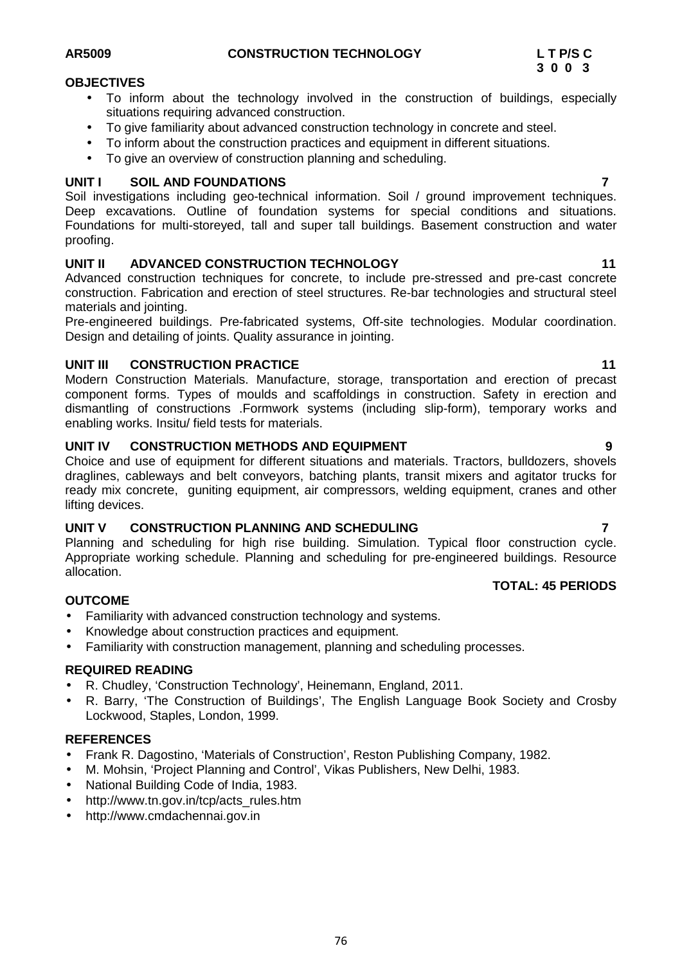# **OBJECTIVES**

- To inform about the technology involved in the construction of buildings, especially situations requiring advanced construction.
- To give familiarity about advanced construction technology in concrete and steel.
- To inform about the construction practices and equipment in different situations.
- To give an overview of construction planning and scheduling.

# **UNIT I SOIL AND FOUNDATIONS 7**

Soil investigations including geo-technical information. Soil / ground improvement techniques. Deep excavations. Outline of foundation systems for special conditions and situations. Foundations for multi-storeyed, tall and super tall buildings. Basement construction and water proofing.

# **UNIT II ADVANCED CONSTRUCTION TECHNOLOGY 11**

Advanced construction techniques for concrete, to include pre-stressed and pre-cast concrete construction. Fabrication and erection of steel structures. Re-bar technologies and structural steel materials and jointing.

Pre-engineered buildings. Pre-fabricated systems, Off-site technologies. Modular coordination. Design and detailing of joints. Quality assurance in jointing.

# **UNIT III CONSTRUCTION PRACTICE 11**

Modern Construction Materials. Manufacture, storage, transportation and erection of precast component forms. Types of moulds and scaffoldings in construction. Safety in erection and dismantling of constructions .Formwork systems (including slip-form), temporary works and enabling works. Insitu/ field tests for materials.

# **UNIT IV CONSTRUCTION METHODS AND EQUIPMENT 9**

Choice and use of equipment for different situations and materials. Tractors, bulldozers, shovels draglines, cableways and belt conveyors, batching plants, transit mixers and agitator trucks for ready mix concrete, guniting equipment, air compressors, welding equipment, cranes and other lifting devices.

### **UNIT V CONSTRUCTION PLANNING AND SCHEDULING 7**

Planning and scheduling for high rise building. Simulation. Typical floor construction cycle. Appropriate working schedule. Planning and scheduling for pre-engineered buildings. Resource allocation.

### **OUTCOME**

- Familiarity with advanced construction technology and systems.
- Knowledge about construction practices and equipment.
- Familiarity with construction management, planning and scheduling processes.

# **REQUIRED READING**

- R. Chudley, 'Construction Technology', Heinemann, England, 2011.
- R. Barry, 'The Construction of Buildings', The English Language Book Society and Crosby Lockwood, Staples, London, 1999.

#### **REFERENCES**

- Frank R. Dagostino, 'Materials of Construction', Reston Publishing Company, 1982.
- M. Mohsin, 'Project Planning and Control', Vikas Publishers, New Delhi, 1983.
- National Building Code of India, 1983.
- http://www.tn.gov.in/tcp/acts\_rules.htm
- http://www.cmdachennai.gov.in

# **TOTAL: 45 PERIODS**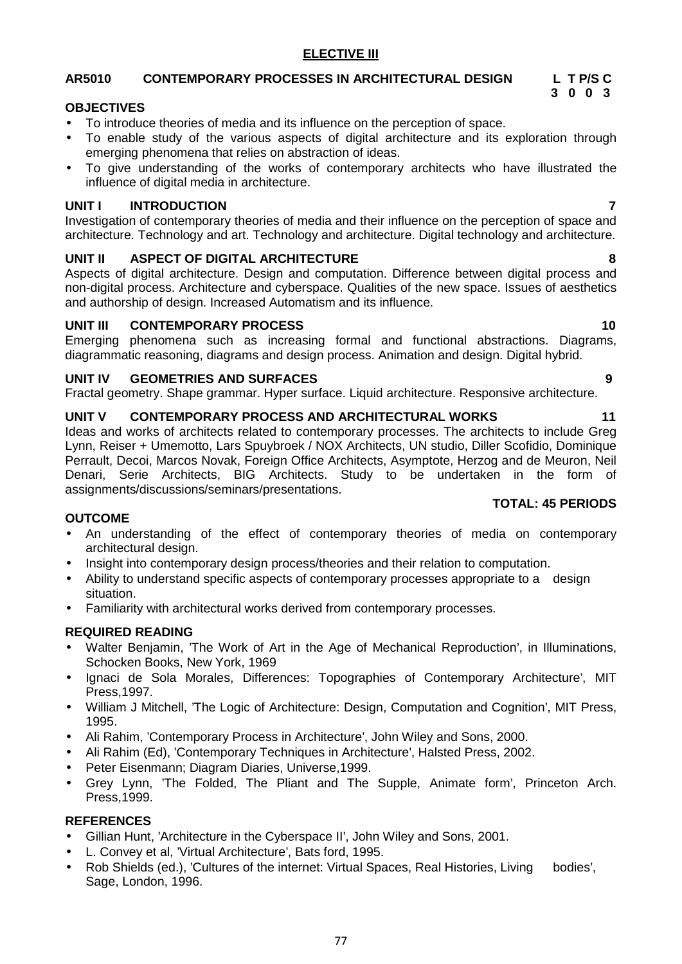# 77

# **ELECTIVE III**

# **AR5010 CONTEMPORARY PROCESSES IN ARCHITECTURAL DESIGN L T P/S C**

# **OBJECTIVES**

- To introduce theories of media and its influence on the perception of space.
- To enable study of the various aspects of digital architecture and its exploration through emerging phenomena that relies on abstraction of ideas.
- To give understanding of the works of contemporary architects who have illustrated the influence of digital media in architecture.

# **UNIT I INTRODUCTION 7**

Investigation of contemporary theories of media and their influence on the perception of space and architecture. Technology and art. Technology and architecture. Digital technology and architecture.

# **UNIT II ASPECT OF DIGITAL ARCHITECTURE 8**

Aspects of digital architecture. Design and computation. Difference between digital process and non-digital process. Architecture and cyberspace. Qualities of the new space. Issues of aesthetics and authorship of design. Increased Automatism and its influence.

# **UNIT III CONTEMPORARY PROCESS 10**

Emerging phenomena such as increasing formal and functional abstractions. Diagrams, diagrammatic reasoning, diagrams and design process. Animation and design. Digital hybrid.

# **UNIT IV GEOMETRIES AND SURFACES 9**

Fractal geometry. Shape grammar. Hyper surface. Liquid architecture. Responsive architecture.

# **UNIT V CONTEMPORARY PROCESS AND ARCHITECTURAL WORKS 11**

Ideas and works of architects related to contemporary processes. The architects to include Greg Lynn, Reiser + Umemotto, Lars Spuybroek / NOX Architects, UN studio, Diller Scofidio, Dominique Perrault, Decoi, Marcos Novak, Foreign Office Architects, Asymptote, Herzog and de Meuron, Neil Denari, Serie Architects, BIG Architects. Study to be undertaken in the form of assignments/discussions/seminars/presentations.

### **OUTCOME**

- An understanding of the effect of contemporary theories of media on contemporary architectural design.
- Insight into contemporary design process/theories and their relation to computation.
- Ability to understand specific aspects of contemporary processes appropriate to a design situation.
- Familiarity with architectural works derived from contemporary processes.

# **REQUIRED READING**

- Walter Benjamin, 'The Work of Art in the Age of Mechanical Reproduction', in Illuminations, Schocken Books, New York, 1969
- Ignaci de Sola Morales, Differences: Topographies of Contemporary Architecture', MIT Press,1997.
- William J Mitchell, 'The Logic of Architecture: Design, Computation and Cognition', MIT Press, 1995.
- Ali Rahim, 'Contemporary Process in Architecture', John Wiley and Sons, 2000.
- Ali Rahim (Ed), 'Contemporary Techniques in Architecture', Halsted Press, 2002.
- Peter Eisenmann; Diagram Diaries, Universe,1999.
- Grey Lynn, 'The Folded, The Pliant and The Supple, Animate form', Princeton Arch. Press,1999.

# **REFERENCES**

- Gillian Hunt, 'Architecture in the Cyberspace II', John Wiley and Sons, 2001.
- L. Convey et al, 'Virtual Architecture', Bats ford, 1995.
- Rob Shields (ed.), 'Cultures of the internet: Virtual Spaces, Real Histories, Living bodies', Sage, London, 1996.

# **TOTAL: 45 PERIODS**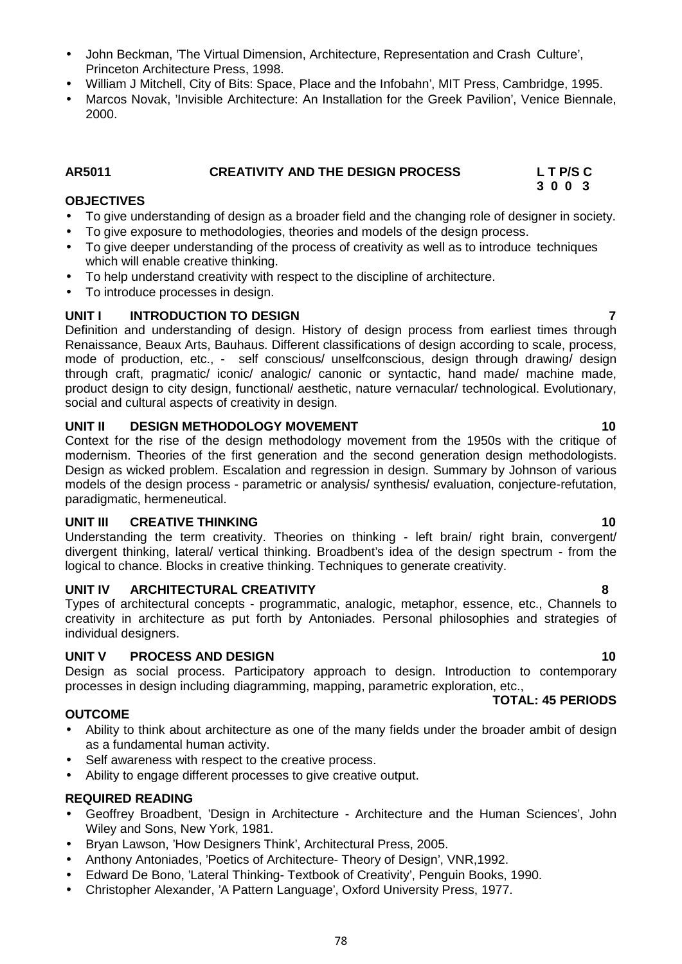- John Beckman, 'The Virtual Dimension, Architecture, Representation and Crash Culture', Princeton Architecture Press, 1998.
- William J Mitchell, City of Bits: Space, Place and the Infobahn', MIT Press, Cambridge, 1995.
- Marcos Novak, 'Invisible Architecture: An Installation for the Greek Pavilion', Venice Biennale, 2000.

# **AR5011 CREATIVITY AND THE DESIGN PROCESS L T P/S C**

# **OBJECTIVES**

- To give understanding of design as a broader field and the changing role of designer in society.
- To give exposure to methodologies, theories and models of the design process.
- To give deeper understanding of the process of creativity as well as to introduce techniques which will enable creative thinking.
- To help understand creativity with respect to the discipline of architecture.
- To introduce processes in design.

# **UNIT I INTRODUCTION TO DESIGN 7**

Definition and understanding of design. History of design process from earliest times through Renaissance, Beaux Arts, Bauhaus. Different classifications of design according to scale, process, mode of production, etc., - self conscious/ unselfconscious, design through drawing/ design through craft, pragmatic/ iconic/ analogic/ canonic or syntactic, hand made/ machine made, product design to city design, functional/ aesthetic, nature vernacular/ technological. Evolutionary, social and cultural aspects of creativity in design.

### **UNIT II DESIGN METHODOLOGY MOVEMENT 10**

Context for the rise of the design methodology movement from the 1950s with the critique of modernism. Theories of the first generation and the second generation design methodologists. Design as wicked problem. Escalation and regression in design. Summary by Johnson of various models of the design process - parametric or analysis/ synthesis/ evaluation, conjecture-refutation, paradigmatic, hermeneutical.

# **UNIT III CREATIVE THINKING 10**

Understanding the term creativity. Theories on thinking - left brain/ right brain, convergent/ divergent thinking, lateral/ vertical thinking. Broadbent's idea of the design spectrum - from the logical to chance. Blocks in creative thinking. Techniques to generate creativity.

### **UNIT IV ARCHITECTURAL CREATIVITY 8**

Types of architectural concepts - programmatic, analogic, metaphor, essence, etc., Channels to creativity in architecture as put forth by Antoniades. Personal philosophies and strategies of individual designers.

### **UNIT V PROCESS AND DESIGN 10**

Design as social process. Participatory approach to design. Introduction to contemporary processes in design including diagramming, mapping, parametric exploration, etc.,

### **OUTCOME**

- Ability to think about architecture as one of the many fields under the broader ambit of design as a fundamental human activity.
- Self awareness with respect to the creative process.
- Ability to engage different processes to give creative output.

### **REQUIRED READING**

- Geoffrey Broadbent, 'Design in Architecture Architecture and the Human Sciences', John Wiley and Sons, New York, 1981.
- Bryan Lawson, 'How Designers Think', Architectural Press, 2005.
- Anthony Antoniades, 'Poetics of Architecture- Theory of Design', VNR,1992.
- Edward De Bono, 'Lateral Thinking- Textbook of Creativity', Penguin Books, 1990.
- Christopher Alexander, 'A Pattern Language', Oxford University Press, 1977.

**TOTAL: 45 PERIODS**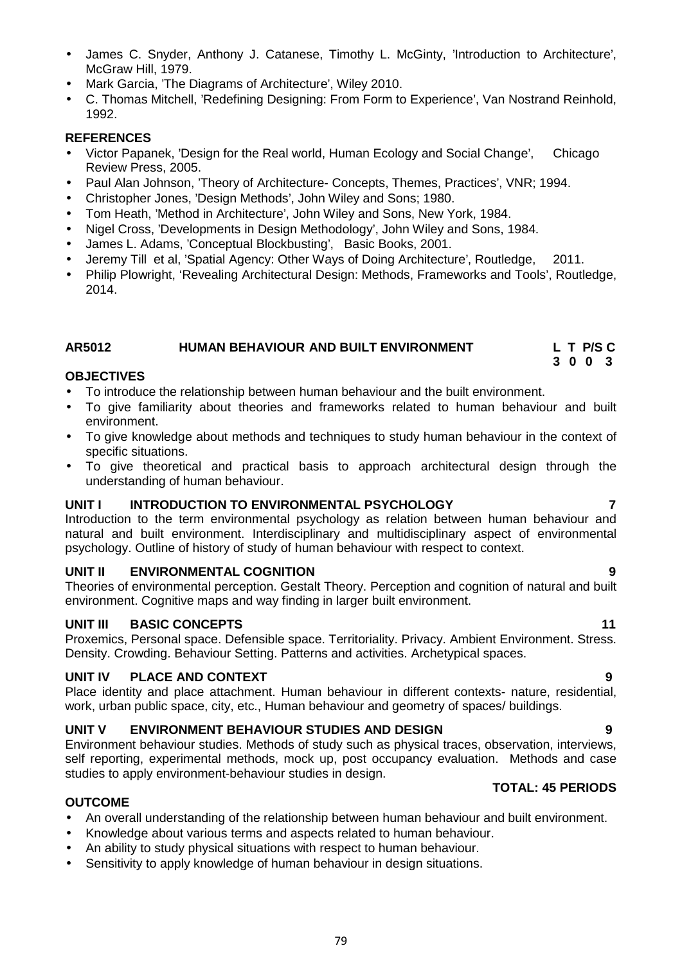James C. Snyder, Anthony J. Catanese, Timothy L. McGinty, 'Introduction to Architecture',

C. Thomas Mitchell, 'Redefining Designing: From Form to Experience', Van Nostrand Reinhold,

# **REFERENCES**

1992.

McGraw Hill, 1979.

- Victor Papanek, 'Design for the Real world, Human Ecology and Social Change', Chicago Review Press, 2005.
- Paul Alan Johnson, 'Theory of Architecture- Concepts, Themes, Practices', VNR; 1994.
- Christopher Jones, 'Design Methods', John Wiley and Sons; 1980.

• Mark Garcia, 'The Diagrams of Architecture', Wiley 2010.

- Tom Heath, 'Method in Architecture', John Wiley and Sons, New York, 1984.
- Nigel Cross, 'Developments in Design Methodology', John Wiley and Sons, 1984.
- James L. Adams, 'Conceptual Blockbusting', Basic Books, 2001.
- Jeremy Till et al, 'Spatial Agency: Other Ways of Doing Architecture', Routledge, 2011.
- Philip Plowright, 'Revealing Architectural Design: Methods, Frameworks and Tools', Routledge, 2014.

### **AR5012 HUMAN BEHAVIOUR AND BUILT ENVIRONMENT L T P/S C**

#### **OBJECTIVES**

- To introduce the relationship between human behaviour and the built environment.
- To give familiarity about theories and frameworks related to human behaviour and built environment.
- To give knowledge about methods and techniques to study human behaviour in the context of specific situations.
- To give theoretical and practical basis to approach architectural design through the understanding of human behaviour.

#### **UNIT I INTRODUCTION TO ENVIRONMENTAL PSYCHOLOGY 7**

Introduction to the term environmental psychology as relation between human behaviour and natural and built environment. Interdisciplinary and multidisciplinary aspect of environmental psychology. Outline of history of study of human behaviour with respect to context.

#### **UNIT II ENVIRONMENTAL COGNITION 9**

Theories of environmental perception. Gestalt Theory. Perception and cognition of natural and built environment. Cognitive maps and way finding in larger built environment.

#### **UNIT III BASIC CONCEPTS 11**

Proxemics, Personal space. Defensible space. Territoriality. Privacy. Ambient Environment. Stress. Density. Crowding. Behaviour Setting. Patterns and activities. Archetypical spaces.

#### **UNIT IV PLACE AND CONTEXT 9**

Place identity and place attachment. Human behaviour in different contexts- nature, residential, work, urban public space, city, etc., Human behaviour and geometry of spaces/ buildings.

#### **UNIT V ENVIRONMENT BEHAVIOUR STUDIES AND DESIGN 9**

Environment behaviour studies. Methods of study such as physical traces, observation, interviews, self reporting, experimental methods, mock up, post occupancy evaluation. Methods and case studies to apply environment-behaviour studies in design.

#### **OUTCOME**

- An overall understanding of the relationship between human behaviour and built environment.
- Knowledge about various terms and aspects related to human behaviour.
- An ability to study physical situations with respect to human behaviour.
- Sensitivity to apply knowledge of human behaviour in design situations.

#### **TOTAL: 45 PERIODS**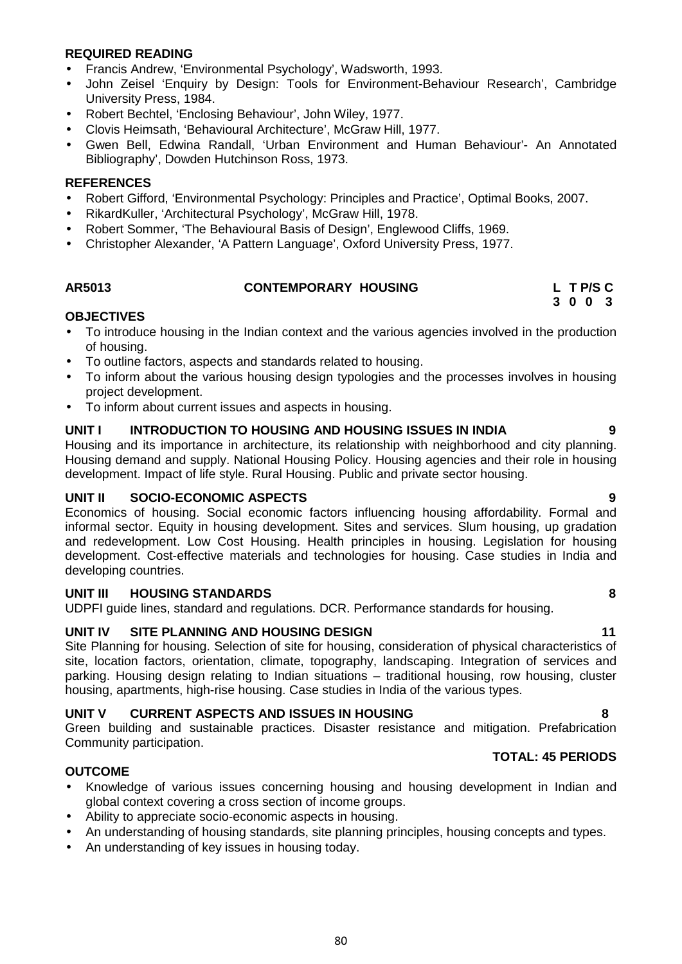# **REQUIRED READING**

- Francis Andrew, 'Environmental Psychology', Wadsworth, 1993.
- John Zeisel 'Enquiry by Design: Tools for Environment-Behaviour Research', Cambridge University Press, 1984.
- Robert Bechtel, 'Enclosing Behaviour', John Wiley, 1977.
- Clovis Heimsath, 'Behavioural Architecture', McGraw Hill, 1977.
- Gwen Bell, Edwina Randall, 'Urban Environment and Human Behaviour'- An Annotated Bibliography', Dowden Hutchinson Ross, 1973.

### **REFERENCES**

- Robert Gifford, 'Environmental Psychology: Principles and Practice', Optimal Books, 2007.
- RikardKuller, 'Architectural Psychology', McGraw Hill, 1978.
- Robert Sommer, 'The Behavioural Basis of Design', Englewood Cliffs, 1969.
- Christopher Alexander, 'A Pattern Language', Oxford University Press, 1977.

| AR5013 | <b>CONTEMPORARY HOUSING</b> | L TP/SC |
|--------|-----------------------------|---------|

### **OBJECTIVES**

- To introduce housing in the Indian context and the various agencies involved in the production of housing.
- To outline factors, aspects and standards related to housing.
- To inform about the various housing design typologies and the processes involves in housing project development.
- To inform about current issues and aspects in housing.

#### **UNIT I INTRODUCTION TO HOUSING AND HOUSING ISSUES IN INDIA 9**

Housing and its importance in architecture, its relationship with neighborhood and city planning. Housing demand and supply. National Housing Policy. Housing agencies and their role in housing development. Impact of life style. Rural Housing. Public and private sector housing.

### **UNIT II SOCIO-ECONOMIC ASPECTS 9**

Economics of housing. Social economic factors influencing housing affordability. Formal and informal sector. Equity in housing development. Sites and services. Slum housing, up gradation and redevelopment. Low Cost Housing. Health principles in housing. Legislation for housing development. Cost-effective materials and technologies for housing. Case studies in India and developing countries.

#### **UNIT III HOUSING STANDARDS 8**

UDPFI guide lines, standard and regulations. DCR. Performance standards for housing.

### **UNIT IV SITE PLANNING AND HOUSING DESIGN 11**

Site Planning for housing. Selection of site for housing, consideration of physical characteristics of site, location factors, orientation, climate, topography, landscaping. Integration of services and parking. Housing design relating to Indian situations – traditional housing, row housing, cluster housing, apartments, high-rise housing. Case studies in India of the various types.

### **UNIT V CURRENT ASPECTS AND ISSUES IN HOUSING 8**

Green building and sustainable practices. Disaster resistance and mitigation. Prefabrication Community participation.

### **TOTAL: 45 PERIODS**

### **OUTCOME**

- Knowledge of various issues concerning housing and housing development in Indian and global context covering a cross section of income groups.
- Ability to appreciate socio-economic aspects in housing.
- An understanding of housing standards, site planning principles, housing concepts and types.
- An understanding of key issues in housing today.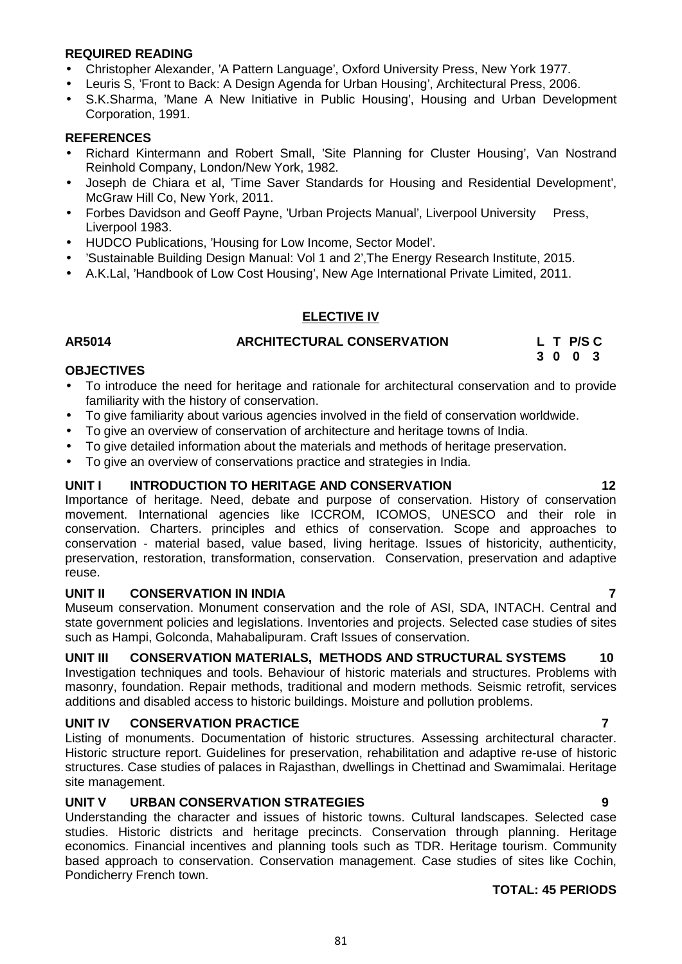### **REQUIRED READING**

- Christopher Alexander, 'A Pattern Language', Oxford University Press, New York 1977.
- Leuris S, 'Front to Back: A Design Agenda for Urban Housing', Architectural Press, 2006.
- S.K.Sharma, 'Mane A New Initiative in Public Housing', Housing and Urban Development Corporation, 1991.

#### **REFERENCES**

- Richard Kintermann and Robert Small, 'Site Planning for Cluster Housing', Van Nostrand Reinhold Company, London/New York, 1982.
- Joseph de Chiara et al, 'Time Saver Standards for Housing and Residential Development', McGraw Hill Co, New York, 2011.
- Forbes Davidson and Geoff Payne, 'Urban Projects Manual', Liverpool University Press, Liverpool 1983.
- HUDCO Publications, 'Housing for Low Income, Sector Model'.
- 'Sustainable Building Design Manual: Vol 1 and 2',The Energy Research Institute, 2015.
- A.K.Lal, 'Handbook of Low Cost Housing', New Age International Private Limited, 2011.

### **ELECTIVE IV**

## **AR5014 ARCHITECTURAL CONSERVATION L T P/S C**

**3 0 0 3**

### **OBJECTIVES**

- To introduce the need for heritage and rationale for architectural conservation and to provide familiarity with the history of conservation.
- To give familiarity about various agencies involved in the field of conservation worldwide.
- To give an overview of conservation of architecture and heritage towns of India.
- To give detailed information about the materials and methods of heritage preservation.
- To give an overview of conservations practice and strategies in India.

### **UNIT I INTRODUCTION TO HERITAGE AND CONSERVATION 12**

Importance of heritage. Need, debate and purpose of conservation. History of conservation movement. International agencies like ICCROM, ICOMOS, UNESCO and their role in conservation. Charters. principles and ethics of conservation. Scope and approaches to conservation - material based, value based, living heritage. Issues of historicity, authenticity, preservation, restoration, transformation, conservation. Conservation, preservation and adaptive reuse.

### **UNIT II CONSERVATION IN INDIA 7**

Museum conservation. Monument conservation and the role of ASI, SDA, INTACH. Central and state government policies and legislations. Inventories and projects. Selected case studies of sites such as Hampi, Golconda, Mahabalipuram. Craft Issues of conservation.

## **UNIT III CONSERVATION MATERIALS, METHODS AND STRUCTURAL SYSTEMS 10**

Investigation techniques and tools. Behaviour of historic materials and structures. Problems with masonry, foundation. Repair methods, traditional and modern methods. Seismic retrofit, services additions and disabled access to historic buildings. Moisture and pollution problems.

### **UNIT IV CONSERVATION PRACTICE 7**

Listing of monuments. Documentation of historic structures. Assessing architectural character. Historic structure report. Guidelines for preservation, rehabilitation and adaptive re-use of historic structures. Case studies of palaces in Rajasthan, dwellings in Chettinad and Swamimalai. Heritage site management.

# **UNIT V URBAN CONSERVATION STRATEGIES 9**

Understanding the character and issues of historic towns. Cultural landscapes. Selected case studies. Historic districts and heritage precincts. Conservation through planning. Heritage economics. Financial incentives and planning tools such as TDR. Heritage tourism. Community based approach to conservation. Conservation management. Case studies of sites like Cochin, Pondicherry French town.

### **TOTAL: 45 PERIODS**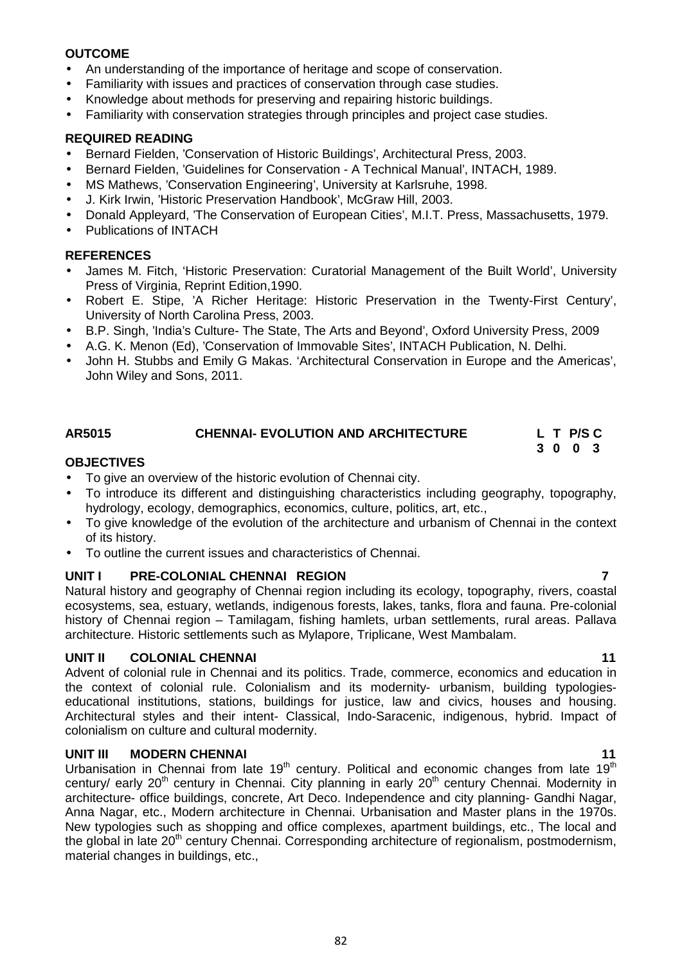## **OUTCOME**

- An understanding of the importance of heritage and scope of conservation.
- Familiarity with issues and practices of conservation through case studies.
- Knowledge about methods for preserving and repairing historic buildings.
- Familiarity with conservation strategies through principles and project case studies.

# **REQUIRED READING**

- Bernard Fielden, 'Conservation of Historic Buildings', Architectural Press, 2003.
- Bernard Fielden, 'Guidelines for Conservation A Technical Manual', INTACH, 1989.
- MS Mathews, 'Conservation Engineering', University at Karlsruhe, 1998.
- J. Kirk Irwin, 'Historic Preservation Handbook', McGraw Hill, 2003.
- Donald Appleyard, 'The Conservation of European Cities', M.I.T. Press, Massachusetts, 1979.
- Publications of INTACH

# **REFERENCES**

- James M. Fitch, 'Historic Preservation: Curatorial Management of the Built World', University Press of Virginia, Reprint Edition,1990.
- Robert E. Stipe, 'A Richer Heritage: Historic Preservation in the Twenty-First Century', University of North Carolina Press, 2003.
- B.P. Singh, 'India's Culture- The State, The Arts and Beyond', Oxford University Press, 2009
- A.G. K. Menon (Ed), 'Conservation of Immovable Sites', INTACH Publication, N. Delhi.
- John H. Stubbs and Emily G Makas. 'Architectural Conservation in Europe and the Americas', John Wiley and Sons, 2011.

# **AR5015 CHENNAI- EVOLUTION AND ARCHITECTURE L T P/S C**

### **OBJECTIVES**

- To give an overview of the historic evolution of Chennai city.
- To introduce its different and distinguishing characteristics including geography, topography, hydrology, ecology, demographics, economics, culture, politics, art, etc.,
- To give knowledge of the evolution of the architecture and urbanism of Chennai in the context of its history.
- To outline the current issues and characteristics of Chennai.

# **UNIT I PRE-COLONIAL CHENNAI REGION 7**

Natural history and geography of Chennai region including its ecology, topography, rivers, coastal ecosystems, sea, estuary, wetlands, indigenous forests, lakes, tanks, flora and fauna. Pre-colonial history of Chennai region – Tamilagam, fishing hamlets, urban settlements, rural areas. Pallava architecture. Historic settlements such as Mylapore, Triplicane, West Mambalam.

# **UNIT II COLONIAL CHENNAI 11**

Advent of colonial rule in Chennai and its politics. Trade, commerce, economics and education in the context of colonial rule. Colonialism and its modernity- urbanism, building typologies educational institutions, stations, buildings for justice, law and civics, houses and housing. Architectural styles and their intent- Classical, Indo-Saracenic, indigenous, hybrid. Impact of colonialism on culture and cultural modernity.

### **UNIT III MODERN CHENNAI 11**

Urbanisation in Chennai from late  $19<sup>th</sup>$  century. Political and economic changes from late  $19<sup>th</sup>$ century/ early 20<sup>th</sup> century in Chennai. City planning in early 20<sup>th</sup> century Chennai. Modernity in architecture- office buildings, concrete, Art Deco. Independence and city planning- Gandhi Nagar, Anna Nagar, etc., Modern architecture in Chennai. Urbanisation and Master plans in the 1970s. New typologies such as shopping and office complexes, apartment buildings, etc., The local and the global in late 20<sup>th</sup> century Chennai. Corresponding architecture of regionalism, postmodernism, material changes in buildings, etc.,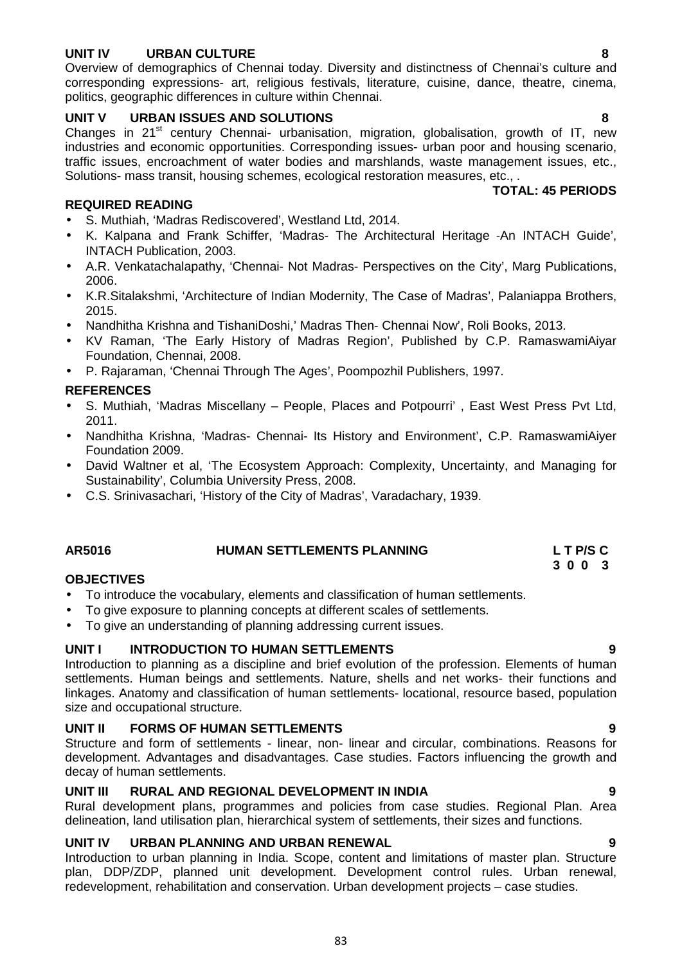# **UNIT IV URBAN CULTURE 8**

Overview of demographics of Chennai today. Diversity and distinctness of Chennai's culture and corresponding expressions- art, religious festivals, literature, cuisine, dance, theatre, cinema, politics, geographic differences in culture within Chennai.

# **UNIT V URBAN ISSUES AND SOLUTIONS 8**

Changes in  $21^{st}$  century Chennai- urbanisation, migration, globalisation, growth of IT, new industries and economic opportunities. Corresponding issues- urban poor and housing scenario, traffic issues, encroachment of water bodies and marshlands, waste management issues, etc., Solutions- mass transit, housing schemes, ecological restoration measures, etc., .

#### **TOTAL: 45 PERIODS**

### **REQUIRED READING**

- S. Muthiah, 'Madras Rediscovered', Westland Ltd, 2014.
- K. Kalpana and Frank Schiffer, 'Madras- The Architectural Heritage -An INTACH Guide', INTACH Publication, 2003.
- A.R. Venkatachalapathy, 'Chennai- Not Madras- Perspectives on the City', Marg Publications, 2006.
- K.R.Sitalakshmi, 'Architecture of Indian Modernity, The Case of Madras', Palaniappa Brothers, 2015.
- Nandhitha Krishna and TishaniDoshi,' Madras Then- Chennai Now', Roli Books, 2013.
- KV Raman, 'The Early History of Madras Region', Published by C.P. RamaswamiAiyar Foundation, Chennai, 2008.
- P. Rajaraman, 'Chennai Through The Ages', Poompozhil Publishers, 1997.

# **REFERENCES**

- S. Muthiah, 'Madras Miscellany People, Places and Potpourri' , East West Press Pvt Ltd, 2011.
- Nandhitha Krishna, 'Madras- Chennai- Its History and Environment', C.P. RamaswamiAiyer Foundation 2009.
- David Waltner et al, 'The Ecosystem Approach: Complexity, Uncertainty, and Managing for Sustainability', Columbia University Press, 2008.
- C.S. Srinivasachari, 'History of the City of Madras', Varadachary, 1939.

# **AR5016 HUMAN SETTLEMENTS PLANNING L T P/S C**

### **OBJECTIVES**

- To introduce the vocabulary, elements and classification of human settlements.
- To give exposure to planning concepts at different scales of settlements.
- To give an understanding of planning addressing current issues.

### **UNIT I INTRODUCTION TO HUMAN SETTLEMENTS 9**

Introduction to planning as a discipline and brief evolution of the profession. Elements of human settlements. Human beings and settlements. Nature, shells and net works- their functions and linkages. Anatomy and classification of human settlements- locational, resource based, population size and occupational structure.

### **UNIT II FORMS OF HUMAN SETTLEMENTS 9**

Structure and form of settlements - linear, non- linear and circular, combinations. Reasons for development. Advantages and disadvantages. Case studies. Factors influencing the growth and decay of human settlements.

### **UNIT III RURAL AND REGIONAL DEVELOPMENT IN INDIA 9**

Rural development plans, programmes and policies from case studies. Regional Plan. Area delineation, land utilisation plan, hierarchical system of settlements, their sizes and functions.

### **UNIT IV URBAN PLANNING AND URBAN RENEWAL 9**

Introduction to urban planning in India. Scope, content and limitations of master plan. Structure plan, DDP/ZDP, planned unit development. Development control rules. Urban renewal, redevelopment, rehabilitation and conservation. Urban development projects – case studies.

83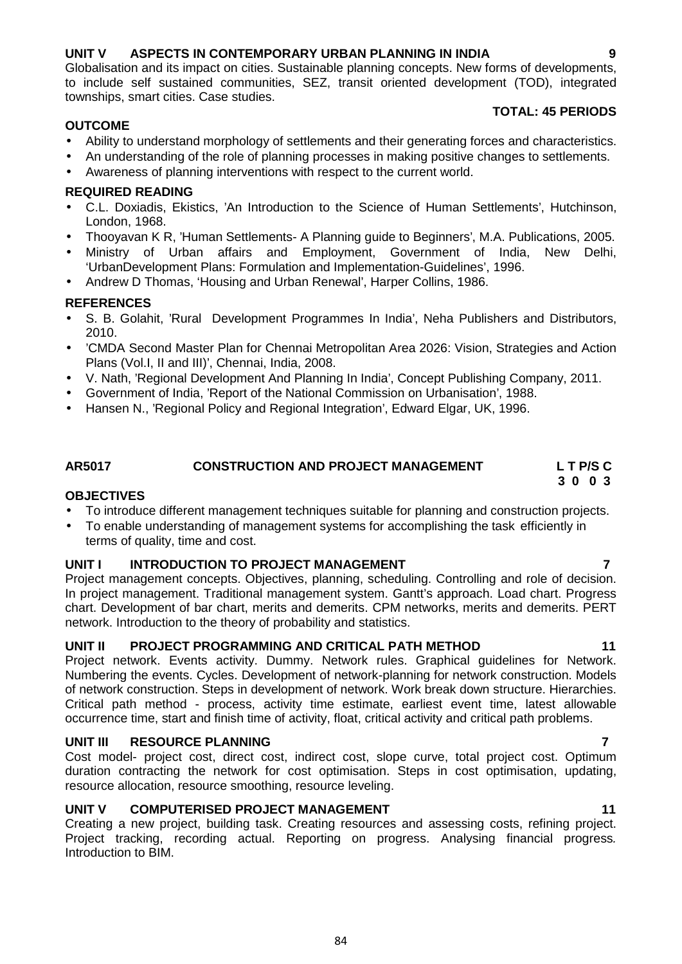# **UNIT V ASPECTS IN CONTEMPORARY URBAN PLANNING IN INDIA 9**

Globalisation and its impact on cities. Sustainable planning concepts. New forms of developments, to include self sustained communities, SEZ, transit oriented development (TOD), integrated townships, smart cities. Case studies.

## **OUTCOME**

### **TOTAL: 45 PERIODS**

- Ability to understand morphology of settlements and their generating forces and characteristics.
- An understanding of the role of planning processes in making positive changes to settlements.
- Awareness of planning interventions with respect to the current world.

# **REQUIRED READING**

- C.L. Doxiadis, Ekistics, 'An Introduction to the Science of Human Settlements', Hutchinson, London, 1968.
- Thooyavan K R, 'Human Settlements- A Planning guide to Beginners', M.A. Publications, 2005.
- Ministry of Urban affairs and Employment, Government of India, New Delhi, 'UrbanDevelopment Plans: Formulation and Implementation-Guidelines', 1996.
- Andrew D Thomas, 'Housing and Urban Renewal', Harper Collins, 1986.

# **REFERENCES**

- S. B. Golahit, 'Rural Development Programmes In India', Neha Publishers and Distributors, 2010.
- 'CMDA Second Master Plan for Chennai Metropolitan Area 2026: Vision, Strategies and Action Plans (Vol.I, II and III)', Chennai, India, 2008.
- V. Nath, 'Regional Development And Planning In India', Concept Publishing Company, 2011.
- Government of India, 'Report of the National Commission on Urbanisation', 1988.
- Hansen N., 'Regional Policy and Regional Integration', Edward Elgar, UK, 1996.

#### **AR5017 CONSTRUCTION AND PROJECT MANAGEMENT L T P/S C 3 0 0 3**

### **OBJECTIVES**

- To introduce different management techniques suitable for planning and construction projects.
- To enable understanding of management systems for accomplishing the task efficiently in terms of quality, time and cost.

# **UNIT I INTRODUCTION TO PROJECT MANAGEMENT 7**

Project management concepts. Objectives, planning, scheduling. Controlling and role of decision. In project management. Traditional management system. Gantt's approach. Load chart. Progress chart. Development of bar chart, merits and demerits. CPM networks, merits and demerits. PERT network. Introduction to the theory of probability and statistics.

# **UNIT II PROJECT PROGRAMMING AND CRITICAL PATH METHOD 11**

Project network. Events activity. Dummy. Network rules. Graphical guidelines for Network. Numbering the events. Cycles. Development of network-planning for network construction. Models of network construction. Steps in development of network. Work break down structure. Hierarchies. Critical path method - process, activity time estimate, earliest event time, latest allowable occurrence time, start and finish time of activity, float, critical activity and critical path problems.

### **UNIT III RESOURCE PLANNING 7**

Cost model- project cost, direct cost, indirect cost, slope curve, total project cost. Optimum duration contracting the network for cost optimisation. Steps in cost optimisation, updating, resource allocation, resource smoothing, resource leveling.

# **UNIT V COMPUTERISED PROJECT MANAGEMENT 11**

Creating a new project, building task. Creating resources and assessing costs, refining project. Project tracking, recording actual. Reporting on progress. Analysing financial progress*.* Introduction to BIM.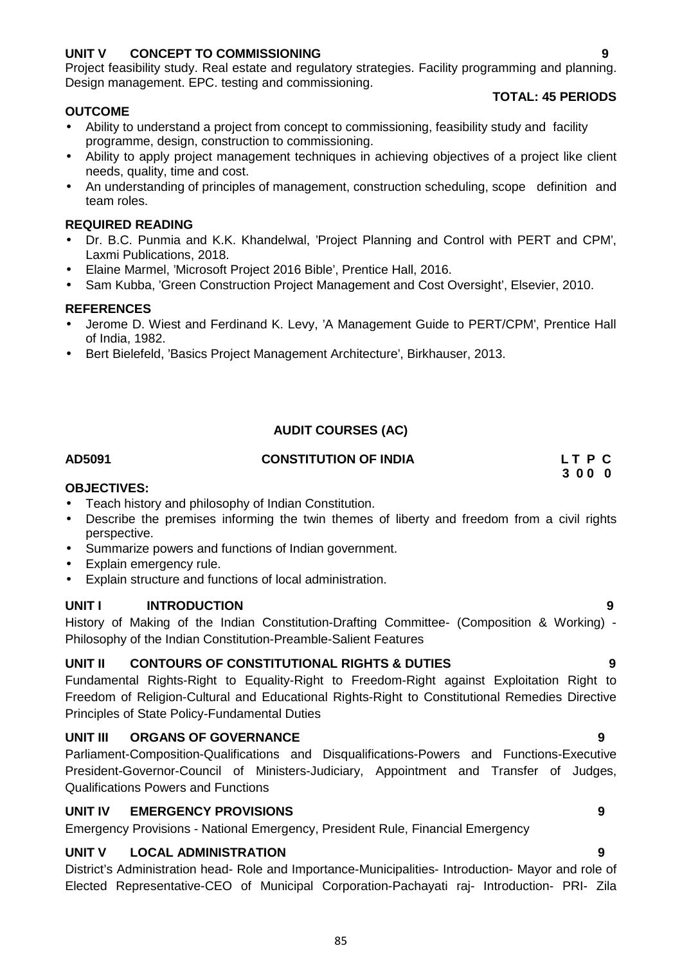# **UNIT V CONCEPT TO COMMISSIONING 9**

Project feasibility study. Real estate and regulatory strategies. Facility programming and planning. Design management. EPC. testing and commissioning.

### **OUTCOME**

# **TOTAL: 45 PERIODS**

- Ability to understand a project from concept to commissioning, feasibility study and facility programme, design, construction to commissioning.
- Ability to apply project management techniques in achieving objectives of a project like client needs, quality, time and cost.
- An understanding of principles of management, construction scheduling, scope definition and team roles.

### **REQUIRED READING**

- Dr. B.C. Punmia and K.K. Khandelwal, 'Project Planning and Control with PERT and CPM', Laxmi Publications, 2018.
- Elaine Marmel, 'Microsoft Project 2016 Bible', Prentice Hall, 2016.
- Sam Kubba, 'Green Construction Project Management and Cost Oversight', Elsevier, 2010.

### **REFERENCES**

- Jerome D. Wiest and Ferdinand K. Levy, 'A Management Guide to PERT/CPM', Prentice Hall of India, 1982.
- Bert Bielefeld, 'Basics Project Management Architecture', Birkhauser, 2013.

# **AUDIT COURSES (AC)**

# **AD5091 CONSTITUTION OF INDIA L T P C**

**3 0 0 0**

### **OBJECTIVES:**

- Teach history and philosophy of Indian Constitution.
- Describe the premises informing the twin themes of liberty and freedom from a civil rights perspective.
- Summarize powers and functions of Indian government.
- Explain emergency rule.
- Explain structure and functions of local administration.

# **UNIT I INTRODUCTION 9**

History of Making of the Indian Constitution-Drafting Committee- (Composition & Working) - Philosophy of the Indian Constitution-Preamble-Salient Features

# **UNIT II CONTOURS OF CONSTITUTIONAL RIGHTS & DUTIES 9**

Fundamental Rights-Right to Equality-Right to Freedom-Right against Exploitation Right to Freedom of Religion-Cultural and Educational Rights-Right to Constitutional Remedies Directive Principles of State Policy-Fundamental Duties

### **UNIT III ORGANS OF GOVERNANCE 9**

Parliament-Composition-Qualifications and Disqualifications-Powers and Functions-Executive President-Governor-Council of Ministers-Judiciary, Appointment and Transfer of Judges, Qualifications Powers and Functions

# **UNIT IV EMERGENCY PROVISIONS 9**

Emergency Provisions - National Emergency, President Rule, Financial Emergency

### **UNIT V LOCAL ADMINISTRATION 9**

District's Administration head- Role and Importance-Municipalities- Introduction- Mayor and role of Elected Representative-CEO of Municipal Corporation-Pachayati raj- Introduction- PRI- Zila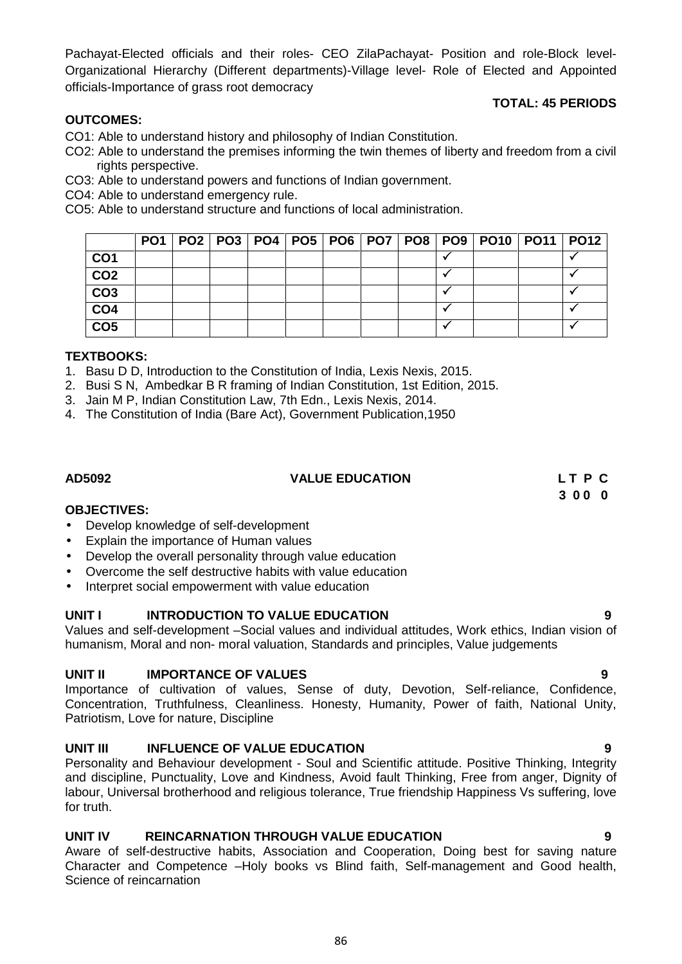4. The Constitution of India (Bare Act), Government Publication,1950

**PO1 PO2 PO3 PO4 PO5 PO6 PO7 PO8 PO9 PO10 PO11 PO12 CO1 CO2 CO3 CO4 CO5**

**AD5092 VALUE EDUCATION L T P C**

#### **OBJECTIVES:**

**TEXTBOOKS:**

**OUTCOMES:**

rights perspective.

CO4: Able to understand emergency rule.

- Develop knowledge of self-development
- Explain the importance of Human values
- Develop the overall personality through value education
- Overcome the self destructive habits with value education
- Interpret social empowerment with value education

#### **UNIT I** INTRODUCTION TO VALUE EDUCATION

Values and self-development –Social values and individual attitudes, Work ethics, Indian vision of humanism, Moral and non- moral valuation, Standards and principles, Value judgements

### **UNIT II** IMPORTANCE OF VALUES **1999**

Importance of cultivation of values, Sense of duty, Devotion, Self-reliance, Confidence, Concentration, Truthfulness, Cleanliness. Honesty, Humanity, Power of faith, National Unity, Patriotism, Love for nature, Discipline

#### **UNIT III INFLUENCE OF VALUE EDUCATION 9**

Personality and Behaviour development - Soul and Scientific attitude. Positive Thinking, Integrity and discipline, Punctuality, Love and Kindness, Avoid fault Thinking, Free from anger, Dignity of labour, Universal brotherhood and religious tolerance, True friendship Happiness Vs suffering, love for truth.

### **UNIT IV REINCARNATION THROUGH VALUE EDUCATION 9**

Aware of self-destructive habits, Association and Cooperation, Doing best for saving nature Character and Competence –Holy books vs Blind faith, Self-management and Good health, Science of reincarnation

Pachayat-Elected officials and their roles- CEO ZilaPachayat- Position and role-Block level- Organizational Hierarchy (Different departments)-Village level- Role of Elected and Appointed officials-Importance of grass root democracy

CO2: Able to understand the premises informing the twin themes of liberty and freedom from a civil

CO1: Able to understand history and philosophy of Indian Constitution.

CO3: Able to understand powers and functions of Indian government.

CO5: Able to understand structure and functions of local administration.

1. Basu D D, Introduction to the Constitution of India, Lexis Nexis, 2015. 2. Busi S N, Ambedkar B R framing of Indian Constitution, 1st Edition, 2015.

3. Jain M P, Indian Constitution Law, 7th Edn., Lexis Nexis, 2014.

#### **TOTAL: 45 PERIODS**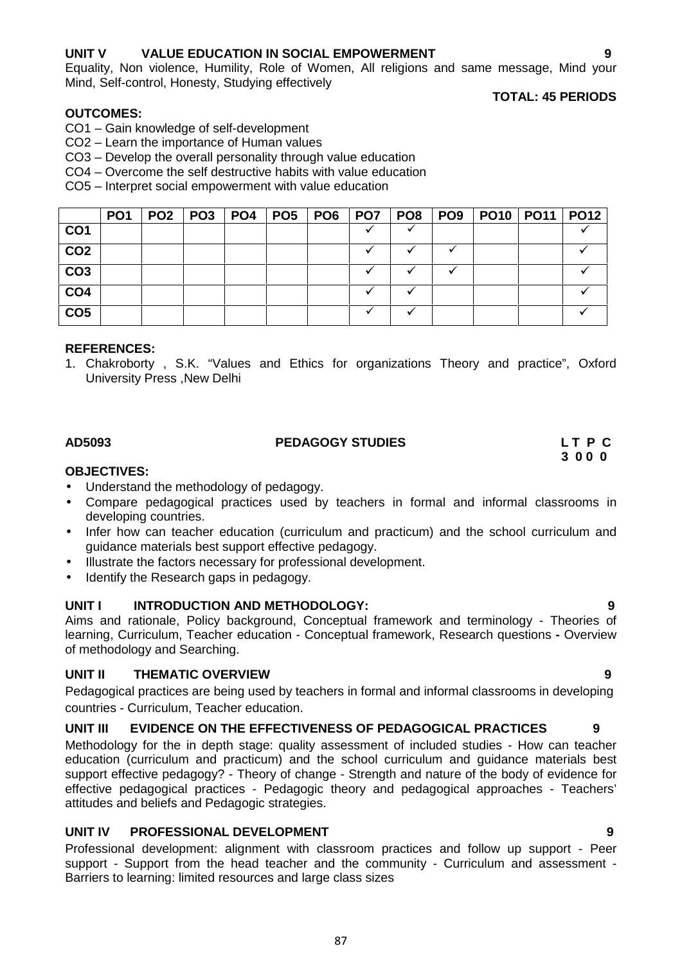# **UNIT V VALUE EDUCATION IN SOCIAL EMPOWERMENT 9**

Equality, Non violence, Humility, Role of Women, All religions and same message, Mind your Mind, Self-control, Honesty, Studying effectively

#### **OUTCOMES:**

- CO1 Gain knowledge of self-development
- CO2 Learn the importance of Human values
- CO3 Develop the overall personality through value education
- CO4 Overcome the self destructive habits with value education
- CO5 Interpret social empowerment with value education

|                 | PO <sub>1</sub> | PO <sub>2</sub> | PO <sub>3</sub> | <b>PO4</b> | PO <sub>5</sub> | PO6 | PO7 | PO <sub>8</sub> | PO <sub>9</sub> | <b>PO10   PO11   PO12</b> |  |
|-----------------|-----------------|-----------------|-----------------|------------|-----------------|-----|-----|-----------------|-----------------|---------------------------|--|
| CO <sub>1</sub> |                 |                 |                 |            |                 |     |     |                 |                 |                           |  |
| CO <sub>2</sub> |                 |                 |                 |            |                 |     |     |                 |                 |                           |  |
| CO <sub>3</sub> |                 |                 |                 |            |                 |     |     |                 |                 |                           |  |
| CO <sub>4</sub> |                 |                 |                 |            |                 |     |     |                 |                 |                           |  |
| CO <sub>5</sub> |                 |                 |                 |            |                 |     |     |                 |                 |                           |  |

#### **REFERENCES:**

1. Chakroborty , S.K. "Values and Ethics for organizations Theory and practice", Oxford University Press ,New Delhi

# **AD5093 PEDAGOGY STUDIES L T P C**

# **3 0 0 0**

### **OBJECTIVES:**

- Understand the methodology of pedagogy.
- Compare pedagogical practices used by teachers in formal and informal classrooms in developing countries.
- Infer how can teacher education (curriculum and practicum) and the school curriculum and guidance materials best support effective pedagogy.
- $\bullet$  Illustrate the factors necessary for professional development.
- Identify the Research gaps in pedagogy.

### **UNIT I INTRODUCTION AND METHODOLOGY: 9**

Aims and rationale, Policy background, Conceptual framework and terminology - Theories of learning, Curriculum, Teacher education - Conceptual framework, Research questions **-** Overview of methodology and Searching.

### **UNIT II THEMATIC OVERVIEW 9**

Pedagogical practices are being used by teachers in formal and informal classrooms in developing countries - Curriculum, Teacher education.

### **UNIT III EVIDENCE ON THE EFFECTIVENESS OF PEDAGOGICAL PRACTICES 9**

Methodology for the in depth stage: quality assessment of included studies - How can teacher education (curriculum and practicum) and the school curriculum and guidance materials best support effective pedagogy? - Theory of change - Strength and nature of the body of evidence for effective pedagogical practices - Pedagogic theory and pedagogical approaches - Teachers' attitudes and beliefs and Pedagogic strategies.

### **UNIT IV PROFESSIONAL DEVELOPMENT 9**

Professional development: alignment with classroom practices and follow up support - Peer support - Support from the head teacher and the community - Curriculum and assessment - Barriers to learning: limited resources and large class sizes

**TOTAL: 45 PERIODS**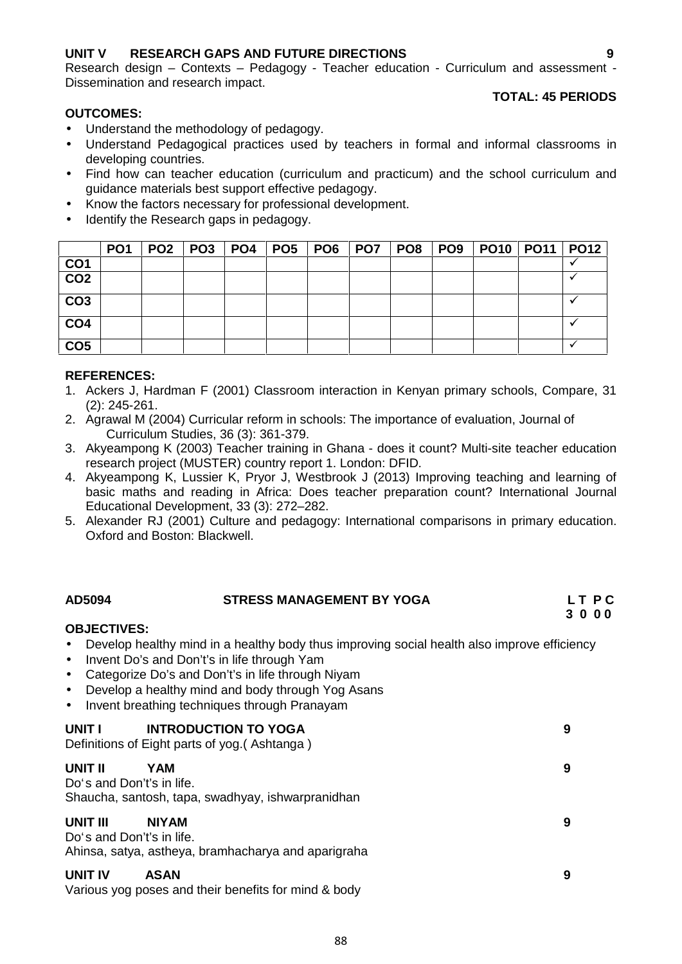# **UNIT V RESEARCH GAPS AND FUTURE DIRECTIONS 9**

Research design – Contexts – Pedagogy - Teacher education - Curriculum and assessment - Dissemination and research impact.

# **OUTCOMES:**

# **TOTAL: 45 PERIODS**

- Understand the methodology of pedagogy.
- Understand Pedagogical practices used by teachers in formal and informal classrooms in developing countries.
- Find how can teacher education (curriculum and practicum) and the school curriculum and guidance materials best support effective pedagogy.
- Know the factors necessary for professional development.
- Identify the Research gaps in pedagogy.

|                 | PO <sub>1</sub> | PO2   PO3   PO4 |  |  | PO5   PO6   PO7   PO8 | PO9   PO10   PO11   PO12 |  |
|-----------------|-----------------|-----------------|--|--|-----------------------|--------------------------|--|
| CO <sub>1</sub> |                 |                 |  |  |                       |                          |  |
| CO <sub>2</sub> |                 |                 |  |  |                       |                          |  |
| CO <sub>3</sub> |                 |                 |  |  |                       |                          |  |
| CO <sub>4</sub> |                 |                 |  |  |                       |                          |  |
| CO <sub>5</sub> |                 |                 |  |  |                       |                          |  |

### **REFERENCES:**

- 1. Ackers J, Hardman F (2001) Classroom interaction in Kenyan primary schools, Compare, 31 (2): 245-261.
- 2. Agrawal M (2004) Curricular reform in schools: The importance of evaluation, Journal of Curriculum Studies, 36 (3): 361-379.
- 3. Akyeampong K (2003) Teacher training in Ghana does it count? Multi-site teacher education research project (MUSTER) country report 1. London: DFID.
- 4. Akyeampong K, Lussier K, Pryor J, Westbrook J (2013) Improving teaching and learning of basic maths and reading in Africa: Does teacher preparation count? International Journal Educational Development, 33 (3): 272–282.
- 5. Alexander RJ (2001) Culture and pedagogy: International comparisons in primary education. Oxford and Boston: Blackwell.

#### **AD5094 STRESS MANAGEMENT BY YOGA L T P C 3 0 0 0**

# **OBJECTIVES:**

- Develop healthy mind in a healthy body thus improving social health also improve efficiency
- Invent Do's and Don't's in life through Yam
- Categorize Do's and Don't's in life through Niyam
- Develop a healthy mind and body through Yog Asans
- Invent breathing techniques through Pranayam

| UNIT I                                | <b>INTRODUCTION TO YOGA</b><br>Definitions of Eight parts of yog. (Ashtanga) | 9 |
|---------------------------------------|------------------------------------------------------------------------------|---|
| UNIT II<br>Do's and Don't's in life.  | YAM<br>Shaucha, santosh, tapa, swadhyay, ishwarpranidhan                     | 9 |
| UNIT III<br>Do's and Don't's in life. | <b>NIYAM</b><br>Ahinsa, satya, astheya, bramhacharya and aparigraha          | 9 |
| UNIT IV                               | <b>ASAN</b>                                                                  | 9 |

Various yog poses and their benefits for mind & body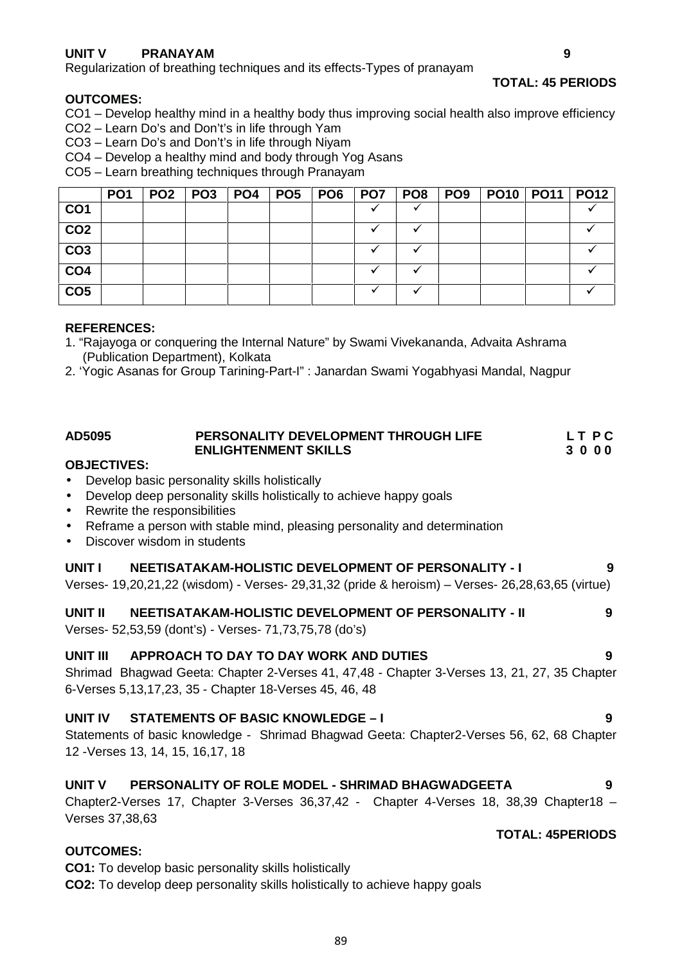# **UNIT V PRANAYAM 9**

Regularization of breathing techniques and its effects-Types of pranayam

#### **TOTAL: 45 PERIODS**

#### **OUTCOMES:**

- CO1 Develop healthy mind in a healthy body thus improving social health also improve efficiency
- CO2 Learn Do's and Don't's in life through Yam
- CO3 Learn Do's and Don't's in life through Niyam
- CO4 Develop a healthy mind and body through Yog Asans

CO5 – Learn breathing techniques through Pranayam

|                 | PO <sub>1</sub> | PO <sub>2</sub> | PO3 | <b>PO4</b> | <b>PO5   PO6</b> | PO7 | PO8 | PO9 | <b>PO10 PO11</b> | <b>PO12</b> |
|-----------------|-----------------|-----------------|-----|------------|------------------|-----|-----|-----|------------------|-------------|
| CO <sub>1</sub> |                 |                 |     |            |                  |     |     |     |                  |             |
| CO <sub>2</sub> |                 |                 |     |            |                  |     |     |     |                  |             |
| CO <sub>3</sub> |                 |                 |     |            |                  |     |     |     |                  |             |
| CO <sub>4</sub> |                 |                 |     |            |                  |     |     |     |                  |             |
| CO <sub>5</sub> |                 |                 |     |            |                  |     |     |     |                  |             |

#### **REFERENCES:**

- 1. "Rajayoga or conquering the Internal Nature" by Swami Vivekananda, Advaita Ashrama (Publication Department), Kolkata
- 2. 'Yogic Asanas for Group Tarining-Part-I" : Janardan Swami Yogabhyasi Mandal, Nagpur

| AD5095 | PERSONALITY DEVELOPMENT THROUGH LIFE | LT PC   |
|--------|--------------------------------------|---------|
|        | <b>ENLIGHTENMENT SKILLS</b>          | 3 0 0 0 |
|        |                                      |         |

#### **OBJECTIVES:**

- Develop basic personality skills holistically
- Develop deep personality skills holistically to achieve happy goals
- Rewrite the responsibilities
- Reframe a person with stable mind, pleasing personality and determination
- Discover wisdom in students

#### **UNIT I NEETISATAKAM-HOLISTIC DEVELOPMENT OF PERSONALITY - I 9**

Verses- 19,20,21,22 (wisdom) - Verses- 29,31,32 (pride & heroism) – Verses- 26,28,63,65 (virtue)

**UNIT II NEETISATAKAM-HOLISTIC DEVELOPMENT OF PERSONALITY - II 9**

Verses- 52,53,59 (dont's) - Verses- 71,73,75,78 (do's)

### **UNIT III APPROACH TO DAY TO DAY WORK AND DUTIES 9**

Shrimad Bhagwad Geeta: Chapter 2-Verses 41, 47,48 - Chapter 3-Verses 13, 21, 27, 35 Chapter 6-Verses 5,13,17,23, 35 - Chapter 18-Verses 45, 46, 48

### **UNIT IV STATEMENTS OF BASIC KNOWLEDGE –I 9**

Statements of basic knowledge - Shrimad Bhagwad Geeta: Chapter2-Verses 56, 62, 68 Chapter 12 -Verses 13, 14, 15, 16,17, 18

### **UNIT V PERSONALITY OF ROLE MODEL - SHRIMAD BHAGWADGEETA 9**

Chapter2-Verses 17, Chapter 3-Verses 36,37,42 - Chapter 4-Verses 18, 38,39 Chapter18 – Verses 37,38,63

# **TOTAL: 45PERIODS**

## **OUTCOMES:**

**CO1:** To develop basic personality skills holistically

**CO2:** To develop deep personality skills holistically to achieve happy goals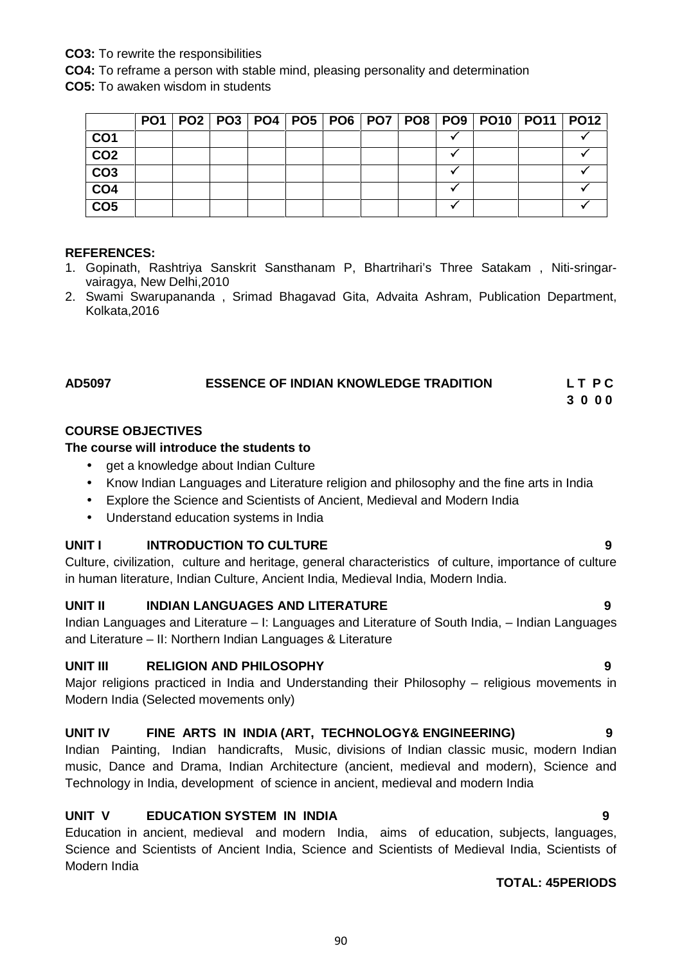# **CO3:** To rewrite the responsibilities

**CO4:** To reframe a person with stable mind, pleasing personality and determination

**CO5:** To awaken wisdom in students

|                 |  |  |  |  |  | PO1   PO2   PO3   PO4   PO5   PO6   PO7   PO8   PO9   PO10   PO11   PO12 |  |
|-----------------|--|--|--|--|--|--------------------------------------------------------------------------|--|
| CO <sub>1</sub> |  |  |  |  |  |                                                                          |  |
| CO <sub>2</sub> |  |  |  |  |  |                                                                          |  |
| CO <sub>3</sub> |  |  |  |  |  |                                                                          |  |
| CO <sub>4</sub> |  |  |  |  |  |                                                                          |  |
| CO <sub>5</sub> |  |  |  |  |  |                                                                          |  |

#### **REFERENCES:**

- 1. Gopinath, Rashtriya Sanskrit Sansthanam P, Bhartrihari's Three Satakam , Niti-sringar vairagya, New Delhi,2010
- 2. Swami Swarupananda , Srimad Bhagavad Gita, Advaita Ashram, Publication Department, Kolkata,2016

# **AD5097 ESSENCE OF INDIAN KNOWLEDGE TRADITION L T P C**

#### **3 0 0 0**

### **COURSE OBJECTIVES**

### **The course will introduce the students to**

- aet a knowledge about Indian Culture
- Know Indian Languages and Literature religion and philosophy and the fine arts in India
- Explore the Science and Scientists of Ancient, Medieval and Modern India
- Understand education systems in India

# **UNIT I INTRODUCTION TO CULTURE 9**

Culture, civilization, culture and heritage, general characteristics of culture, importance of culture in human literature, Indian Culture, Ancient India, Medieval India, Modern India.

# **UNIT II INDIAN LANGUAGES AND LITERATURE 9**

Indian Languages and Literature – I: Languages and Literature of South India, – Indian Languages and Literature – II: Northern Indian Languages & Literature

# **UNIT III RELIGION AND PHILOSOPHY 9**

Major religions practiced in India and Understanding their Philosophy – religious movements in Modern India (Selected movements only)

# **UNIT IV FINE ARTS IN INDIA (ART, TECHNOLOGY& ENGINEERING) 9**

Indian Painting, Indian handicrafts, Music, divisions of Indian classic music, modern Indian music, Dance and Drama, Indian Architecture (ancient, medieval and modern), Science and Technology in India, development of science in ancient, medieval and modern India

# **UNIT V EDUCATION SYSTEM IN INDIA 9**

Education in ancient, medieval and modern India, aims of education, subjects, languages, Science and Scientists of Ancient India, Science and Scientists of Medieval India, Scientists of Modern India

### **TOTAL: 45PERIODS**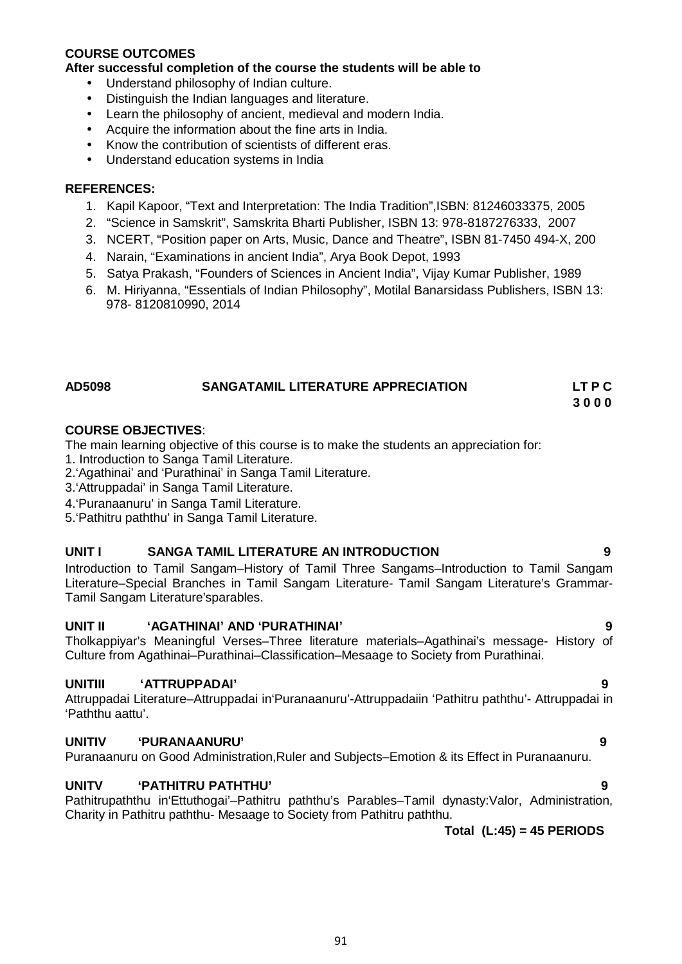### **COURSE OUTCOMES**

**After successful completion of the course the students will be able to**

- Understand philosophy of Indian culture.
- Distinguish the Indian languages and literature.
- Learn the philosophy of ancient, medieval and modern India.
- Acquire the information about the fine arts in India.
- Know the contribution of scientists of different eras.
- Understand education systems in India

## **REFERENCES:**

- 1. Kapil Kapoor, "Text and Interpretation: The India Tradition",ISBN: 81246033375, 2005
- 2. "Science in Samskrit", Samskrita Bharti Publisher, ISBN 13: 978-8187276333, 2007
- 3. NCERT, "Position paper on Arts, Music, Dance and Theatre", ISBN 81-7450 494-X, 200
- 4. Narain, "Examinations in ancient India", Arya Book Depot, 1993
- 5. Satya Prakash, "Founders of Sciences in Ancient India", Vijay Kumar Publisher, 1989
- 6. M. Hiriyanna, "Essentials of Indian Philosophy", Motilal Banarsidass Publishers, ISBN 13: 978- 8120810990, 2014

# **AD5098 SANGATAMIL LITERATURE APPRECIATION LT P C**

**3 0 0 0**

# **COURSE OBJECTIVES**:

The main learning objective of this course is to make the students an appreciation for:

- 1. Introduction to Sanga Tamil Literature.
- 2.'Agathinai' and 'Purathinai' in Sanga Tamil Literature.
- 3.'Attruppadai' in Sanga Tamil Literature.
- 4.'Puranaanuru' in Sanga Tamil Literature.
- 5.'Pathitru paththu' in Sanga Tamil Literature.

### **UNIT I SANGA TAMIL LITERATURE AN INTRODUCTION 9**

Introduction to Tamil Sangam–History of Tamil Three Sangams–Introduction to Tamil Sangam Literature–Special Branches in Tamil Sangam Literature- Tamil Sangam Literature's Grammar- Tamil Sangam Literature'sparables.

# **UNIT II 'AGATHINAI' AND 'PURATHINAI' 9**

Tholkappiyar's Meaningful Verses–Three literature materials–Agathinai's message- History of Culture from Agathinai–Purathinai–Classification–Mesaage to Society from Purathinai.

# **UNITIII 'ATTRUPPADAI' 9**

Attruppadai Literature–Attruppadai in'Puranaanuru'-Attruppadaiin 'Pathitru paththu'- Attruppadai in 'Paththu aattu'.

# **UNITIV 'PURANAANURU' 9**

Puranaanuru on Good Administration, Ruler and Subjects–Emotion & its Effect in Puranaanuru.

# **UNITV 'PATHITRU PATHTHU' 9**

Pathitrupaththu in'Ettuthogai'–Pathitru paththu's Parables–Tamil dynasty:Valor, Administration, Charity in Pathitru paththu- Mesaage to Society from Pathitru paththu.

**Total (L:45) = 45 PERIODS**

- 
-